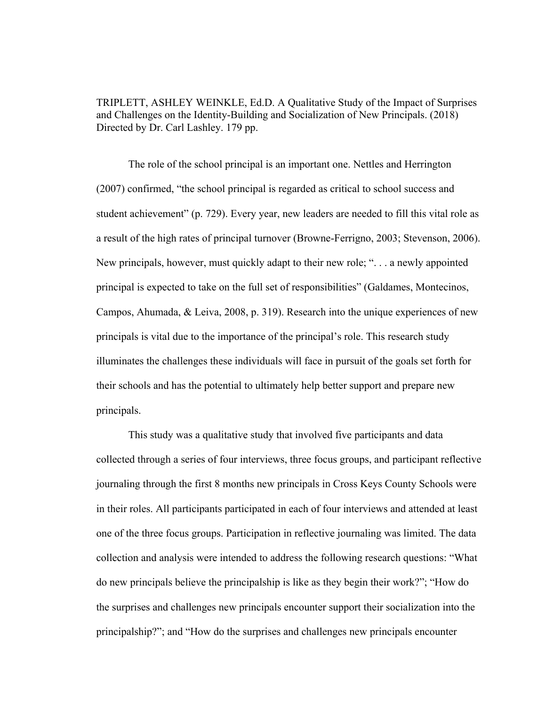TRIPLETT, ASHLEY WEINKLE, Ed.D. A Qualitative Study of the Impact of Surprises and Challenges on the Identity-Building and Socialization of New Principals. (2018) Directed by Dr. Carl Lashley. 179 pp.

The role of the school principal is an important one. Nettles and Herrington (2007) confirmed, "the school principal is regarded as critical to school success and student achievement" (p. 729). Every year, new leaders are needed to fill this vital role as a result of the high rates of principal turnover (Browne-Ferrigno, 2003; Stevenson, 2006). New principals, however, must quickly adapt to their new role; ". . . a newly appointed principal is expected to take on the full set of responsibilities" (Galdames, Montecinos, Campos, Ahumada, & Leiva, 2008, p. 319). Research into the unique experiences of new principals is vital due to the importance of the principal's role. This research study illuminates the challenges these individuals will face in pursuit of the goals set forth for their schools and has the potential to ultimately help better support and prepare new principals.

This study was a qualitative study that involved five participants and data collected through a series of four interviews, three focus groups, and participant reflective journaling through the first 8 months new principals in Cross Keys County Schools were in their roles. All participants participated in each of four interviews and attended at least one of the three focus groups. Participation in reflective journaling was limited. The data collection and analysis were intended to address the following research questions: "What do new principals believe the principalship is like as they begin their work?"; "How do the surprises and challenges new principals encounter support their socialization into the principalship?"; and "How do the surprises and challenges new principals encounter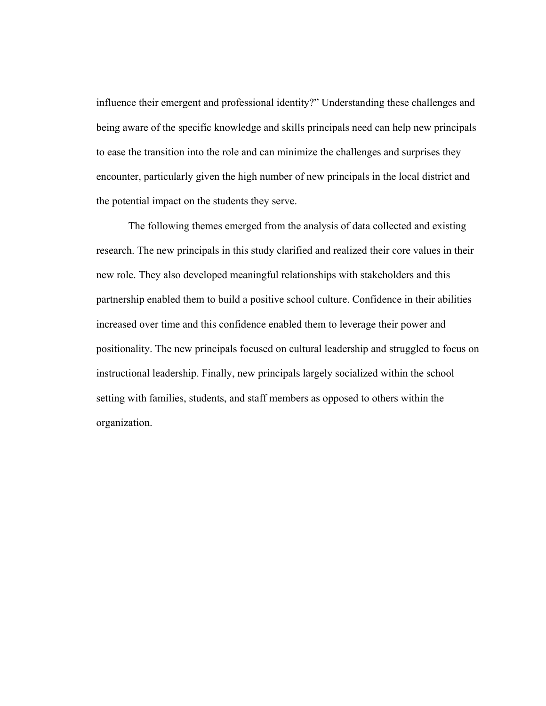influence their emergent and professional identity?" Understanding these challenges and being aware of the specific knowledge and skills principals need can help new principals to ease the transition into the role and can minimize the challenges and surprises they encounter, particularly given the high number of new principals in the local district and the potential impact on the students they serve.

The following themes emerged from the analysis of data collected and existing research. The new principals in this study clarified and realized their core values in their new role. They also developed meaningful relationships with stakeholders and this partnership enabled them to build a positive school culture. Confidence in their abilities increased over time and this confidence enabled them to leverage their power and positionality. The new principals focused on cultural leadership and struggled to focus on instructional leadership. Finally, new principals largely socialized within the school setting with families, students, and staff members as opposed to others within the organization.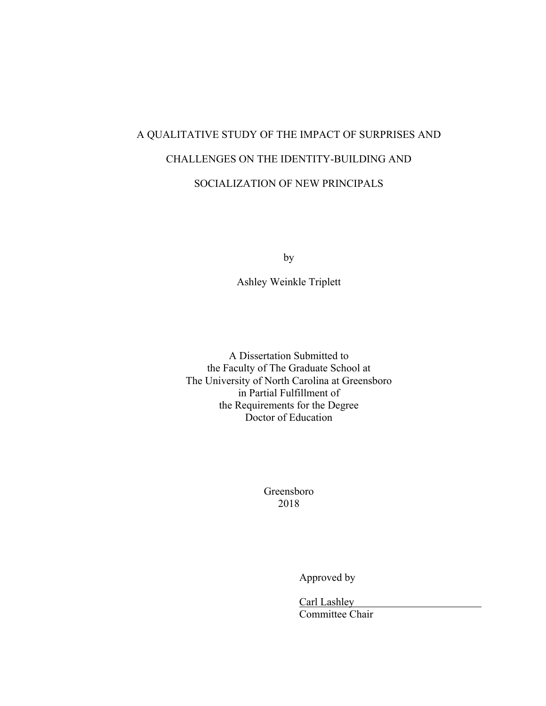# A QUALITATIVE STUDY OF THE IMPACT OF SURPRISES AND CHALLENGES ON THE IDENTITY-BUILDING AND SOCIALIZATION OF NEW PRINCIPALS

by

Ashley Weinkle Triplett

A Dissertation Submitted to the Faculty of The Graduate School at The University of North Carolina at Greensboro in Partial Fulfillment of the Requirements for the Degree Doctor of Education

> Greensboro 2018

> > Approved by

Carl Lashley Committee Chair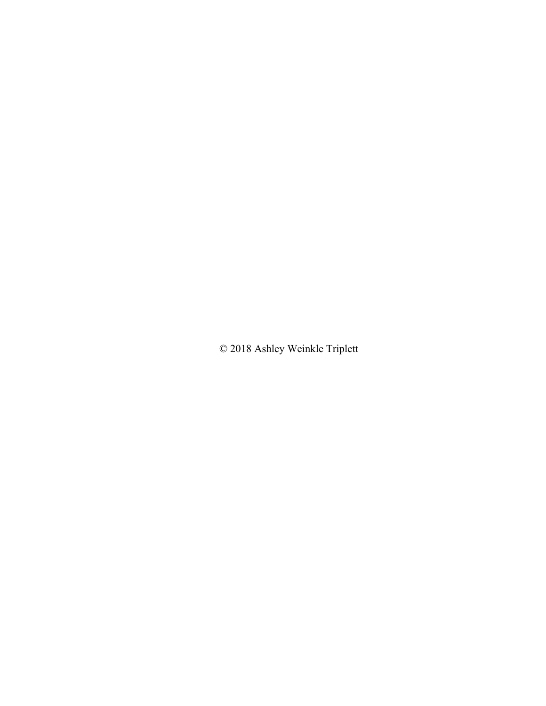© 2018 Ashley Weinkle Triplett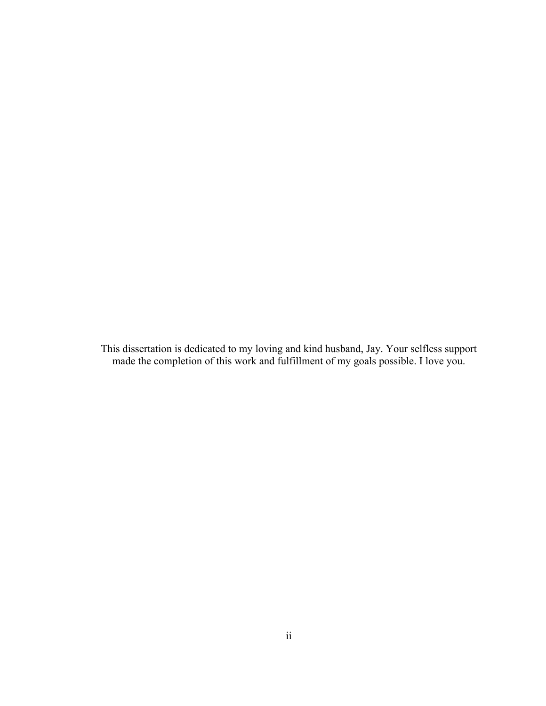This dissertation is dedicated to my loving and kind husband, Jay. Your selfless support made the completion of this work and fulfillment of my goals possible. I love you.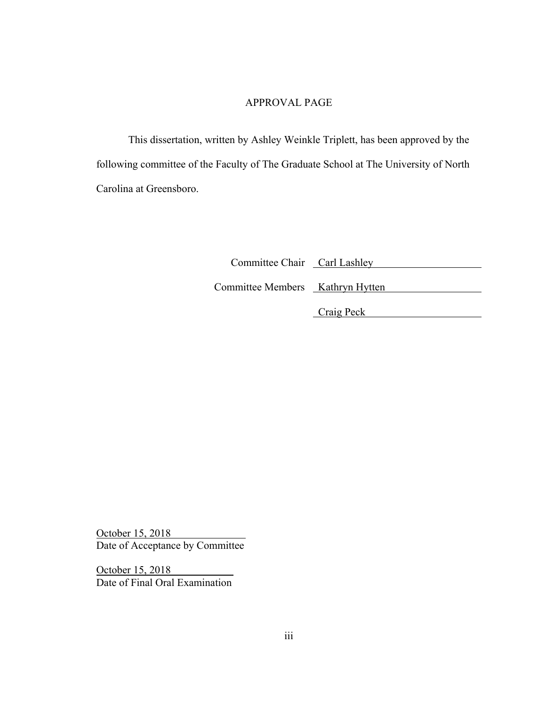# APPROVAL PAGE

 This dissertation, written by Ashley Weinkle Triplett, has been approved by the following committee of the Faculty of The Graduate School at The University of North Carolina at Greensboro.

| Committee Chair Carl Lashley     |  |
|----------------------------------|--|
| Committee Members Kathryn Hytten |  |
|                                  |  |

Craig Peck

October 15, 2018 Date of Acceptance by Committee

October 15, 2018 Date of Final Oral Examination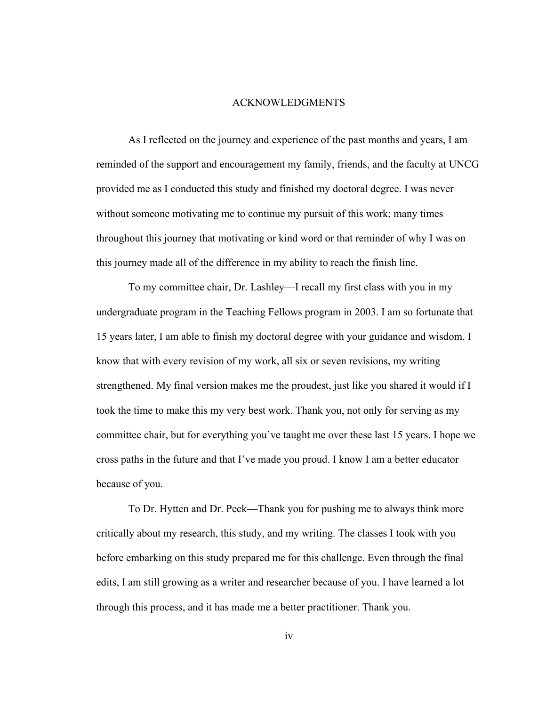#### ACKNOWLEDGMENTS

 As I reflected on the journey and experience of the past months and years, I am reminded of the support and encouragement my family, friends, and the faculty at UNCG provided me as I conducted this study and finished my doctoral degree. I was never without someone motivating me to continue my pursuit of this work; many times throughout this journey that motivating or kind word or that reminder of why I was on this journey made all of the difference in my ability to reach the finish line.

 To my committee chair, Dr. Lashley—I recall my first class with you in my undergraduate program in the Teaching Fellows program in 2003. I am so fortunate that 15 years later, I am able to finish my doctoral degree with your guidance and wisdom. I know that with every revision of my work, all six or seven revisions, my writing strengthened. My final version makes me the proudest, just like you shared it would if I took the time to make this my very best work. Thank you, not only for serving as my committee chair, but for everything you've taught me over these last 15 years. I hope we cross paths in the future and that I've made you proud. I know I am a better educator because of you.

 To Dr. Hytten and Dr. Peck—Thank you for pushing me to always think more critically about my research, this study, and my writing. The classes I took with you before embarking on this study prepared me for this challenge. Even through the final edits, I am still growing as a writer and researcher because of you. I have learned a lot through this process, and it has made me a better practitioner. Thank you.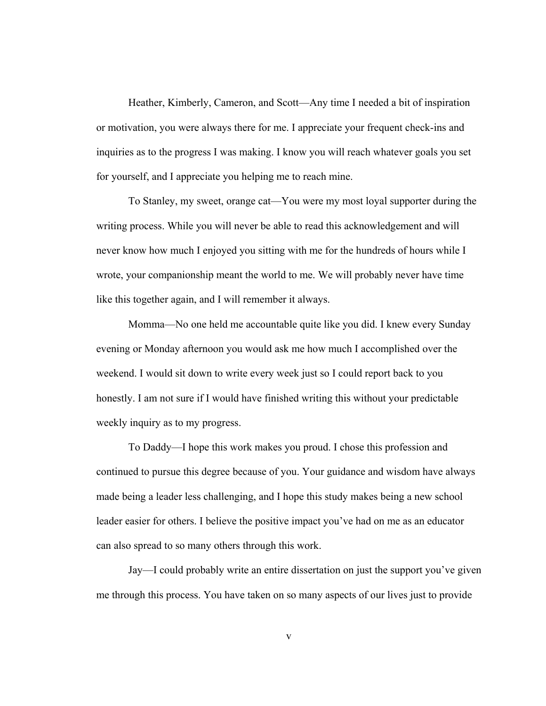Heather, Kimberly, Cameron, and Scott—Any time I needed a bit of inspiration or motivation, you were always there for me. I appreciate your frequent check-ins and inquiries as to the progress I was making. I know you will reach whatever goals you set for yourself, and I appreciate you helping me to reach mine.

 To Stanley, my sweet, orange cat—You were my most loyal supporter during the writing process. While you will never be able to read this acknowledgement and will never know how much I enjoyed you sitting with me for the hundreds of hours while I wrote, your companionship meant the world to me. We will probably never have time like this together again, and I will remember it always.

 Momma—No one held me accountable quite like you did. I knew every Sunday evening or Monday afternoon you would ask me how much I accomplished over the weekend. I would sit down to write every week just so I could report back to you honestly. I am not sure if I would have finished writing this without your predictable weekly inquiry as to my progress.

 To Daddy—I hope this work makes you proud. I chose this profession and continued to pursue this degree because of you. Your guidance and wisdom have always made being a leader less challenging, and I hope this study makes being a new school leader easier for others. I believe the positive impact you've had on me as an educator can also spread to so many others through this work.

 Jay—I could probably write an entire dissertation on just the support you've given me through this process. You have taken on so many aspects of our lives just to provide

v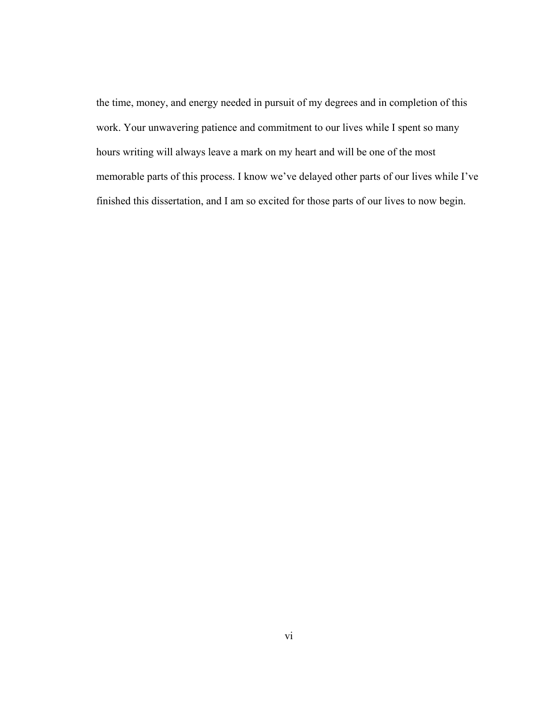the time, money, and energy needed in pursuit of my degrees and in completion of this work. Your unwavering patience and commitment to our lives while I spent so many hours writing will always leave a mark on my heart and will be one of the most memorable parts of this process. I know we've delayed other parts of our lives while I've finished this dissertation, and I am so excited for those parts of our lives to now begin.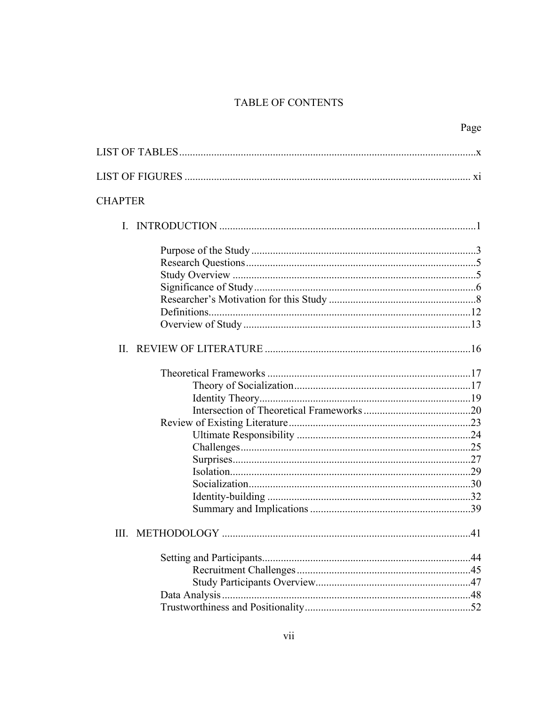# TABLE OF CONTENTS

| Page                  |
|-----------------------|
|                       |
|                       |
| <b>CHAPTER</b>        |
|                       |
|                       |
|                       |
|                       |
|                       |
|                       |
|                       |
|                       |
|                       |
|                       |
|                       |
|                       |
|                       |
|                       |
|                       |
|                       |
|                       |
| $Isolation. \dots 29$ |
|                       |
|                       |
|                       |
|                       |
|                       |
|                       |
|                       |
|                       |
|                       |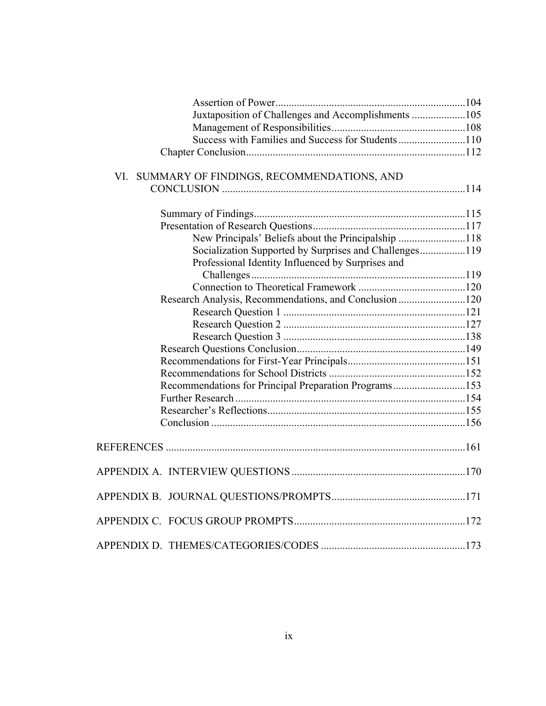| Juxtaposition of Challenges and Accomplishments 105    |  |
|--------------------------------------------------------|--|
|                                                        |  |
| Success with Families and Success for Students110      |  |
|                                                        |  |
|                                                        |  |
| VI. SUMMARY OF FINDINGS, RECOMMENDATIONS, AND          |  |
|                                                        |  |
|                                                        |  |
|                                                        |  |
|                                                        |  |
| New Principals' Beliefs about the Principalship 118    |  |
| Socialization Supported by Surprises and Challenges119 |  |
| Professional Identity Influenced by Surprises and      |  |
|                                                        |  |
|                                                        |  |
| Research Analysis, Recommendations, and Conclusion 120 |  |
|                                                        |  |
|                                                        |  |
|                                                        |  |
|                                                        |  |
|                                                        |  |
|                                                        |  |
| Recommendations for Principal Preparation Programs153  |  |
|                                                        |  |
|                                                        |  |
|                                                        |  |
|                                                        |  |
|                                                        |  |
|                                                        |  |
|                                                        |  |
|                                                        |  |
|                                                        |  |
|                                                        |  |
|                                                        |  |
|                                                        |  |
|                                                        |  |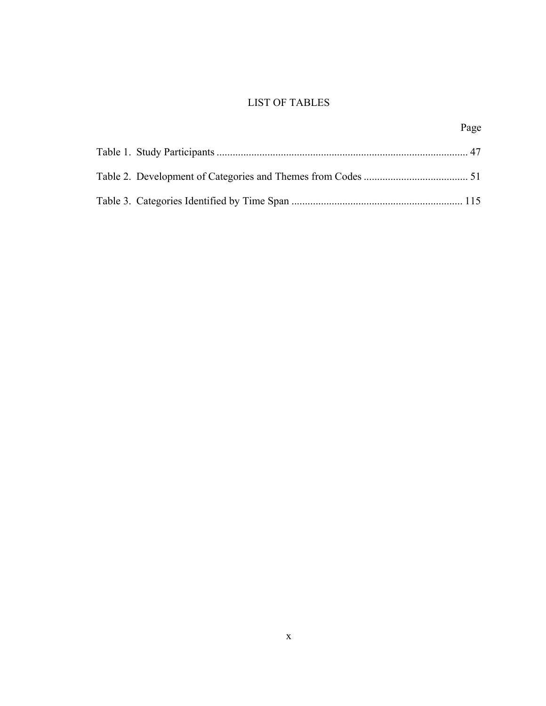# LIST OF TABLES

Page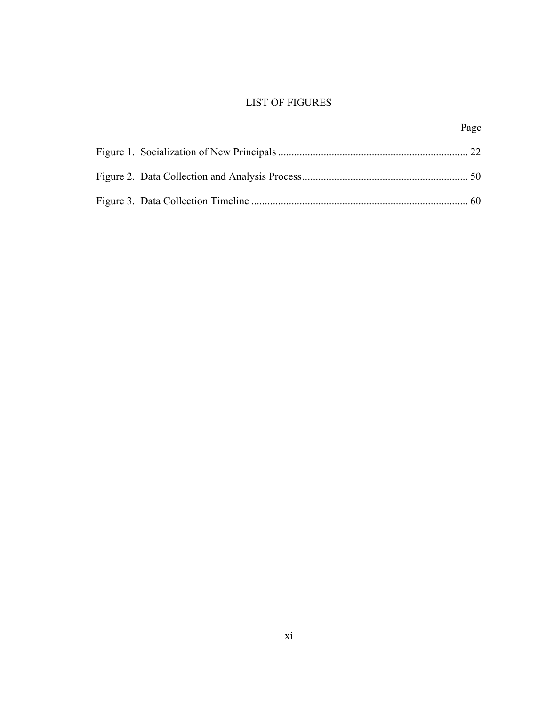# LIST OF FIGURES

Page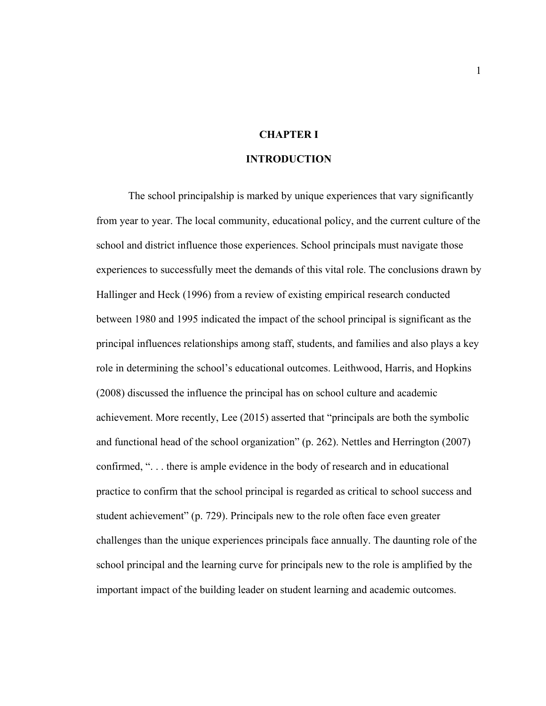# **CHAPTER I**

#### **INTRODUCTION**

The school principalship is marked by unique experiences that vary significantly from year to year. The local community, educational policy, and the current culture of the school and district influence those experiences. School principals must navigate those experiences to successfully meet the demands of this vital role. The conclusions drawn by Hallinger and Heck (1996) from a review of existing empirical research conducted between 1980 and 1995 indicated the impact of the school principal is significant as the principal influences relationships among staff, students, and families and also plays a key role in determining the school's educational outcomes. Leithwood, Harris, and Hopkins (2008) discussed the influence the principal has on school culture and academic achievement. More recently, Lee (2015) asserted that "principals are both the symbolic and functional head of the school organization" (p. 262). Nettles and Herrington (2007) confirmed, ". . . there is ample evidence in the body of research and in educational practice to confirm that the school principal is regarded as critical to school success and student achievement" (p. 729). Principals new to the role often face even greater challenges than the unique experiences principals face annually. The daunting role of the school principal and the learning curve for principals new to the role is amplified by the important impact of the building leader on student learning and academic outcomes.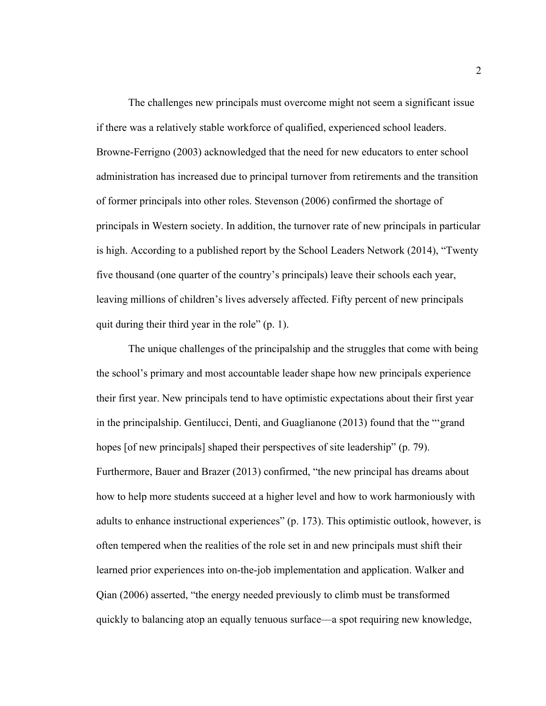The challenges new principals must overcome might not seem a significant issue if there was a relatively stable workforce of qualified, experienced school leaders. Browne-Ferrigno (2003) acknowledged that the need for new educators to enter school administration has increased due to principal turnover from retirements and the transition of former principals into other roles. Stevenson (2006) confirmed the shortage of principals in Western society. In addition, the turnover rate of new principals in particular is high. According to a published report by the School Leaders Network (2014), "Twenty five thousand (one quarter of the country's principals) leave their schools each year, leaving millions of children's lives adversely affected. Fifty percent of new principals quit during their third year in the role" (p. 1).

The unique challenges of the principalship and the struggles that come with being the school's primary and most accountable leader shape how new principals experience their first year. New principals tend to have optimistic expectations about their first year in the principalship. Gentilucci, Denti, and Guaglianone (2013) found that the "'grand hopes [of new principals] shaped their perspectives of site leadership" (p. 79). Furthermore, Bauer and Brazer (2013) confirmed, "the new principal has dreams about how to help more students succeed at a higher level and how to work harmoniously with adults to enhance instructional experiences" (p. 173). This optimistic outlook, however, is often tempered when the realities of the role set in and new principals must shift their learned prior experiences into on-the-job implementation and application. Walker and Qian (2006) asserted, "the energy needed previously to climb must be transformed quickly to balancing atop an equally tenuous surface—a spot requiring new knowledge,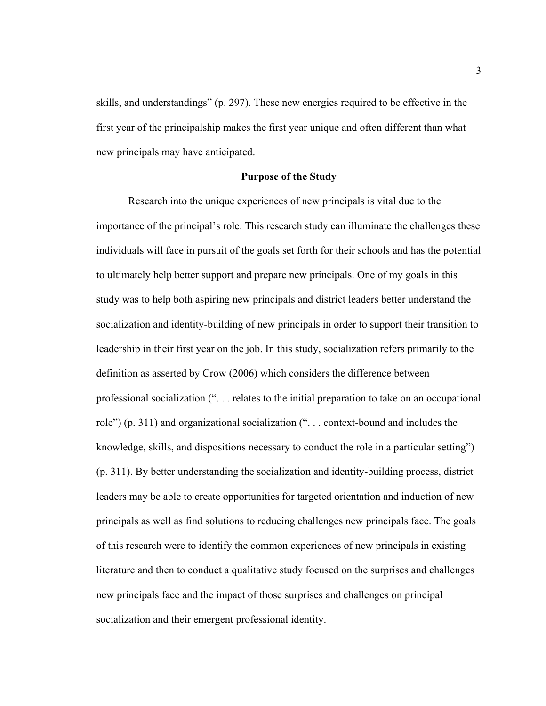skills, and understandings" (p. 297). These new energies required to be effective in the first year of the principalship makes the first year unique and often different than what new principals may have anticipated.

#### **Purpose of the Study**

Research into the unique experiences of new principals is vital due to the importance of the principal's role. This research study can illuminate the challenges these individuals will face in pursuit of the goals set forth for their schools and has the potential to ultimately help better support and prepare new principals. One of my goals in this study was to help both aspiring new principals and district leaders better understand the socialization and identity-building of new principals in order to support their transition to leadership in their first year on the job. In this study, socialization refers primarily to the definition as asserted by Crow (2006) which considers the difference between professional socialization (". . . relates to the initial preparation to take on an occupational role") (p. 311) and organizational socialization (". . . context-bound and includes the knowledge, skills, and dispositions necessary to conduct the role in a particular setting") (p. 311). By better understanding the socialization and identity-building process, district leaders may be able to create opportunities for targeted orientation and induction of new principals as well as find solutions to reducing challenges new principals face. The goals of this research were to identify the common experiences of new principals in existing literature and then to conduct a qualitative study focused on the surprises and challenges new principals face and the impact of those surprises and challenges on principal socialization and their emergent professional identity.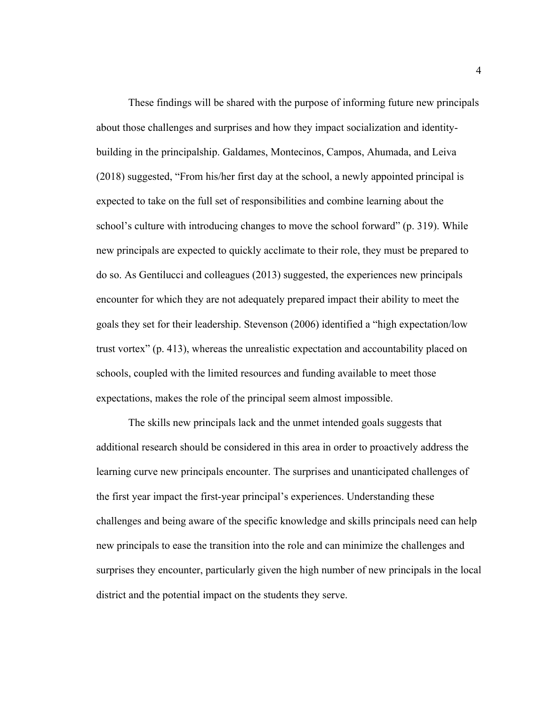These findings will be shared with the purpose of informing future new principals about those challenges and surprises and how they impact socialization and identitybuilding in the principalship. Galdames, Montecinos, Campos, Ahumada, and Leiva (2018) suggested, "From his/her first day at the school, a newly appointed principal is expected to take on the full set of responsibilities and combine learning about the school's culture with introducing changes to move the school forward" (p. 319). While new principals are expected to quickly acclimate to their role, they must be prepared to do so. As Gentilucci and colleagues (2013) suggested, the experiences new principals encounter for which they are not adequately prepared impact their ability to meet the goals they set for their leadership. Stevenson (2006) identified a "high expectation/low trust vortex" (p. 413), whereas the unrealistic expectation and accountability placed on schools, coupled with the limited resources and funding available to meet those expectations, makes the role of the principal seem almost impossible.

The skills new principals lack and the unmet intended goals suggests that additional research should be considered in this area in order to proactively address the learning curve new principals encounter. The surprises and unanticipated challenges of the first year impact the first-year principal's experiences. Understanding these challenges and being aware of the specific knowledge and skills principals need can help new principals to ease the transition into the role and can minimize the challenges and surprises they encounter, particularly given the high number of new principals in the local district and the potential impact on the students they serve.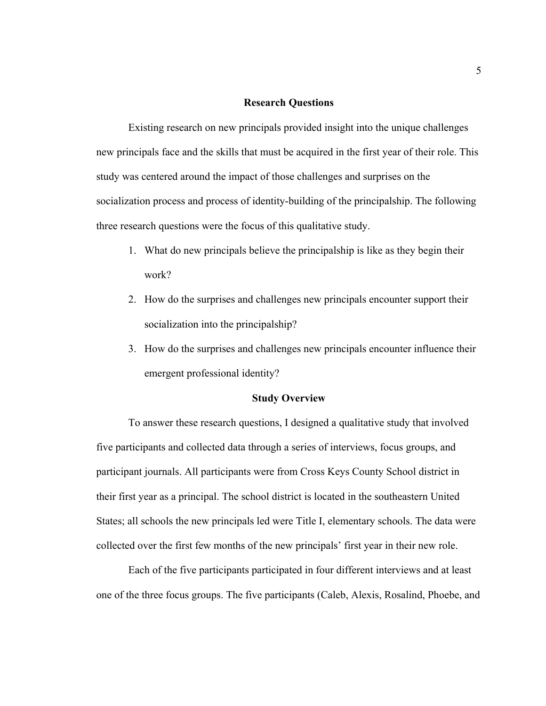#### **Research Questions**

Existing research on new principals provided insight into the unique challenges new principals face and the skills that must be acquired in the first year of their role. This study was centered around the impact of those challenges and surprises on the socialization process and process of identity-building of the principalship. The following three research questions were the focus of this qualitative study.

- 1. What do new principals believe the principalship is like as they begin their work?
- 2. How do the surprises and challenges new principals encounter support their socialization into the principalship?
- 3. How do the surprises and challenges new principals encounter influence their emergent professional identity?

#### **Study Overview**

 To answer these research questions, I designed a qualitative study that involved five participants and collected data through a series of interviews, focus groups, and participant journals. All participants were from Cross Keys County School district in their first year as a principal. The school district is located in the southeastern United States; all schools the new principals led were Title I, elementary schools. The data were collected over the first few months of the new principals' first year in their new role.

 Each of the five participants participated in four different interviews and at least one of the three focus groups. The five participants (Caleb, Alexis, Rosalind, Phoebe, and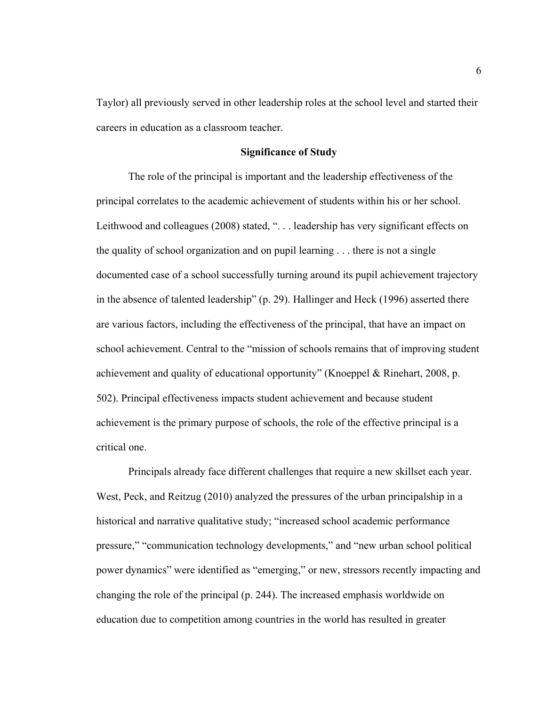Taylor) all previously served in other leadership roles at the school level and started their careers in education as a classroom teacher.

#### **Significance of Study**

The role of the principal is important and the leadership effectiveness of the principal correlates to the academic achievement of students within his or her school. Leithwood and colleagues (2008) stated, "... leadership has very significant effects on the quality of school organization and on pupil learning . . . there is not a single documented case of a school successfully turning around its pupil achievement trajectory in the absence of talented leadership" (p. 29). Hallinger and Heck (1996) asserted there are various factors, including the effectiveness of the principal, that have an impact on school achievement. Central to the "mission of schools remains that of improving student achievement and quality of educational opportunity" (Knoeppel & Rinehart, 2008, p. 502). Principal effectiveness impacts student achievement and because student achievement is the primary purpose of schools, the role of the effective principal is a critical one.

Principals already face different challenges that require a new skillset each year. West, Peck, and Reitzug (2010) analyzed the pressures of the urban principalship in a historical and narrative qualitative study; "increased school academic performance pressure," "communication technology developments," and "new urban school political power dynamics" were identified as "emerging," or new, stressors recently impacting and changing the role of the principal (p. 244). The increased emphasis worldwide on education due to competition among countries in the world has resulted in greater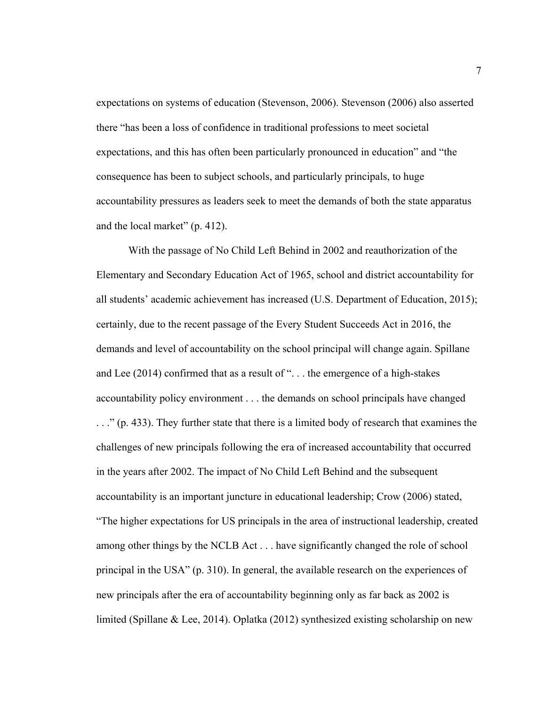expectations on systems of education (Stevenson, 2006). Stevenson (2006) also asserted there "has been a loss of confidence in traditional professions to meet societal expectations, and this has often been particularly pronounced in education" and "the consequence has been to subject schools, and particularly principals, to huge accountability pressures as leaders seek to meet the demands of both the state apparatus and the local market" (p. 412).

With the passage of No Child Left Behind in 2002 and reauthorization of the Elementary and Secondary Education Act of 1965, school and district accountability for all students' academic achievement has increased (U.S. Department of Education, 2015); certainly, due to the recent passage of the Every Student Succeeds Act in 2016, the demands and level of accountability on the school principal will change again. Spillane and Lee  $(2014)$  confirmed that as a result of "... the emergence of a high-stakes accountability policy environment . . . the demands on school principals have changed . . ." (p. 433). They further state that there is a limited body of research that examines the challenges of new principals following the era of increased accountability that occurred in the years after 2002. The impact of No Child Left Behind and the subsequent accountability is an important juncture in educational leadership; Crow (2006) stated, "The higher expectations for US principals in the area of instructional leadership, created among other things by the NCLB Act . . . have significantly changed the role of school principal in the USA" (p. 310). In general, the available research on the experiences of new principals after the era of accountability beginning only as far back as 2002 is limited (Spillane & Lee, 2014). Oplatka (2012) synthesized existing scholarship on new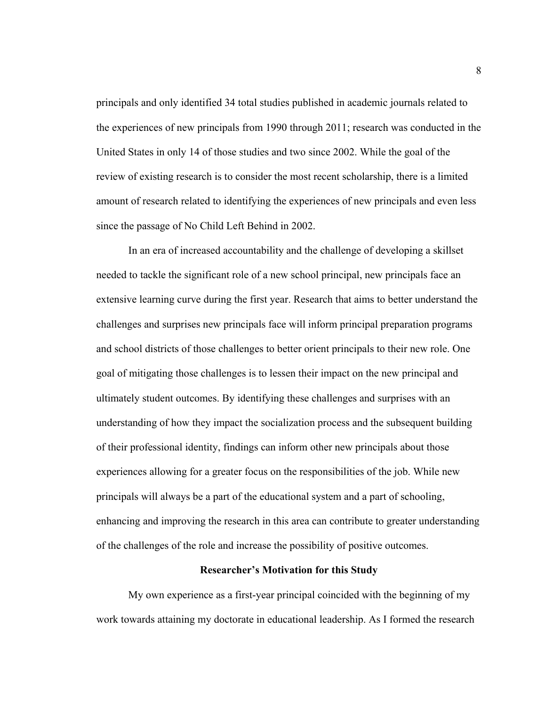principals and only identified 34 total studies published in academic journals related to the experiences of new principals from 1990 through 2011; research was conducted in the United States in only 14 of those studies and two since 2002. While the goal of the review of existing research is to consider the most recent scholarship, there is a limited amount of research related to identifying the experiences of new principals and even less since the passage of No Child Left Behind in 2002.

In an era of increased accountability and the challenge of developing a skillset needed to tackle the significant role of a new school principal, new principals face an extensive learning curve during the first year. Research that aims to better understand the challenges and surprises new principals face will inform principal preparation programs and school districts of those challenges to better orient principals to their new role. One goal of mitigating those challenges is to lessen their impact on the new principal and ultimately student outcomes. By identifying these challenges and surprises with an understanding of how they impact the socialization process and the subsequent building of their professional identity, findings can inform other new principals about those experiences allowing for a greater focus on the responsibilities of the job. While new principals will always be a part of the educational system and a part of schooling, enhancing and improving the research in this area can contribute to greater understanding of the challenges of the role and increase the possibility of positive outcomes.

### **Researcher's Motivation for this Study**

My own experience as a first-year principal coincided with the beginning of my work towards attaining my doctorate in educational leadership. As I formed the research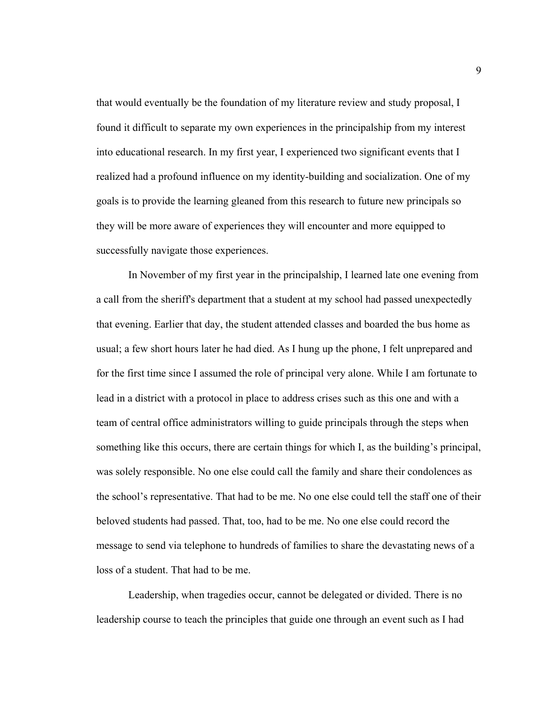that would eventually be the foundation of my literature review and study proposal, I found it difficult to separate my own experiences in the principalship from my interest into educational research. In my first year, I experienced two significant events that I realized had a profound influence on my identity-building and socialization. One of my goals is to provide the learning gleaned from this research to future new principals so they will be more aware of experiences they will encounter and more equipped to successfully navigate those experiences.

In November of my first year in the principalship, I learned late one evening from a call from the sheriff's department that a student at my school had passed unexpectedly that evening. Earlier that day, the student attended classes and boarded the bus home as usual; a few short hours later he had died. As I hung up the phone, I felt unprepared and for the first time since I assumed the role of principal very alone. While I am fortunate to lead in a district with a protocol in place to address crises such as this one and with a team of central office administrators willing to guide principals through the steps when something like this occurs, there are certain things for which I, as the building's principal, was solely responsible. No one else could call the family and share their condolences as the school's representative. That had to be me. No one else could tell the staff one of their beloved students had passed. That, too, had to be me. No one else could record the message to send via telephone to hundreds of families to share the devastating news of a loss of a student. That had to be me.

Leadership, when tragedies occur, cannot be delegated or divided. There is no leadership course to teach the principles that guide one through an event such as I had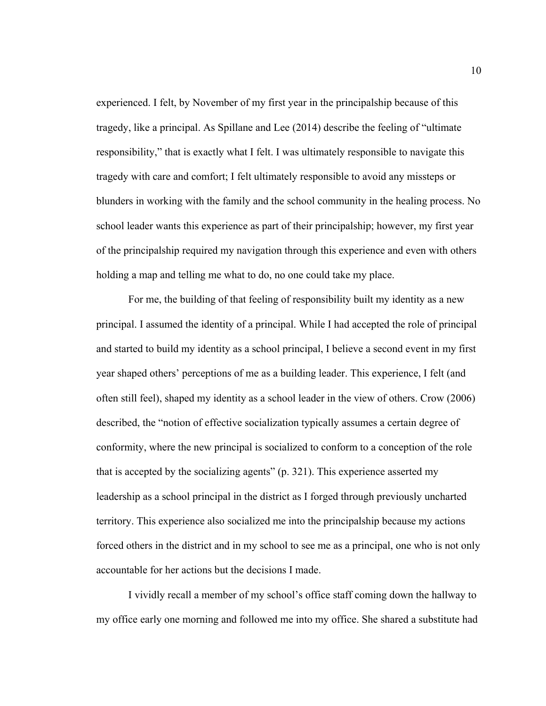experienced. I felt, by November of my first year in the principalship because of this tragedy, like a principal. As Spillane and Lee (2014) describe the feeling of "ultimate responsibility," that is exactly what I felt. I was ultimately responsible to navigate this tragedy with care and comfort; I felt ultimately responsible to avoid any missteps or blunders in working with the family and the school community in the healing process. No school leader wants this experience as part of their principalship; however, my first year of the principalship required my navigation through this experience and even with others holding a map and telling me what to do, no one could take my place.

For me, the building of that feeling of responsibility built my identity as a new principal. I assumed the identity of a principal. While I had accepted the role of principal and started to build my identity as a school principal, I believe a second event in my first year shaped others' perceptions of me as a building leader. This experience, I felt (and often still feel), shaped my identity as a school leader in the view of others. Crow (2006) described, the "notion of effective socialization typically assumes a certain degree of conformity, where the new principal is socialized to conform to a conception of the role that is accepted by the socializing agents" (p. 321). This experience asserted my leadership as a school principal in the district as I forged through previously uncharted territory. This experience also socialized me into the principalship because my actions forced others in the district and in my school to see me as a principal, one who is not only accountable for her actions but the decisions I made.

I vividly recall a member of my school's office staff coming down the hallway to my office early one morning and followed me into my office. She shared a substitute had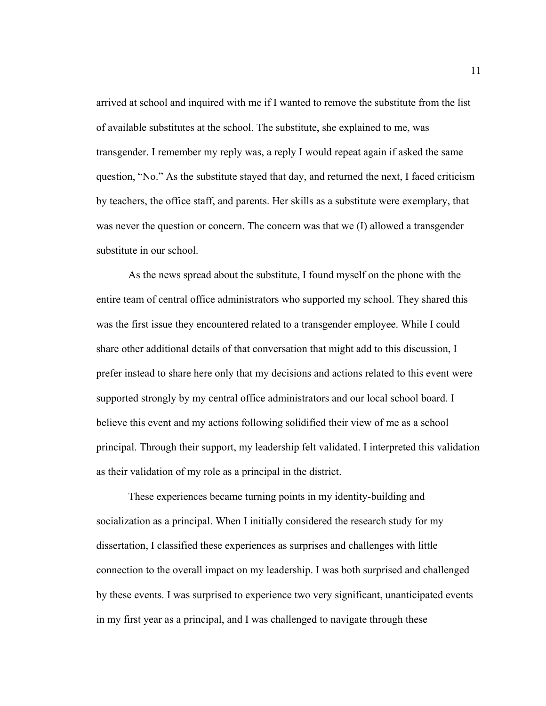arrived at school and inquired with me if I wanted to remove the substitute from the list of available substitutes at the school. The substitute, she explained to me, was transgender. I remember my reply was, a reply I would repeat again if asked the same question, "No." As the substitute stayed that day, and returned the next, I faced criticism by teachers, the office staff, and parents. Her skills as a substitute were exemplary, that was never the question or concern. The concern was that we (I) allowed a transgender substitute in our school.

As the news spread about the substitute, I found myself on the phone with the entire team of central office administrators who supported my school. They shared this was the first issue they encountered related to a transgender employee. While I could share other additional details of that conversation that might add to this discussion, I prefer instead to share here only that my decisions and actions related to this event were supported strongly by my central office administrators and our local school board. I believe this event and my actions following solidified their view of me as a school principal. Through their support, my leadership felt validated. I interpreted this validation as their validation of my role as a principal in the district.

These experiences became turning points in my identity-building and socialization as a principal. When I initially considered the research study for my dissertation, I classified these experiences as surprises and challenges with little connection to the overall impact on my leadership. I was both surprised and challenged by these events. I was surprised to experience two very significant, unanticipated events in my first year as a principal, and I was challenged to navigate through these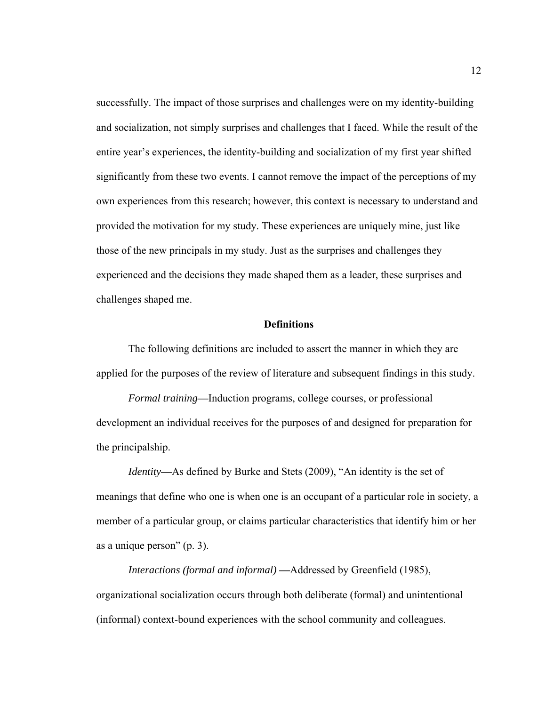successfully. The impact of those surprises and challenges were on my identity-building and socialization, not simply surprises and challenges that I faced. While the result of the entire year's experiences, the identity-building and socialization of my first year shifted significantly from these two events. I cannot remove the impact of the perceptions of my own experiences from this research; however, this context is necessary to understand and provided the motivation for my study. These experiences are uniquely mine, just like those of the new principals in my study. Just as the surprises and challenges they experienced and the decisions they made shaped them as a leader, these surprises and challenges shaped me.

## **Definitions**

The following definitions are included to assert the manner in which they are applied for the purposes of the review of literature and subsequent findings in this study.

*Formal training***—**Induction programs, college courses, or professional development an individual receives for the purposes of and designed for preparation for the principalship.

*Identity***—**As defined by Burke and Stets (2009), "An identity is the set of meanings that define who one is when one is an occupant of a particular role in society, a member of a particular group, or claims particular characteristics that identify him or her as a unique person" (p. 3).

*Interactions (formal and informal)* **—**Addressed by Greenfield (1985), organizational socialization occurs through both deliberate (formal) and unintentional (informal) context-bound experiences with the school community and colleagues.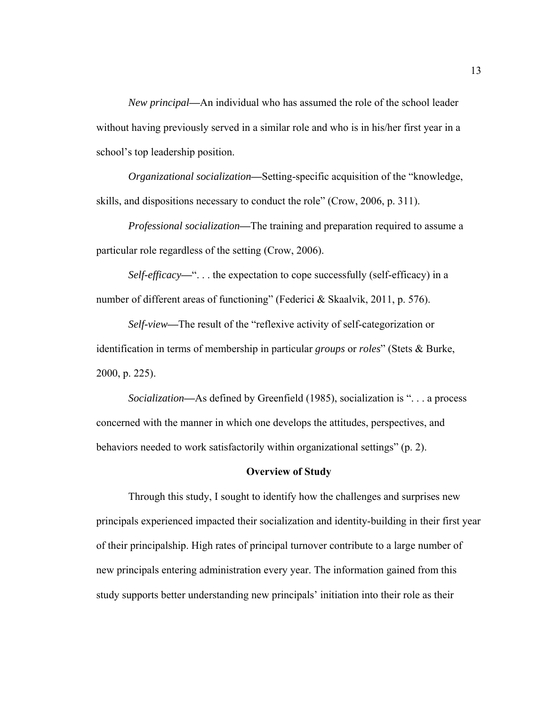*New principal***—**An individual who has assumed the role of the school leader without having previously served in a similar role and who is in his/her first year in a school's top leadership position.

*Organizational socialization***—**Setting-specific acquisition of the "knowledge, skills, and dispositions necessary to conduct the role" (Crow, 2006, p. 311).

*Professional socialization***—**The training and preparation required to assume a particular role regardless of the setting (Crow, 2006).

*Self-efficacy*—"... the expectation to cope successfully (self-efficacy) in a number of different areas of functioning" (Federici & Skaalvik, 2011, p. 576).

*Self-view***—**The result of the "reflexive activity of self-categorization or identification in terms of membership in particular *groups* or *roles*" (Stets & Burke, 2000, p. 225).

*Socialization***—**As defined by Greenfield (1985), socialization is ". . . a process concerned with the manner in which one develops the attitudes, perspectives, and behaviors needed to work satisfactorily within organizational settings" (p. 2).

## **Overview of Study**

Through this study, I sought to identify how the challenges and surprises new principals experienced impacted their socialization and identity-building in their first year of their principalship. High rates of principal turnover contribute to a large number of new principals entering administration every year. The information gained from this study supports better understanding new principals' initiation into their role as their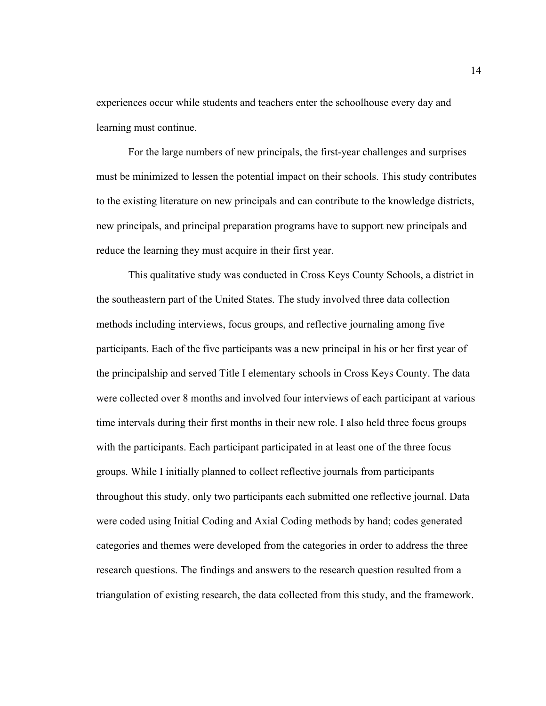experiences occur while students and teachers enter the schoolhouse every day and learning must continue.

For the large numbers of new principals, the first-year challenges and surprises must be minimized to lessen the potential impact on their schools. This study contributes to the existing literature on new principals and can contribute to the knowledge districts, new principals, and principal preparation programs have to support new principals and reduce the learning they must acquire in their first year.

This qualitative study was conducted in Cross Keys County Schools, a district in the southeastern part of the United States. The study involved three data collection methods including interviews, focus groups, and reflective journaling among five participants. Each of the five participants was a new principal in his or her first year of the principalship and served Title I elementary schools in Cross Keys County. The data were collected over 8 months and involved four interviews of each participant at various time intervals during their first months in their new role. I also held three focus groups with the participants. Each participant participated in at least one of the three focus groups. While I initially planned to collect reflective journals from participants throughout this study, only two participants each submitted one reflective journal. Data were coded using Initial Coding and Axial Coding methods by hand; codes generated categories and themes were developed from the categories in order to address the three research questions. The findings and answers to the research question resulted from a triangulation of existing research, the data collected from this study, and the framework.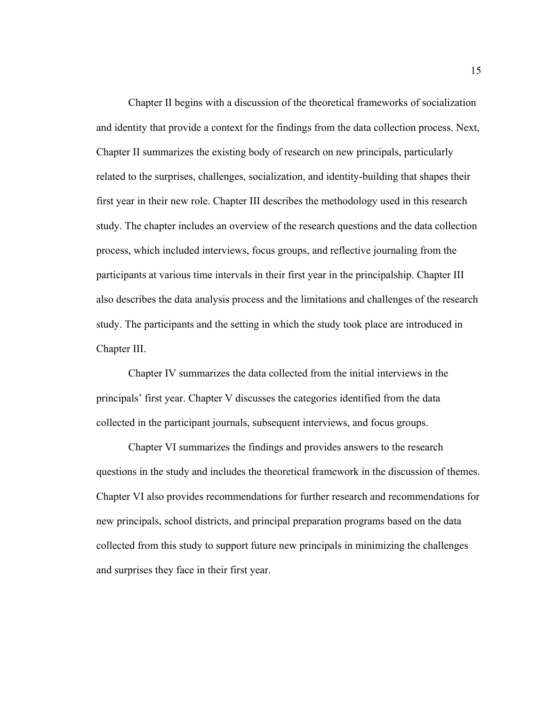Chapter II begins with a discussion of the theoretical frameworks of socialization and identity that provide a context for the findings from the data collection process. Next, Chapter II summarizes the existing body of research on new principals, particularly related to the surprises, challenges, socialization, and identity-building that shapes their first year in their new role. Chapter III describes the methodology used in this research study. The chapter includes an overview of the research questions and the data collection process, which included interviews, focus groups, and reflective journaling from the participants at various time intervals in their first year in the principalship. Chapter III also describes the data analysis process and the limitations and challenges of the research study. The participants and the setting in which the study took place are introduced in Chapter III.

Chapter IV summarizes the data collected from the initial interviews in the principals' first year. Chapter V discusses the categories identified from the data collected in the participant journals, subsequent interviews, and focus groups.

Chapter VI summarizes the findings and provides answers to the research questions in the study and includes the theoretical framework in the discussion of themes. Chapter VI also provides recommendations for further research and recommendations for new principals, school districts, and principal preparation programs based on the data collected from this study to support future new principals in minimizing the challenges and surprises they face in their first year.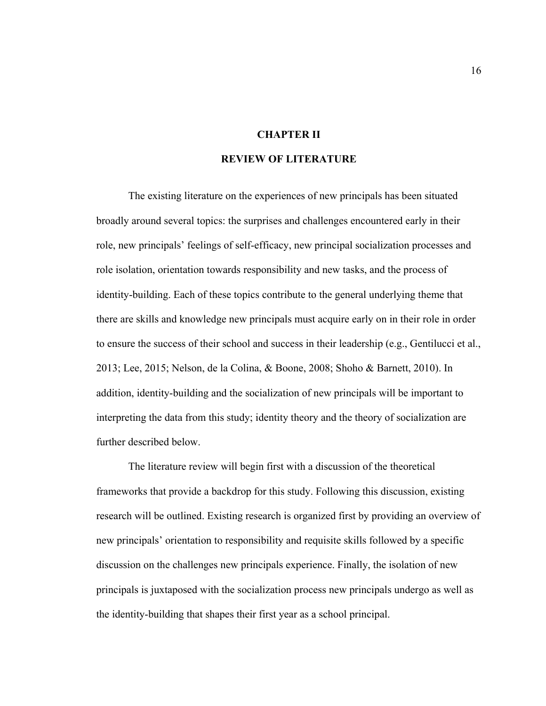# **CHAPTER II**

## **REVIEW OF LITERATURE**

The existing literature on the experiences of new principals has been situated broadly around several topics: the surprises and challenges encountered early in their role, new principals' feelings of self-efficacy, new principal socialization processes and role isolation, orientation towards responsibility and new tasks, and the process of identity-building. Each of these topics contribute to the general underlying theme that there are skills and knowledge new principals must acquire early on in their role in order to ensure the success of their school and success in their leadership (e.g., Gentilucci et al., 2013; Lee, 2015; Nelson, de la Colina, & Boone, 2008; Shoho & Barnett, 2010). In addition, identity-building and the socialization of new principals will be important to interpreting the data from this study; identity theory and the theory of socialization are further described below.

The literature review will begin first with a discussion of the theoretical frameworks that provide a backdrop for this study. Following this discussion, existing research will be outlined. Existing research is organized first by providing an overview of new principals' orientation to responsibility and requisite skills followed by a specific discussion on the challenges new principals experience. Finally, the isolation of new principals is juxtaposed with the socialization process new principals undergo as well as the identity-building that shapes their first year as a school principal.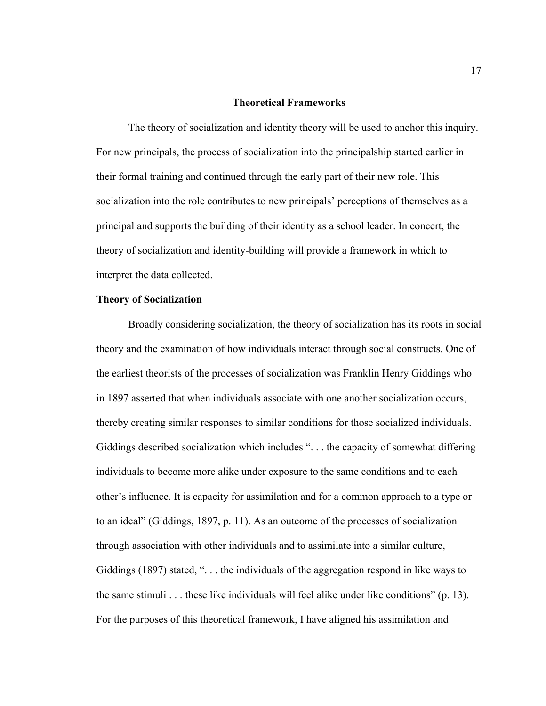#### **Theoretical Frameworks**

 The theory of socialization and identity theory will be used to anchor this inquiry. For new principals, the process of socialization into the principalship started earlier in their formal training and continued through the early part of their new role. This socialization into the role contributes to new principals' perceptions of themselves as a principal and supports the building of their identity as a school leader. In concert, the theory of socialization and identity-building will provide a framework in which to interpret the data collected.

#### **Theory of Socialization**

Broadly considering socialization, the theory of socialization has its roots in social theory and the examination of how individuals interact through social constructs. One of the earliest theorists of the processes of socialization was Franklin Henry Giddings who in 1897 asserted that when individuals associate with one another socialization occurs, thereby creating similar responses to similar conditions for those socialized individuals. Giddings described socialization which includes ". . . the capacity of somewhat differing individuals to become more alike under exposure to the same conditions and to each other's influence. It is capacity for assimilation and for a common approach to a type or to an ideal" (Giddings, 1897, p. 11). As an outcome of the processes of socialization through association with other individuals and to assimilate into a similar culture, Giddings (1897) stated, ". . . the individuals of the aggregation respond in like ways to the same stimuli  $\ldots$  these like individuals will feel alike under like conditions" (p. 13). For the purposes of this theoretical framework, I have aligned his assimilation and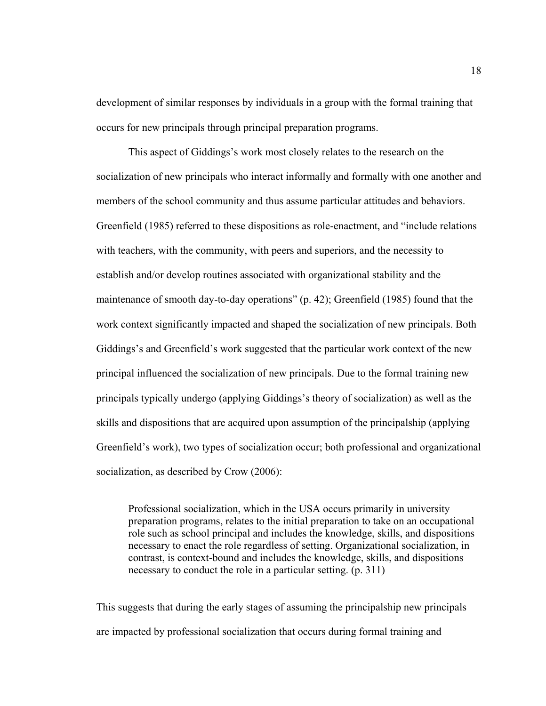development of similar responses by individuals in a group with the formal training that occurs for new principals through principal preparation programs.

This aspect of Giddings's work most closely relates to the research on the socialization of new principals who interact informally and formally with one another and members of the school community and thus assume particular attitudes and behaviors. Greenfield (1985) referred to these dispositions as role-enactment, and "include relations with teachers, with the community, with peers and superiors, and the necessity to establish and/or develop routines associated with organizational stability and the maintenance of smooth day-to-day operations" (p. 42); Greenfield (1985) found that the work context significantly impacted and shaped the socialization of new principals. Both Giddings's and Greenfield's work suggested that the particular work context of the new principal influenced the socialization of new principals. Due to the formal training new principals typically undergo (applying Giddings's theory of socialization) as well as the skills and dispositions that are acquired upon assumption of the principalship (applying Greenfield's work), two types of socialization occur; both professional and organizational socialization, as described by Crow (2006):

Professional socialization, which in the USA occurs primarily in university preparation programs, relates to the initial preparation to take on an occupational role such as school principal and includes the knowledge, skills, and dispositions necessary to enact the role regardless of setting. Organizational socialization, in contrast, is context-bound and includes the knowledge, skills, and dispositions necessary to conduct the role in a particular setting. (p. 311)

This suggests that during the early stages of assuming the principalship new principals are impacted by professional socialization that occurs during formal training and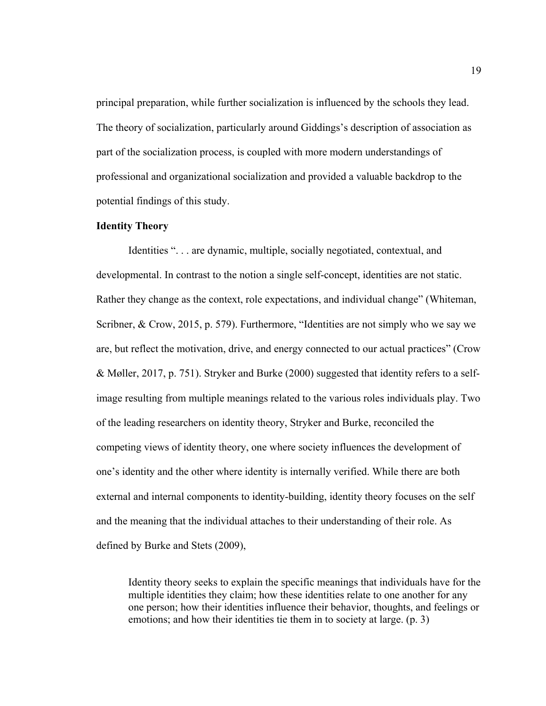principal preparation, while further socialization is influenced by the schools they lead. The theory of socialization, particularly around Giddings's description of association as part of the socialization process, is coupled with more modern understandings of professional and organizational socialization and provided a valuable backdrop to the potential findings of this study.

#### **Identity Theory**

Identities ". . . are dynamic, multiple, socially negotiated, contextual, and developmental. In contrast to the notion a single self-concept, identities are not static. Rather they change as the context, role expectations, and individual change" (Whiteman, Scribner, & Crow, 2015, p. 579). Furthermore, "Identities are not simply who we say we are, but reflect the motivation, drive, and energy connected to our actual practices" (Crow & Møller, 2017, p. 751). Stryker and Burke (2000) suggested that identity refers to a selfimage resulting from multiple meanings related to the various roles individuals play. Two of the leading researchers on identity theory, Stryker and Burke, reconciled the competing views of identity theory, one where society influences the development of one's identity and the other where identity is internally verified. While there are both external and internal components to identity-building, identity theory focuses on the self and the meaning that the individual attaches to their understanding of their role. As defined by Burke and Stets (2009),

Identity theory seeks to explain the specific meanings that individuals have for the multiple identities they claim; how these identities relate to one another for any one person; how their identities influence their behavior, thoughts, and feelings or emotions; and how their identities tie them in to society at large. (p. 3)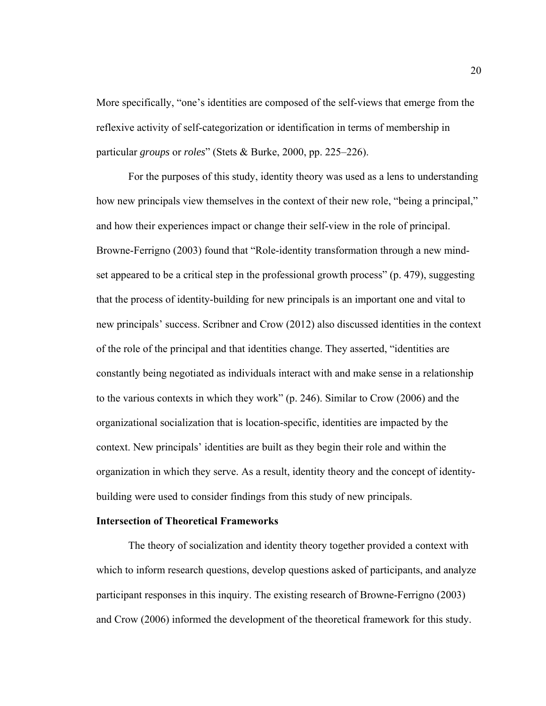More specifically, "one's identities are composed of the self-views that emerge from the reflexive activity of self-categorization or identification in terms of membership in particular *groups* or *roles*" (Stets & Burke, 2000, pp. 225–226).

For the purposes of this study, identity theory was used as a lens to understanding how new principals view themselves in the context of their new role, "being a principal," and how their experiences impact or change their self-view in the role of principal. Browne-Ferrigno (2003) found that "Role-identity transformation through a new mindset appeared to be a critical step in the professional growth process" (p. 479), suggesting that the process of identity-building for new principals is an important one and vital to new principals' success. Scribner and Crow (2012) also discussed identities in the context of the role of the principal and that identities change. They asserted, "identities are constantly being negotiated as individuals interact with and make sense in a relationship to the various contexts in which they work" (p. 246). Similar to Crow (2006) and the organizational socialization that is location-specific, identities are impacted by the context. New principals' identities are built as they begin their role and within the organization in which they serve. As a result, identity theory and the concept of identitybuilding were used to consider findings from this study of new principals.

#### **Intersection of Theoretical Frameworks**

The theory of socialization and identity theory together provided a context with which to inform research questions, develop questions asked of participants, and analyze participant responses in this inquiry. The existing research of Browne-Ferrigno (2003) and Crow (2006) informed the development of the theoretical framework for this study.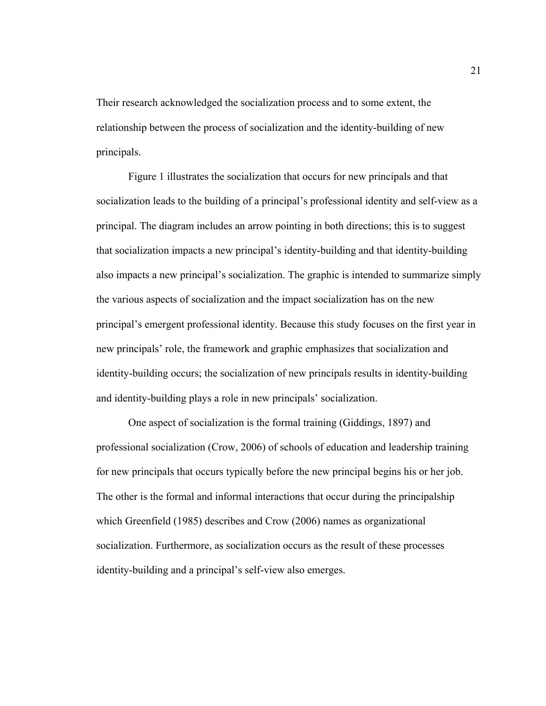Their research acknowledged the socialization process and to some extent, the relationship between the process of socialization and the identity-building of new principals.

Figure 1 illustrates the socialization that occurs for new principals and that socialization leads to the building of a principal's professional identity and self-view as a principal. The diagram includes an arrow pointing in both directions; this is to suggest that socialization impacts a new principal's identity-building and that identity-building also impacts a new principal's socialization. The graphic is intended to summarize simply the various aspects of socialization and the impact socialization has on the new principal's emergent professional identity. Because this study focuses on the first year in new principals' role, the framework and graphic emphasizes that socialization and identity-building occurs; the socialization of new principals results in identity-building and identity-building plays a role in new principals' socialization.

One aspect of socialization is the formal training (Giddings, 1897) and professional socialization (Crow, 2006) of schools of education and leadership training for new principals that occurs typically before the new principal begins his or her job. The other is the formal and informal interactions that occur during the principalship which Greenfield (1985) describes and Crow (2006) names as organizational socialization. Furthermore, as socialization occurs as the result of these processes identity-building and a principal's self-view also emerges.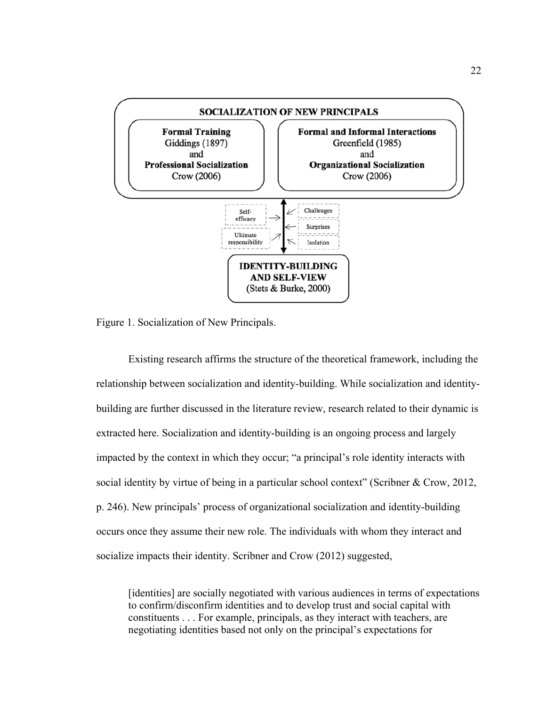

Figure 1. Socialization of New Principals.

 Existing research affirms the structure of the theoretical framework, including the relationship between socialization and identity-building. While socialization and identitybuilding are further discussed in the literature review, research related to their dynamic is extracted here. Socialization and identity-building is an ongoing process and largely impacted by the context in which they occur; "a principal's role identity interacts with social identity by virtue of being in a particular school context" (Scribner & Crow, 2012, p. 246). New principals' process of organizational socialization and identity-building occurs once they assume their new role. The individuals with whom they interact and socialize impacts their identity. Scribner and Crow (2012) suggested,

[identities] are socially negotiated with various audiences in terms of expectations to confirm/disconfirm identities and to develop trust and social capital with constituents . . . For example, principals, as they interact with teachers, are negotiating identities based not only on the principal's expectations for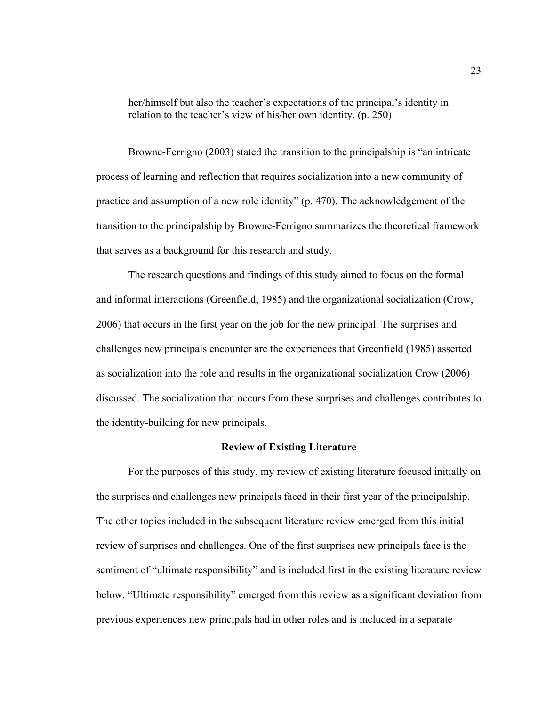her/himself but also the teacher's expectations of the principal's identity in relation to the teacher's view of his/her own identity. (p. 250)

Browne-Ferrigno (2003) stated the transition to the principalship is "an intricate process of learning and reflection that requires socialization into a new community of practice and assumption of a new role identity" (p. 470). The acknowledgement of the transition to the principalship by Browne-Ferrigno summarizes the theoretical framework that serves as a background for this research and study.

The research questions and findings of this study aimed to focus on the formal and informal interactions (Greenfield, 1985) and the organizational socialization (Crow, 2006) that occurs in the first year on the job for the new principal. The surprises and challenges new principals encounter are the experiences that Greenfield (1985) asserted as socialization into the role and results in the organizational socialization Crow (2006) discussed. The socialization that occurs from these surprises and challenges contributes to the identity-building for new principals.

## **Review of Existing Literature**

For the purposes of this study, my review of existing literature focused initially on the surprises and challenges new principals faced in their first year of the principalship. The other topics included in the subsequent literature review emerged from this initial review of surprises and challenges. One of the first surprises new principals face is the sentiment of "ultimate responsibility" and is included first in the existing literature review below. "Ultimate responsibility" emerged from this review as a significant deviation from previous experiences new principals had in other roles and is included in a separate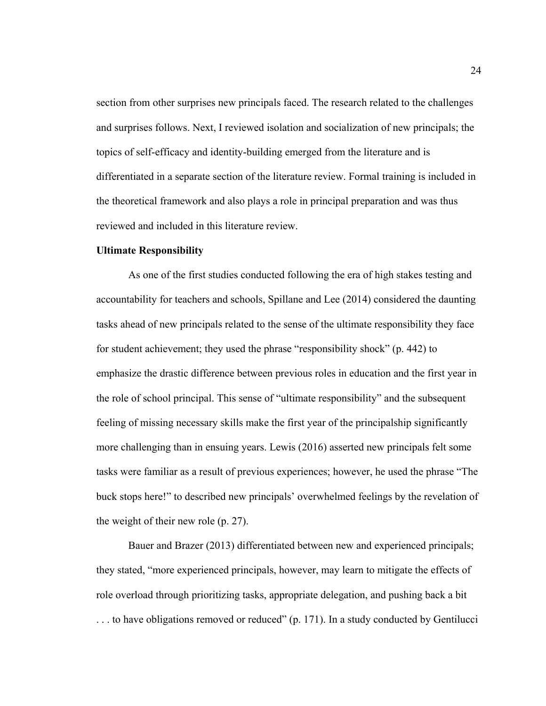section from other surprises new principals faced. The research related to the challenges and surprises follows. Next, I reviewed isolation and socialization of new principals; the topics of self-efficacy and identity-building emerged from the literature and is differentiated in a separate section of the literature review. Formal training is included in the theoretical framework and also plays a role in principal preparation and was thus reviewed and included in this literature review.

#### **Ultimate Responsibility**

As one of the first studies conducted following the era of high stakes testing and accountability for teachers and schools, Spillane and Lee (2014) considered the daunting tasks ahead of new principals related to the sense of the ultimate responsibility they face for student achievement; they used the phrase "responsibility shock" (p. 442) to emphasize the drastic difference between previous roles in education and the first year in the role of school principal. This sense of "ultimate responsibility" and the subsequent feeling of missing necessary skills make the first year of the principalship significantly more challenging than in ensuing years. Lewis (2016) asserted new principals felt some tasks were familiar as a result of previous experiences; however, he used the phrase "The buck stops here!" to described new principals' overwhelmed feelings by the revelation of the weight of their new role (p. 27).

Bauer and Brazer (2013) differentiated between new and experienced principals; they stated, "more experienced principals, however, may learn to mitigate the effects of role overload through prioritizing tasks, appropriate delegation, and pushing back a bit . . . to have obligations removed or reduced" (p. 171). In a study conducted by Gentilucci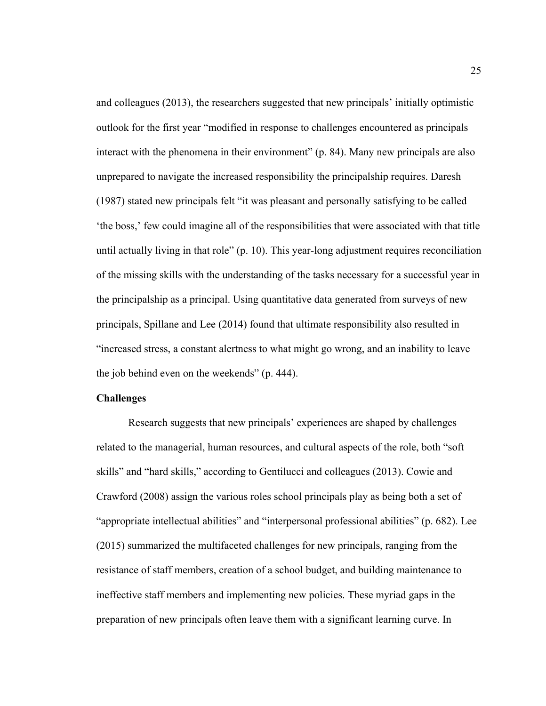and colleagues (2013), the researchers suggested that new principals' initially optimistic outlook for the first year "modified in response to challenges encountered as principals interact with the phenomena in their environment" (p. 84). Many new principals are also unprepared to navigate the increased responsibility the principalship requires. Daresh (1987) stated new principals felt "it was pleasant and personally satisfying to be called 'the boss,' few could imagine all of the responsibilities that were associated with that title until actually living in that role" (p. 10). This year-long adjustment requires reconciliation of the missing skills with the understanding of the tasks necessary for a successful year in the principalship as a principal. Using quantitative data generated from surveys of new principals, Spillane and Lee (2014) found that ultimate responsibility also resulted in "increased stress, a constant alertness to what might go wrong, and an inability to leave the job behind even on the weekends" (p. 444).

# **Challenges**

Research suggests that new principals' experiences are shaped by challenges related to the managerial, human resources, and cultural aspects of the role, both "soft skills" and "hard skills," according to Gentilucci and colleagues (2013). Cowie and Crawford (2008) assign the various roles school principals play as being both a set of "appropriate intellectual abilities" and "interpersonal professional abilities" (p. 682). Lee (2015) summarized the multifaceted challenges for new principals, ranging from the resistance of staff members, creation of a school budget, and building maintenance to ineffective staff members and implementing new policies. These myriad gaps in the preparation of new principals often leave them with a significant learning curve. In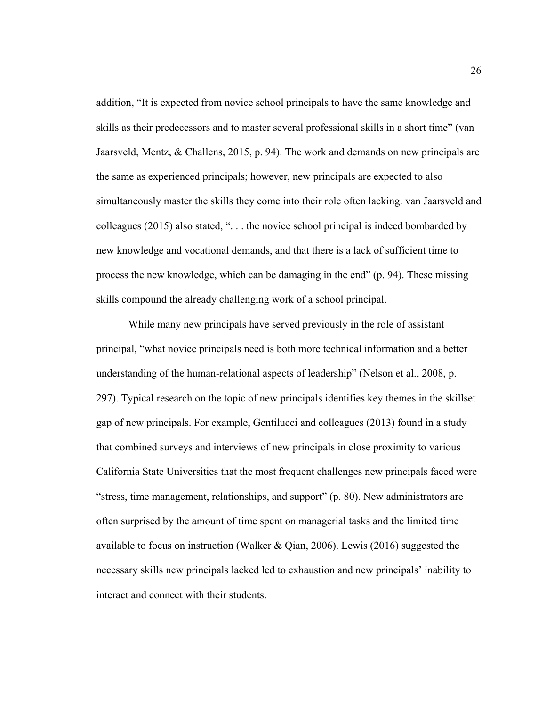addition, "It is expected from novice school principals to have the same knowledge and skills as their predecessors and to master several professional skills in a short time" (van Jaarsveld, Mentz, & Challens, 2015, p. 94). The work and demands on new principals are the same as experienced principals; however, new principals are expected to also simultaneously master the skills they come into their role often lacking. van Jaarsveld and colleagues (2015) also stated, ". . . the novice school principal is indeed bombarded by new knowledge and vocational demands, and that there is a lack of sufficient time to process the new knowledge, which can be damaging in the end" (p. 94). These missing skills compound the already challenging work of a school principal.

While many new principals have served previously in the role of assistant principal, "what novice principals need is both more technical information and a better understanding of the human-relational aspects of leadership" (Nelson et al., 2008, p. 297). Typical research on the topic of new principals identifies key themes in the skillset gap of new principals. For example, Gentilucci and colleagues (2013) found in a study that combined surveys and interviews of new principals in close proximity to various California State Universities that the most frequent challenges new principals faced were "stress, time management, relationships, and support" (p. 80). New administrators are often surprised by the amount of time spent on managerial tasks and the limited time available to focus on instruction (Walker & Qian, 2006). Lewis (2016) suggested the necessary skills new principals lacked led to exhaustion and new principals' inability to interact and connect with their students.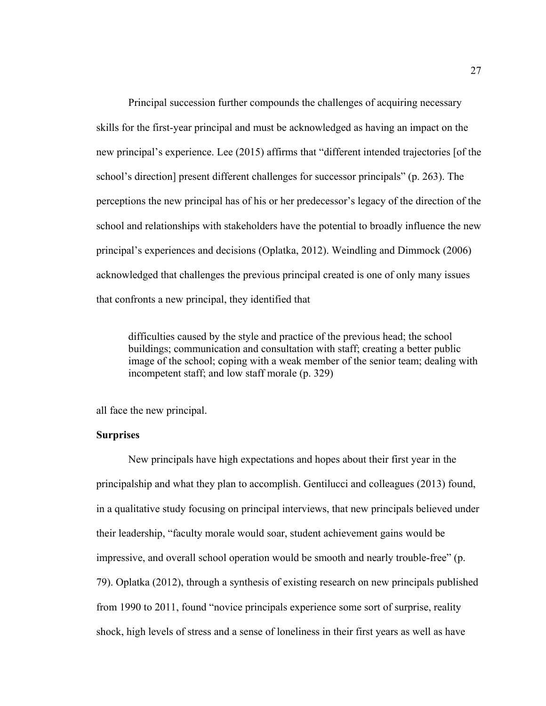Principal succession further compounds the challenges of acquiring necessary skills for the first-year principal and must be acknowledged as having an impact on the new principal's experience. Lee (2015) affirms that "different intended trajectories [of the school's direction] present different challenges for successor principals" (p. 263). The perceptions the new principal has of his or her predecessor's legacy of the direction of the school and relationships with stakeholders have the potential to broadly influence the new principal's experiences and decisions (Oplatka, 2012). Weindling and Dimmock (2006) acknowledged that challenges the previous principal created is one of only many issues that confronts a new principal, they identified that

difficulties caused by the style and practice of the previous head; the school buildings; communication and consultation with staff; creating a better public image of the school; coping with a weak member of the senior team; dealing with incompetent staff; and low staff morale (p. 329)

all face the new principal.

#### **Surprises**

New principals have high expectations and hopes about their first year in the principalship and what they plan to accomplish. Gentilucci and colleagues (2013) found, in a qualitative study focusing on principal interviews, that new principals believed under their leadership, "faculty morale would soar, student achievement gains would be impressive, and overall school operation would be smooth and nearly trouble-free" (p. 79). Oplatka (2012), through a synthesis of existing research on new principals published from 1990 to 2011, found "novice principals experience some sort of surprise, reality shock, high levels of stress and a sense of loneliness in their first years as well as have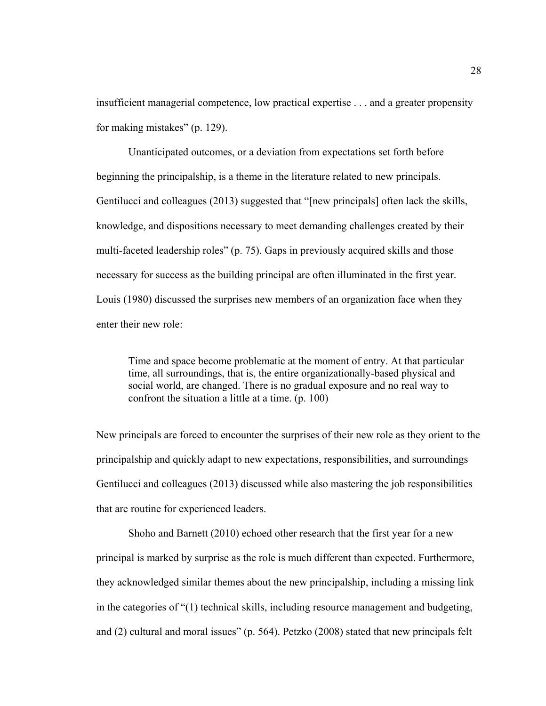insufficient managerial competence, low practical expertise . . . and a greater propensity for making mistakes" (p. 129).

Unanticipated outcomes, or a deviation from expectations set forth before beginning the principalship, is a theme in the literature related to new principals. Gentilucci and colleagues (2013) suggested that "[new principals] often lack the skills, knowledge, and dispositions necessary to meet demanding challenges created by their multi-faceted leadership roles" (p. 75). Gaps in previously acquired skills and those necessary for success as the building principal are often illuminated in the first year. Louis (1980) discussed the surprises new members of an organization face when they enter their new role:

Time and space become problematic at the moment of entry. At that particular time, all surroundings, that is, the entire organizationally-based physical and social world, are changed. There is no gradual exposure and no real way to confront the situation a little at a time. (p. 100)

New principals are forced to encounter the surprises of their new role as they orient to the principalship and quickly adapt to new expectations, responsibilities, and surroundings Gentilucci and colleagues (2013) discussed while also mastering the job responsibilities that are routine for experienced leaders.

Shoho and Barnett (2010) echoed other research that the first year for a new principal is marked by surprise as the role is much different than expected. Furthermore, they acknowledged similar themes about the new principalship, including a missing link in the categories of "(1) technical skills, including resource management and budgeting, and (2) cultural and moral issues" (p. 564). Petzko (2008) stated that new principals felt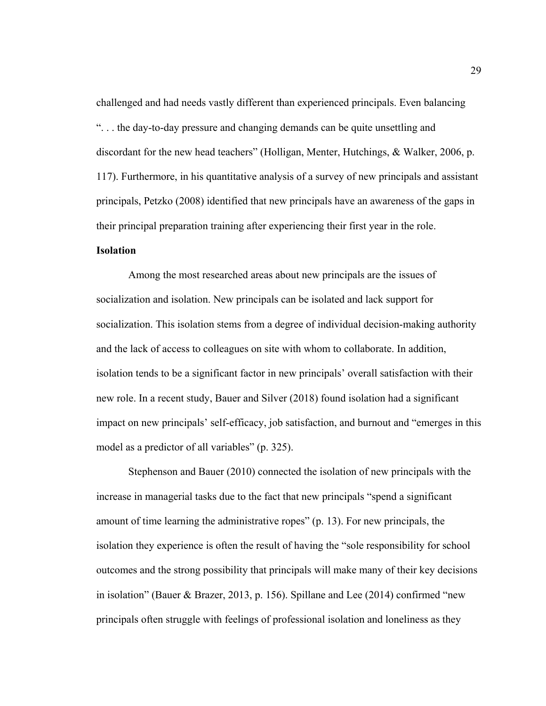challenged and had needs vastly different than experienced principals. Even balancing ". . . the day-to-day pressure and changing demands can be quite unsettling and discordant for the new head teachers" (Holligan, Menter, Hutchings, & Walker, 2006, p. 117). Furthermore, in his quantitative analysis of a survey of new principals and assistant principals, Petzko (2008) identified that new principals have an awareness of the gaps in their principal preparation training after experiencing their first year in the role.

# **Isolation**

Among the most researched areas about new principals are the issues of socialization and isolation. New principals can be isolated and lack support for socialization. This isolation stems from a degree of individual decision-making authority and the lack of access to colleagues on site with whom to collaborate. In addition, isolation tends to be a significant factor in new principals' overall satisfaction with their new role. In a recent study, Bauer and Silver (2018) found isolation had a significant impact on new principals' self-efficacy, job satisfaction, and burnout and "emerges in this model as a predictor of all variables" (p. 325).

Stephenson and Bauer (2010) connected the isolation of new principals with the increase in managerial tasks due to the fact that new principals "spend a significant amount of time learning the administrative ropes" (p. 13). For new principals, the isolation they experience is often the result of having the "sole responsibility for school outcomes and the strong possibility that principals will make many of their key decisions in isolation" (Bauer & Brazer, 2013, p. 156). Spillane and Lee (2014) confirmed "new principals often struggle with feelings of professional isolation and loneliness as they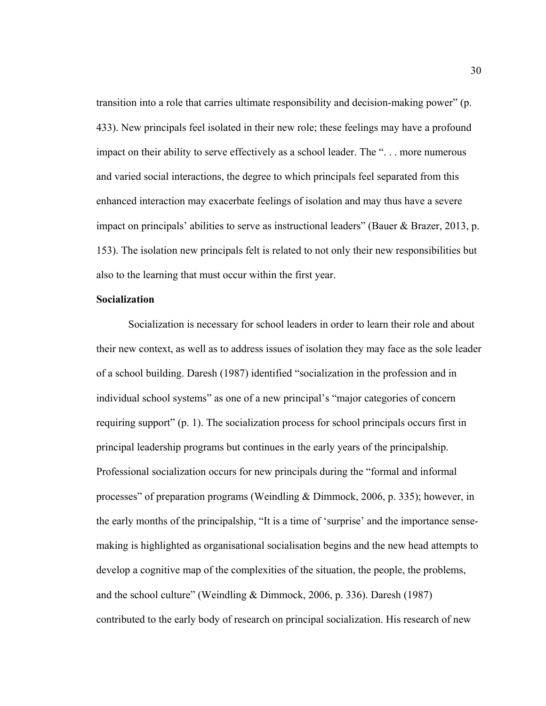transition into a role that carries ultimate responsibility and decision-making power" (p. 433). New principals feel isolated in their new role; these feelings may have a profound impact on their ability to serve effectively as a school leader. The ". . . more numerous and varied social interactions, the degree to which principals feel separated from this enhanced interaction may exacerbate feelings of isolation and may thus have a severe impact on principals' abilities to serve as instructional leaders" (Bauer & Brazer, 2013, p. 153). The isolation new principals felt is related to not only their new responsibilities but also to the learning that must occur within the first year.

## **Socialization**

Socialization is necessary for school leaders in order to learn their role and about their new context, as well as to address issues of isolation they may face as the sole leader of a school building. Daresh (1987) identified "socialization in the profession and in individual school systems" as one of a new principal's "major categories of concern requiring support" (p. 1). The socialization process for school principals occurs first in principal leadership programs but continues in the early years of the principalship. Professional socialization occurs for new principals during the "formal and informal processes" of preparation programs (Weindling & Dimmock, 2006, p. 335); however, in the early months of the principalship, "It is a time of 'surprise' and the importance sensemaking is highlighted as organisational socialisation begins and the new head attempts to develop a cognitive map of the complexities of the situation, the people, the problems, and the school culture" (Weindling & Dimmock, 2006, p. 336). Daresh (1987) contributed to the early body of research on principal socialization. His research of new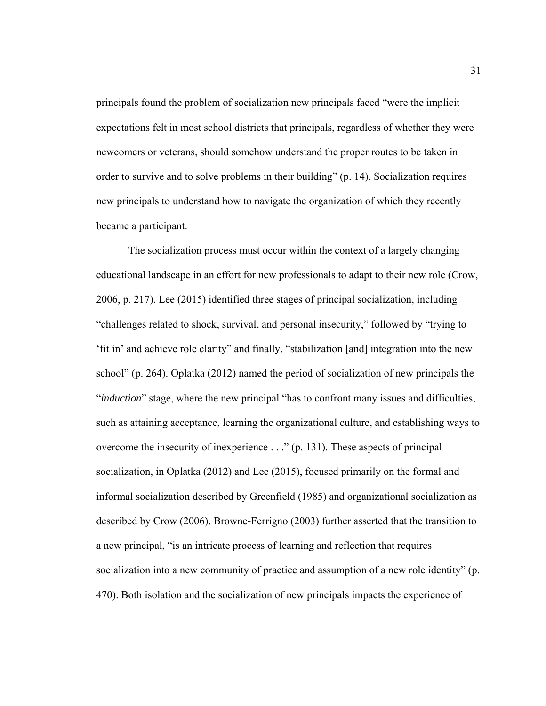principals found the problem of socialization new principals faced "were the implicit expectations felt in most school districts that principals, regardless of whether they were newcomers or veterans, should somehow understand the proper routes to be taken in order to survive and to solve problems in their building" (p. 14). Socialization requires new principals to understand how to navigate the organization of which they recently became a participant.

The socialization process must occur within the context of a largely changing educational landscape in an effort for new professionals to adapt to their new role (Crow, 2006, p. 217). Lee (2015) identified three stages of principal socialization, including "challenges related to shock, survival, and personal insecurity," followed by "trying to 'fit in' and achieve role clarity" and finally, "stabilization [and] integration into the new school" (p. 264). Oplatka (2012) named the period of socialization of new principals the "*induction*" stage, where the new principal "has to confront many issues and difficulties, such as attaining acceptance, learning the organizational culture, and establishing ways to overcome the insecurity of inexperience . . ." (p. 131). These aspects of principal socialization, in Oplatka (2012) and Lee (2015), focused primarily on the formal and informal socialization described by Greenfield (1985) and organizational socialization as described by Crow (2006). Browne-Ferrigno (2003) further asserted that the transition to a new principal, "is an intricate process of learning and reflection that requires socialization into a new community of practice and assumption of a new role identity" (p. 470). Both isolation and the socialization of new principals impacts the experience of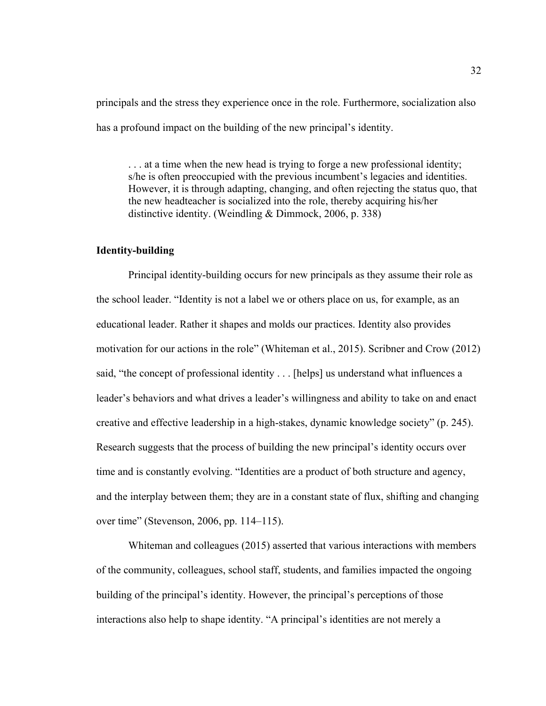principals and the stress they experience once in the role. Furthermore, socialization also has a profound impact on the building of the new principal's identity.

. . . at a time when the new head is trying to forge a new professional identity; s/he is often preoccupied with the previous incumbent's legacies and identities. However, it is through adapting, changing, and often rejecting the status quo, that the new headteacher is socialized into the role, thereby acquiring his/her distinctive identity. (Weindling & Dimmock, 2006, p. 338)

# **Identity-building**

Principal identity-building occurs for new principals as they assume their role as the school leader. "Identity is not a label we or others place on us, for example, as an educational leader. Rather it shapes and molds our practices. Identity also provides motivation for our actions in the role" (Whiteman et al., 2015). Scribner and Crow (2012) said, "the concept of professional identity . . . [helps] us understand what influences a leader's behaviors and what drives a leader's willingness and ability to take on and enact creative and effective leadership in a high-stakes, dynamic knowledge society" (p. 245). Research suggests that the process of building the new principal's identity occurs over time and is constantly evolving. "Identities are a product of both structure and agency, and the interplay between them; they are in a constant state of flux, shifting and changing over time" (Stevenson, 2006, pp. 114–115).

Whiteman and colleagues (2015) asserted that various interactions with members of the community, colleagues, school staff, students, and families impacted the ongoing building of the principal's identity. However, the principal's perceptions of those interactions also help to shape identity. "A principal's identities are not merely a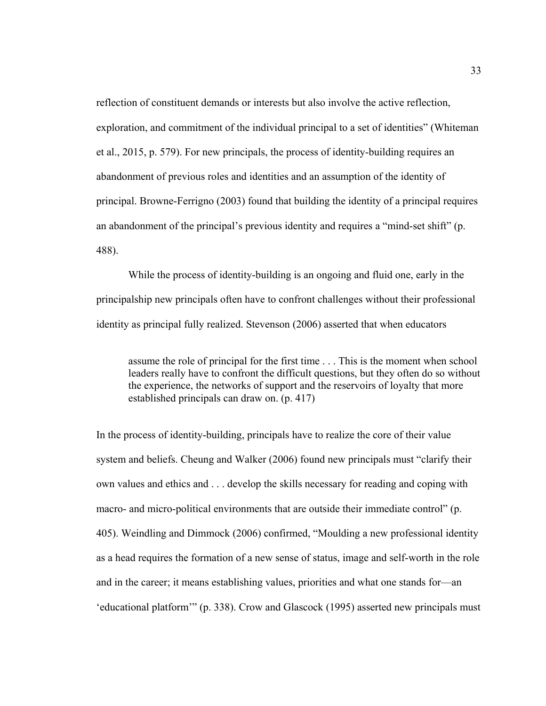reflection of constituent demands or interests but also involve the active reflection, exploration, and commitment of the individual principal to a set of identities" (Whiteman et al., 2015, p. 579). For new principals, the process of identity-building requires an abandonment of previous roles and identities and an assumption of the identity of principal. Browne-Ferrigno (2003) found that building the identity of a principal requires an abandonment of the principal's previous identity and requires a "mind-set shift" (p. 488).

While the process of identity-building is an ongoing and fluid one, early in the principalship new principals often have to confront challenges without their professional identity as principal fully realized. Stevenson (2006) asserted that when educators

assume the role of principal for the first time . . . This is the moment when school leaders really have to confront the difficult questions, but they often do so without the experience, the networks of support and the reservoirs of loyalty that more established principals can draw on. (p. 417)

In the process of identity-building, principals have to realize the core of their value system and beliefs. Cheung and Walker (2006) found new principals must "clarify their own values and ethics and . . . develop the skills necessary for reading and coping with macro- and micro-political environments that are outside their immediate control" (p. 405). Weindling and Dimmock (2006) confirmed, "Moulding a new professional identity as a head requires the formation of a new sense of status, image and self-worth in the role and in the career; it means establishing values, priorities and what one stands for—an 'educational platform'" (p. 338). Crow and Glascock (1995) asserted new principals must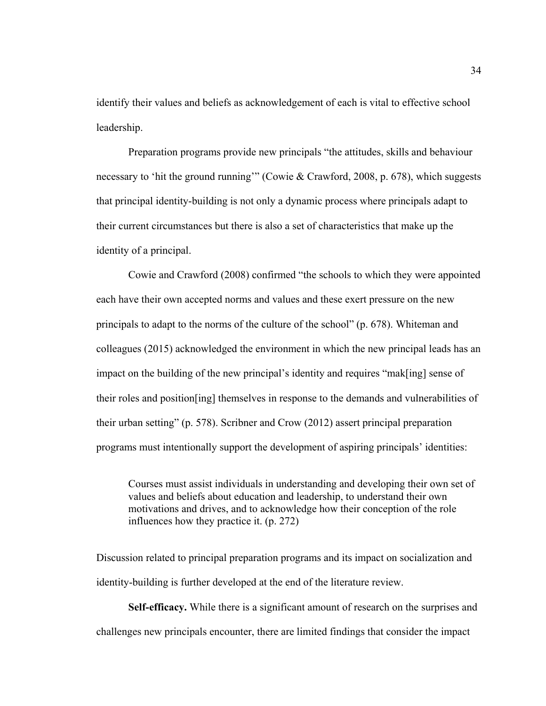identify their values and beliefs as acknowledgement of each is vital to effective school leadership.

 Preparation programs provide new principals "the attitudes, skills and behaviour necessary to 'hit the ground running'" (Cowie & Crawford, 2008, p. 678), which suggests that principal identity-building is not only a dynamic process where principals adapt to their current circumstances but there is also a set of characteristics that make up the identity of a principal.

 Cowie and Crawford (2008) confirmed "the schools to which they were appointed each have their own accepted norms and values and these exert pressure on the new principals to adapt to the norms of the culture of the school" (p. 678). Whiteman and colleagues (2015) acknowledged the environment in which the new principal leads has an impact on the building of the new principal's identity and requires "mak[ing] sense of their roles and position[ing] themselves in response to the demands and vulnerabilities of their urban setting" (p. 578). Scribner and Crow (2012) assert principal preparation programs must intentionally support the development of aspiring principals' identities:

Courses must assist individuals in understanding and developing their own set of values and beliefs about education and leadership, to understand their own motivations and drives, and to acknowledge how their conception of the role influences how they practice it. (p. 272)

Discussion related to principal preparation programs and its impact on socialization and identity-building is further developed at the end of the literature review.

**Self-efficacy.** While there is a significant amount of research on the surprises and challenges new principals encounter, there are limited findings that consider the impact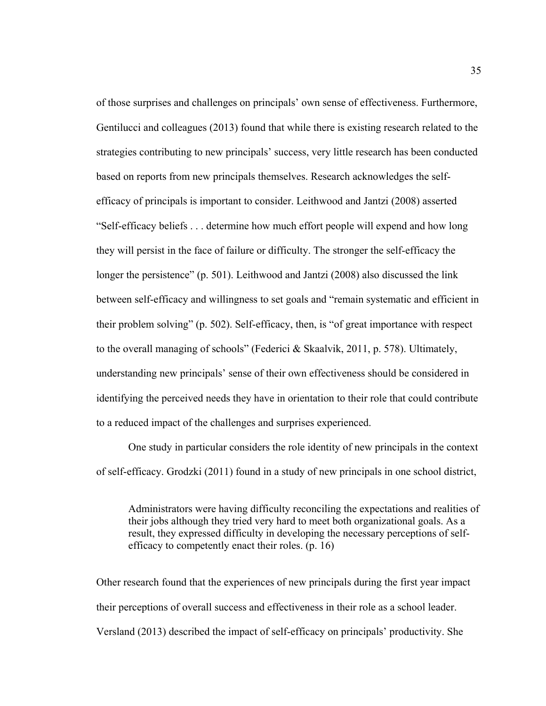of those surprises and challenges on principals' own sense of effectiveness. Furthermore, Gentilucci and colleagues (2013) found that while there is existing research related to the strategies contributing to new principals' success, very little research has been conducted based on reports from new principals themselves. Research acknowledges the selfefficacy of principals is important to consider. Leithwood and Jantzi (2008) asserted "Self-efficacy beliefs . . . determine how much effort people will expend and how long they will persist in the face of failure or difficulty. The stronger the self-efficacy the longer the persistence" (p. 501). Leithwood and Jantzi (2008) also discussed the link between self-efficacy and willingness to set goals and "remain systematic and efficient in their problem solving" (p. 502). Self-efficacy, then, is "of great importance with respect to the overall managing of schools" (Federici & Skaalvik, 2011, p. 578). Ultimately, understanding new principals' sense of their own effectiveness should be considered in identifying the perceived needs they have in orientation to their role that could contribute to a reduced impact of the challenges and surprises experienced.

One study in particular considers the role identity of new principals in the context of self-efficacy. Grodzki (2011) found in a study of new principals in one school district,

Administrators were having difficulty reconciling the expectations and realities of their jobs although they tried very hard to meet both organizational goals. As a result, they expressed difficulty in developing the necessary perceptions of selfefficacy to competently enact their roles. (p. 16)

Other research found that the experiences of new principals during the first year impact their perceptions of overall success and effectiveness in their role as a school leader. Versland (2013) described the impact of self-efficacy on principals' productivity. She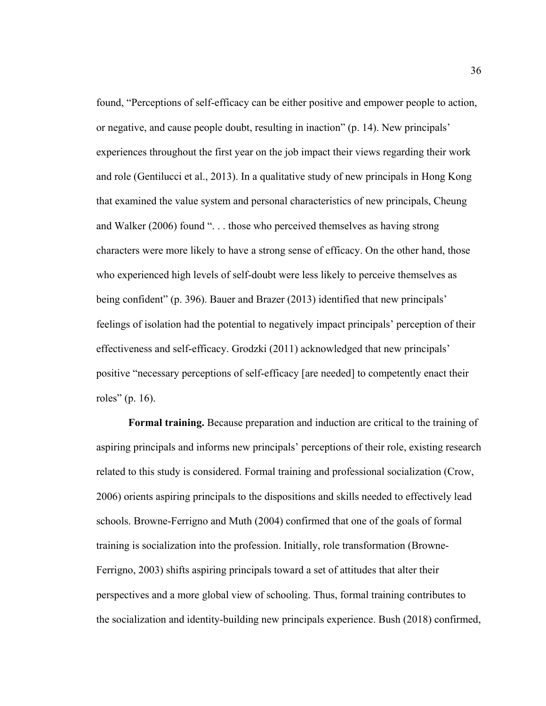found, "Perceptions of self-efficacy can be either positive and empower people to action, or negative, and cause people doubt, resulting in inaction" (p. 14). New principals' experiences throughout the first year on the job impact their views regarding their work and role (Gentilucci et al., 2013). In a qualitative study of new principals in Hong Kong that examined the value system and personal characteristics of new principals, Cheung and Walker (2006) found ". . . those who perceived themselves as having strong characters were more likely to have a strong sense of efficacy. On the other hand, those who experienced high levels of self-doubt were less likely to perceive themselves as being confident" (p. 396). Bauer and Brazer (2013) identified that new principals' feelings of isolation had the potential to negatively impact principals' perception of their effectiveness and self-efficacy. Grodzki (2011) acknowledged that new principals' positive "necessary perceptions of self-efficacy [are needed] to competently enact their roles" (p. 16).

 **Formal training.** Because preparation and induction are critical to the training of aspiring principals and informs new principals' perceptions of their role, existing research related to this study is considered. Formal training and professional socialization (Crow, 2006) orients aspiring principals to the dispositions and skills needed to effectively lead schools. Browne-Ferrigno and Muth (2004) confirmed that one of the goals of formal training is socialization into the profession. Initially, role transformation (Browne-Ferrigno, 2003) shifts aspiring principals toward a set of attitudes that alter their perspectives and a more global view of schooling. Thus, formal training contributes to the socialization and identity-building new principals experience. Bush (2018) confirmed,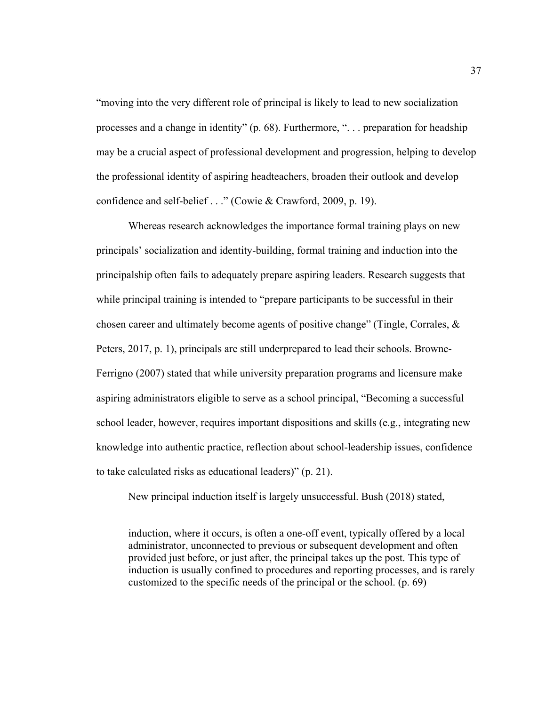"moving into the very different role of principal is likely to lead to new socialization processes and a change in identity" (p. 68). Furthermore, ". . . preparation for headship may be a crucial aspect of professional development and progression, helping to develop the professional identity of aspiring headteachers, broaden their outlook and develop confidence and self-belief . . ." (Cowie & Crawford, 2009, p. 19).

 Whereas research acknowledges the importance formal training plays on new principals' socialization and identity-building, formal training and induction into the principalship often fails to adequately prepare aspiring leaders. Research suggests that while principal training is intended to "prepare participants to be successful in their chosen career and ultimately become agents of positive change" (Tingle, Corrales,  $\&$ Peters, 2017, p. 1), principals are still underprepared to lead their schools. Browne-Ferrigno (2007) stated that while university preparation programs and licensure make aspiring administrators eligible to serve as a school principal, "Becoming a successful school leader, however, requires important dispositions and skills (e.g., integrating new knowledge into authentic practice, reflection about school-leadership issues, confidence to take calculated risks as educational leaders)" (p. 21).

New principal induction itself is largely unsuccessful. Bush (2018) stated,

induction, where it occurs, is often a one-off event, typically offered by a local administrator, unconnected to previous or subsequent development and often provided just before, or just after, the principal takes up the post. This type of induction is usually confined to procedures and reporting processes, and is rarely customized to the specific needs of the principal or the school. (p. 69)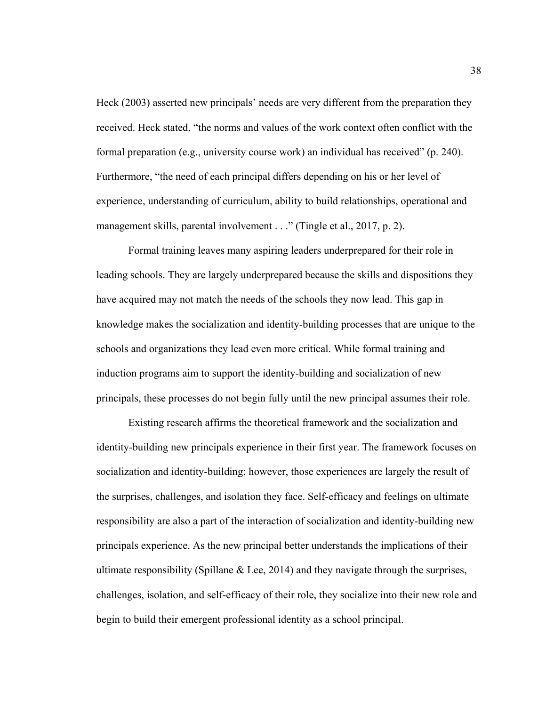Heck (2003) asserted new principals' needs are very different from the preparation they received. Heck stated, "the norms and values of the work context often conflict with the formal preparation (e.g., university course work) an individual has received" (p. 240). Furthermore, "the need of each principal differs depending on his or her level of experience, understanding of curriculum, ability to build relationships, operational and management skills, parental involvement . . ." (Tingle et al., 2017, p. 2).

 Formal training leaves many aspiring leaders underprepared for their role in leading schools. They are largely underprepared because the skills and dispositions they have acquired may not match the needs of the schools they now lead. This gap in knowledge makes the socialization and identity-building processes that are unique to the schools and organizations they lead even more critical. While formal training and induction programs aim to support the identity-building and socialization of new principals, these processes do not begin fully until the new principal assumes their role.

 Existing research affirms the theoretical framework and the socialization and identity-building new principals experience in their first year. The framework focuses on socialization and identity-building; however, those experiences are largely the result of the surprises, challenges, and isolation they face. Self-efficacy and feelings on ultimate responsibility are also a part of the interaction of socialization and identity-building new principals experience. As the new principal better understands the implications of their ultimate responsibility (Spillane  $& Lee, 2014$ ) and they navigate through the surprises, challenges, isolation, and self-efficacy of their role, they socialize into their new role and begin to build their emergent professional identity as a school principal.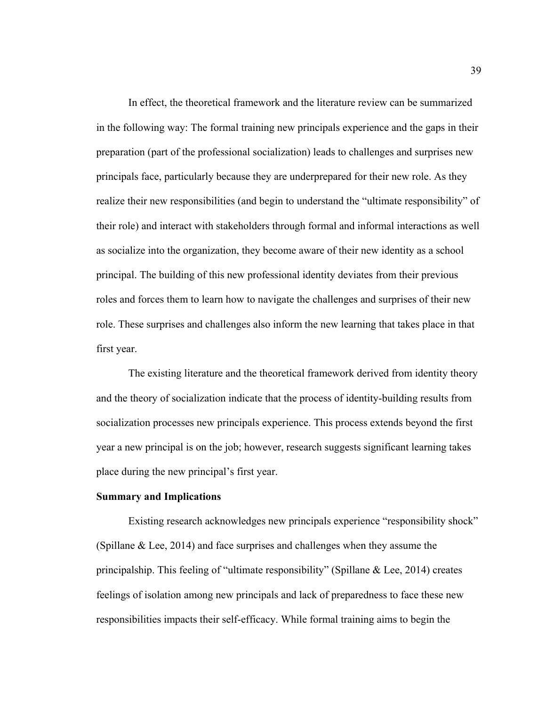In effect, the theoretical framework and the literature review can be summarized in the following way: The formal training new principals experience and the gaps in their preparation (part of the professional socialization) leads to challenges and surprises new principals face, particularly because they are underprepared for their new role. As they realize their new responsibilities (and begin to understand the "ultimate responsibility" of their role) and interact with stakeholders through formal and informal interactions as well as socialize into the organization, they become aware of their new identity as a school principal. The building of this new professional identity deviates from their previous roles and forces them to learn how to navigate the challenges and surprises of their new role. These surprises and challenges also inform the new learning that takes place in that first year.

 The existing literature and the theoretical framework derived from identity theory and the theory of socialization indicate that the process of identity-building results from socialization processes new principals experience. This process extends beyond the first year a new principal is on the job; however, research suggests significant learning takes place during the new principal's first year.

## **Summary and Implications**

Existing research acknowledges new principals experience "responsibility shock" (Spillane & Lee, 2014) and face surprises and challenges when they assume the principalship. This feeling of "ultimate responsibility" (Spillane & Lee, 2014) creates feelings of isolation among new principals and lack of preparedness to face these new responsibilities impacts their self-efficacy. While formal training aims to begin the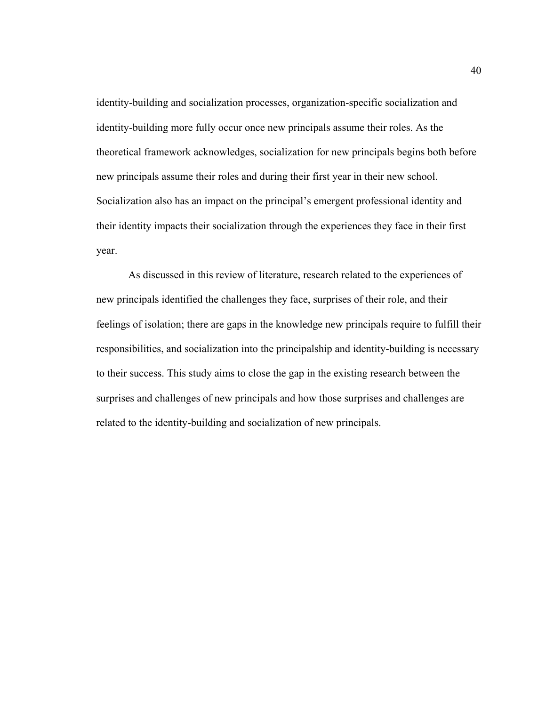identity-building and socialization processes, organization-specific socialization and identity-building more fully occur once new principals assume their roles. As the theoretical framework acknowledges, socialization for new principals begins both before new principals assume their roles and during their first year in their new school. Socialization also has an impact on the principal's emergent professional identity and their identity impacts their socialization through the experiences they face in their first year.

As discussed in this review of literature, research related to the experiences of new principals identified the challenges they face, surprises of their role, and their feelings of isolation; there are gaps in the knowledge new principals require to fulfill their responsibilities, and socialization into the principalship and identity-building is necessary to their success. This study aims to close the gap in the existing research between the surprises and challenges of new principals and how those surprises and challenges are related to the identity-building and socialization of new principals.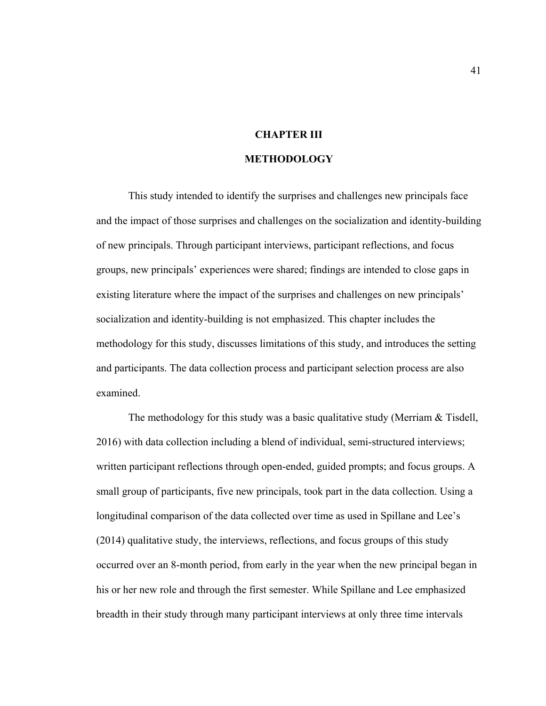# **CHAPTER III**

## **METHODOLOGY**

 This study intended to identify the surprises and challenges new principals face and the impact of those surprises and challenges on the socialization and identity-building of new principals. Through participant interviews, participant reflections, and focus groups, new principals' experiences were shared; findings are intended to close gaps in existing literature where the impact of the surprises and challenges on new principals' socialization and identity-building is not emphasized. This chapter includes the methodology for this study, discusses limitations of this study, and introduces the setting and participants. The data collection process and participant selection process are also examined.

The methodology for this study was a basic qualitative study (Merriam & Tisdell, 2016) with data collection including a blend of individual, semi-structured interviews; written participant reflections through open-ended, guided prompts; and focus groups. A small group of participants, five new principals, took part in the data collection. Using a longitudinal comparison of the data collected over time as used in Spillane and Lee's (2014) qualitative study, the interviews, reflections, and focus groups of this study occurred over an 8-month period, from early in the year when the new principal began in his or her new role and through the first semester. While Spillane and Lee emphasized breadth in their study through many participant interviews at only three time intervals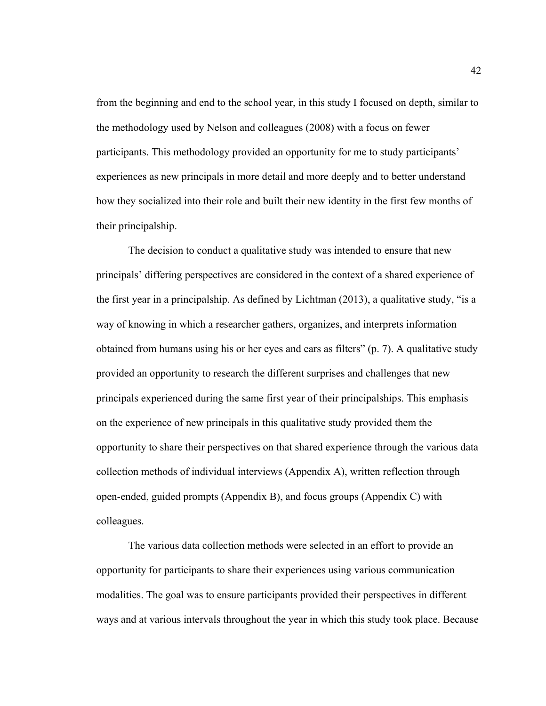from the beginning and end to the school year, in this study I focused on depth, similar to the methodology used by Nelson and colleagues (2008) with a focus on fewer participants. This methodology provided an opportunity for me to study participants' experiences as new principals in more detail and more deeply and to better understand how they socialized into their role and built their new identity in the first few months of their principalship.

The decision to conduct a qualitative study was intended to ensure that new principals' differing perspectives are considered in the context of a shared experience of the first year in a principalship. As defined by Lichtman (2013), a qualitative study, "is a way of knowing in which a researcher gathers, organizes, and interprets information obtained from humans using his or her eyes and ears as filters" (p. 7). A qualitative study provided an opportunity to research the different surprises and challenges that new principals experienced during the same first year of their principalships. This emphasis on the experience of new principals in this qualitative study provided them the opportunity to share their perspectives on that shared experience through the various data collection methods of individual interviews (Appendix A), written reflection through open-ended, guided prompts (Appendix B), and focus groups (Appendix C) with colleagues.

 The various data collection methods were selected in an effort to provide an opportunity for participants to share their experiences using various communication modalities. The goal was to ensure participants provided their perspectives in different ways and at various intervals throughout the year in which this study took place. Because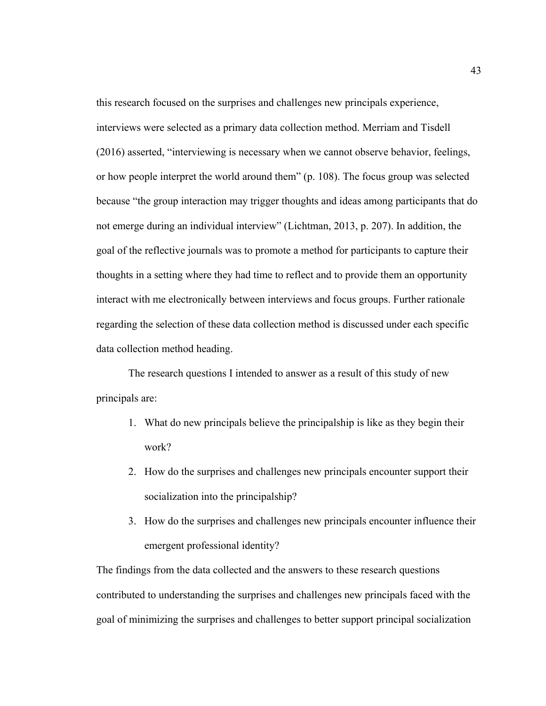this research focused on the surprises and challenges new principals experience, interviews were selected as a primary data collection method. Merriam and Tisdell (2016) asserted, "interviewing is necessary when we cannot observe behavior, feelings, or how people interpret the world around them" (p. 108). The focus group was selected because "the group interaction may trigger thoughts and ideas among participants that do not emerge during an individual interview" (Lichtman, 2013, p. 207). In addition, the goal of the reflective journals was to promote a method for participants to capture their thoughts in a setting where they had time to reflect and to provide them an opportunity interact with me electronically between interviews and focus groups. Further rationale regarding the selection of these data collection method is discussed under each specific data collection method heading.

The research questions I intended to answer as a result of this study of new principals are:

- 1. What do new principals believe the principalship is like as they begin their work?
- 2. How do the surprises and challenges new principals encounter support their socialization into the principalship?
- 3. How do the surprises and challenges new principals encounter influence their emergent professional identity?

The findings from the data collected and the answers to these research questions contributed to understanding the surprises and challenges new principals faced with the goal of minimizing the surprises and challenges to better support principal socialization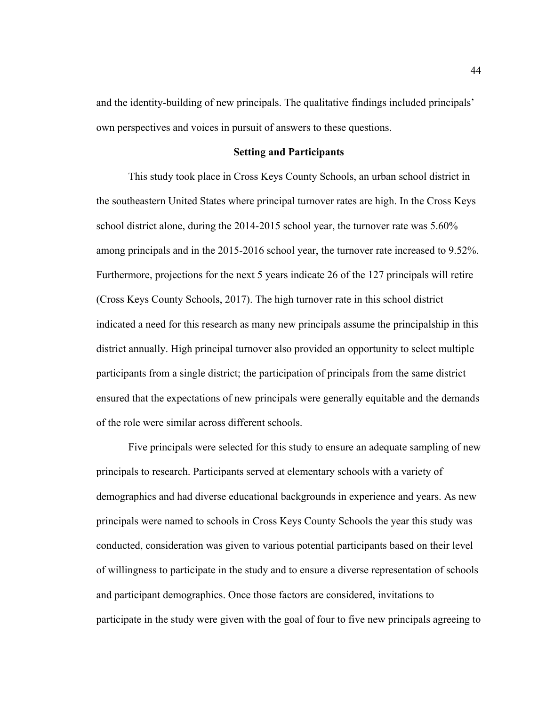and the identity-building of new principals. The qualitative findings included principals' own perspectives and voices in pursuit of answers to these questions.

#### **Setting and Participants**

This study took place in Cross Keys County Schools, an urban school district in the southeastern United States where principal turnover rates are high. In the Cross Keys school district alone, during the 2014-2015 school year, the turnover rate was 5.60% among principals and in the 2015-2016 school year, the turnover rate increased to 9.52%. Furthermore, projections for the next 5 years indicate 26 of the 127 principals will retire (Cross Keys County Schools, 2017). The high turnover rate in this school district indicated a need for this research as many new principals assume the principalship in this district annually. High principal turnover also provided an opportunity to select multiple participants from a single district; the participation of principals from the same district ensured that the expectations of new principals were generally equitable and the demands of the role were similar across different schools.

Five principals were selected for this study to ensure an adequate sampling of new principals to research. Participants served at elementary schools with a variety of demographics and had diverse educational backgrounds in experience and years. As new principals were named to schools in Cross Keys County Schools the year this study was conducted, consideration was given to various potential participants based on their level of willingness to participate in the study and to ensure a diverse representation of schools and participant demographics. Once those factors are considered, invitations to participate in the study were given with the goal of four to five new principals agreeing to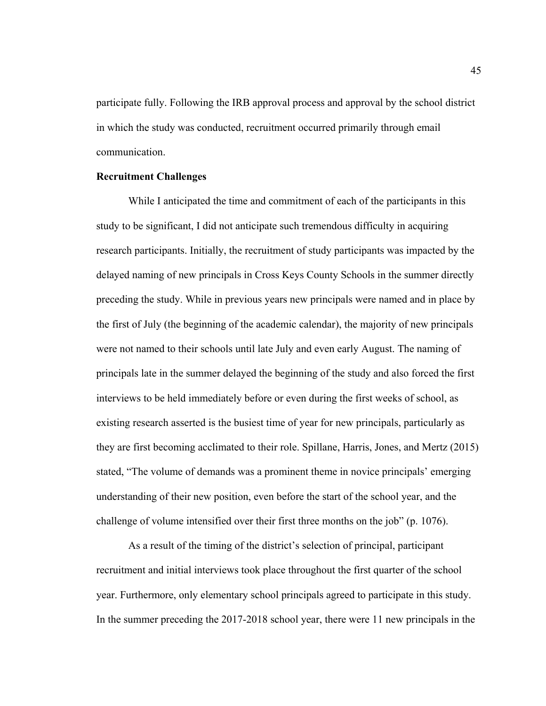participate fully. Following the IRB approval process and approval by the school district in which the study was conducted, recruitment occurred primarily through email communication.

## **Recruitment Challenges**

While I anticipated the time and commitment of each of the participants in this study to be significant, I did not anticipate such tremendous difficulty in acquiring research participants. Initially, the recruitment of study participants was impacted by the delayed naming of new principals in Cross Keys County Schools in the summer directly preceding the study. While in previous years new principals were named and in place by the first of July (the beginning of the academic calendar), the majority of new principals were not named to their schools until late July and even early August. The naming of principals late in the summer delayed the beginning of the study and also forced the first interviews to be held immediately before or even during the first weeks of school, as existing research asserted is the busiest time of year for new principals, particularly as they are first becoming acclimated to their role. Spillane, Harris, Jones, and Mertz (2015) stated, "The volume of demands was a prominent theme in novice principals' emerging understanding of their new position, even before the start of the school year, and the challenge of volume intensified over their first three months on the job" (p. 1076).

As a result of the timing of the district's selection of principal, participant recruitment and initial interviews took place throughout the first quarter of the school year. Furthermore, only elementary school principals agreed to participate in this study. In the summer preceding the 2017-2018 school year, there were 11 new principals in the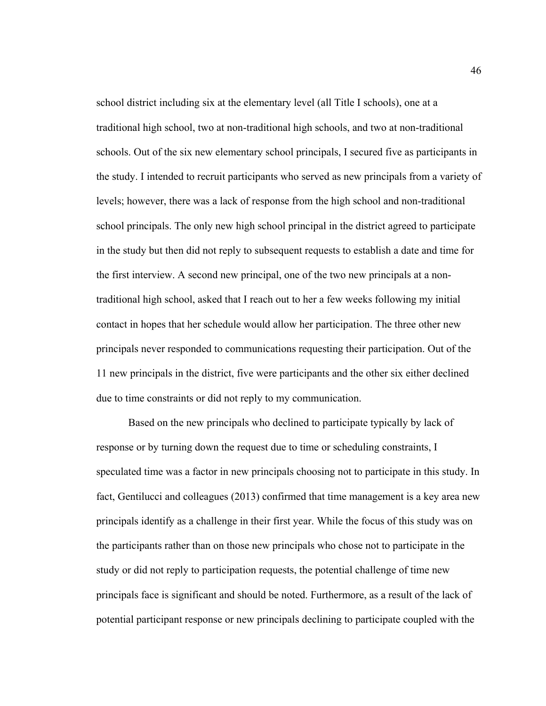school district including six at the elementary level (all Title I schools), one at a traditional high school, two at non-traditional high schools, and two at non-traditional schools. Out of the six new elementary school principals, I secured five as participants in the study. I intended to recruit participants who served as new principals from a variety of levels; however, there was a lack of response from the high school and non-traditional school principals. The only new high school principal in the district agreed to participate in the study but then did not reply to subsequent requests to establish a date and time for the first interview. A second new principal, one of the two new principals at a nontraditional high school, asked that I reach out to her a few weeks following my initial contact in hopes that her schedule would allow her participation. The three other new principals never responded to communications requesting their participation. Out of the 11 new principals in the district, five were participants and the other six either declined due to time constraints or did not reply to my communication.

Based on the new principals who declined to participate typically by lack of response or by turning down the request due to time or scheduling constraints, I speculated time was a factor in new principals choosing not to participate in this study. In fact, Gentilucci and colleagues (2013) confirmed that time management is a key area new principals identify as a challenge in their first year. While the focus of this study was on the participants rather than on those new principals who chose not to participate in the study or did not reply to participation requests, the potential challenge of time new principals face is significant and should be noted. Furthermore, as a result of the lack of potential participant response or new principals declining to participate coupled with the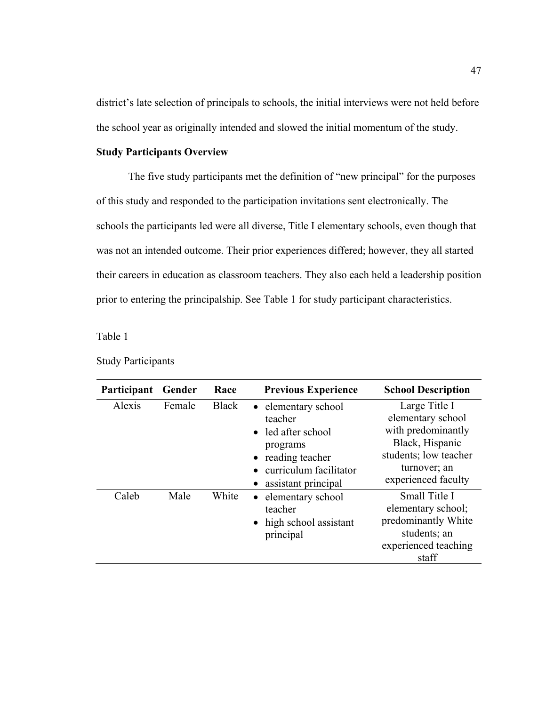district's late selection of principals to schools, the initial interviews were not held before the school year as originally intended and slowed the initial momentum of the study.

# **Study Participants Overview**

 The five study participants met the definition of "new principal" for the purposes of this study and responded to the participation invitations sent electronically. The schools the participants led were all diverse, Title I elementary schools, even though that was not an intended outcome. Their prior experiences differed; however, they all started their careers in education as classroom teachers. They also each held a leadership position prior to entering the principalship. See Table 1 for study participant characteristics.

Table 1

| Participant | Gender | Race         | <b>Previous Experience</b>                                                                                                           | <b>School Description</b>                                                                                                                   |
|-------------|--------|--------------|--------------------------------------------------------------------------------------------------------------------------------------|---------------------------------------------------------------------------------------------------------------------------------------------|
| Alexis      | Female | <b>Black</b> | • elementary school<br>teacher<br>• led after school<br>programs<br>reading teacher<br>curriculum facilitator<br>assistant principal | Large Title I<br>elementary school<br>with predominantly<br>Black, Hispanic<br>students; low teacher<br>turnover; an<br>experienced faculty |
| Caleb       | Male   | White        | • elementary school<br>teacher<br>• high school assistant<br>principal                                                               | Small Title I<br>elementary school;<br>predominantly White<br>students; an<br>experienced teaching<br>staff                                 |

Study Participants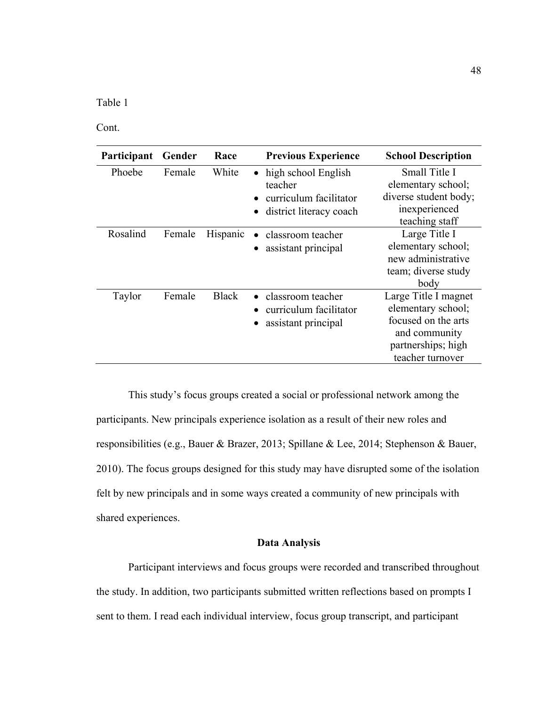Table 1

Cont.

| Participant | Gender | Race         | <b>Previous Experience</b>                                                                | <b>School Description</b>                                                                                                    |
|-------------|--------|--------------|-------------------------------------------------------------------------------------------|------------------------------------------------------------------------------------------------------------------------------|
| Phoebe      | Female | White        | • high school English<br>teacher<br>• curriculum facilitator<br>• district literacy coach | Small Title I<br>elementary school;<br>diverse student body;<br>inexperienced<br>teaching staff                              |
| Rosalind    | Female | Hispanic     | classroom teacher<br>assistant principal                                                  | Large Title I<br>elementary school;<br>new administrative<br>team; diverse study<br>body                                     |
| Taylor      | Female | <b>Black</b> | • classroom teacher<br>curriculum facilitator<br>assistant principal                      | Large Title I magnet<br>elementary school;<br>focused on the arts<br>and community<br>partnerships; high<br>teacher turnover |

This study's focus groups created a social or professional network among the participants. New principals experience isolation as a result of their new roles and responsibilities (e.g., Bauer & Brazer, 2013; Spillane & Lee, 2014; Stephenson & Bauer, 2010). The focus groups designed for this study may have disrupted some of the isolation felt by new principals and in some ways created a community of new principals with shared experiences.

# **Data Analysis**

Participant interviews and focus groups were recorded and transcribed throughout the study. In addition, two participants submitted written reflections based on prompts I sent to them. I read each individual interview, focus group transcript, and participant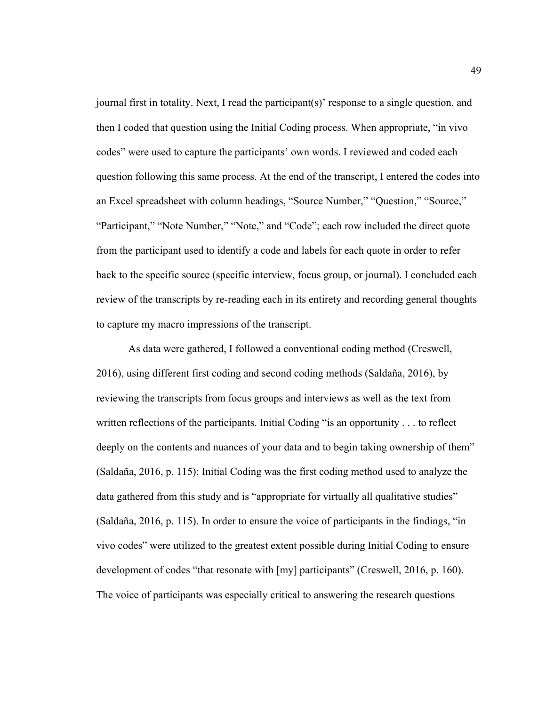journal first in totality. Next, I read the participant(s)' response to a single question, and then I coded that question using the Initial Coding process. When appropriate, "in vivo codes" were used to capture the participants' own words. I reviewed and coded each question following this same process. At the end of the transcript, I entered the codes into an Excel spreadsheet with column headings, "Source Number," "Question," "Source," "Participant," "Note Number," "Note," and "Code"; each row included the direct quote from the participant used to identify a code and labels for each quote in order to refer back to the specific source (specific interview, focus group, or journal). I concluded each review of the transcripts by re-reading each in its entirety and recording general thoughts to capture my macro impressions of the transcript.

 As data were gathered, I followed a conventional coding method (Creswell, 2016), using different first coding and second coding methods (Saldaña, 2016), by reviewing the transcripts from focus groups and interviews as well as the text from written reflections of the participants. Initial Coding "is an opportunity . . . to reflect deeply on the contents and nuances of your data and to begin taking ownership of them" (Saldaña, 2016, p. 115); Initial Coding was the first coding method used to analyze the data gathered from this study and is "appropriate for virtually all qualitative studies" (Saldaña, 2016, p. 115). In order to ensure the voice of participants in the findings, "in vivo codes" were utilized to the greatest extent possible during Initial Coding to ensure development of codes "that resonate with [my] participants" (Creswell, 2016, p. 160). The voice of participants was especially critical to answering the research questions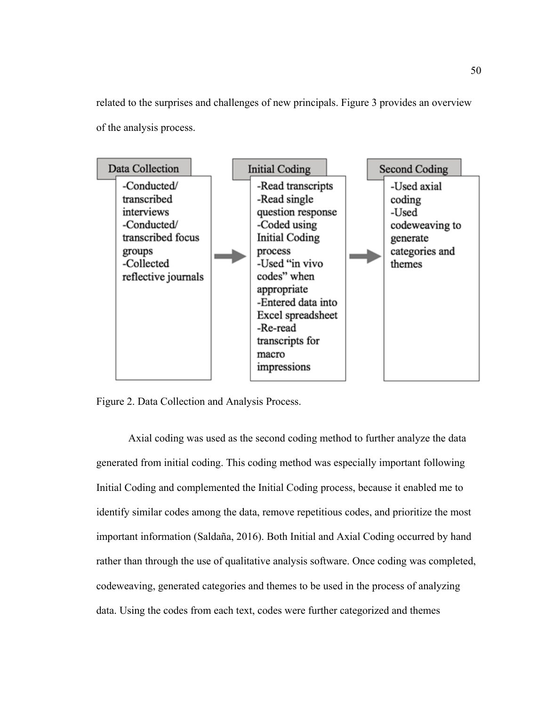related to the surprises and challenges of new principals. Figure 3 provides an overview of the analysis process.



Figure 2. Data Collection and Analysis Process.

 Axial coding was used as the second coding method to further analyze the data generated from initial coding. This coding method was especially important following Initial Coding and complemented the Initial Coding process, because it enabled me to identify similar codes among the data, remove repetitious codes, and prioritize the most important information (Saldaña, 2016). Both Initial and Axial Coding occurred by hand rather than through the use of qualitative analysis software. Once coding was completed, codeweaving, generated categories and themes to be used in the process of analyzing data. Using the codes from each text, codes were further categorized and themes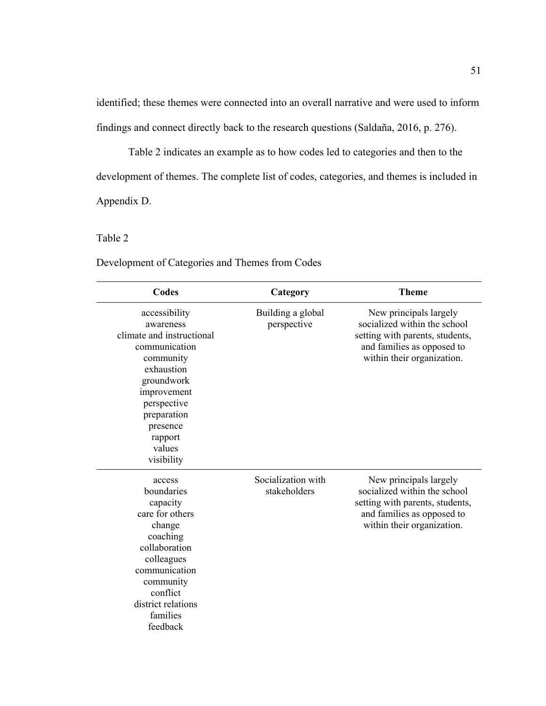identified; these themes were connected into an overall narrative and were used to inform findings and connect directly back to the research questions (Saldaña, 2016, p. 276).

Table 2 indicates an example as to how codes led to categories and then to the development of themes. The complete list of codes, categories, and themes is included in Appendix D.

# Table 2

**Codes Category Theme**  accessibility awareness climate and instructional communication community exhaustion groundwork improvement perspective preparation presence rapport values visibility Building a global perspective New principals largely socialized within the school setting with parents, students, and families as opposed to within their organization. access boundaries capacity care for others change coaching collaboration colleagues communication community conflict district relations families feedback Socialization with stakeholders New principals largely socialized within the school setting with parents, students, and families as opposed to within their organization.

Development of Categories and Themes from Codes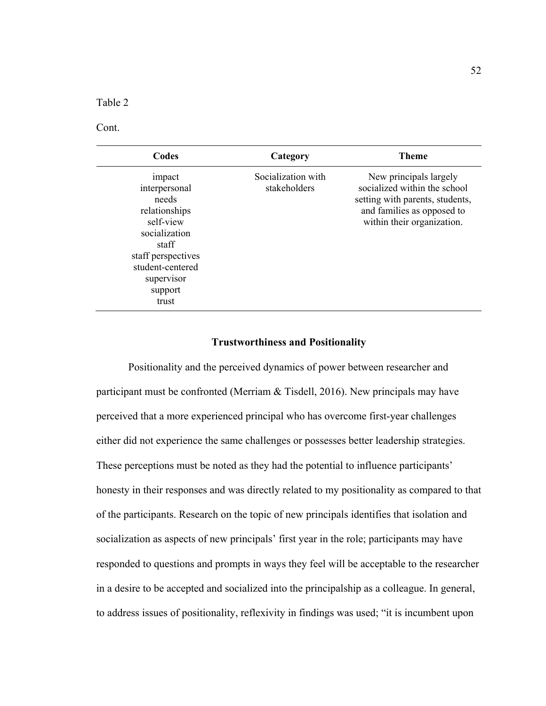Table 2

Cont.

| Codes                                                                                                                                                                | Category                           | <b>Theme</b>                                                                                                                                          |
|----------------------------------------------------------------------------------------------------------------------------------------------------------------------|------------------------------------|-------------------------------------------------------------------------------------------------------------------------------------------------------|
| impact<br>interpersonal<br>needs<br>relationships<br>self-view<br>socialization<br>staff<br>staff perspectives<br>student-centered<br>supervisor<br>support<br>trust | Socialization with<br>stakeholders | New principals largely<br>socialized within the school<br>setting with parents, students,<br>and families as opposed to<br>within their organization. |

### **Trustworthiness and Positionality**

Positionality and the perceived dynamics of power between researcher and participant must be confronted (Merriam & Tisdell, 2016). New principals may have perceived that a more experienced principal who has overcome first-year challenges either did not experience the same challenges or possesses better leadership strategies. These perceptions must be noted as they had the potential to influence participants' honesty in their responses and was directly related to my positionality as compared to that of the participants. Research on the topic of new principals identifies that isolation and socialization as aspects of new principals' first year in the role; participants may have responded to questions and prompts in ways they feel will be acceptable to the researcher in a desire to be accepted and socialized into the principalship as a colleague. In general, to address issues of positionality, reflexivity in findings was used; "it is incumbent upon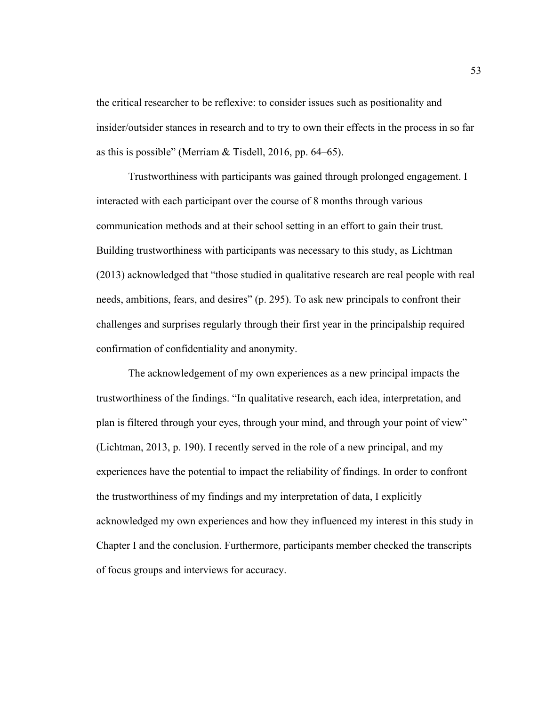the critical researcher to be reflexive: to consider issues such as positionality and insider/outsider stances in research and to try to own their effects in the process in so far as this is possible" (Merriam & Tisdell, 2016, pp. 64–65).

Trustworthiness with participants was gained through prolonged engagement. I interacted with each participant over the course of 8 months through various communication methods and at their school setting in an effort to gain their trust. Building trustworthiness with participants was necessary to this study, as Lichtman (2013) acknowledged that "those studied in qualitative research are real people with real needs, ambitions, fears, and desires" (p. 295). To ask new principals to confront their challenges and surprises regularly through their first year in the principalship required confirmation of confidentiality and anonymity.

The acknowledgement of my own experiences as a new principal impacts the trustworthiness of the findings. "In qualitative research, each idea, interpretation, and plan is filtered through your eyes, through your mind, and through your point of view" (Lichtman, 2013, p. 190). I recently served in the role of a new principal, and my experiences have the potential to impact the reliability of findings. In order to confront the trustworthiness of my findings and my interpretation of data, I explicitly acknowledged my own experiences and how they influenced my interest in this study in Chapter I and the conclusion. Furthermore, participants member checked the transcripts of focus groups and interviews for accuracy.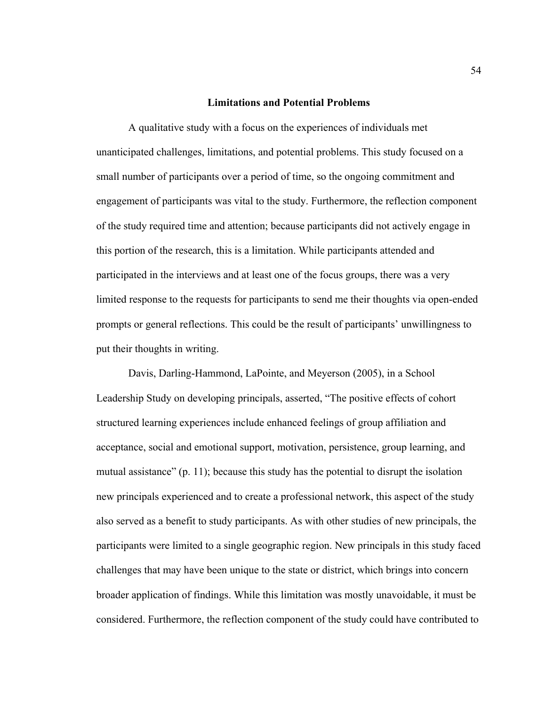## **Limitations and Potential Problems**

A qualitative study with a focus on the experiences of individuals met unanticipated challenges, limitations, and potential problems. This study focused on a small number of participants over a period of time, so the ongoing commitment and engagement of participants was vital to the study. Furthermore, the reflection component of the study required time and attention; because participants did not actively engage in this portion of the research, this is a limitation. While participants attended and participated in the interviews and at least one of the focus groups, there was a very limited response to the requests for participants to send me their thoughts via open-ended prompts or general reflections. This could be the result of participants' unwillingness to put their thoughts in writing.

Davis, Darling-Hammond, LaPointe, and Meyerson (2005), in a School Leadership Study on developing principals, asserted, "The positive effects of cohort structured learning experiences include enhanced feelings of group affiliation and acceptance, social and emotional support, motivation, persistence, group learning, and mutual assistance" (p. 11); because this study has the potential to disrupt the isolation new principals experienced and to create a professional network, this aspect of the study also served as a benefit to study participants. As with other studies of new principals, the participants were limited to a single geographic region. New principals in this study faced challenges that may have been unique to the state or district, which brings into concern broader application of findings. While this limitation was mostly unavoidable, it must be considered. Furthermore, the reflection component of the study could have contributed to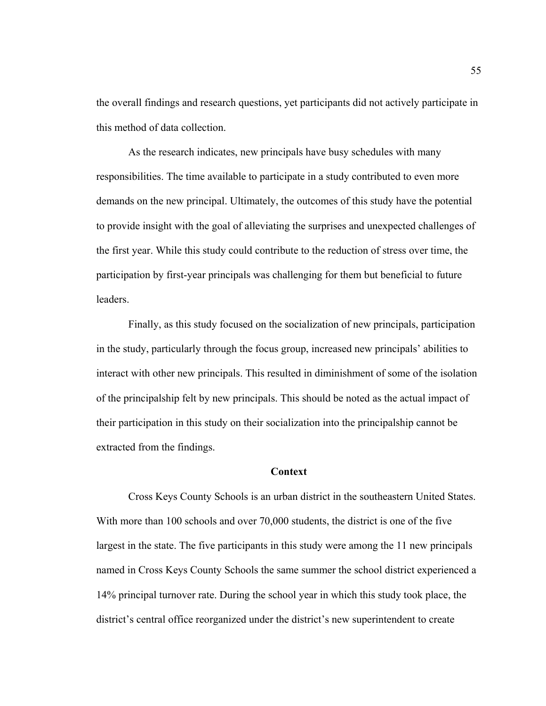the overall findings and research questions, yet participants did not actively participate in this method of data collection.

As the research indicates, new principals have busy schedules with many responsibilities. The time available to participate in a study contributed to even more demands on the new principal. Ultimately, the outcomes of this study have the potential to provide insight with the goal of alleviating the surprises and unexpected challenges of the first year. While this study could contribute to the reduction of stress over time, the participation by first-year principals was challenging for them but beneficial to future leaders.

Finally, as this study focused on the socialization of new principals, participation in the study, particularly through the focus group, increased new principals' abilities to interact with other new principals. This resulted in diminishment of some of the isolation of the principalship felt by new principals. This should be noted as the actual impact of their participation in this study on their socialization into the principalship cannot be extracted from the findings.

#### **Context**

Cross Keys County Schools is an urban district in the southeastern United States. With more than 100 schools and over 70,000 students, the district is one of the five largest in the state. The five participants in this study were among the 11 new principals named in Cross Keys County Schools the same summer the school district experienced a 14% principal turnover rate. During the school year in which this study took place, the district's central office reorganized under the district's new superintendent to create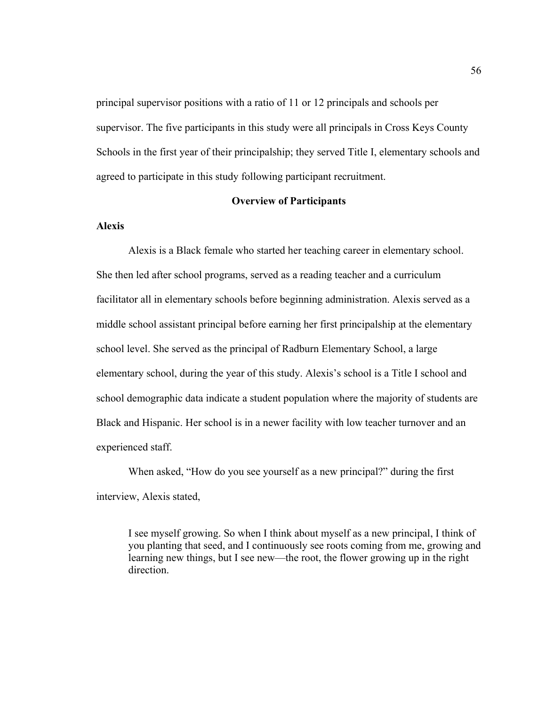principal supervisor positions with a ratio of 11 or 12 principals and schools per supervisor. The five participants in this study were all principals in Cross Keys County Schools in the first year of their principalship; they served Title I, elementary schools and agreed to participate in this study following participant recruitment.

## **Overview of Participants**

## **Alexis**

Alexis is a Black female who started her teaching career in elementary school. She then led after school programs, served as a reading teacher and a curriculum facilitator all in elementary schools before beginning administration. Alexis served as a middle school assistant principal before earning her first principalship at the elementary school level. She served as the principal of Radburn Elementary School, a large elementary school, during the year of this study. Alexis's school is a Title I school and school demographic data indicate a student population where the majority of students are Black and Hispanic. Her school is in a newer facility with low teacher turnover and an experienced staff.

When asked, "How do you see yourself as a new principal?" during the first interview, Alexis stated,

I see myself growing. So when I think about myself as a new principal, I think of you planting that seed, and I continuously see roots coming from me, growing and learning new things, but I see new—the root, the flower growing up in the right direction.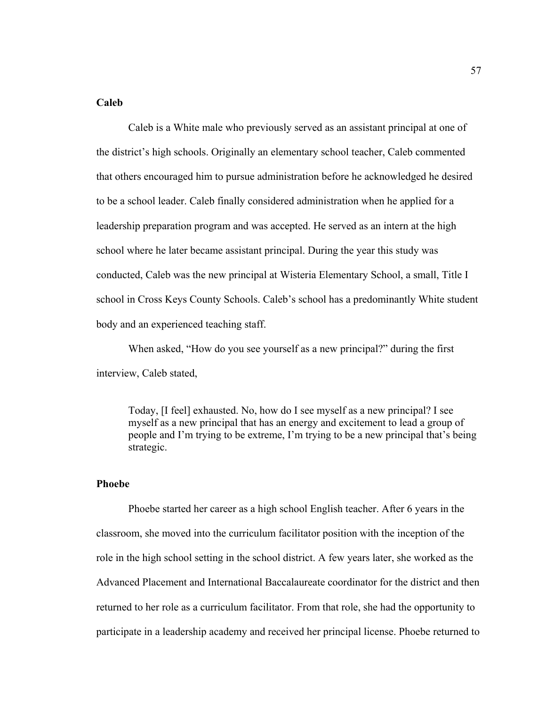# **Caleb**

Caleb is a White male who previously served as an assistant principal at one of the district's high schools. Originally an elementary school teacher, Caleb commented that others encouraged him to pursue administration before he acknowledged he desired to be a school leader. Caleb finally considered administration when he applied for a leadership preparation program and was accepted. He served as an intern at the high school where he later became assistant principal. During the year this study was conducted, Caleb was the new principal at Wisteria Elementary School, a small, Title I school in Cross Keys County Schools. Caleb's school has a predominantly White student body and an experienced teaching staff.

When asked, "How do you see yourself as a new principal?" during the first interview, Caleb stated,

Today, [I feel] exhausted. No, how do I see myself as a new principal? I see myself as a new principal that has an energy and excitement to lead a group of people and I'm trying to be extreme, I'm trying to be a new principal that's being strategic.

#### **Phoebe**

Phoebe started her career as a high school English teacher. After 6 years in the classroom, she moved into the curriculum facilitator position with the inception of the role in the high school setting in the school district. A few years later, she worked as the Advanced Placement and International Baccalaureate coordinator for the district and then returned to her role as a curriculum facilitator. From that role, she had the opportunity to participate in a leadership academy and received her principal license. Phoebe returned to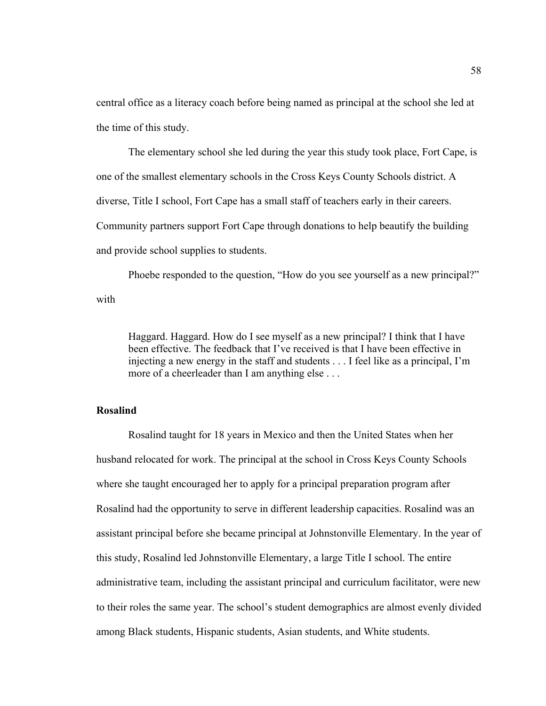central office as a literacy coach before being named as principal at the school she led at the time of this study.

 The elementary school she led during the year this study took place, Fort Cape, is one of the smallest elementary schools in the Cross Keys County Schools district. A diverse, Title I school, Fort Cape has a small staff of teachers early in their careers. Community partners support Fort Cape through donations to help beautify the building and provide school supplies to students.

Phoebe responded to the question, "How do you see yourself as a new principal?" with

Haggard. Haggard. How do I see myself as a new principal? I think that I have been effective. The feedback that I've received is that I have been effective in injecting a new energy in the staff and students . . . I feel like as a principal, I'm more of a cheerleader than I am anything else . . .

# **Rosalind**

Rosalind taught for 18 years in Mexico and then the United States when her husband relocated for work. The principal at the school in Cross Keys County Schools where she taught encouraged her to apply for a principal preparation program after Rosalind had the opportunity to serve in different leadership capacities. Rosalind was an assistant principal before she became principal at Johnstonville Elementary. In the year of this study, Rosalind led Johnstonville Elementary, a large Title I school. The entire administrative team, including the assistant principal and curriculum facilitator, were new to their roles the same year. The school's student demographics are almost evenly divided among Black students, Hispanic students, Asian students, and White students.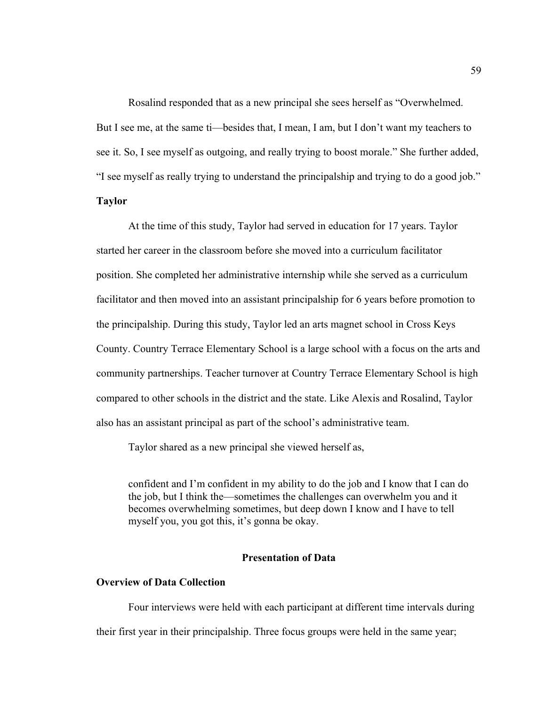Rosalind responded that as a new principal she sees herself as "Overwhelmed. But I see me, at the same ti—besides that, I mean, I am, but I don't want my teachers to see it. So, I see myself as outgoing, and really trying to boost morale." She further added, "I see myself as really trying to understand the principalship and trying to do a good job."

### **Taylor**

At the time of this study, Taylor had served in education for 17 years. Taylor started her career in the classroom before she moved into a curriculum facilitator position. She completed her administrative internship while she served as a curriculum facilitator and then moved into an assistant principalship for 6 years before promotion to the principalship. During this study, Taylor led an arts magnet school in Cross Keys County. Country Terrace Elementary School is a large school with a focus on the arts and community partnerships. Teacher turnover at Country Terrace Elementary School is high compared to other schools in the district and the state. Like Alexis and Rosalind, Taylor also has an assistant principal as part of the school's administrative team.

Taylor shared as a new principal she viewed herself as,

confident and I'm confident in my ability to do the job and I know that I can do the job, but I think the—sometimes the challenges can overwhelm you and it becomes overwhelming sometimes, but deep down I know and I have to tell myself you, you got this, it's gonna be okay.

# **Presentation of Data**

#### **Overview of Data Collection**

Four interviews were held with each participant at different time intervals during their first year in their principalship. Three focus groups were held in the same year;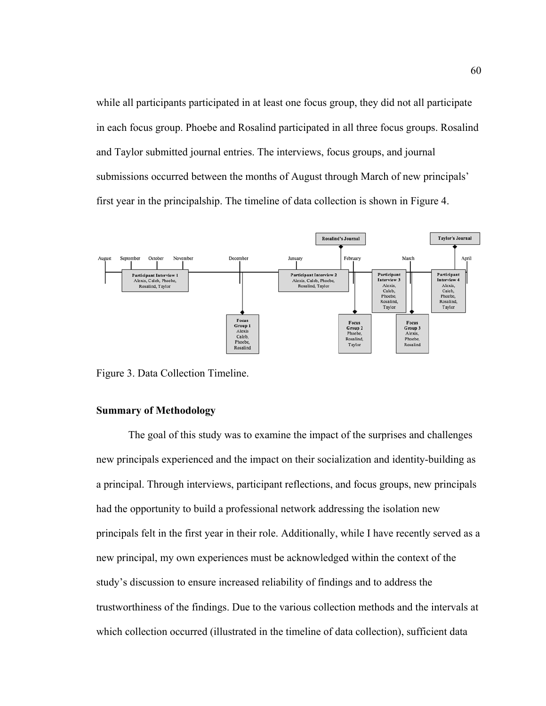while all participants participated in at least one focus group, they did not all participate in each focus group. Phoebe and Rosalind participated in all three focus groups. Rosalind and Taylor submitted journal entries. The interviews, focus groups, and journal submissions occurred between the months of August through March of new principals' first year in the principalship. The timeline of data collection is shown in Figure 4.



Figure 3. Data Collection Timeline.

#### **Summary of Methodology**

 The goal of this study was to examine the impact of the surprises and challenges new principals experienced and the impact on their socialization and identity-building as a principal. Through interviews, participant reflections, and focus groups, new principals had the opportunity to build a professional network addressing the isolation new principals felt in the first year in their role. Additionally, while I have recently served as a new principal, my own experiences must be acknowledged within the context of the study's discussion to ensure increased reliability of findings and to address the trustworthiness of the findings. Due to the various collection methods and the intervals at which collection occurred (illustrated in the timeline of data collection), sufficient data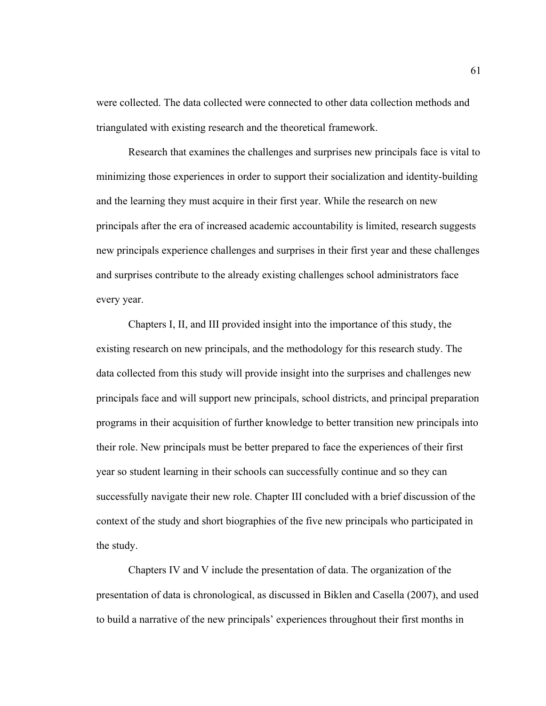were collected. The data collected were connected to other data collection methods and triangulated with existing research and the theoretical framework.

Research that examines the challenges and surprises new principals face is vital to minimizing those experiences in order to support their socialization and identity-building and the learning they must acquire in their first year. While the research on new principals after the era of increased academic accountability is limited, research suggests new principals experience challenges and surprises in their first year and these challenges and surprises contribute to the already existing challenges school administrators face every year.

 Chapters I, II, and III provided insight into the importance of this study, the existing research on new principals, and the methodology for this research study. The data collected from this study will provide insight into the surprises and challenges new principals face and will support new principals, school districts, and principal preparation programs in their acquisition of further knowledge to better transition new principals into their role. New principals must be better prepared to face the experiences of their first year so student learning in their schools can successfully continue and so they can successfully navigate their new role. Chapter III concluded with a brief discussion of the context of the study and short biographies of the five new principals who participated in the study.

Chapters IV and V include the presentation of data. The organization of the presentation of data is chronological, as discussed in Biklen and Casella (2007), and used to build a narrative of the new principals' experiences throughout their first months in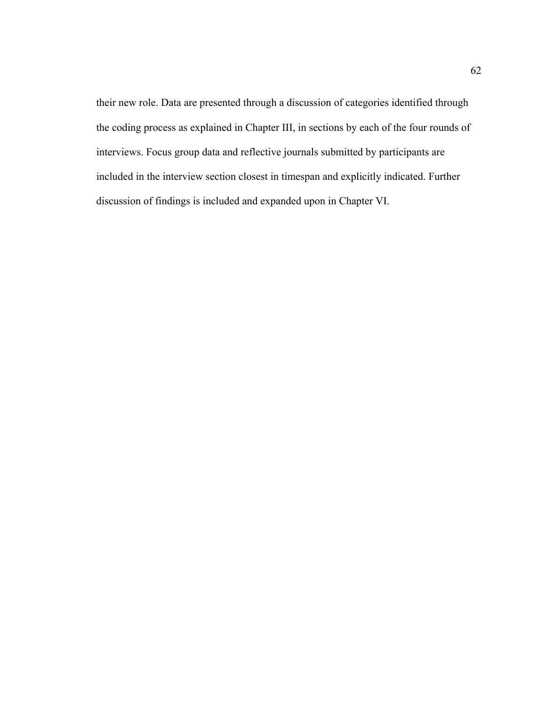their new role. Data are presented through a discussion of categories identified through the coding process as explained in Chapter III, in sections by each of the four rounds of interviews. Focus group data and reflective journals submitted by participants are included in the interview section closest in timespan and explicitly indicated. Further discussion of findings is included and expanded upon in Chapter VI.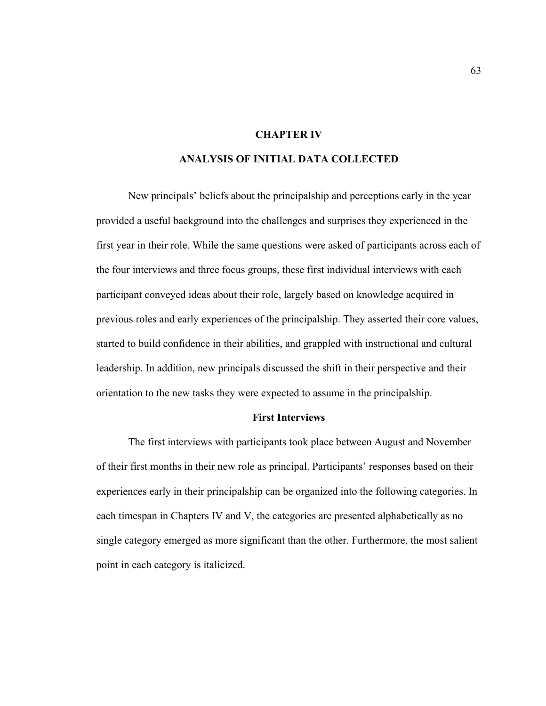# **CHAPTER IV**

# **ANALYSIS OF INITIAL DATA COLLECTED**

 New principals' beliefs about the principalship and perceptions early in the year provided a useful background into the challenges and surprises they experienced in the first year in their role. While the same questions were asked of participants across each of the four interviews and three focus groups, these first individual interviews with each participant conveyed ideas about their role, largely based on knowledge acquired in previous roles and early experiences of the principalship. They asserted their core values, started to build confidence in their abilities, and grappled with instructional and cultural leadership. In addition, new principals discussed the shift in their perspective and their orientation to the new tasks they were expected to assume in the principalship.

# **First Interviews**

The first interviews with participants took place between August and November of their first months in their new role as principal. Participants' responses based on their experiences early in their principalship can be organized into the following categories. In each timespan in Chapters IV and V, the categories are presented alphabetically as no single category emerged as more significant than the other. Furthermore, the most salient point in each category is italicized.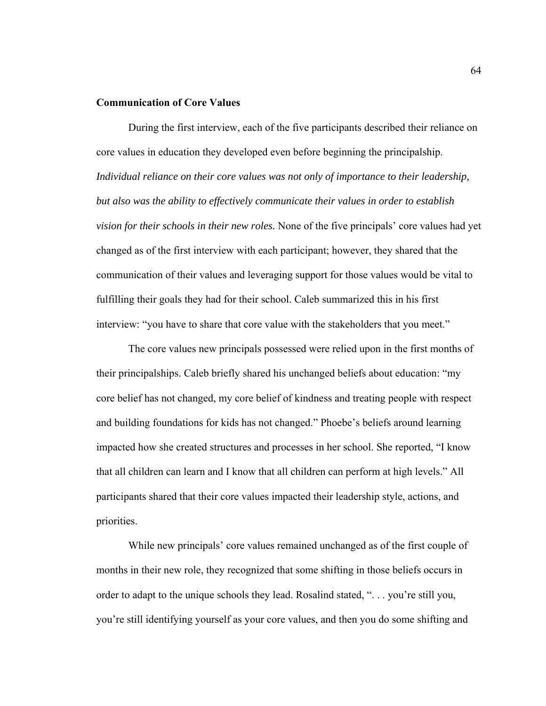# **Communication of Core Values**

During the first interview, each of the five participants described their reliance on core values in education they developed even before beginning the principalship. *Individual reliance on their core values was not only of importance to their leadership, but also was the ability to effectively communicate their values in order to establish vision for their schools in their new roles.* None of the five principals' core values had yet changed as of the first interview with each participant; however, they shared that the communication of their values and leveraging support for those values would be vital to fulfilling their goals they had for their school. Caleb summarized this in his first interview: "you have to share that core value with the stakeholders that you meet."

 The core values new principals possessed were relied upon in the first months of their principalships. Caleb briefly shared his unchanged beliefs about education: "my core belief has not changed, my core belief of kindness and treating people with respect and building foundations for kids has not changed." Phoebe's beliefs around learning impacted how she created structures and processes in her school. She reported, "I know that all children can learn and I know that all children can perform at high levels." All participants shared that their core values impacted their leadership style, actions, and priorities.

While new principals' core values remained unchanged as of the first couple of months in their new role, they recognized that some shifting in those beliefs occurs in order to adapt to the unique schools they lead. Rosalind stated, ". . . you're still you, you're still identifying yourself as your core values, and then you do some shifting and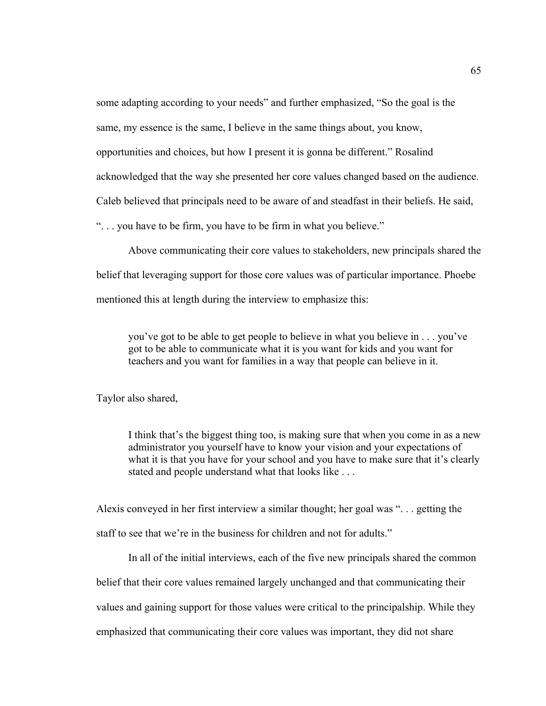some adapting according to your needs" and further emphasized, "So the goal is the

same, my essence is the same, I believe in the same things about, you know,

opportunities and choices, but how I present it is gonna be different." Rosalind

acknowledged that the way she presented her core values changed based on the audience.

Caleb believed that principals need to be aware of and steadfast in their beliefs. He said,

". . . you have to be firm, you have to be firm in what you believe."

Above communicating their core values to stakeholders, new principals shared the belief that leveraging support for those core values was of particular importance. Phoebe mentioned this at length during the interview to emphasize this:

you've got to be able to get people to believe in what you believe in . . . you've got to be able to communicate what it is you want for kids and you want for teachers and you want for families in a way that people can believe in it.

Taylor also shared,

I think that's the biggest thing too, is making sure that when you come in as a new administrator you yourself have to know your vision and your expectations of what it is that you have for your school and you have to make sure that it's clearly stated and people understand what that looks like . . .

Alexis conveyed in her first interview a similar thought; her goal was ". . . getting the staff to see that we're in the business for children and not for adults."

 In all of the initial interviews, each of the five new principals shared the common belief that their core values remained largely unchanged and that communicating their values and gaining support for those values were critical to the principalship. While they emphasized that communicating their core values was important, they did not share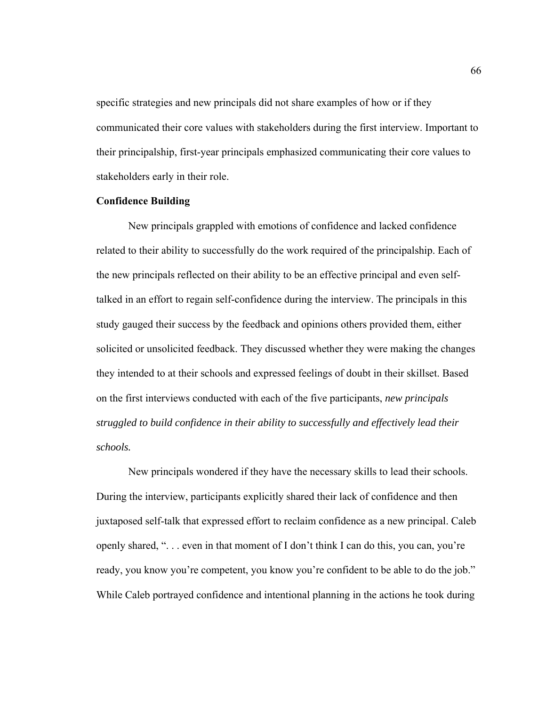specific strategies and new principals did not share examples of how or if they communicated their core values with stakeholders during the first interview. Important to their principalship, first-year principals emphasized communicating their core values to stakeholders early in their role.

#### **Confidence Building**

New principals grappled with emotions of confidence and lacked confidence related to their ability to successfully do the work required of the principalship. Each of the new principals reflected on their ability to be an effective principal and even selftalked in an effort to regain self-confidence during the interview. The principals in this study gauged their success by the feedback and opinions others provided them, either solicited or unsolicited feedback. They discussed whether they were making the changes they intended to at their schools and expressed feelings of doubt in their skillset. Based on the first interviews conducted with each of the five participants, *new principals struggled to build confidence in their ability to successfully and effectively lead their schools.* 

 New principals wondered if they have the necessary skills to lead their schools. During the interview, participants explicitly shared their lack of confidence and then juxtaposed self-talk that expressed effort to reclaim confidence as a new principal. Caleb openly shared, ". . . even in that moment of I don't think I can do this, you can, you're ready, you know you're competent, you know you're confident to be able to do the job." While Caleb portrayed confidence and intentional planning in the actions he took during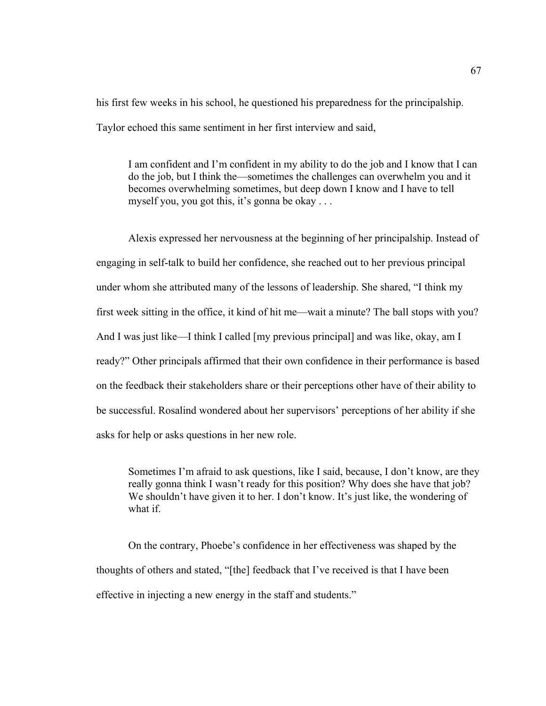his first few weeks in his school, he questioned his preparedness for the principalship. Taylor echoed this same sentiment in her first interview and said,

I am confident and I'm confident in my ability to do the job and I know that I can do the job, but I think the—sometimes the challenges can overwhelm you and it becomes overwhelming sometimes, but deep down I know and I have to tell myself you, you got this, it's gonna be okay . . .

Alexis expressed her nervousness at the beginning of her principalship. Instead of engaging in self-talk to build her confidence, she reached out to her previous principal under whom she attributed many of the lessons of leadership. She shared, "I think my first week sitting in the office, it kind of hit me—wait a minute? The ball stops with you? And I was just like—I think I called [my previous principal] and was like, okay, am I ready?" Other principals affirmed that their own confidence in their performance is based on the feedback their stakeholders share or their perceptions other have of their ability to be successful. Rosalind wondered about her supervisors' perceptions of her ability if she asks for help or asks questions in her new role.

Sometimes I'm afraid to ask questions, like I said, because, I don't know, are they really gonna think I wasn't ready for this position? Why does she have that job? We shouldn't have given it to her. I don't know. It's just like, the wondering of what if.

On the contrary, Phoebe's confidence in her effectiveness was shaped by the thoughts of others and stated, "[the] feedback that I've received is that I have been effective in injecting a new energy in the staff and students."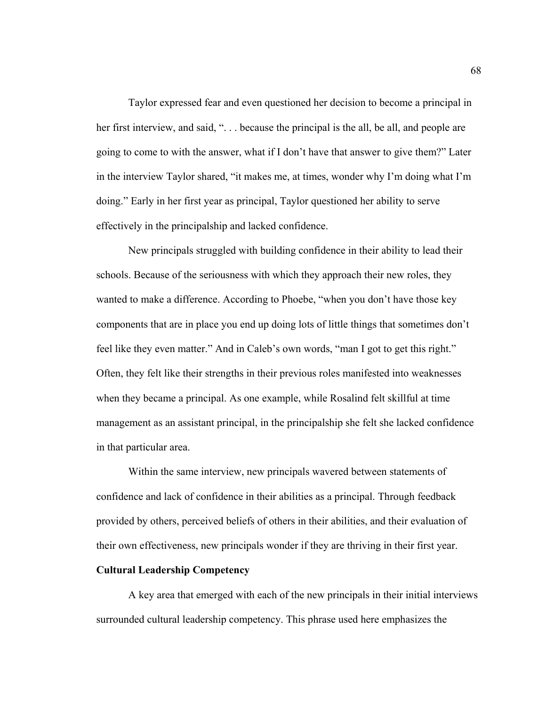Taylor expressed fear and even questioned her decision to become a principal in her first interview, and said, "... because the principal is the all, be all, and people are going to come to with the answer, what if I don't have that answer to give them?" Later in the interview Taylor shared, "it makes me, at times, wonder why I'm doing what I'm doing." Early in her first year as principal, Taylor questioned her ability to serve effectively in the principalship and lacked confidence.

New principals struggled with building confidence in their ability to lead their schools. Because of the seriousness with which they approach their new roles, they wanted to make a difference. According to Phoebe, "when you don't have those key components that are in place you end up doing lots of little things that sometimes don't feel like they even matter." And in Caleb's own words, "man I got to get this right." Often, they felt like their strengths in their previous roles manifested into weaknesses when they became a principal. As one example, while Rosalind felt skillful at time management as an assistant principal, in the principalship she felt she lacked confidence in that particular area.

Within the same interview, new principals wavered between statements of confidence and lack of confidence in their abilities as a principal. Through feedback provided by others, perceived beliefs of others in their abilities, and their evaluation of their own effectiveness, new principals wonder if they are thriving in their first year.

# **Cultural Leadership Competency**

A key area that emerged with each of the new principals in their initial interviews surrounded cultural leadership competency. This phrase used here emphasizes the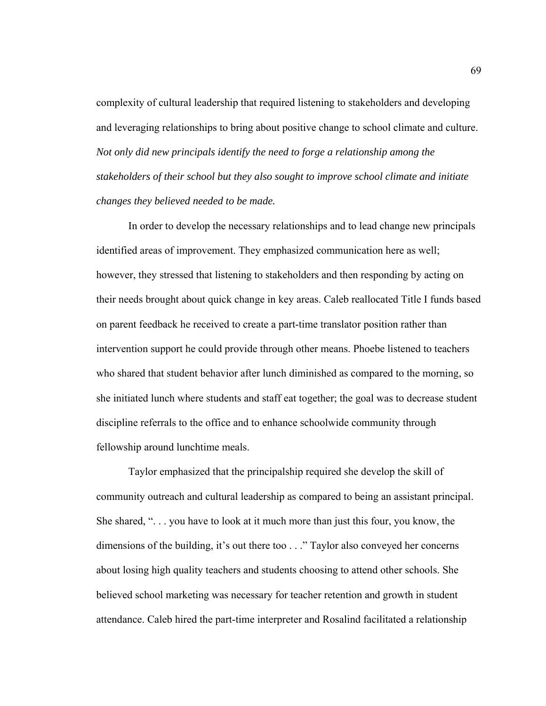complexity of cultural leadership that required listening to stakeholders and developing and leveraging relationships to bring about positive change to school climate and culture. *Not only did new principals identify the need to forge a relationship among the stakeholders of their school but they also sought to improve school climate and initiate changes they believed needed to be made.* 

In order to develop the necessary relationships and to lead change new principals identified areas of improvement. They emphasized communication here as well; however, they stressed that listening to stakeholders and then responding by acting on their needs brought about quick change in key areas. Caleb reallocated Title I funds based on parent feedback he received to create a part-time translator position rather than intervention support he could provide through other means. Phoebe listened to teachers who shared that student behavior after lunch diminished as compared to the morning, so she initiated lunch where students and staff eat together; the goal was to decrease student discipline referrals to the office and to enhance schoolwide community through fellowship around lunchtime meals.

Taylor emphasized that the principalship required she develop the skill of community outreach and cultural leadership as compared to being an assistant principal. She shared, ". . . you have to look at it much more than just this four, you know, the dimensions of the building, it's out there too . . ." Taylor also conveyed her concerns about losing high quality teachers and students choosing to attend other schools. She believed school marketing was necessary for teacher retention and growth in student attendance. Caleb hired the part-time interpreter and Rosalind facilitated a relationship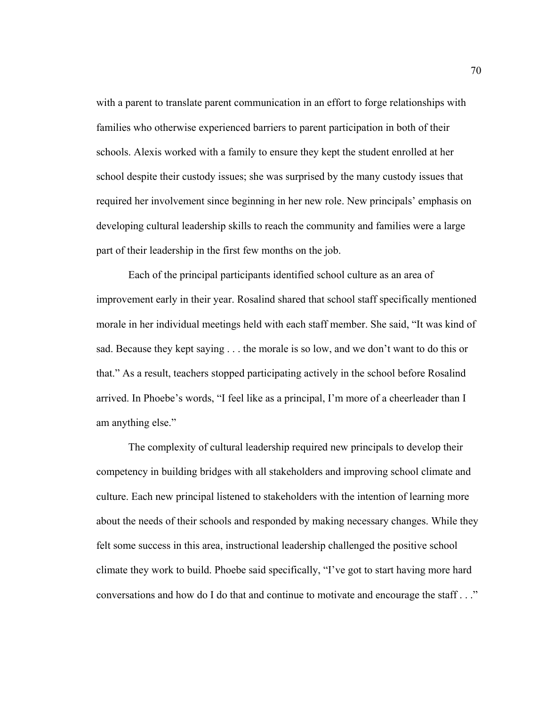with a parent to translate parent communication in an effort to forge relationships with families who otherwise experienced barriers to parent participation in both of their schools. Alexis worked with a family to ensure they kept the student enrolled at her school despite their custody issues; she was surprised by the many custody issues that required her involvement since beginning in her new role. New principals' emphasis on developing cultural leadership skills to reach the community and families were a large part of their leadership in the first few months on the job.

Each of the principal participants identified school culture as an area of improvement early in their year. Rosalind shared that school staff specifically mentioned morale in her individual meetings held with each staff member. She said, "It was kind of sad. Because they kept saying . . . the morale is so low, and we don't want to do this or that." As a result, teachers stopped participating actively in the school before Rosalind arrived. In Phoebe's words, "I feel like as a principal, I'm more of a cheerleader than I am anything else."

The complexity of cultural leadership required new principals to develop their competency in building bridges with all stakeholders and improving school climate and culture. Each new principal listened to stakeholders with the intention of learning more about the needs of their schools and responded by making necessary changes. While they felt some success in this area, instructional leadership challenged the positive school climate they work to build. Phoebe said specifically, "I've got to start having more hard conversations and how do I do that and continue to motivate and encourage the staff . . ."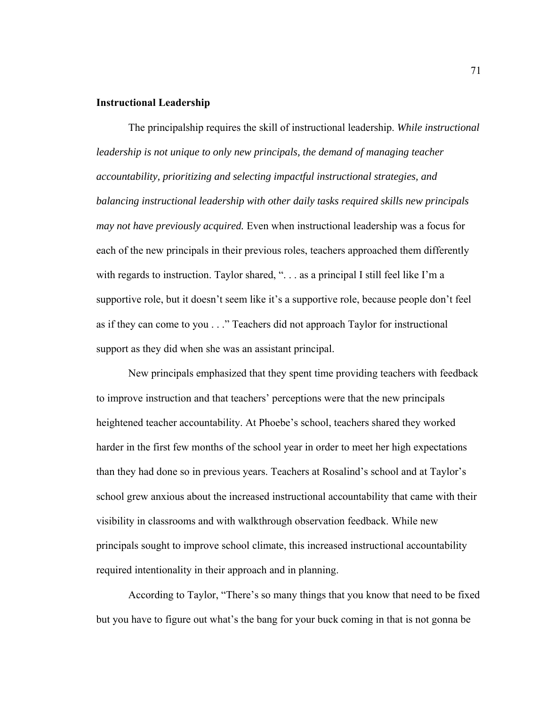## **Instructional Leadership**

The principalship requires the skill of instructional leadership. *While instructional leadership is not unique to only new principals, the demand of managing teacher accountability, prioritizing and selecting impactful instructional strategies, and balancing instructional leadership with other daily tasks required skills new principals may not have previously acquired.* Even when instructional leadership was a focus for each of the new principals in their previous roles, teachers approached them differently with regards to instruction. Taylor shared, ". . . as a principal I still feel like I'm a supportive role, but it doesn't seem like it's a supportive role, because people don't feel as if they can come to you . . ." Teachers did not approach Taylor for instructional support as they did when she was an assistant principal.

New principals emphasized that they spent time providing teachers with feedback to improve instruction and that teachers' perceptions were that the new principals heightened teacher accountability. At Phoebe's school, teachers shared they worked harder in the first few months of the school year in order to meet her high expectations than they had done so in previous years. Teachers at Rosalind's school and at Taylor's school grew anxious about the increased instructional accountability that came with their visibility in classrooms and with walkthrough observation feedback. While new principals sought to improve school climate, this increased instructional accountability required intentionality in their approach and in planning.

According to Taylor, "There's so many things that you know that need to be fixed but you have to figure out what's the bang for your buck coming in that is not gonna be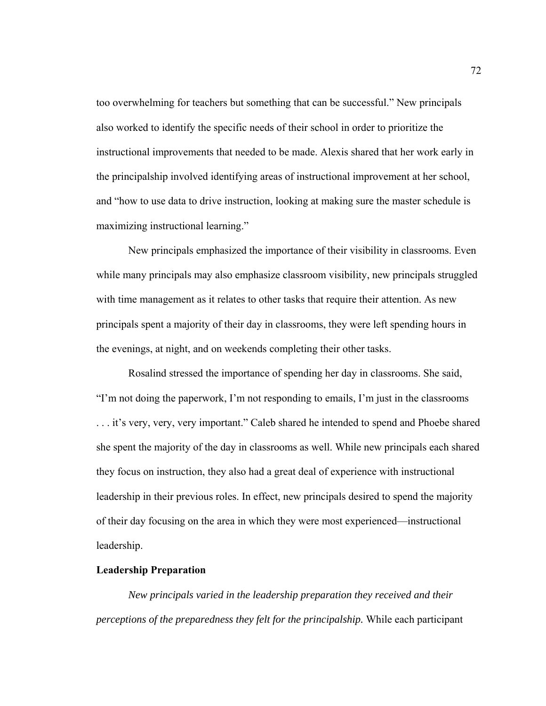too overwhelming for teachers but something that can be successful." New principals also worked to identify the specific needs of their school in order to prioritize the instructional improvements that needed to be made. Alexis shared that her work early in the principalship involved identifying areas of instructional improvement at her school, and "how to use data to drive instruction, looking at making sure the master schedule is maximizing instructional learning."

New principals emphasized the importance of their visibility in classrooms. Even while many principals may also emphasize classroom visibility, new principals struggled with time management as it relates to other tasks that require their attention. As new principals spent a majority of their day in classrooms, they were left spending hours in the evenings, at night, and on weekends completing their other tasks.

Rosalind stressed the importance of spending her day in classrooms. She said, "I'm not doing the paperwork, I'm not responding to emails, I'm just in the classrooms . . . it's very, very, very important." Caleb shared he intended to spend and Phoebe shared she spent the majority of the day in classrooms as well. While new principals each shared they focus on instruction, they also had a great deal of experience with instructional leadership in their previous roles. In effect, new principals desired to spend the majority of their day focusing on the area in which they were most experienced—instructional leadership.

# **Leadership Preparation**

*New principals varied in the leadership preparation they received and their perceptions of the preparedness they felt for the principalship.* While each participant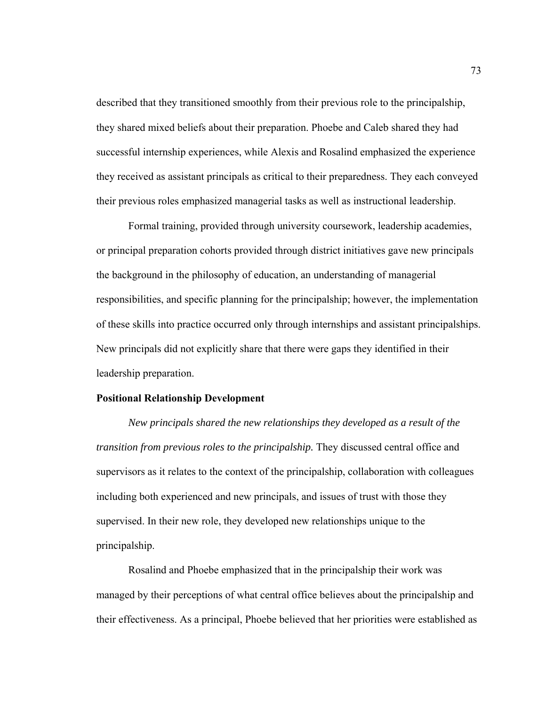described that they transitioned smoothly from their previous role to the principalship, they shared mixed beliefs about their preparation. Phoebe and Caleb shared they had successful internship experiences, while Alexis and Rosalind emphasized the experience they received as assistant principals as critical to their preparedness. They each conveyed their previous roles emphasized managerial tasks as well as instructional leadership.

Formal training, provided through university coursework, leadership academies, or principal preparation cohorts provided through district initiatives gave new principals the background in the philosophy of education, an understanding of managerial responsibilities, and specific planning for the principalship; however, the implementation of these skills into practice occurred only through internships and assistant principalships. New principals did not explicitly share that there were gaps they identified in their leadership preparation.

#### **Positional Relationship Development**

*New principals shared the new relationships they developed as a result of the transition from previous roles to the principalship.* They discussed central office and supervisors as it relates to the context of the principalship, collaboration with colleagues including both experienced and new principals, and issues of trust with those they supervised. In their new role, they developed new relationships unique to the principalship.

Rosalind and Phoebe emphasized that in the principalship their work was managed by their perceptions of what central office believes about the principalship and their effectiveness. As a principal, Phoebe believed that her priorities were established as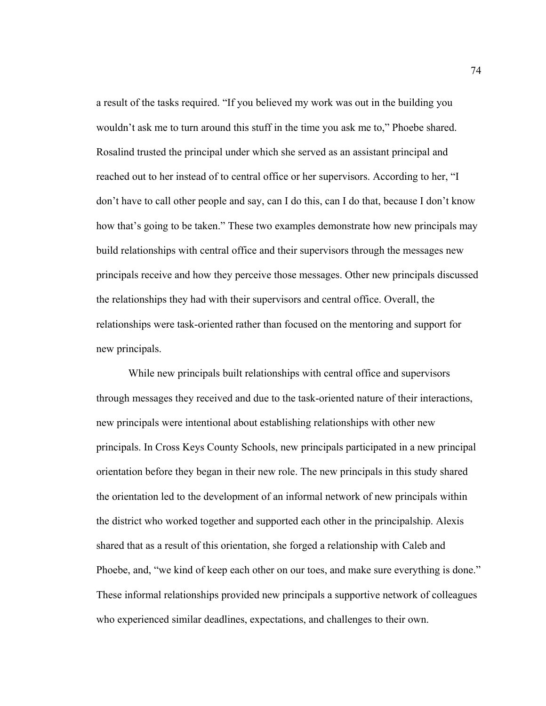a result of the tasks required. "If you believed my work was out in the building you wouldn't ask me to turn around this stuff in the time you ask me to," Phoebe shared. Rosalind trusted the principal under which she served as an assistant principal and reached out to her instead of to central office or her supervisors. According to her, "I don't have to call other people and say, can I do this, can I do that, because I don't know how that's going to be taken." These two examples demonstrate how new principals may build relationships with central office and their supervisors through the messages new principals receive and how they perceive those messages. Other new principals discussed the relationships they had with their supervisors and central office. Overall, the relationships were task-oriented rather than focused on the mentoring and support for new principals.

While new principals built relationships with central office and supervisors through messages they received and due to the task-oriented nature of their interactions, new principals were intentional about establishing relationships with other new principals. In Cross Keys County Schools, new principals participated in a new principal orientation before they began in their new role. The new principals in this study shared the orientation led to the development of an informal network of new principals within the district who worked together and supported each other in the principalship. Alexis shared that as a result of this orientation, she forged a relationship with Caleb and Phoebe, and, "we kind of keep each other on our toes, and make sure everything is done." These informal relationships provided new principals a supportive network of colleagues who experienced similar deadlines, expectations, and challenges to their own.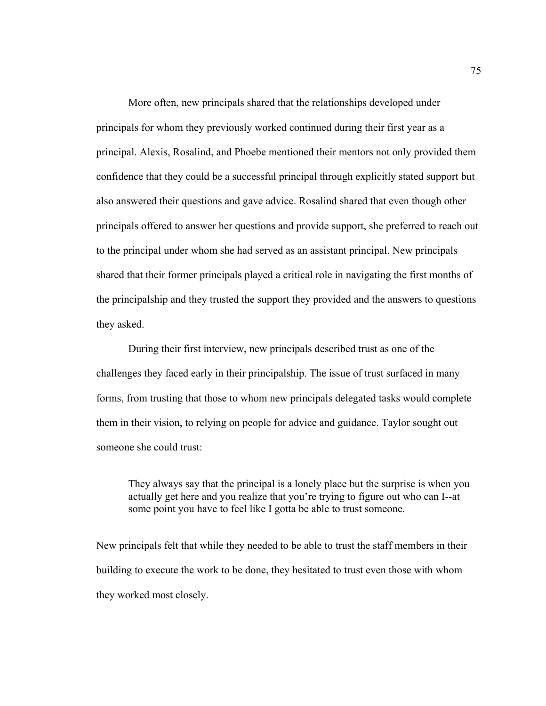More often, new principals shared that the relationships developed under principals for whom they previously worked continued during their first year as a principal. Alexis, Rosalind, and Phoebe mentioned their mentors not only provided them confidence that they could be a successful principal through explicitly stated support but also answered their questions and gave advice. Rosalind shared that even though other principals offered to answer her questions and provide support, she preferred to reach out to the principal under whom she had served as an assistant principal. New principals shared that their former principals played a critical role in navigating the first months of the principalship and they trusted the support they provided and the answers to questions they asked.

During their first interview, new principals described trust as one of the challenges they faced early in their principalship. The issue of trust surfaced in many forms, from trusting that those to whom new principals delegated tasks would complete them in their vision, to relying on people for advice and guidance. Taylor sought out someone she could trust:

They always say that the principal is a lonely place but the surprise is when you actually get here and you realize that you're trying to figure out who can I--at some point you have to feel like I gotta be able to trust someone.

New principals felt that while they needed to be able to trust the staff members in their building to execute the work to be done, they hesitated to trust even those with whom they worked most closely.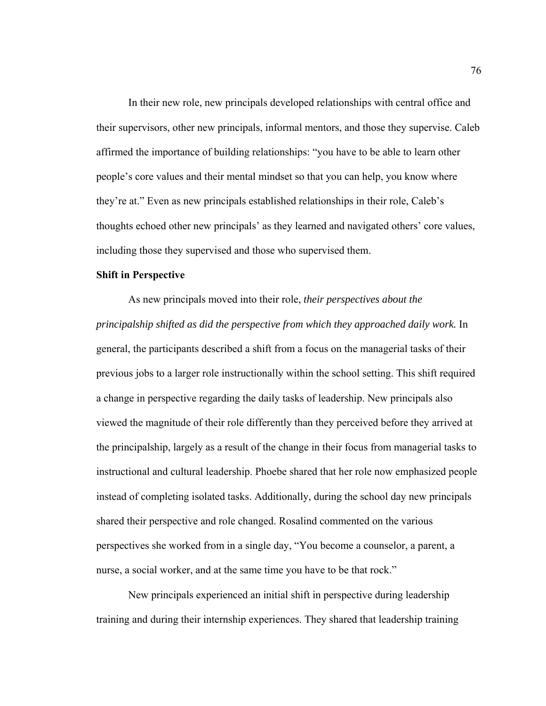In their new role, new principals developed relationships with central office and their supervisors, other new principals, informal mentors, and those they supervise. Caleb affirmed the importance of building relationships: "you have to be able to learn other people's core values and their mental mindset so that you can help, you know where they're at." Even as new principals established relationships in their role, Caleb's thoughts echoed other new principals' as they learned and navigated others' core values, including those they supervised and those who supervised them.

### **Shift in Perspective**

As new principals moved into their role, *their perspectives about the principalship shifted as did the perspective from which they approached daily work.* In general, the participants described a shift from a focus on the managerial tasks of their previous jobs to a larger role instructionally within the school setting. This shift required a change in perspective regarding the daily tasks of leadership. New principals also viewed the magnitude of their role differently than they perceived before they arrived at the principalship, largely as a result of the change in their focus from managerial tasks to instructional and cultural leadership. Phoebe shared that her role now emphasized people instead of completing isolated tasks. Additionally, during the school day new principals shared their perspective and role changed. Rosalind commented on the various perspectives she worked from in a single day, "You become a counselor, a parent, a nurse, a social worker, and at the same time you have to be that rock."

New principals experienced an initial shift in perspective during leadership training and during their internship experiences. They shared that leadership training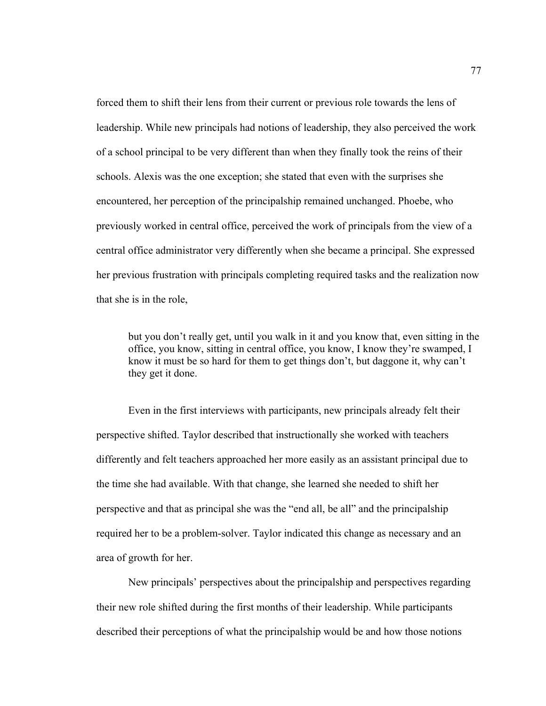forced them to shift their lens from their current or previous role towards the lens of leadership. While new principals had notions of leadership, they also perceived the work of a school principal to be very different than when they finally took the reins of their schools. Alexis was the one exception; she stated that even with the surprises she encountered, her perception of the principalship remained unchanged. Phoebe, who previously worked in central office, perceived the work of principals from the view of a central office administrator very differently when she became a principal. She expressed her previous frustration with principals completing required tasks and the realization now that she is in the role,

but you don't really get, until you walk in it and you know that, even sitting in the office, you know, sitting in central office, you know, I know they're swamped, I know it must be so hard for them to get things don't, but daggone it, why can't they get it done.

Even in the first interviews with participants, new principals already felt their perspective shifted. Taylor described that instructionally she worked with teachers differently and felt teachers approached her more easily as an assistant principal due to the time she had available. With that change, she learned she needed to shift her perspective and that as principal she was the "end all, be all" and the principalship required her to be a problem-solver. Taylor indicated this change as necessary and an area of growth for her.

New principals' perspectives about the principalship and perspectives regarding their new role shifted during the first months of their leadership. While participants described their perceptions of what the principalship would be and how those notions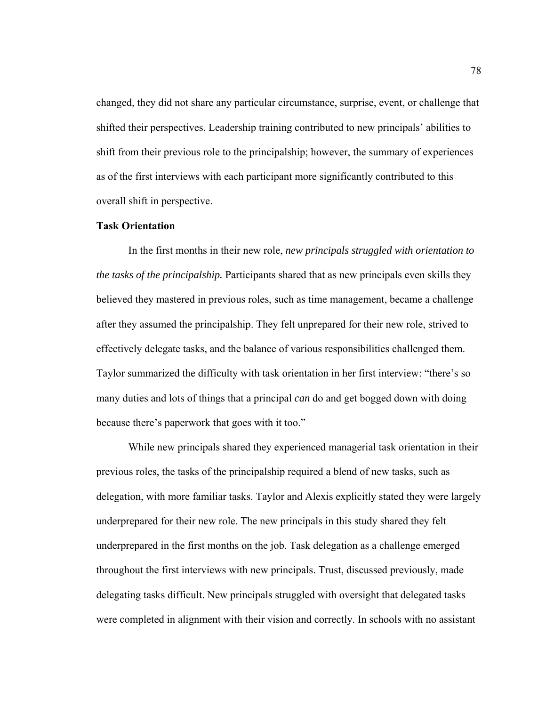changed, they did not share any particular circumstance, surprise, event, or challenge that shifted their perspectives. Leadership training contributed to new principals' abilities to shift from their previous role to the principalship; however, the summary of experiences as of the first interviews with each participant more significantly contributed to this overall shift in perspective.

#### **Task Orientation**

In the first months in their new role, *new principals struggled with orientation to the tasks of the principalship.* Participants shared that as new principals even skills they believed they mastered in previous roles, such as time management, became a challenge after they assumed the principalship. They felt unprepared for their new role, strived to effectively delegate tasks, and the balance of various responsibilities challenged them. Taylor summarized the difficulty with task orientation in her first interview: "there's so many duties and lots of things that a principal *can* do and get bogged down with doing because there's paperwork that goes with it too."

While new principals shared they experienced managerial task orientation in their previous roles, the tasks of the principalship required a blend of new tasks, such as delegation, with more familiar tasks. Taylor and Alexis explicitly stated they were largely underprepared for their new role. The new principals in this study shared they felt underprepared in the first months on the job. Task delegation as a challenge emerged throughout the first interviews with new principals. Trust, discussed previously, made delegating tasks difficult. New principals struggled with oversight that delegated tasks were completed in alignment with their vision and correctly. In schools with no assistant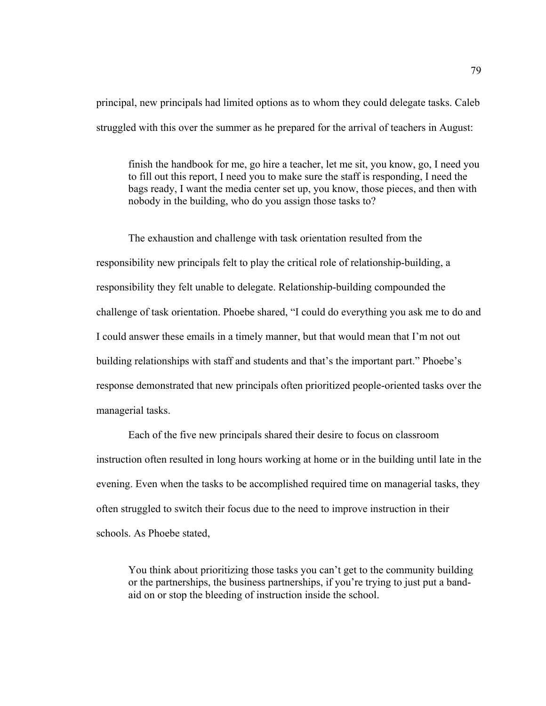principal, new principals had limited options as to whom they could delegate tasks. Caleb struggled with this over the summer as he prepared for the arrival of teachers in August:

finish the handbook for me, go hire a teacher, let me sit, you know, go, I need you to fill out this report, I need you to make sure the staff is responding, I need the bags ready, I want the media center set up, you know, those pieces, and then with nobody in the building, who do you assign those tasks to?

The exhaustion and challenge with task orientation resulted from the responsibility new principals felt to play the critical role of relationship-building, a responsibility they felt unable to delegate. Relationship-building compounded the challenge of task orientation. Phoebe shared, "I could do everything you ask me to do and I could answer these emails in a timely manner, but that would mean that I'm not out building relationships with staff and students and that's the important part." Phoebe's response demonstrated that new principals often prioritized people-oriented tasks over the managerial tasks.

Each of the five new principals shared their desire to focus on classroom instruction often resulted in long hours working at home or in the building until late in the evening. Even when the tasks to be accomplished required time on managerial tasks, they often struggled to switch their focus due to the need to improve instruction in their schools. As Phoebe stated,

You think about prioritizing those tasks you can't get to the community building or the partnerships, the business partnerships, if you're trying to just put a bandaid on or stop the bleeding of instruction inside the school.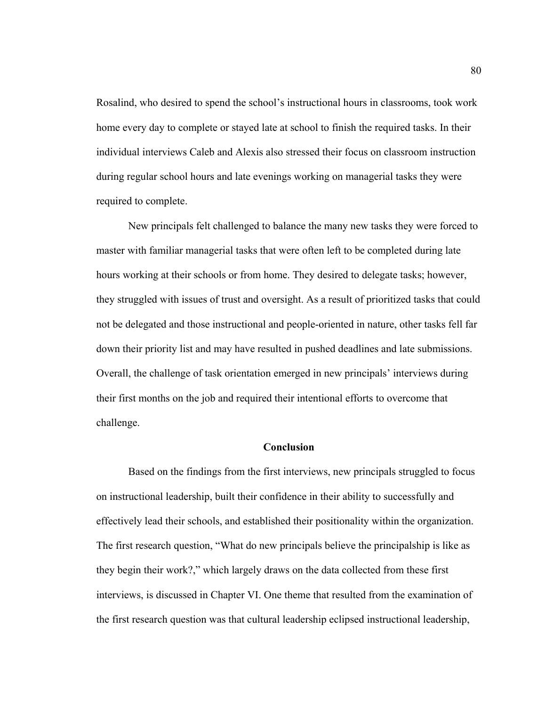Rosalind, who desired to spend the school's instructional hours in classrooms, took work home every day to complete or stayed late at school to finish the required tasks. In their individual interviews Caleb and Alexis also stressed their focus on classroom instruction during regular school hours and late evenings working on managerial tasks they were required to complete.

 New principals felt challenged to balance the many new tasks they were forced to master with familiar managerial tasks that were often left to be completed during late hours working at their schools or from home. They desired to delegate tasks; however, they struggled with issues of trust and oversight. As a result of prioritized tasks that could not be delegated and those instructional and people-oriented in nature, other tasks fell far down their priority list and may have resulted in pushed deadlines and late submissions. Overall, the challenge of task orientation emerged in new principals' interviews during their first months on the job and required their intentional efforts to overcome that challenge.

#### **Conclusion**

Based on the findings from the first interviews, new principals struggled to focus on instructional leadership, built their confidence in their ability to successfully and effectively lead their schools, and established their positionality within the organization. The first research question, "What do new principals believe the principalship is like as they begin their work?," which largely draws on the data collected from these first interviews, is discussed in Chapter VI. One theme that resulted from the examination of the first research question was that cultural leadership eclipsed instructional leadership,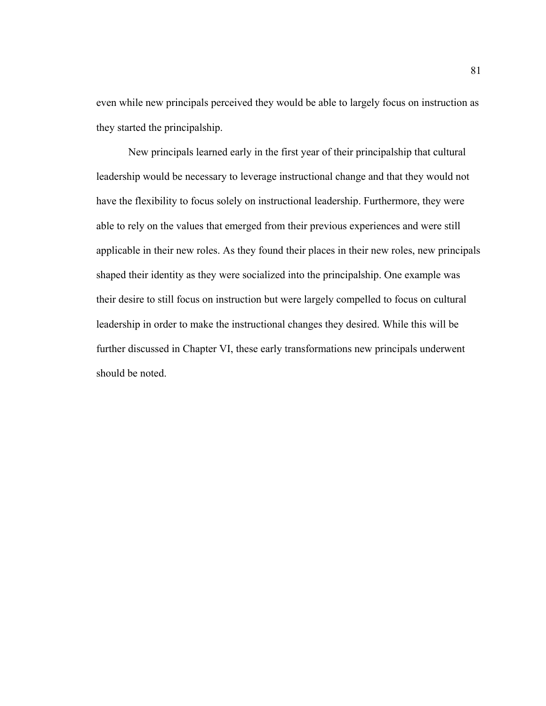even while new principals perceived they would be able to largely focus on instruction as they started the principalship.

New principals learned early in the first year of their principalship that cultural leadership would be necessary to leverage instructional change and that they would not have the flexibility to focus solely on instructional leadership. Furthermore, they were able to rely on the values that emerged from their previous experiences and were still applicable in their new roles. As they found their places in their new roles, new principals shaped their identity as they were socialized into the principalship. One example was their desire to still focus on instruction but were largely compelled to focus on cultural leadership in order to make the instructional changes they desired. While this will be further discussed in Chapter VI, these early transformations new principals underwent should be noted.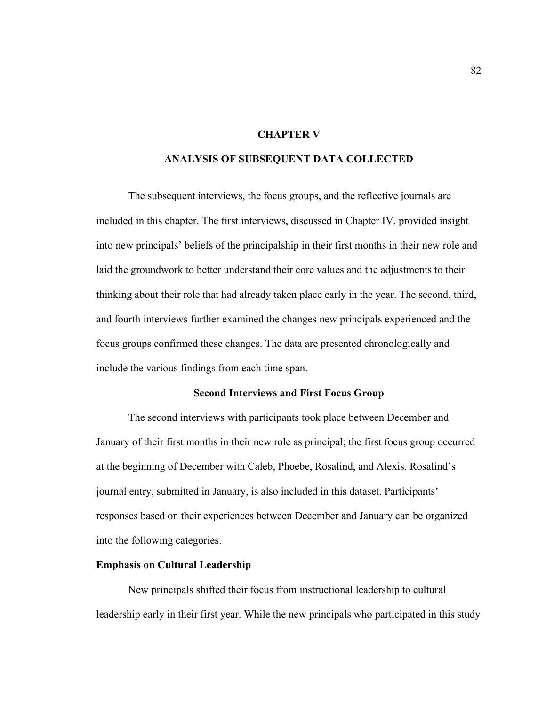# **CHAPTER V**

### **ANALYSIS OF SUBSEQUENT DATA COLLECTED**

 The subsequent interviews, the focus groups, and the reflective journals are included in this chapter. The first interviews, discussed in Chapter IV, provided insight into new principals' beliefs of the principalship in their first months in their new role and laid the groundwork to better understand their core values and the adjustments to their thinking about their role that had already taken place early in the year. The second, third, and fourth interviews further examined the changes new principals experienced and the focus groups confirmed these changes. The data are presented chronologically and include the various findings from each time span.

### **Second Interviews and First Focus Group**

The second interviews with participants took place between December and January of their first months in their new role as principal; the first focus group occurred at the beginning of December with Caleb, Phoebe, Rosalind, and Alexis. Rosalind's journal entry, submitted in January, is also included in this dataset. Participants' responses based on their experiences between December and January can be organized into the following categories.

### **Emphasis on Cultural Leadership**

New principals shifted their focus from instructional leadership to cultural leadership early in their first year. While the new principals who participated in this study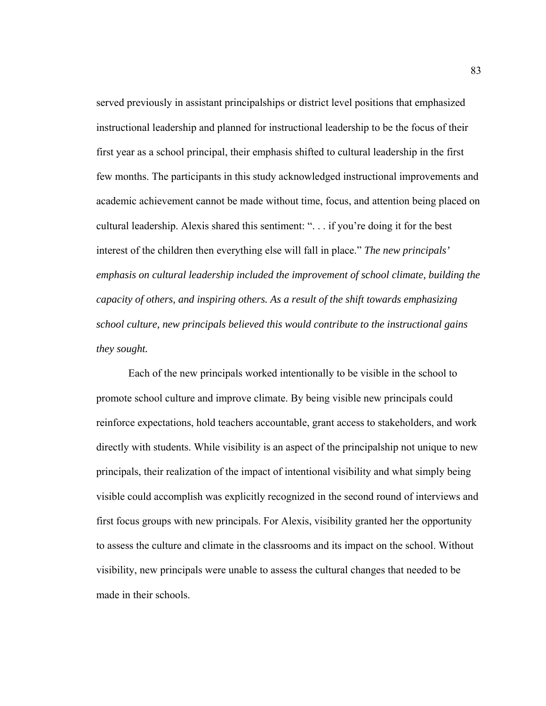served previously in assistant principalships or district level positions that emphasized instructional leadership and planned for instructional leadership to be the focus of their first year as a school principal, their emphasis shifted to cultural leadership in the first few months. The participants in this study acknowledged instructional improvements and academic achievement cannot be made without time, focus, and attention being placed on cultural leadership. Alexis shared this sentiment: ". . . if you're doing it for the best interest of the children then everything else will fall in place." *The new principals' emphasis on cultural leadership included the improvement of school climate, building the capacity of others, and inspiring others. As a result of the shift towards emphasizing school culture, new principals believed this would contribute to the instructional gains they sought.* 

 Each of the new principals worked intentionally to be visible in the school to promote school culture and improve climate. By being visible new principals could reinforce expectations, hold teachers accountable, grant access to stakeholders, and work directly with students. While visibility is an aspect of the principalship not unique to new principals, their realization of the impact of intentional visibility and what simply being visible could accomplish was explicitly recognized in the second round of interviews and first focus groups with new principals. For Alexis, visibility granted her the opportunity to assess the culture and climate in the classrooms and its impact on the school. Without visibility, new principals were unable to assess the cultural changes that needed to be made in their schools.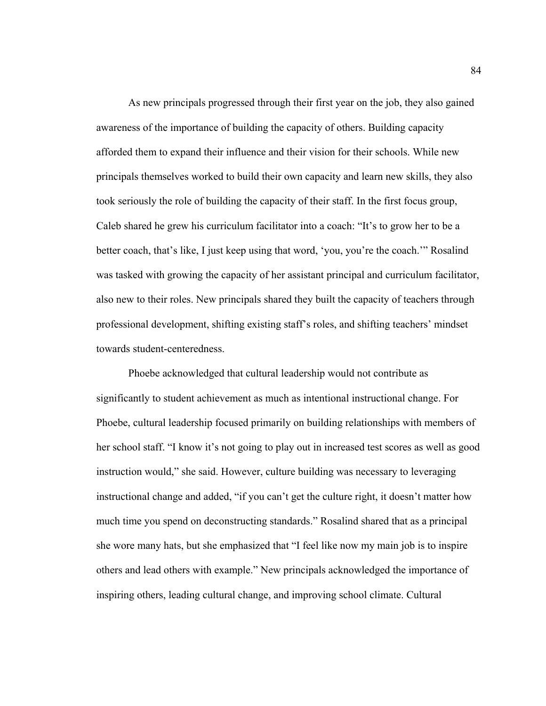As new principals progressed through their first year on the job, they also gained awareness of the importance of building the capacity of others. Building capacity afforded them to expand their influence and their vision for their schools. While new principals themselves worked to build their own capacity and learn new skills, they also took seriously the role of building the capacity of their staff. In the first focus group, Caleb shared he grew his curriculum facilitator into a coach: "It's to grow her to be a better coach, that's like, I just keep using that word, 'you, you're the coach.'" Rosalind was tasked with growing the capacity of her assistant principal and curriculum facilitator, also new to their roles. New principals shared they built the capacity of teachers through professional development, shifting existing staff's roles, and shifting teachers' mindset towards student-centeredness.

Phoebe acknowledged that cultural leadership would not contribute as significantly to student achievement as much as intentional instructional change. For Phoebe, cultural leadership focused primarily on building relationships with members of her school staff. "I know it's not going to play out in increased test scores as well as good instruction would," she said. However, culture building was necessary to leveraging instructional change and added, "if you can't get the culture right, it doesn't matter how much time you spend on deconstructing standards." Rosalind shared that as a principal she wore many hats, but she emphasized that "I feel like now my main job is to inspire others and lead others with example." New principals acknowledged the importance of inspiring others, leading cultural change, and improving school climate. Cultural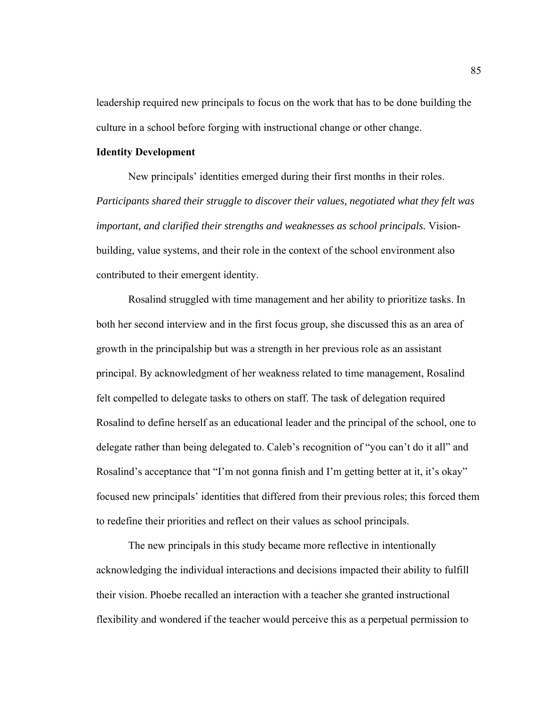leadership required new principals to focus on the work that has to be done building the culture in a school before forging with instructional change or other change.

#### **Identity Development**

New principals' identities emerged during their first months in their roles. *Participants shared their struggle to discover their values, negotiated what they felt was important, and clarified their strengths and weaknesses as school principals.* Visionbuilding, value systems, and their role in the context of the school environment also contributed to their emergent identity.

Rosalind struggled with time management and her ability to prioritize tasks. In both her second interview and in the first focus group, she discussed this as an area of growth in the principalship but was a strength in her previous role as an assistant principal. By acknowledgment of her weakness related to time management, Rosalind felt compelled to delegate tasks to others on staff. The task of delegation required Rosalind to define herself as an educational leader and the principal of the school, one to delegate rather than being delegated to. Caleb's recognition of "you can't do it all" and Rosalind's acceptance that "I'm not gonna finish and I'm getting better at it, it's okay" focused new principals' identities that differed from their previous roles; this forced them to redefine their priorities and reflect on their values as school principals.

The new principals in this study became more reflective in intentionally acknowledging the individual interactions and decisions impacted their ability to fulfill their vision. Phoebe recalled an interaction with a teacher she granted instructional flexibility and wondered if the teacher would perceive this as a perpetual permission to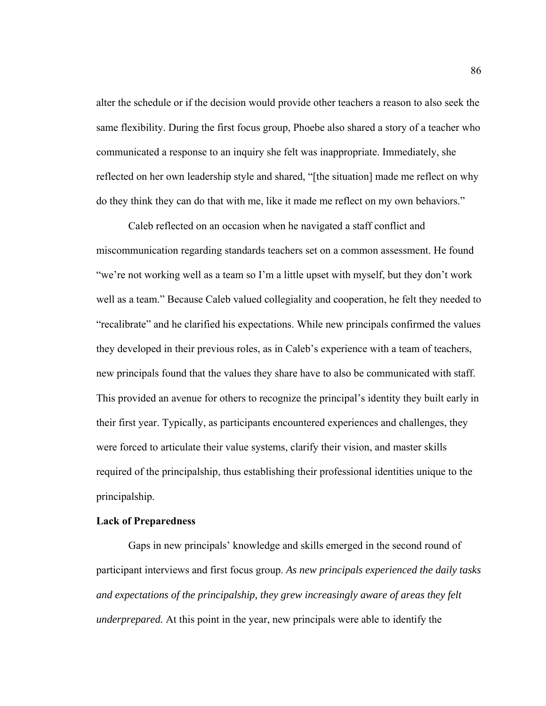alter the schedule or if the decision would provide other teachers a reason to also seek the same flexibility. During the first focus group, Phoebe also shared a story of a teacher who communicated a response to an inquiry she felt was inappropriate. Immediately, she reflected on her own leadership style and shared, "[the situation] made me reflect on why do they think they can do that with me, like it made me reflect on my own behaviors."

Caleb reflected on an occasion when he navigated a staff conflict and miscommunication regarding standards teachers set on a common assessment. He found "we're not working well as a team so I'm a little upset with myself, but they don't work well as a team." Because Caleb valued collegiality and cooperation, he felt they needed to "recalibrate" and he clarified his expectations. While new principals confirmed the values they developed in their previous roles, as in Caleb's experience with a team of teachers, new principals found that the values they share have to also be communicated with staff. This provided an avenue for others to recognize the principal's identity they built early in their first year. Typically, as participants encountered experiences and challenges, they were forced to articulate their value systems, clarify their vision, and master skills required of the principalship, thus establishing their professional identities unique to the principalship.

#### **Lack of Preparedness**

Gaps in new principals' knowledge and skills emerged in the second round of participant interviews and first focus group. *As new principals experienced the daily tasks and expectations of the principalship, they grew increasingly aware of areas they felt underprepared.* At this point in the year, new principals were able to identify the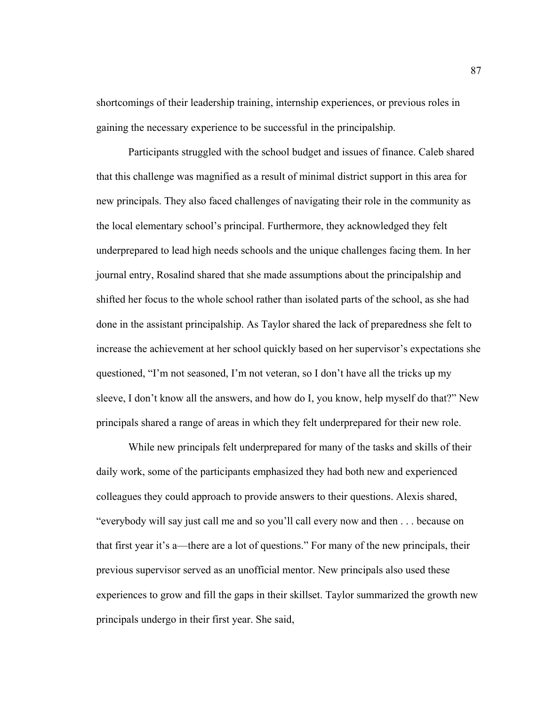shortcomings of their leadership training, internship experiences, or previous roles in gaining the necessary experience to be successful in the principalship.

Participants struggled with the school budget and issues of finance. Caleb shared that this challenge was magnified as a result of minimal district support in this area for new principals. They also faced challenges of navigating their role in the community as the local elementary school's principal. Furthermore, they acknowledged they felt underprepared to lead high needs schools and the unique challenges facing them. In her journal entry, Rosalind shared that she made assumptions about the principalship and shifted her focus to the whole school rather than isolated parts of the school, as she had done in the assistant principalship. As Taylor shared the lack of preparedness she felt to increase the achievement at her school quickly based on her supervisor's expectations she questioned, "I'm not seasoned, I'm not veteran, so I don't have all the tricks up my sleeve, I don't know all the answers, and how do I, you know, help myself do that?" New principals shared a range of areas in which they felt underprepared for their new role.

While new principals felt underprepared for many of the tasks and skills of their daily work, some of the participants emphasized they had both new and experienced colleagues they could approach to provide answers to their questions. Alexis shared, "everybody will say just call me and so you'll call every now and then . . . because on that first year it's a—there are a lot of questions." For many of the new principals, their previous supervisor served as an unofficial mentor. New principals also used these experiences to grow and fill the gaps in their skillset. Taylor summarized the growth new principals undergo in their first year. She said,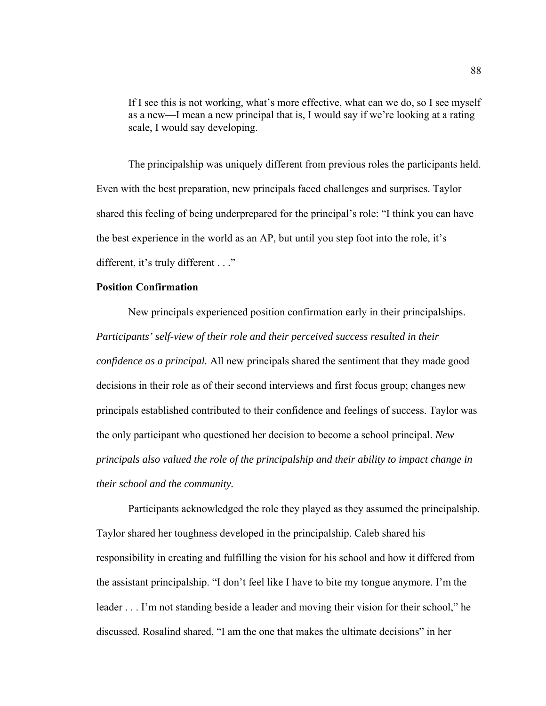If I see this is not working, what's more effective, what can we do, so I see myself as a new—I mean a new principal that is, I would say if we're looking at a rating scale, I would say developing.

 The principalship was uniquely different from previous roles the participants held. Even with the best preparation, new principals faced challenges and surprises. Taylor shared this feeling of being underprepared for the principal's role: "I think you can have the best experience in the world as an AP, but until you step foot into the role, it's different, it's truly different . . ."

#### **Position Confirmation**

New principals experienced position confirmation early in their principalships. *Participants' self-view of their role and their perceived success resulted in their confidence as a principal.* All new principals shared the sentiment that they made good decisions in their role as of their second interviews and first focus group; changes new principals established contributed to their confidence and feelings of success. Taylor was the only participant who questioned her decision to become a school principal. *New principals also valued the role of the principalship and their ability to impact change in their school and the community.* 

 Participants acknowledged the role they played as they assumed the principalship. Taylor shared her toughness developed in the principalship. Caleb shared his responsibility in creating and fulfilling the vision for his school and how it differed from the assistant principalship. "I don't feel like I have to bite my tongue anymore. I'm the leader . . . I'm not standing beside a leader and moving their vision for their school," he discussed. Rosalind shared, "I am the one that makes the ultimate decisions" in her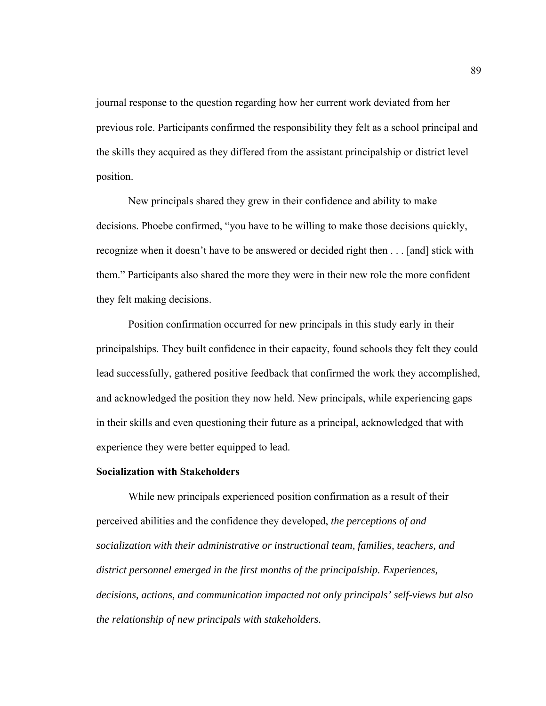journal response to the question regarding how her current work deviated from her previous role. Participants confirmed the responsibility they felt as a school principal and the skills they acquired as they differed from the assistant principalship or district level position.

New principals shared they grew in their confidence and ability to make decisions. Phoebe confirmed, "you have to be willing to make those decisions quickly, recognize when it doesn't have to be answered or decided right then . . . [and] stick with them." Participants also shared the more they were in their new role the more confident they felt making decisions.

 Position confirmation occurred for new principals in this study early in their principalships. They built confidence in their capacity, found schools they felt they could lead successfully, gathered positive feedback that confirmed the work they accomplished, and acknowledged the position they now held. New principals, while experiencing gaps in their skills and even questioning their future as a principal, acknowledged that with experience they were better equipped to lead.

# **Socialization with Stakeholders**

While new principals experienced position confirmation as a result of their perceived abilities and the confidence they developed, *the perceptions of and socialization with their administrative or instructional team, families, teachers, and district personnel emerged in the first months of the principalship. Experiences, decisions, actions, and communication impacted not only principals' self-views but also the relationship of new principals with stakeholders.*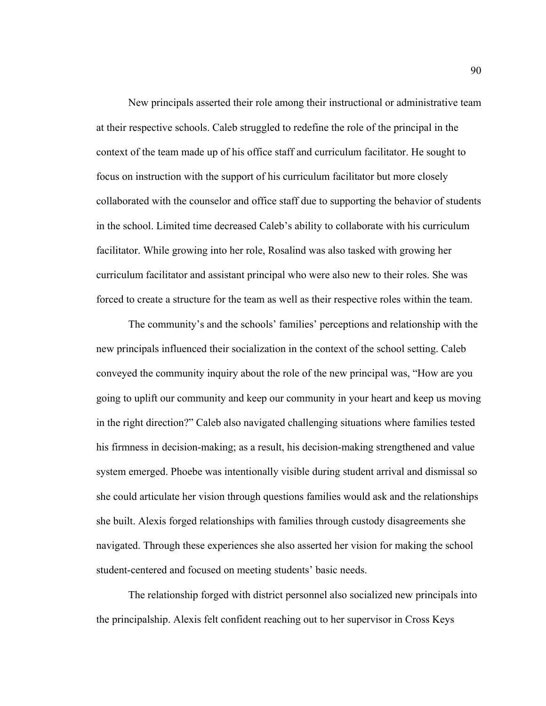New principals asserted their role among their instructional or administrative team at their respective schools. Caleb struggled to redefine the role of the principal in the context of the team made up of his office staff and curriculum facilitator. He sought to focus on instruction with the support of his curriculum facilitator but more closely collaborated with the counselor and office staff due to supporting the behavior of students in the school. Limited time decreased Caleb's ability to collaborate with his curriculum facilitator. While growing into her role, Rosalind was also tasked with growing her curriculum facilitator and assistant principal who were also new to their roles. She was forced to create a structure for the team as well as their respective roles within the team.

 The community's and the schools' families' perceptions and relationship with the new principals influenced their socialization in the context of the school setting. Caleb conveyed the community inquiry about the role of the new principal was, "How are you going to uplift our community and keep our community in your heart and keep us moving in the right direction?" Caleb also navigated challenging situations where families tested his firmness in decision-making; as a result, his decision-making strengthened and value system emerged. Phoebe was intentionally visible during student arrival and dismissal so she could articulate her vision through questions families would ask and the relationships she built. Alexis forged relationships with families through custody disagreements she navigated. Through these experiences she also asserted her vision for making the school student-centered and focused on meeting students' basic needs.

 The relationship forged with district personnel also socialized new principals into the principalship. Alexis felt confident reaching out to her supervisor in Cross Keys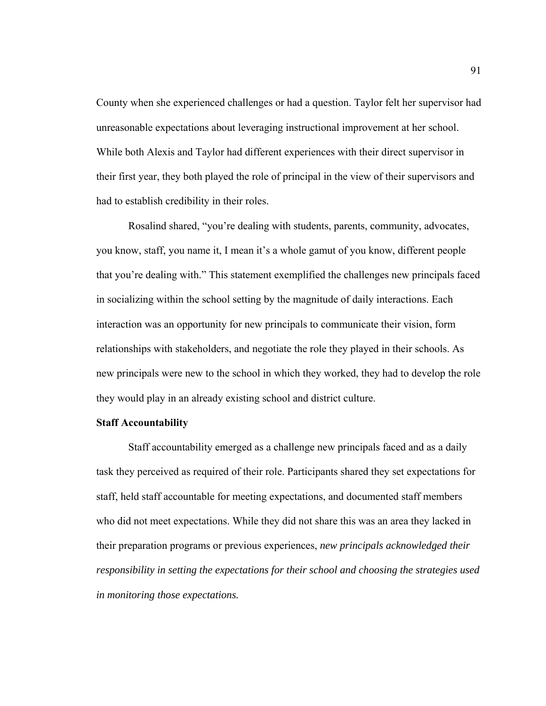County when she experienced challenges or had a question. Taylor felt her supervisor had unreasonable expectations about leveraging instructional improvement at her school. While both Alexis and Taylor had different experiences with their direct supervisor in their first year, they both played the role of principal in the view of their supervisors and had to establish credibility in their roles.

 Rosalind shared, "you're dealing with students, parents, community, advocates, you know, staff, you name it, I mean it's a whole gamut of you know, different people that you're dealing with." This statement exemplified the challenges new principals faced in socializing within the school setting by the magnitude of daily interactions. Each interaction was an opportunity for new principals to communicate their vision, form relationships with stakeholders, and negotiate the role they played in their schools. As new principals were new to the school in which they worked, they had to develop the role they would play in an already existing school and district culture.

#### **Staff Accountability**

Staff accountability emerged as a challenge new principals faced and as a daily task they perceived as required of their role. Participants shared they set expectations for staff, held staff accountable for meeting expectations, and documented staff members who did not meet expectations. While they did not share this was an area they lacked in their preparation programs or previous experiences, *new principals acknowledged their responsibility in setting the expectations for their school and choosing the strategies used in monitoring those expectations.*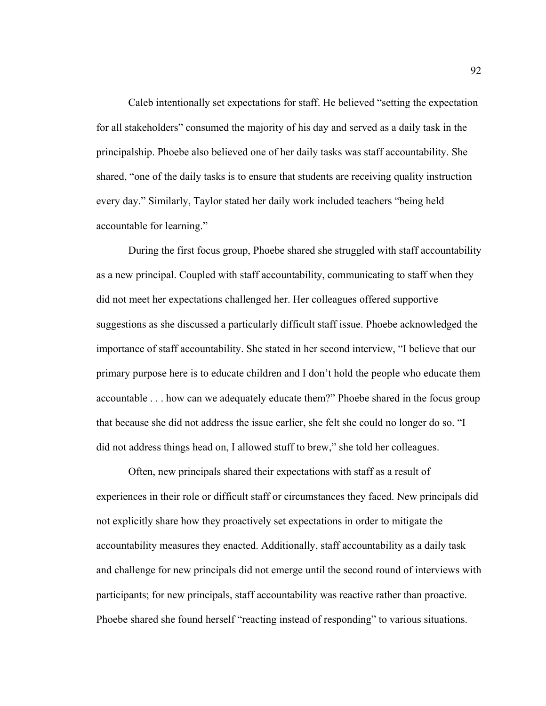Caleb intentionally set expectations for staff. He believed "setting the expectation for all stakeholders" consumed the majority of his day and served as a daily task in the principalship. Phoebe also believed one of her daily tasks was staff accountability. She shared, "one of the daily tasks is to ensure that students are receiving quality instruction every day." Similarly, Taylor stated her daily work included teachers "being held accountable for learning."

 During the first focus group, Phoebe shared she struggled with staff accountability as a new principal. Coupled with staff accountability, communicating to staff when they did not meet her expectations challenged her. Her colleagues offered supportive suggestions as she discussed a particularly difficult staff issue. Phoebe acknowledged the importance of staff accountability. She stated in her second interview, "I believe that our primary purpose here is to educate children and I don't hold the people who educate them accountable . . . how can we adequately educate them?" Phoebe shared in the focus group that because she did not address the issue earlier, she felt she could no longer do so. "I did not address things head on, I allowed stuff to brew," she told her colleagues.

 Often, new principals shared their expectations with staff as a result of experiences in their role or difficult staff or circumstances they faced. New principals did not explicitly share how they proactively set expectations in order to mitigate the accountability measures they enacted. Additionally, staff accountability as a daily task and challenge for new principals did not emerge until the second round of interviews with participants; for new principals, staff accountability was reactive rather than proactive. Phoebe shared she found herself "reacting instead of responding" to various situations.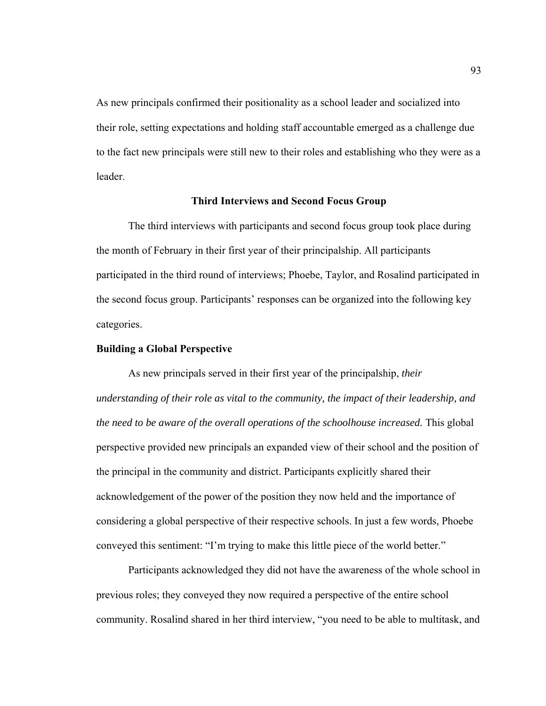As new principals confirmed their positionality as a school leader and socialized into their role, setting expectations and holding staff accountable emerged as a challenge due to the fact new principals were still new to their roles and establishing who they were as a leader.

# **Third Interviews and Second Focus Group**

The third interviews with participants and second focus group took place during the month of February in their first year of their principalship. All participants participated in the third round of interviews; Phoebe, Taylor, and Rosalind participated in the second focus group. Participants' responses can be organized into the following key categories.

### **Building a Global Perspective**

As new principals served in their first year of the principalship, *their understanding of their role as vital to the community, the impact of their leadership, and the need to be aware of the overall operations of the schoolhouse increased.* This global perspective provided new principals an expanded view of their school and the position of the principal in the community and district. Participants explicitly shared their acknowledgement of the power of the position they now held and the importance of considering a global perspective of their respective schools. In just a few words, Phoebe conveyed this sentiment: "I'm trying to make this little piece of the world better."

Participants acknowledged they did not have the awareness of the whole school in previous roles; they conveyed they now required a perspective of the entire school community. Rosalind shared in her third interview, "you need to be able to multitask, and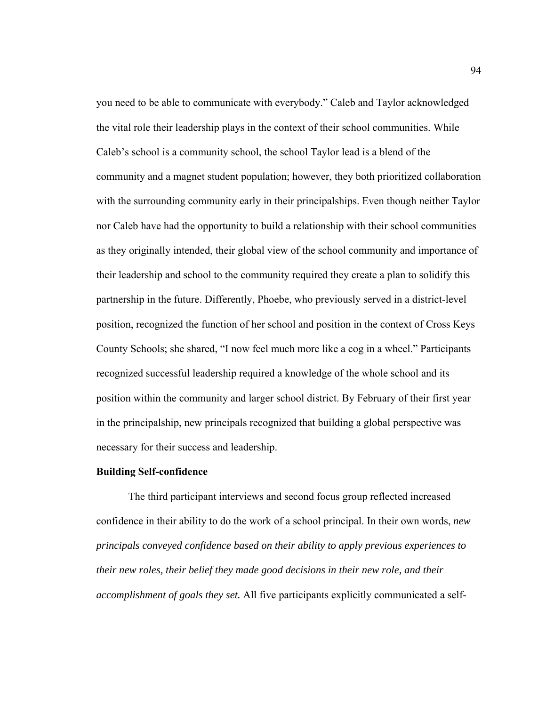you need to be able to communicate with everybody." Caleb and Taylor acknowledged the vital role their leadership plays in the context of their school communities. While Caleb's school is a community school, the school Taylor lead is a blend of the community and a magnet student population; however, they both prioritized collaboration with the surrounding community early in their principalships. Even though neither Taylor nor Caleb have had the opportunity to build a relationship with their school communities as they originally intended, their global view of the school community and importance of their leadership and school to the community required they create a plan to solidify this partnership in the future. Differently, Phoebe, who previously served in a district-level position, recognized the function of her school and position in the context of Cross Keys County Schools; she shared, "I now feel much more like a cog in a wheel." Participants recognized successful leadership required a knowledge of the whole school and its position within the community and larger school district. By February of their first year in the principalship, new principals recognized that building a global perspective was necessary for their success and leadership.

# **Building Self-confidence**

The third participant interviews and second focus group reflected increased confidence in their ability to do the work of a school principal. In their own words, *new principals conveyed confidence based on their ability to apply previous experiences to their new roles, their belief they made good decisions in their new role, and their accomplishment of goals they set.* All five participants explicitly communicated a self-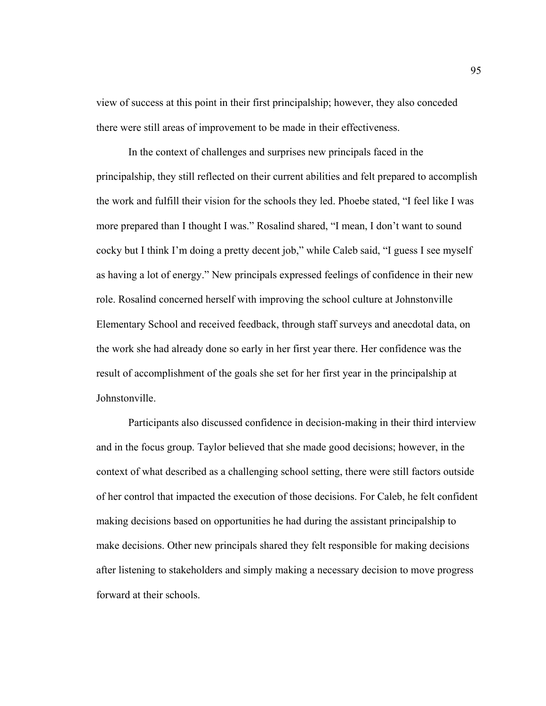view of success at this point in their first principalship; however, they also conceded there were still areas of improvement to be made in their effectiveness.

In the context of challenges and surprises new principals faced in the principalship, they still reflected on their current abilities and felt prepared to accomplish the work and fulfill their vision for the schools they led. Phoebe stated, "I feel like I was more prepared than I thought I was." Rosalind shared, "I mean, I don't want to sound cocky but I think I'm doing a pretty decent job," while Caleb said, "I guess I see myself as having a lot of energy." New principals expressed feelings of confidence in their new role. Rosalind concerned herself with improving the school culture at Johnstonville Elementary School and received feedback, through staff surveys and anecdotal data, on the work she had already done so early in her first year there. Her confidence was the result of accomplishment of the goals she set for her first year in the principalship at Johnstonville.

Participants also discussed confidence in decision-making in their third interview and in the focus group. Taylor believed that she made good decisions; however, in the context of what described as a challenging school setting, there were still factors outside of her control that impacted the execution of those decisions. For Caleb, he felt confident making decisions based on opportunities he had during the assistant principalship to make decisions. Other new principals shared they felt responsible for making decisions after listening to stakeholders and simply making a necessary decision to move progress forward at their schools.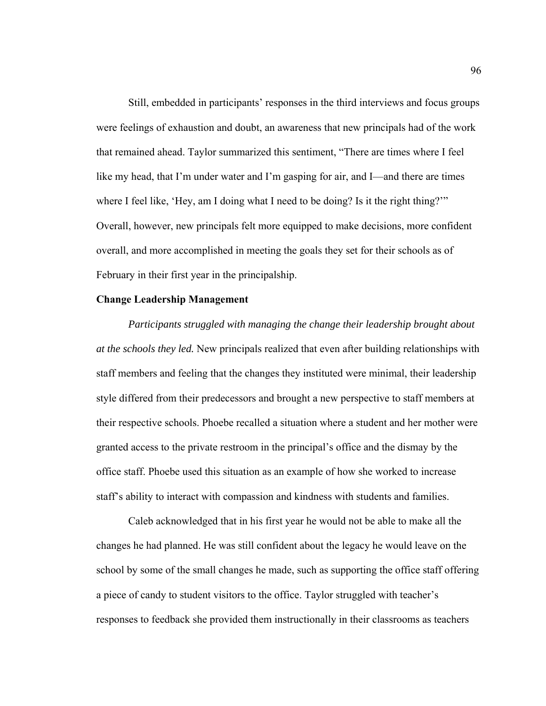Still, embedded in participants' responses in the third interviews and focus groups were feelings of exhaustion and doubt, an awareness that new principals had of the work that remained ahead. Taylor summarized this sentiment, "There are times where I feel like my head, that I'm under water and I'm gasping for air, and I—and there are times where I feel like, 'Hey, am I doing what I need to be doing? Is it the right thing?'" Overall, however, new principals felt more equipped to make decisions, more confident overall, and more accomplished in meeting the goals they set for their schools as of February in their first year in the principalship.

#### **Change Leadership Management**

*Participants struggled with managing the change their leadership brought about at the schools they led.* New principals realized that even after building relationships with staff members and feeling that the changes they instituted were minimal, their leadership style differed from their predecessors and brought a new perspective to staff members at their respective schools. Phoebe recalled a situation where a student and her mother were granted access to the private restroom in the principal's office and the dismay by the office staff. Phoebe used this situation as an example of how she worked to increase staff's ability to interact with compassion and kindness with students and families.

Caleb acknowledged that in his first year he would not be able to make all the changes he had planned. He was still confident about the legacy he would leave on the school by some of the small changes he made, such as supporting the office staff offering a piece of candy to student visitors to the office. Taylor struggled with teacher's responses to feedback she provided them instructionally in their classrooms as teachers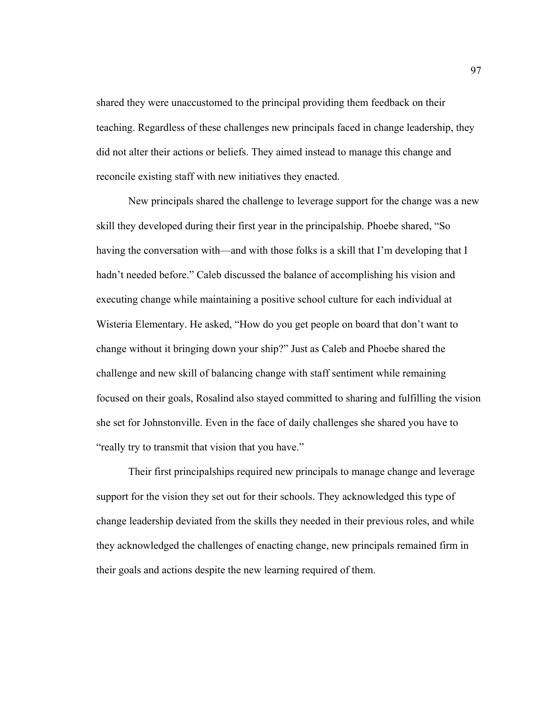shared they were unaccustomed to the principal providing them feedback on their teaching. Regardless of these challenges new principals faced in change leadership, they did not alter their actions or beliefs. They aimed instead to manage this change and reconcile existing staff with new initiatives they enacted.

New principals shared the challenge to leverage support for the change was a new skill they developed during their first year in the principalship. Phoebe shared, "So having the conversation with—and with those folks is a skill that I'm developing that I hadn't needed before." Caleb discussed the balance of accomplishing his vision and executing change while maintaining a positive school culture for each individual at Wisteria Elementary. He asked, "How do you get people on board that don't want to change without it bringing down your ship?" Just as Caleb and Phoebe shared the challenge and new skill of balancing change with staff sentiment while remaining focused on their goals, Rosalind also stayed committed to sharing and fulfilling the vision she set for Johnstonville. Even in the face of daily challenges she shared you have to "really try to transmit that vision that you have."

Their first principalships required new principals to manage change and leverage support for the vision they set out for their schools. They acknowledged this type of change leadership deviated from the skills they needed in their previous roles, and while they acknowledged the challenges of enacting change, new principals remained firm in their goals and actions despite the new learning required of them.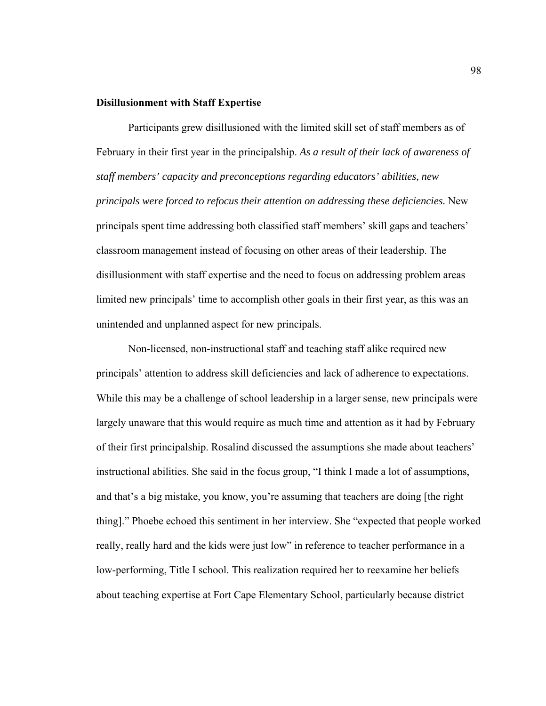## **Disillusionment with Staff Expertise**

Participants grew disillusioned with the limited skill set of staff members as of February in their first year in the principalship. *As a result of their lack of awareness of staff members' capacity and preconceptions regarding educators' abilities, new principals were forced to refocus their attention on addressing these deficiencies.* New principals spent time addressing both classified staff members' skill gaps and teachers' classroom management instead of focusing on other areas of their leadership. The disillusionment with staff expertise and the need to focus on addressing problem areas limited new principals' time to accomplish other goals in their first year, as this was an unintended and unplanned aspect for new principals.

 Non-licensed, non-instructional staff and teaching staff alike required new principals' attention to address skill deficiencies and lack of adherence to expectations. While this may be a challenge of school leadership in a larger sense, new principals were largely unaware that this would require as much time and attention as it had by February of their first principalship. Rosalind discussed the assumptions she made about teachers' instructional abilities. She said in the focus group, "I think I made a lot of assumptions, and that's a big mistake, you know, you're assuming that teachers are doing [the right thing]." Phoebe echoed this sentiment in her interview. She "expected that people worked really, really hard and the kids were just low" in reference to teacher performance in a low-performing, Title I school. This realization required her to reexamine her beliefs about teaching expertise at Fort Cape Elementary School, particularly because district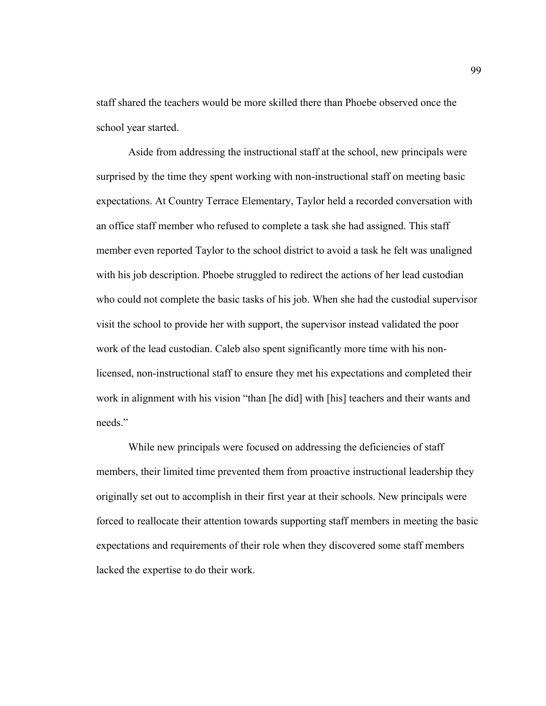staff shared the teachers would be more skilled there than Phoebe observed once the school year started.

 Aside from addressing the instructional staff at the school, new principals were surprised by the time they spent working with non-instructional staff on meeting basic expectations. At Country Terrace Elementary, Taylor held a recorded conversation with an office staff member who refused to complete a task she had assigned. This staff member even reported Taylor to the school district to avoid a task he felt was unaligned with his job description. Phoebe struggled to redirect the actions of her lead custodian who could not complete the basic tasks of his job. When she had the custodial supervisor visit the school to provide her with support, the supervisor instead validated the poor work of the lead custodian. Caleb also spent significantly more time with his nonlicensed, non-instructional staff to ensure they met his expectations and completed their work in alignment with his vision "than [he did] with [his] teachers and their wants and needs."

While new principals were focused on addressing the deficiencies of staff members, their limited time prevented them from proactive instructional leadership they originally set out to accomplish in their first year at their schools. New principals were forced to reallocate their attention towards supporting staff members in meeting the basic expectations and requirements of their role when they discovered some staff members lacked the expertise to do their work.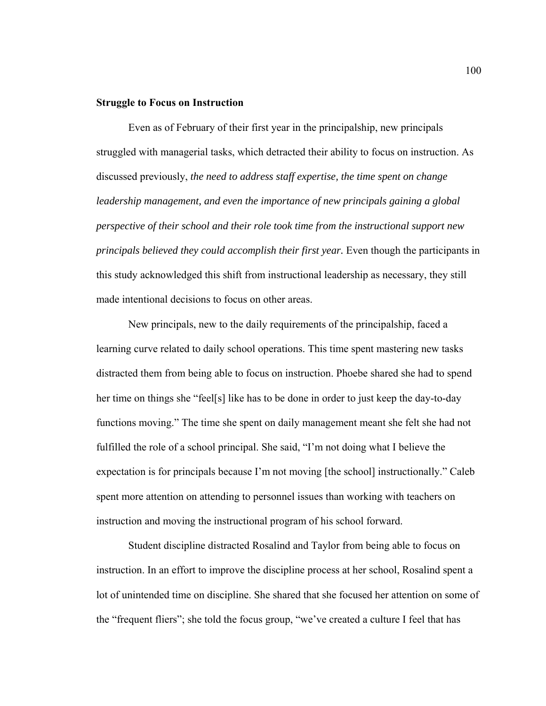## **Struggle to Focus on Instruction**

Even as of February of their first year in the principalship, new principals struggled with managerial tasks, which detracted their ability to focus on instruction. As discussed previously, *the need to address staff expertise, the time spent on change leadership management, and even the importance of new principals gaining a global perspective of their school and their role took time from the instructional support new principals believed they could accomplish their first year.* Even though the participants in this study acknowledged this shift from instructional leadership as necessary, they still made intentional decisions to focus on other areas.

 New principals, new to the daily requirements of the principalship, faced a learning curve related to daily school operations. This time spent mastering new tasks distracted them from being able to focus on instruction. Phoebe shared she had to spend her time on things she "feel[s] like has to be done in order to just keep the day-to-day functions moving." The time she spent on daily management meant she felt she had not fulfilled the role of a school principal. She said, "I'm not doing what I believe the expectation is for principals because I'm not moving [the school] instructionally." Caleb spent more attention on attending to personnel issues than working with teachers on instruction and moving the instructional program of his school forward.

Student discipline distracted Rosalind and Taylor from being able to focus on instruction. In an effort to improve the discipline process at her school, Rosalind spent a lot of unintended time on discipline. She shared that she focused her attention on some of the "frequent fliers"; she told the focus group, "we've created a culture I feel that has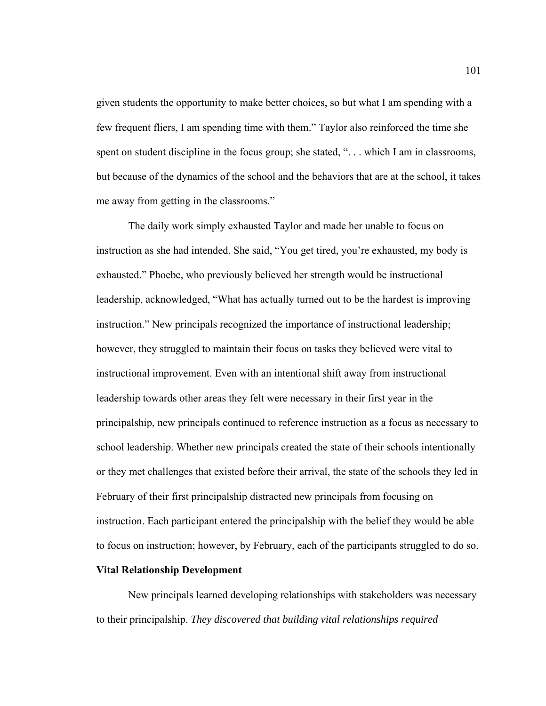given students the opportunity to make better choices, so but what I am spending with a few frequent fliers, I am spending time with them." Taylor also reinforced the time she spent on student discipline in the focus group; she stated, "... which I am in classrooms, but because of the dynamics of the school and the behaviors that are at the school, it takes me away from getting in the classrooms."

The daily work simply exhausted Taylor and made her unable to focus on instruction as she had intended. She said, "You get tired, you're exhausted, my body is exhausted." Phoebe, who previously believed her strength would be instructional leadership, acknowledged, "What has actually turned out to be the hardest is improving instruction." New principals recognized the importance of instructional leadership; however, they struggled to maintain their focus on tasks they believed were vital to instructional improvement. Even with an intentional shift away from instructional leadership towards other areas they felt were necessary in their first year in the principalship, new principals continued to reference instruction as a focus as necessary to school leadership. Whether new principals created the state of their schools intentionally or they met challenges that existed before their arrival, the state of the schools they led in February of their first principalship distracted new principals from focusing on instruction. Each participant entered the principalship with the belief they would be able to focus on instruction; however, by February, each of the participants struggled to do so.

## **Vital Relationship Development**

New principals learned developing relationships with stakeholders was necessary to their principalship. *They discovered that building vital relationships required*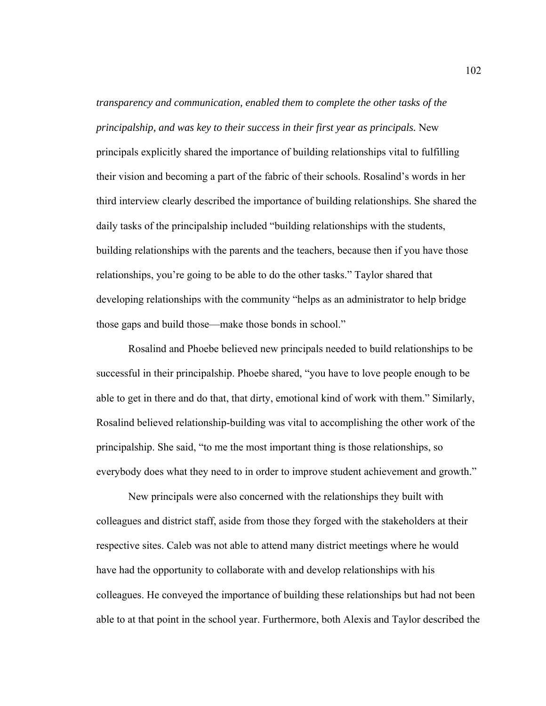*transparency and communication, enabled them to complete the other tasks of the principalship, and was key to their success in their first year as principals.* New principals explicitly shared the importance of building relationships vital to fulfilling their vision and becoming a part of the fabric of their schools. Rosalind's words in her third interview clearly described the importance of building relationships. She shared the daily tasks of the principalship included "building relationships with the students, building relationships with the parents and the teachers, because then if you have those relationships, you're going to be able to do the other tasks." Taylor shared that developing relationships with the community "helps as an administrator to help bridge those gaps and build those—make those bonds in school."

Rosalind and Phoebe believed new principals needed to build relationships to be successful in their principalship. Phoebe shared, "you have to love people enough to be able to get in there and do that, that dirty, emotional kind of work with them." Similarly, Rosalind believed relationship-building was vital to accomplishing the other work of the principalship. She said, "to me the most important thing is those relationships, so everybody does what they need to in order to improve student achievement and growth."

New principals were also concerned with the relationships they built with colleagues and district staff, aside from those they forged with the stakeholders at their respective sites. Caleb was not able to attend many district meetings where he would have had the opportunity to collaborate with and develop relationships with his colleagues. He conveyed the importance of building these relationships but had not been able to at that point in the school year. Furthermore, both Alexis and Taylor described the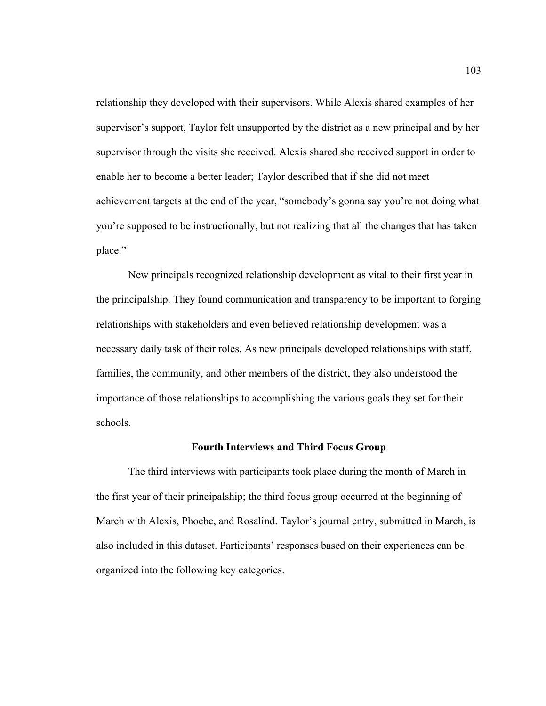relationship they developed with their supervisors. While Alexis shared examples of her supervisor's support, Taylor felt unsupported by the district as a new principal and by her supervisor through the visits she received. Alexis shared she received support in order to enable her to become a better leader; Taylor described that if she did not meet achievement targets at the end of the year, "somebody's gonna say you're not doing what you're supposed to be instructionally, but not realizing that all the changes that has taken place."

New principals recognized relationship development as vital to their first year in the principalship. They found communication and transparency to be important to forging relationships with stakeholders and even believed relationship development was a necessary daily task of their roles. As new principals developed relationships with staff, families, the community, and other members of the district, they also understood the importance of those relationships to accomplishing the various goals they set for their schools.

#### **Fourth Interviews and Third Focus Group**

The third interviews with participants took place during the month of March in the first year of their principalship; the third focus group occurred at the beginning of March with Alexis, Phoebe, and Rosalind. Taylor's journal entry, submitted in March, is also included in this dataset. Participants' responses based on their experiences can be organized into the following key categories.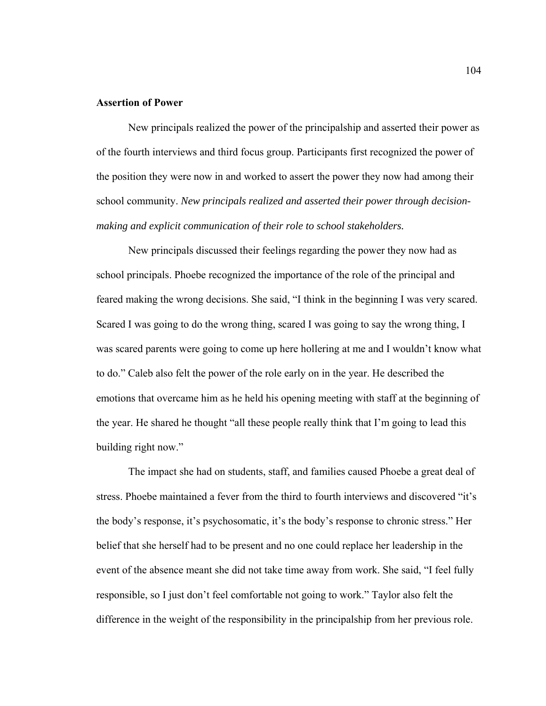# **Assertion of Power**

New principals realized the power of the principalship and asserted their power as of the fourth interviews and third focus group. Participants first recognized the power of the position they were now in and worked to assert the power they now had among their school community. *New principals realized and asserted their power through decisionmaking and explicit communication of their role to school stakeholders.* 

New principals discussed their feelings regarding the power they now had as school principals. Phoebe recognized the importance of the role of the principal and feared making the wrong decisions. She said, "I think in the beginning I was very scared. Scared I was going to do the wrong thing, scared I was going to say the wrong thing, I was scared parents were going to come up here hollering at me and I wouldn't know what to do." Caleb also felt the power of the role early on in the year. He described the emotions that overcame him as he held his opening meeting with staff at the beginning of the year. He shared he thought "all these people really think that I'm going to lead this building right now."

The impact she had on students, staff, and families caused Phoebe a great deal of stress. Phoebe maintained a fever from the third to fourth interviews and discovered "it's the body's response, it's psychosomatic, it's the body's response to chronic stress." Her belief that she herself had to be present and no one could replace her leadership in the event of the absence meant she did not take time away from work. She said, "I feel fully responsible, so I just don't feel comfortable not going to work." Taylor also felt the difference in the weight of the responsibility in the principalship from her previous role.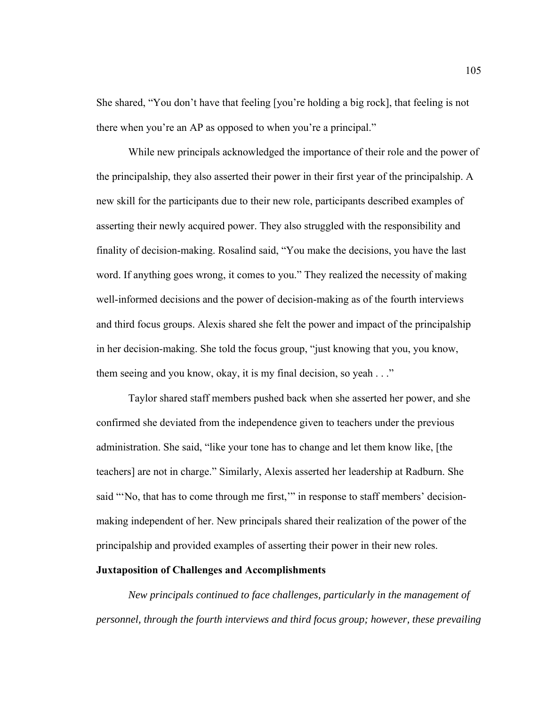She shared, "You don't have that feeling [you're holding a big rock], that feeling is not there when you're an AP as opposed to when you're a principal."

While new principals acknowledged the importance of their role and the power of the principalship, they also asserted their power in their first year of the principalship. A new skill for the participants due to their new role, participants described examples of asserting their newly acquired power. They also struggled with the responsibility and finality of decision-making. Rosalind said, "You make the decisions, you have the last word. If anything goes wrong, it comes to you." They realized the necessity of making well-informed decisions and the power of decision-making as of the fourth interviews and third focus groups. Alexis shared she felt the power and impact of the principalship in her decision-making. She told the focus group, "just knowing that you, you know, them seeing and you know, okay, it is my final decision, so yeah . . ."

Taylor shared staff members pushed back when she asserted her power, and she confirmed she deviated from the independence given to teachers under the previous administration. She said, "like your tone has to change and let them know like, [the teachers] are not in charge." Similarly, Alexis asserted her leadership at Radburn. She said "'No, that has to come through me first,'" in response to staff members' decisionmaking independent of her. New principals shared their realization of the power of the principalship and provided examples of asserting their power in their new roles.

## **Juxtaposition of Challenges and Accomplishments**

*New principals continued to face challenges, particularly in the management of personnel, through the fourth interviews and third focus group; however, these prevailing*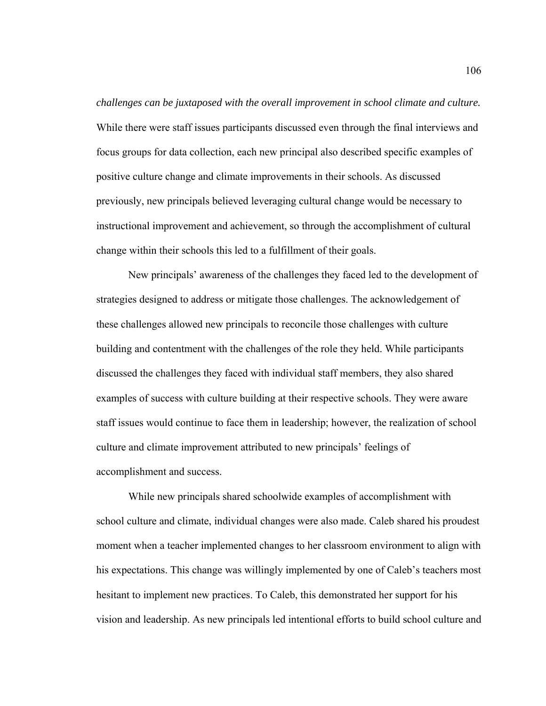*challenges can be juxtaposed with the overall improvement in school climate and culture.* While there were staff issues participants discussed even through the final interviews and focus groups for data collection, each new principal also described specific examples of positive culture change and climate improvements in their schools. As discussed previously, new principals believed leveraging cultural change would be necessary to instructional improvement and achievement, so through the accomplishment of cultural change within their schools this led to a fulfillment of their goals.

New principals' awareness of the challenges they faced led to the development of strategies designed to address or mitigate those challenges. The acknowledgement of these challenges allowed new principals to reconcile those challenges with culture building and contentment with the challenges of the role they held. While participants discussed the challenges they faced with individual staff members, they also shared examples of success with culture building at their respective schools. They were aware staff issues would continue to face them in leadership; however, the realization of school culture and climate improvement attributed to new principals' feelings of accomplishment and success.

While new principals shared schoolwide examples of accomplishment with school culture and climate, individual changes were also made. Caleb shared his proudest moment when a teacher implemented changes to her classroom environment to align with his expectations. This change was willingly implemented by one of Caleb's teachers most hesitant to implement new practices. To Caleb, this demonstrated her support for his vision and leadership. As new principals led intentional efforts to build school culture and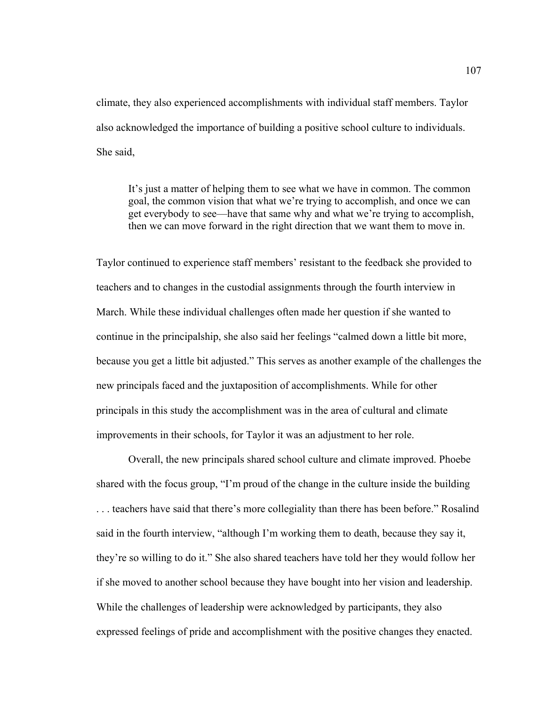climate, they also experienced accomplishments with individual staff members. Taylor also acknowledged the importance of building a positive school culture to individuals. She said,

It's just a matter of helping them to see what we have in common. The common goal, the common vision that what we're trying to accomplish, and once we can get everybody to see—have that same why and what we're trying to accomplish, then we can move forward in the right direction that we want them to move in.

Taylor continued to experience staff members' resistant to the feedback she provided to teachers and to changes in the custodial assignments through the fourth interview in March. While these individual challenges often made her question if she wanted to continue in the principalship, she also said her feelings "calmed down a little bit more, because you get a little bit adjusted." This serves as another example of the challenges the new principals faced and the juxtaposition of accomplishments. While for other principals in this study the accomplishment was in the area of cultural and climate improvements in their schools, for Taylor it was an adjustment to her role.

Overall, the new principals shared school culture and climate improved. Phoebe shared with the focus group, "I'm proud of the change in the culture inside the building . . . teachers have said that there's more collegiality than there has been before." Rosalind said in the fourth interview, "although I'm working them to death, because they say it, they're so willing to do it." She also shared teachers have told her they would follow her if she moved to another school because they have bought into her vision and leadership. While the challenges of leadership were acknowledged by participants, they also expressed feelings of pride and accomplishment with the positive changes they enacted.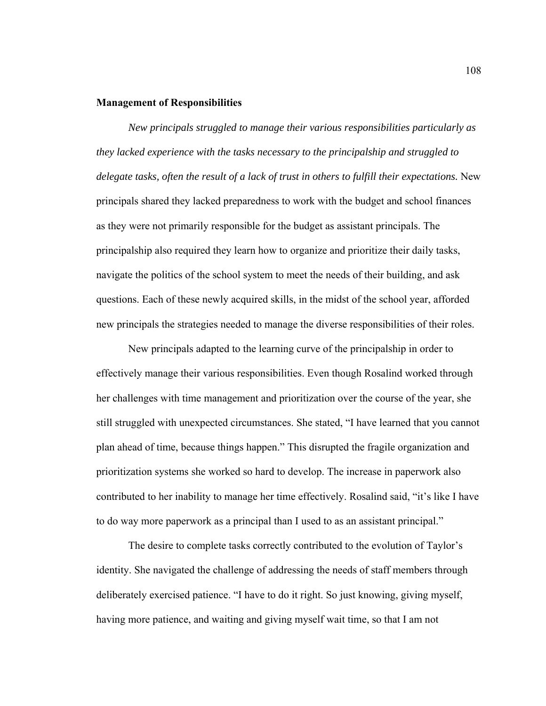## **Management of Responsibilities**

*New principals struggled to manage their various responsibilities particularly as they lacked experience with the tasks necessary to the principalship and struggled to delegate tasks, often the result of a lack of trust in others to fulfill their expectations.* New principals shared they lacked preparedness to work with the budget and school finances as they were not primarily responsible for the budget as assistant principals. The principalship also required they learn how to organize and prioritize their daily tasks, navigate the politics of the school system to meet the needs of their building, and ask questions. Each of these newly acquired skills, in the midst of the school year, afforded new principals the strategies needed to manage the diverse responsibilities of their roles.

New principals adapted to the learning curve of the principalship in order to effectively manage their various responsibilities. Even though Rosalind worked through her challenges with time management and prioritization over the course of the year, she still struggled with unexpected circumstances. She stated, "I have learned that you cannot plan ahead of time, because things happen." This disrupted the fragile organization and prioritization systems she worked so hard to develop. The increase in paperwork also contributed to her inability to manage her time effectively. Rosalind said, "it's like I have to do way more paperwork as a principal than I used to as an assistant principal."

The desire to complete tasks correctly contributed to the evolution of Taylor's identity. She navigated the challenge of addressing the needs of staff members through deliberately exercised patience. "I have to do it right. So just knowing, giving myself, having more patience, and waiting and giving myself wait time, so that I am not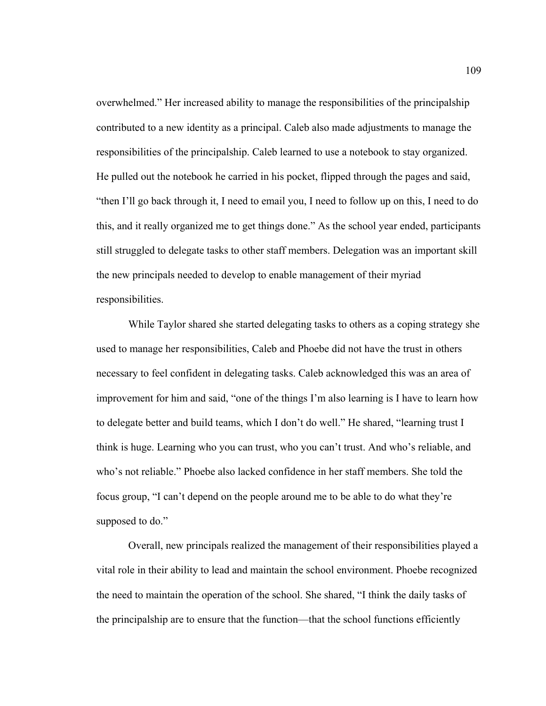overwhelmed." Her increased ability to manage the responsibilities of the principalship contributed to a new identity as a principal. Caleb also made adjustments to manage the responsibilities of the principalship. Caleb learned to use a notebook to stay organized. He pulled out the notebook he carried in his pocket, flipped through the pages and said, "then I'll go back through it, I need to email you, I need to follow up on this, I need to do this, and it really organized me to get things done." As the school year ended, participants still struggled to delegate tasks to other staff members. Delegation was an important skill the new principals needed to develop to enable management of their myriad responsibilities.

While Taylor shared she started delegating tasks to others as a coping strategy she used to manage her responsibilities, Caleb and Phoebe did not have the trust in others necessary to feel confident in delegating tasks. Caleb acknowledged this was an area of improvement for him and said, "one of the things I'm also learning is I have to learn how to delegate better and build teams, which I don't do well." He shared, "learning trust I think is huge. Learning who you can trust, who you can't trust. And who's reliable, and who's not reliable." Phoebe also lacked confidence in her staff members. She told the focus group, "I can't depend on the people around me to be able to do what they're supposed to do."

Overall, new principals realized the management of their responsibilities played a vital role in their ability to lead and maintain the school environment. Phoebe recognized the need to maintain the operation of the school. She shared, "I think the daily tasks of the principalship are to ensure that the function—that the school functions efficiently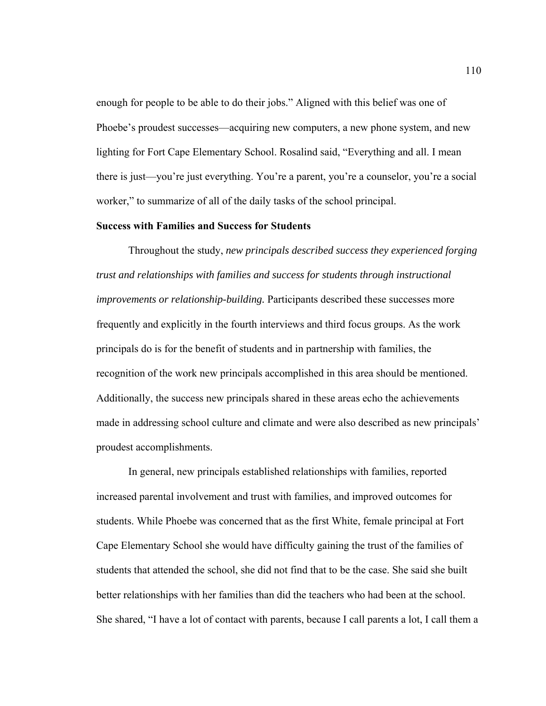enough for people to be able to do their jobs." Aligned with this belief was one of Phoebe's proudest successes—acquiring new computers, a new phone system, and new lighting for Fort Cape Elementary School. Rosalind said, "Everything and all. I mean there is just—you're just everything. You're a parent, you're a counselor, you're a social worker," to summarize of all of the daily tasks of the school principal.

### **Success with Families and Success for Students**

Throughout the study, *new principals described success they experienced forging trust and relationships with families and success for students through instructional improvements or relationship-building.* Participants described these successes more frequently and explicitly in the fourth interviews and third focus groups. As the work principals do is for the benefit of students and in partnership with families, the recognition of the work new principals accomplished in this area should be mentioned. Additionally, the success new principals shared in these areas echo the achievements made in addressing school culture and climate and were also described as new principals' proudest accomplishments.

 In general, new principals established relationships with families, reported increased parental involvement and trust with families, and improved outcomes for students. While Phoebe was concerned that as the first White, female principal at Fort Cape Elementary School she would have difficulty gaining the trust of the families of students that attended the school, she did not find that to be the case. She said she built better relationships with her families than did the teachers who had been at the school. She shared, "I have a lot of contact with parents, because I call parents a lot, I call them a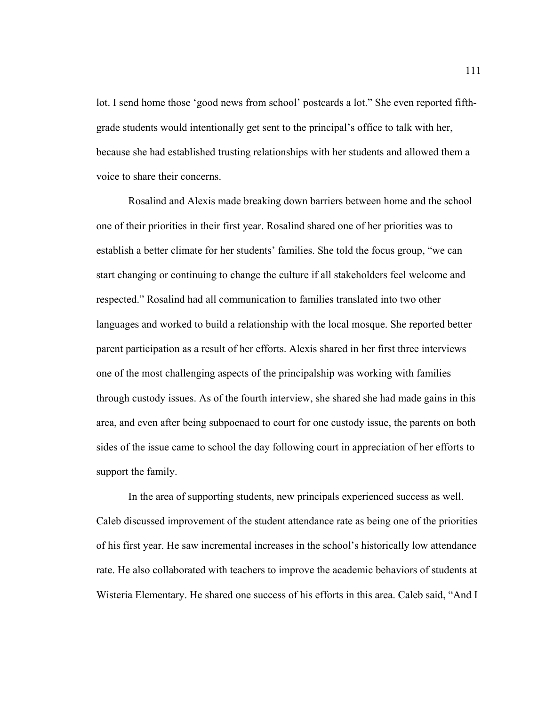lot. I send home those 'good news from school' postcards a lot." She even reported fifthgrade students would intentionally get sent to the principal's office to talk with her, because she had established trusting relationships with her students and allowed them a voice to share their concerns.

Rosalind and Alexis made breaking down barriers between home and the school one of their priorities in their first year. Rosalind shared one of her priorities was to establish a better climate for her students' families. She told the focus group, "we can start changing or continuing to change the culture if all stakeholders feel welcome and respected." Rosalind had all communication to families translated into two other languages and worked to build a relationship with the local mosque. She reported better parent participation as a result of her efforts. Alexis shared in her first three interviews one of the most challenging aspects of the principalship was working with families through custody issues. As of the fourth interview, she shared she had made gains in this area, and even after being subpoenaed to court for one custody issue, the parents on both sides of the issue came to school the day following court in appreciation of her efforts to support the family.

In the area of supporting students, new principals experienced success as well. Caleb discussed improvement of the student attendance rate as being one of the priorities of his first year. He saw incremental increases in the school's historically low attendance rate. He also collaborated with teachers to improve the academic behaviors of students at Wisteria Elementary. He shared one success of his efforts in this area. Caleb said, "And I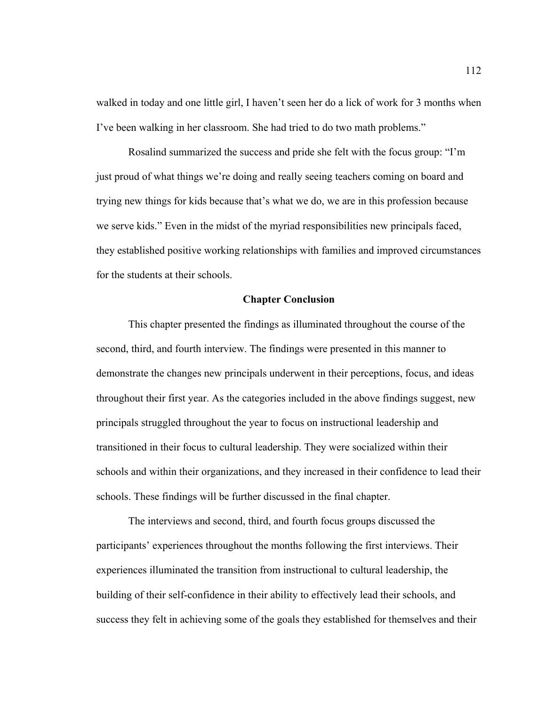walked in today and one little girl, I haven't seen her do a lick of work for 3 months when I've been walking in her classroom. She had tried to do two math problems."

Rosalind summarized the success and pride she felt with the focus group: "I'm just proud of what things we're doing and really seeing teachers coming on board and trying new things for kids because that's what we do, we are in this profession because we serve kids." Even in the midst of the myriad responsibilities new principals faced, they established positive working relationships with families and improved circumstances for the students at their schools.

## **Chapter Conclusion**

 This chapter presented the findings as illuminated throughout the course of the second, third, and fourth interview. The findings were presented in this manner to demonstrate the changes new principals underwent in their perceptions, focus, and ideas throughout their first year. As the categories included in the above findings suggest, new principals struggled throughout the year to focus on instructional leadership and transitioned in their focus to cultural leadership. They were socialized within their schools and within their organizations, and they increased in their confidence to lead their schools. These findings will be further discussed in the final chapter.

The interviews and second, third, and fourth focus groups discussed the participants' experiences throughout the months following the first interviews. Their experiences illuminated the transition from instructional to cultural leadership, the building of their self-confidence in their ability to effectively lead their schools, and success they felt in achieving some of the goals they established for themselves and their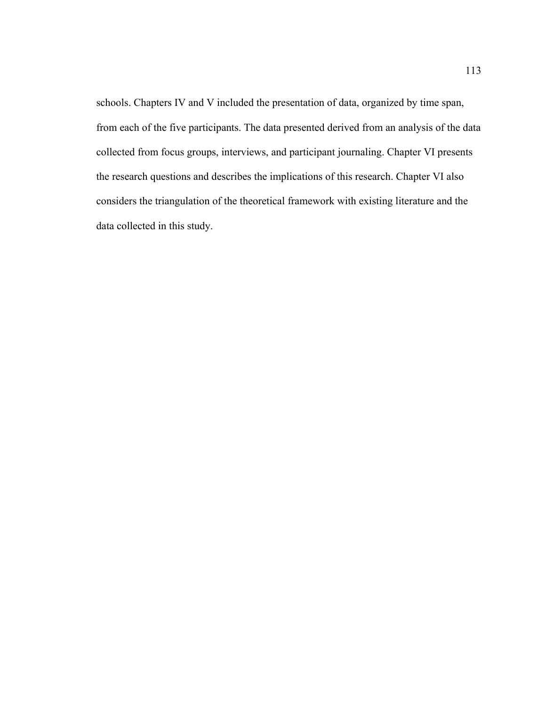schools. Chapters IV and V included the presentation of data, organized by time span, from each of the five participants. The data presented derived from an analysis of the data collected from focus groups, interviews, and participant journaling. Chapter VI presents the research questions and describes the implications of this research. Chapter VI also considers the triangulation of the theoretical framework with existing literature and the data collected in this study.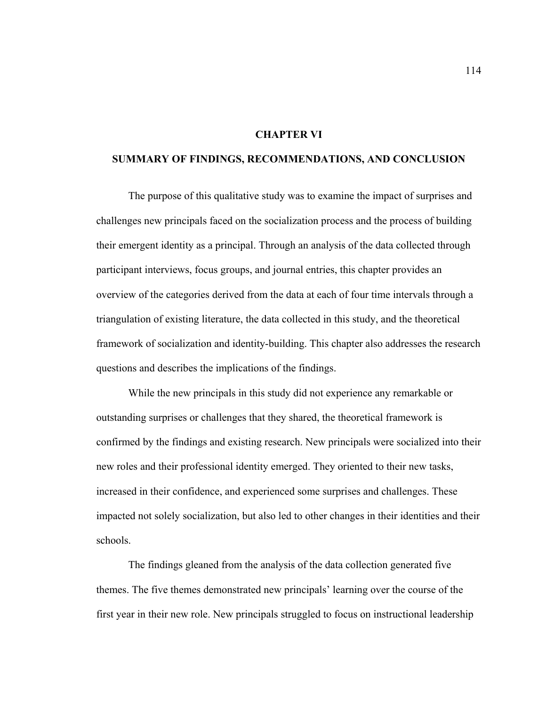# **CHAPTER VI**

# **SUMMARY OF FINDINGS, RECOMMENDATIONS, AND CONCLUSION**

The purpose of this qualitative study was to examine the impact of surprises and challenges new principals faced on the socialization process and the process of building their emergent identity as a principal. Through an analysis of the data collected through participant interviews, focus groups, and journal entries, this chapter provides an overview of the categories derived from the data at each of four time intervals through a triangulation of existing literature, the data collected in this study, and the theoretical framework of socialization and identity-building. This chapter also addresses the research questions and describes the implications of the findings.

While the new principals in this study did not experience any remarkable or outstanding surprises or challenges that they shared, the theoretical framework is confirmed by the findings and existing research. New principals were socialized into their new roles and their professional identity emerged. They oriented to their new tasks, increased in their confidence, and experienced some surprises and challenges. These impacted not solely socialization, but also led to other changes in their identities and their schools.

The findings gleaned from the analysis of the data collection generated five themes. The five themes demonstrated new principals' learning over the course of the first year in their new role. New principals struggled to focus on instructional leadership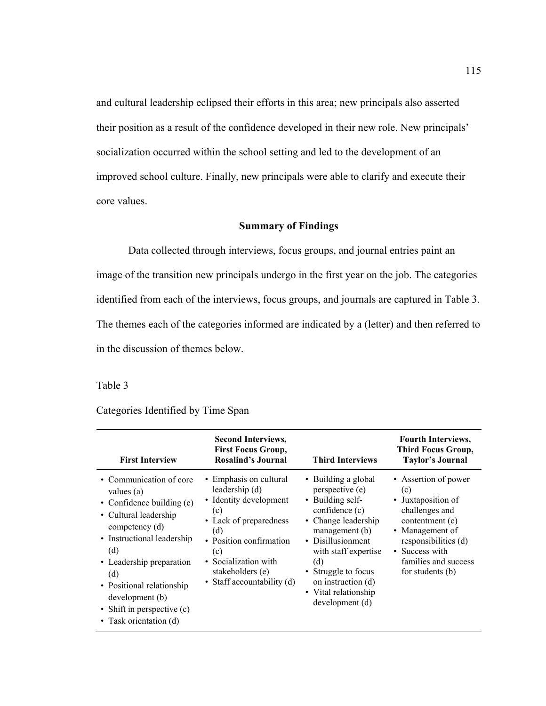and cultural leadership eclipsed their efforts in this area; new principals also asserted their position as a result of the confidence developed in their new role. New principals' socialization occurred within the school setting and led to the development of an improved school culture. Finally, new principals were able to clarify and execute their core values.

### **Summary of Findings**

Data collected through interviews, focus groups, and journal entries paint an image of the transition new principals undergo in the first year on the job. The categories identified from each of the interviews, focus groups, and journals are captured in Table 3. The themes each of the categories informed are indicated by a (letter) and then referred to in the discussion of themes below.

# Table 3

### Categories Identified by Time Span

| <b>First Interview</b>                                                                                                                                                                                                                                                                          | <b>Second Interviews,</b><br><b>First Focus Group,</b><br><b>Rosalind's Journal</b>                                                                                                                                    | <b>Third Interviews</b>                                                                                                                                                                                                                                           | <b>Fourth Interviews,</b><br>Third Focus Group,<br><b>Taylor's Journal</b>                                                                                                                      |
|-------------------------------------------------------------------------------------------------------------------------------------------------------------------------------------------------------------------------------------------------------------------------------------------------|------------------------------------------------------------------------------------------------------------------------------------------------------------------------------------------------------------------------|-------------------------------------------------------------------------------------------------------------------------------------------------------------------------------------------------------------------------------------------------------------------|-------------------------------------------------------------------------------------------------------------------------------------------------------------------------------------------------|
| • Communication of core<br>values (a)<br>• Confidence building (c)<br>• Cultural leadership<br>competency (d)<br>• Instructional leadership<br>(d)<br>• Leadership preparation<br>(d)<br>• Positional relationship<br>development (b)<br>• Shift in perspective $(c)$<br>• Task orientation (d) | • Emphasis on cultural<br>leadership (d)<br>• Identity development<br>(c)<br>• Lack of preparedness<br>(d)<br>• Position confirmation<br>(c)<br>• Socialization with<br>stakeholders (e)<br>• Staff accountability (d) | • Building a global<br>perspective (e)<br>• Building self-<br>confidence (c)<br>• Change leadership<br>management (b)<br>• Disillusionment<br>with staff expertise<br>(d)<br>• Struggle to focus<br>on instruction (d)<br>• Vital relationship<br>development (d) | • Assertion of power<br>(c)<br>• Juxtaposition of<br>challenges and<br>contentment (c)<br>• Management of<br>responsibilities (d)<br>• Success with<br>families and success<br>for students (b) |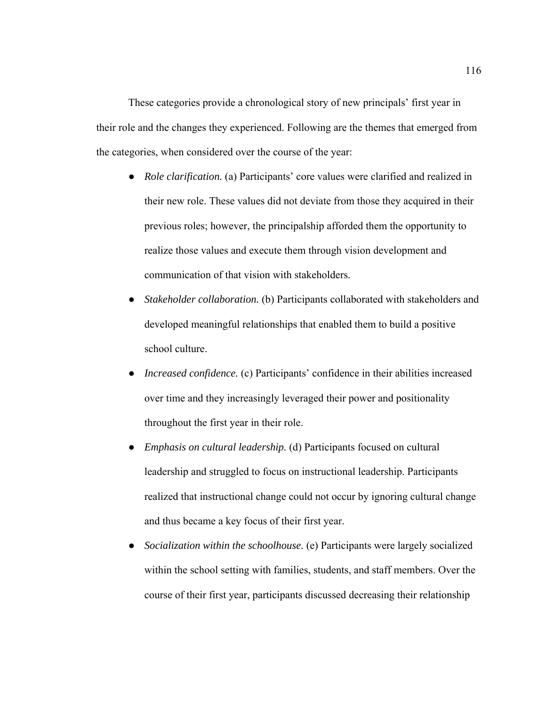These categories provide a chronological story of new principals' first year in their role and the changes they experienced. Following are the themes that emerged from the categories, when considered over the course of the year:

- *Role clarification.* (a) Participants' core values were clarified and realized in their new role. These values did not deviate from those they acquired in their previous roles; however, the principalship afforded them the opportunity to realize those values and execute them through vision development and communication of that vision with stakeholders.
- Stakeholder collaboration. (b) Participants collaborated with stakeholders and developed meaningful relationships that enabled them to build a positive school culture.
- *Increased confidence.* (c) Participants' confidence in their abilities increased over time and they increasingly leveraged their power and positionality throughout the first year in their role.
- *Emphasis on cultural leadership.* (d) Participants focused on cultural leadership and struggled to focus on instructional leadership. Participants realized that instructional change could not occur by ignoring cultural change and thus became a key focus of their first year.
- *Socialization within the schoolhouse.* (e) Participants were largely socialized within the school setting with families, students, and staff members. Over the course of their first year, participants discussed decreasing their relationship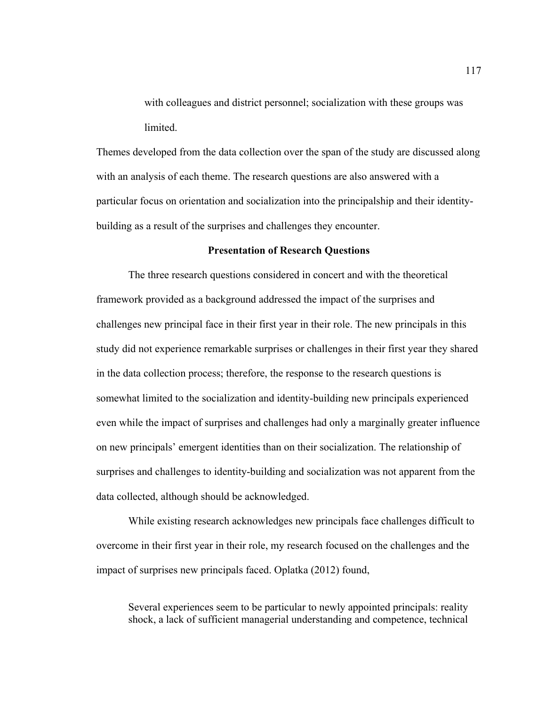with colleagues and district personnel; socialization with these groups was limited.

Themes developed from the data collection over the span of the study are discussed along with an analysis of each theme. The research questions are also answered with a particular focus on orientation and socialization into the principalship and their identitybuilding as a result of the surprises and challenges they encounter.

## **Presentation of Research Questions**

The three research questions considered in concert and with the theoretical framework provided as a background addressed the impact of the surprises and challenges new principal face in their first year in their role. The new principals in this study did not experience remarkable surprises or challenges in their first year they shared in the data collection process; therefore, the response to the research questions is somewhat limited to the socialization and identity-building new principals experienced even while the impact of surprises and challenges had only a marginally greater influence on new principals' emergent identities than on their socialization. The relationship of surprises and challenges to identity-building and socialization was not apparent from the data collected, although should be acknowledged.

While existing research acknowledges new principals face challenges difficult to overcome in their first year in their role, my research focused on the challenges and the impact of surprises new principals faced. Oplatka (2012) found,

Several experiences seem to be particular to newly appointed principals: reality shock, a lack of sufficient managerial understanding and competence, technical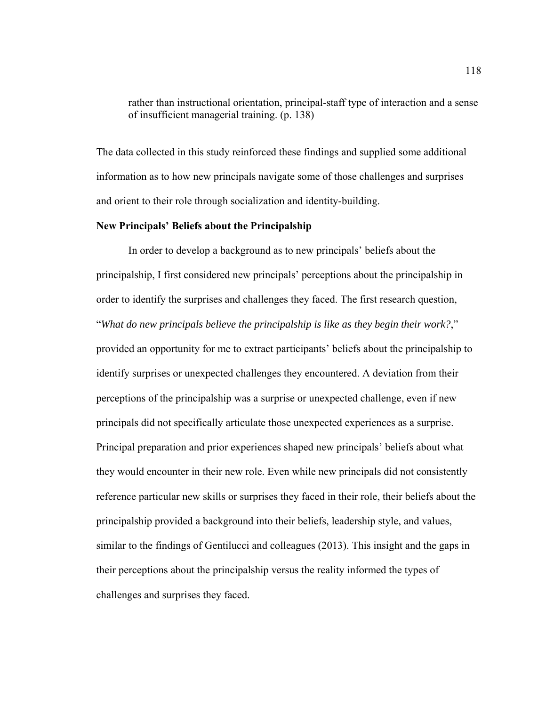rather than instructional orientation, principal-staff type of interaction and a sense of insufficient managerial training. (p. 138)

The data collected in this study reinforced these findings and supplied some additional information as to how new principals navigate some of those challenges and surprises and orient to their role through socialization and identity-building.

# **New Principals' Beliefs about the Principalship**

In order to develop a background as to new principals' beliefs about the principalship, I first considered new principals' perceptions about the principalship in order to identify the surprises and challenges they faced. The first research question, "*What do new principals believe the principalship is like as they begin their work?*," provided an opportunity for me to extract participants' beliefs about the principalship to identify surprises or unexpected challenges they encountered. A deviation from their perceptions of the principalship was a surprise or unexpected challenge, even if new principals did not specifically articulate those unexpected experiences as a surprise. Principal preparation and prior experiences shaped new principals' beliefs about what they would encounter in their new role. Even while new principals did not consistently reference particular new skills or surprises they faced in their role, their beliefs about the principalship provided a background into their beliefs, leadership style, and values, similar to the findings of Gentilucci and colleagues (2013). This insight and the gaps in their perceptions about the principalship versus the reality informed the types of challenges and surprises they faced.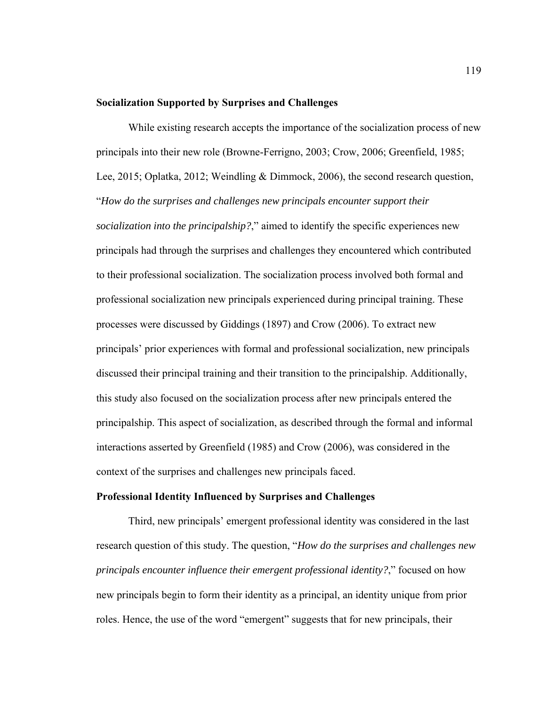#### **Socialization Supported by Surprises and Challenges**

While existing research accepts the importance of the socialization process of new principals into their new role (Browne-Ferrigno, 2003; Crow, 2006; Greenfield, 1985; Lee, 2015; Oplatka, 2012; Weindling & Dimmock, 2006), the second research question, "*How do the surprises and challenges new principals encounter support their socialization into the principalship?*," aimed to identify the specific experiences new principals had through the surprises and challenges they encountered which contributed to their professional socialization. The socialization process involved both formal and professional socialization new principals experienced during principal training. These processes were discussed by Giddings (1897) and Crow (2006). To extract new principals' prior experiences with formal and professional socialization, new principals discussed their principal training and their transition to the principalship. Additionally, this study also focused on the socialization process after new principals entered the principalship. This aspect of socialization, as described through the formal and informal interactions asserted by Greenfield (1985) and Crow (2006), was considered in the context of the surprises and challenges new principals faced.

## **Professional Identity Influenced by Surprises and Challenges**

Third, new principals' emergent professional identity was considered in the last research question of this study. The question, "*How do the surprises and challenges new principals encounter influence their emergent professional identity?*," focused on how new principals begin to form their identity as a principal, an identity unique from prior roles. Hence, the use of the word "emergent" suggests that for new principals, their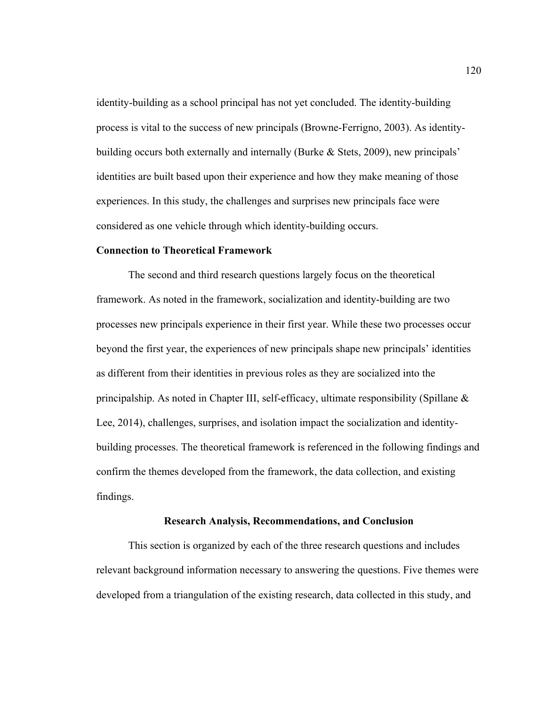identity-building as a school principal has not yet concluded. The identity-building process is vital to the success of new principals (Browne-Ferrigno, 2003). As identitybuilding occurs both externally and internally (Burke & Stets, 2009), new principals' identities are built based upon their experience and how they make meaning of those experiences. In this study, the challenges and surprises new principals face were considered as one vehicle through which identity-building occurs.

# **Connection to Theoretical Framework**

The second and third research questions largely focus on the theoretical framework. As noted in the framework, socialization and identity-building are two processes new principals experience in their first year. While these two processes occur beyond the first year, the experiences of new principals shape new principals' identities as different from their identities in previous roles as they are socialized into the principalship. As noted in Chapter III, self-efficacy, ultimate responsibility (Spillane & Lee, 2014), challenges, surprises, and isolation impact the socialization and identitybuilding processes. The theoretical framework is referenced in the following findings and confirm the themes developed from the framework, the data collection, and existing findings.

#### **Research Analysis, Recommendations, and Conclusion**

This section is organized by each of the three research questions and includes relevant background information necessary to answering the questions. Five themes were developed from a triangulation of the existing research, data collected in this study, and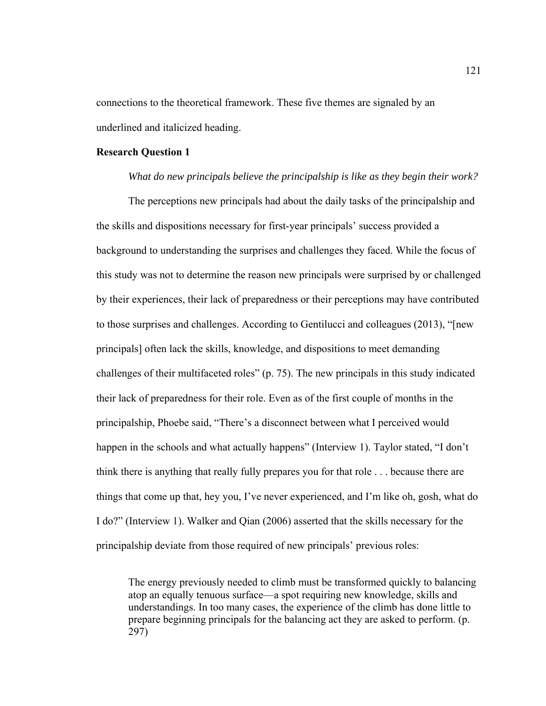connections to the theoretical framework. These five themes are signaled by an underlined and italicized heading.

#### **Research Question 1**

*What do new principals believe the principalship is like as they begin their work?* 

The perceptions new principals had about the daily tasks of the principalship and the skills and dispositions necessary for first-year principals' success provided a background to understanding the surprises and challenges they faced. While the focus of this study was not to determine the reason new principals were surprised by or challenged by their experiences, their lack of preparedness or their perceptions may have contributed to those surprises and challenges. According to Gentilucci and colleagues (2013), "[new principals] often lack the skills, knowledge, and dispositions to meet demanding challenges of their multifaceted roles" (p. 75). The new principals in this study indicated their lack of preparedness for their role. Even as of the first couple of months in the principalship, Phoebe said, "There's a disconnect between what I perceived would happen in the schools and what actually happens" (Interview 1). Taylor stated, "I don't think there is anything that really fully prepares you for that role . . . because there are things that come up that, hey you, I've never experienced, and I'm like oh, gosh, what do I do?" (Interview 1). Walker and Qian (2006) asserted that the skills necessary for the principalship deviate from those required of new principals' previous roles:

The energy previously needed to climb must be transformed quickly to balancing atop an equally tenuous surface—a spot requiring new knowledge, skills and understandings. In too many cases, the experience of the climb has done little to prepare beginning principals for the balancing act they are asked to perform. (p. 297)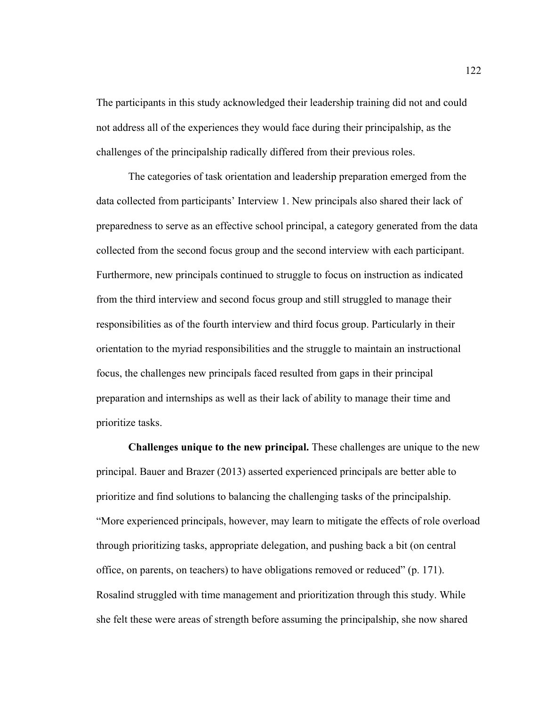The participants in this study acknowledged their leadership training did not and could not address all of the experiences they would face during their principalship, as the challenges of the principalship radically differed from their previous roles.

 The categories of task orientation and leadership preparation emerged from the data collected from participants' Interview 1. New principals also shared their lack of preparedness to serve as an effective school principal, a category generated from the data collected from the second focus group and the second interview with each participant. Furthermore, new principals continued to struggle to focus on instruction as indicated from the third interview and second focus group and still struggled to manage their responsibilities as of the fourth interview and third focus group. Particularly in their orientation to the myriad responsibilities and the struggle to maintain an instructional focus, the challenges new principals faced resulted from gaps in their principal preparation and internships as well as their lack of ability to manage their time and prioritize tasks.

**Challenges unique to the new principal.** These challenges are unique to the new principal. Bauer and Brazer (2013) asserted experienced principals are better able to prioritize and find solutions to balancing the challenging tasks of the principalship. "More experienced principals, however, may learn to mitigate the effects of role overload through prioritizing tasks, appropriate delegation, and pushing back a bit (on central office, on parents, on teachers) to have obligations removed or reduced" (p. 171). Rosalind struggled with time management and prioritization through this study. While she felt these were areas of strength before assuming the principalship, she now shared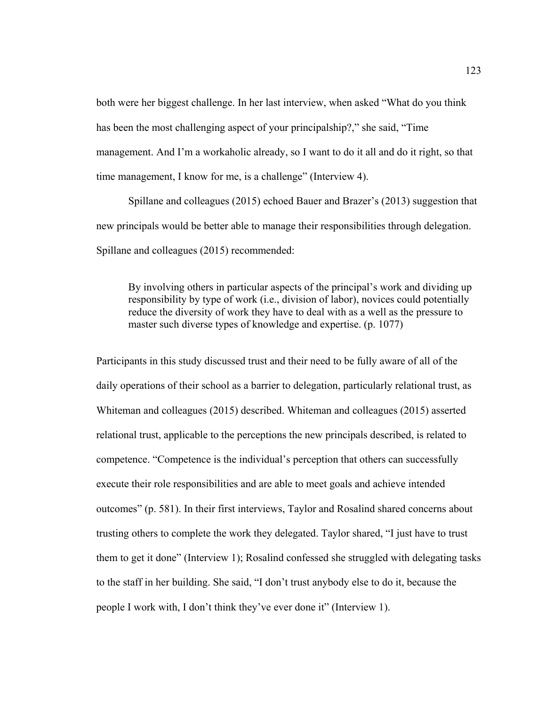both were her biggest challenge. In her last interview, when asked "What do you think has been the most challenging aspect of your principalship?," she said, "Time management. And I'm a workaholic already, so I want to do it all and do it right, so that time management, I know for me, is a challenge" (Interview 4).

 Spillane and colleagues (2015) echoed Bauer and Brazer's (2013) suggestion that new principals would be better able to manage their responsibilities through delegation. Spillane and colleagues (2015) recommended:

By involving others in particular aspects of the principal's work and dividing up responsibility by type of work (i.e., division of labor), novices could potentially reduce the diversity of work they have to deal with as a well as the pressure to master such diverse types of knowledge and expertise. (p. 1077)

Participants in this study discussed trust and their need to be fully aware of all of the daily operations of their school as a barrier to delegation, particularly relational trust, as Whiteman and colleagues (2015) described. Whiteman and colleagues (2015) asserted relational trust, applicable to the perceptions the new principals described, is related to competence. "Competence is the individual's perception that others can successfully execute their role responsibilities and are able to meet goals and achieve intended outcomes" (p. 581). In their first interviews, Taylor and Rosalind shared concerns about trusting others to complete the work they delegated. Taylor shared, "I just have to trust them to get it done" (Interview 1); Rosalind confessed she struggled with delegating tasks to the staff in her building. She said, "I don't trust anybody else to do it, because the people I work with, I don't think they've ever done it" (Interview 1).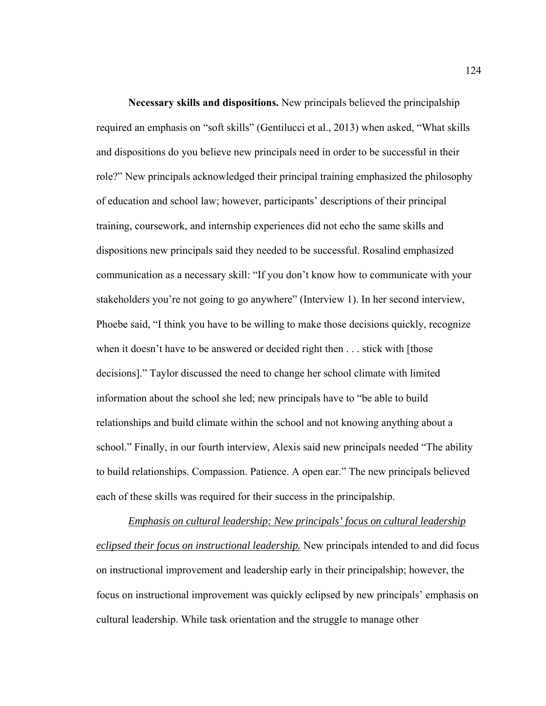**Necessary skills and dispositions.** New principals believed the principalship required an emphasis on "soft skills" (Gentilucci et al., 2013) when asked, "What skills and dispositions do you believe new principals need in order to be successful in their role?" New principals acknowledged their principal training emphasized the philosophy of education and school law; however, participants' descriptions of their principal training, coursework, and internship experiences did not echo the same skills and dispositions new principals said they needed to be successful. Rosalind emphasized communication as a necessary skill: "If you don't know how to communicate with your stakeholders you're not going to go anywhere" (Interview 1). In her second interview, Phoebe said, "I think you have to be willing to make those decisions quickly, recognize when it doesn't have to be answered or decided right then . . . stick with [those decisions]." Taylor discussed the need to change her school climate with limited information about the school she led; new principals have to "be able to build relationships and build climate within the school and not knowing anything about a school." Finally, in our fourth interview, Alexis said new principals needed "The ability to build relationships. Compassion. Patience. A open ear." The new principals believed each of these skills was required for their success in the principalship.

*Emphasis on cultural leadership: New principals' focus on cultural leadership eclipsed their focus on instructional leadership.* New principals intended to and did focus on instructional improvement and leadership early in their principalship; however, the focus on instructional improvement was quickly eclipsed by new principals' emphasis on cultural leadership. While task orientation and the struggle to manage other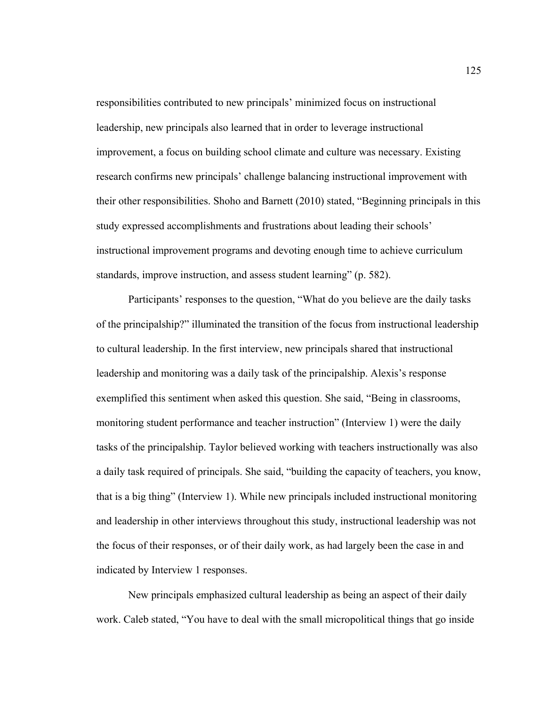responsibilities contributed to new principals' minimized focus on instructional leadership, new principals also learned that in order to leverage instructional improvement, a focus on building school climate and culture was necessary. Existing research confirms new principals' challenge balancing instructional improvement with their other responsibilities. Shoho and Barnett (2010) stated, "Beginning principals in this study expressed accomplishments and frustrations about leading their schools' instructional improvement programs and devoting enough time to achieve curriculum standards, improve instruction, and assess student learning" (p. 582).

Participants' responses to the question, "What do you believe are the daily tasks of the principalship?" illuminated the transition of the focus from instructional leadership to cultural leadership. In the first interview, new principals shared that instructional leadership and monitoring was a daily task of the principalship. Alexis's response exemplified this sentiment when asked this question. She said, "Being in classrooms, monitoring student performance and teacher instruction" (Interview 1) were the daily tasks of the principalship. Taylor believed working with teachers instructionally was also a daily task required of principals. She said, "building the capacity of teachers, you know, that is a big thing" (Interview 1). While new principals included instructional monitoring and leadership in other interviews throughout this study, instructional leadership was not the focus of their responses, or of their daily work, as had largely been the case in and indicated by Interview 1 responses.

 New principals emphasized cultural leadership as being an aspect of their daily work. Caleb stated, "You have to deal with the small micropolitical things that go inside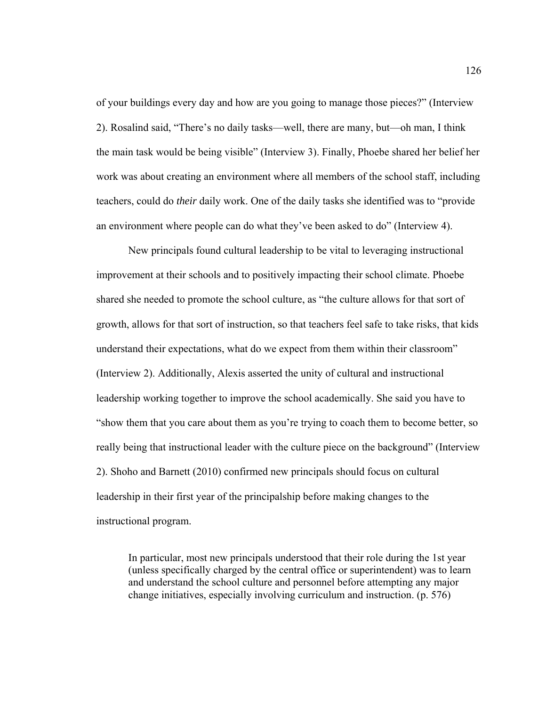of your buildings every day and how are you going to manage those pieces?" (Interview 2). Rosalind said, "There's no daily tasks—well, there are many, but—oh man, I think the main task would be being visible" (Interview 3). Finally, Phoebe shared her belief her work was about creating an environment where all members of the school staff, including teachers, could do *their* daily work. One of the daily tasks she identified was to "provide an environment where people can do what they've been asked to do" (Interview 4).

New principals found cultural leadership to be vital to leveraging instructional improvement at their schools and to positively impacting their school climate. Phoebe shared she needed to promote the school culture, as "the culture allows for that sort of growth, allows for that sort of instruction, so that teachers feel safe to take risks, that kids understand their expectations, what do we expect from them within their classroom" (Interview 2). Additionally, Alexis asserted the unity of cultural and instructional leadership working together to improve the school academically. She said you have to "show them that you care about them as you're trying to coach them to become better, so really being that instructional leader with the culture piece on the background" (Interview 2). Shoho and Barnett (2010) confirmed new principals should focus on cultural leadership in their first year of the principalship before making changes to the instructional program.

In particular, most new principals understood that their role during the 1st year (unless specifically charged by the central office or superintendent) was to learn and understand the school culture and personnel before attempting any major change initiatives, especially involving curriculum and instruction. (p. 576)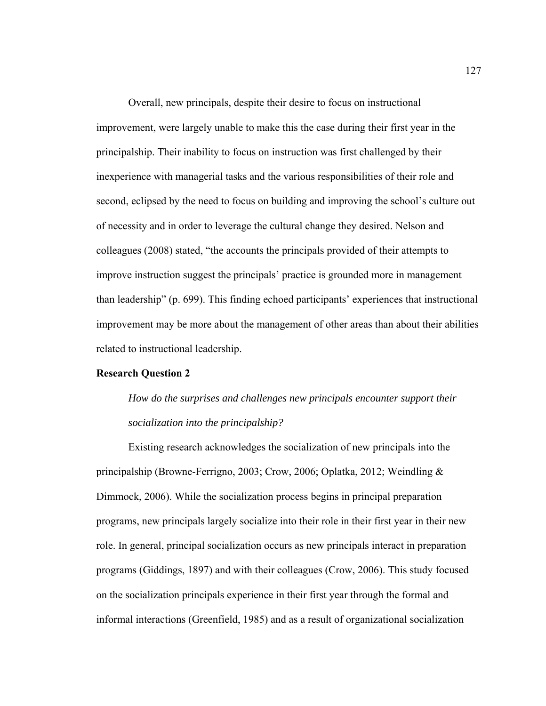Overall, new principals, despite their desire to focus on instructional improvement, were largely unable to make this the case during their first year in the principalship. Their inability to focus on instruction was first challenged by their inexperience with managerial tasks and the various responsibilities of their role and second, eclipsed by the need to focus on building and improving the school's culture out of necessity and in order to leverage the cultural change they desired. Nelson and colleagues (2008) stated, "the accounts the principals provided of their attempts to improve instruction suggest the principals' practice is grounded more in management than leadership" (p. 699). This finding echoed participants' experiences that instructional improvement may be more about the management of other areas than about their abilities related to instructional leadership.

#### **Research Question 2**

*How do the surprises and challenges new principals encounter support their socialization into the principalship?* 

 Existing research acknowledges the socialization of new principals into the principalship (Browne-Ferrigno, 2003; Crow, 2006; Oplatka, 2012; Weindling & Dimmock, 2006). While the socialization process begins in principal preparation programs, new principals largely socialize into their role in their first year in their new role. In general, principal socialization occurs as new principals interact in preparation programs (Giddings, 1897) and with their colleagues (Crow, 2006). This study focused on the socialization principals experience in their first year through the formal and informal interactions (Greenfield, 1985) and as a result of organizational socialization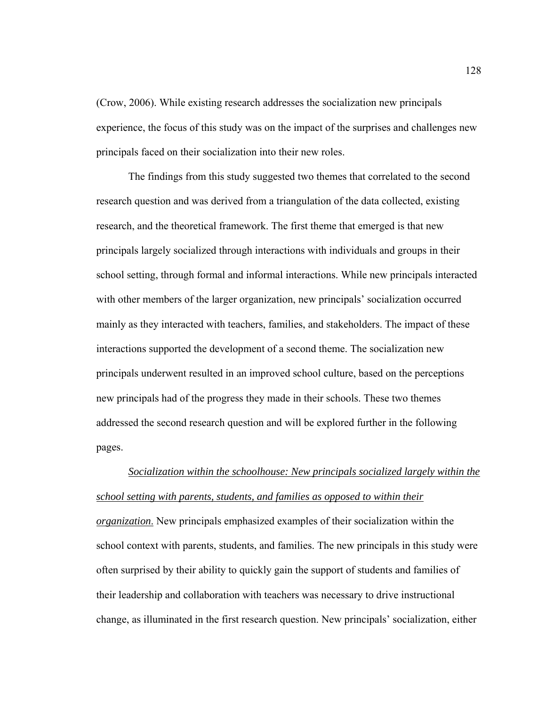(Crow, 2006). While existing research addresses the socialization new principals experience, the focus of this study was on the impact of the surprises and challenges new principals faced on their socialization into their new roles.

 The findings from this study suggested two themes that correlated to the second research question and was derived from a triangulation of the data collected, existing research, and the theoretical framework. The first theme that emerged is that new principals largely socialized through interactions with individuals and groups in their school setting, through formal and informal interactions. While new principals interacted with other members of the larger organization, new principals' socialization occurred mainly as they interacted with teachers, families, and stakeholders. The impact of these interactions supported the development of a second theme. The socialization new principals underwent resulted in an improved school culture, based on the perceptions new principals had of the progress they made in their schools. These two themes addressed the second research question and will be explored further in the following pages.

*Socialization within the schoolhouse: New principals socialized largely within the school setting with parents, students, and families as opposed to within their organization*. New principals emphasized examples of their socialization within the school context with parents, students, and families. The new principals in this study were often surprised by their ability to quickly gain the support of students and families of their leadership and collaboration with teachers was necessary to drive instructional change, as illuminated in the first research question. New principals' socialization, either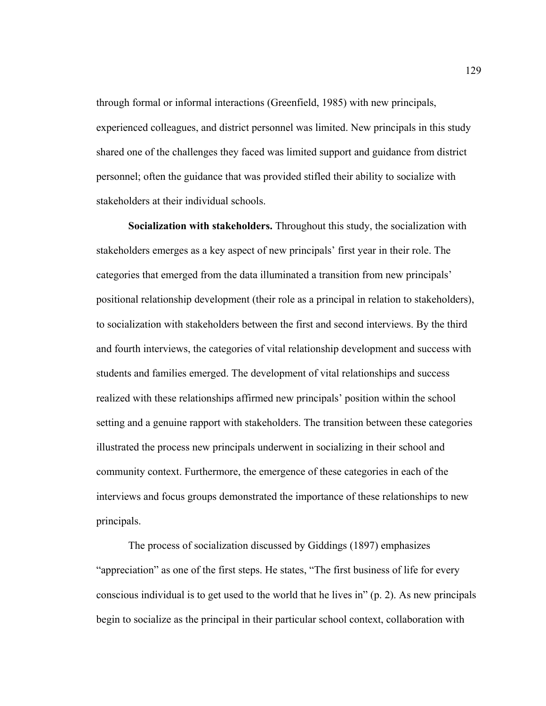through formal or informal interactions (Greenfield, 1985) with new principals, experienced colleagues, and district personnel was limited. New principals in this study shared one of the challenges they faced was limited support and guidance from district personnel; often the guidance that was provided stifled their ability to socialize with stakeholders at their individual schools.

**Socialization with stakeholders.** Throughout this study, the socialization with stakeholders emerges as a key aspect of new principals' first year in their role. The categories that emerged from the data illuminated a transition from new principals' positional relationship development (their role as a principal in relation to stakeholders), to socialization with stakeholders between the first and second interviews. By the third and fourth interviews, the categories of vital relationship development and success with students and families emerged. The development of vital relationships and success realized with these relationships affirmed new principals' position within the school setting and a genuine rapport with stakeholders. The transition between these categories illustrated the process new principals underwent in socializing in their school and community context. Furthermore, the emergence of these categories in each of the interviews and focus groups demonstrated the importance of these relationships to new principals.

The process of socialization discussed by Giddings (1897) emphasizes "appreciation" as one of the first steps. He states, "The first business of life for every conscious individual is to get used to the world that he lives in" (p. 2). As new principals begin to socialize as the principal in their particular school context, collaboration with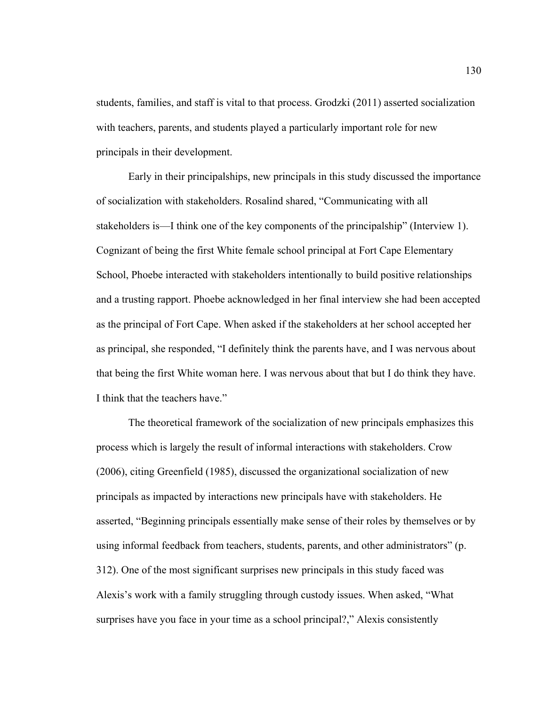students, families, and staff is vital to that process. Grodzki (2011) asserted socialization with teachers, parents, and students played a particularly important role for new principals in their development.

Early in their principalships, new principals in this study discussed the importance of socialization with stakeholders. Rosalind shared, "Communicating with all stakeholders is—I think one of the key components of the principalship" (Interview 1). Cognizant of being the first White female school principal at Fort Cape Elementary School, Phoebe interacted with stakeholders intentionally to build positive relationships and a trusting rapport. Phoebe acknowledged in her final interview she had been accepted as the principal of Fort Cape. When asked if the stakeholders at her school accepted her as principal, she responded, "I definitely think the parents have, and I was nervous about that being the first White woman here. I was nervous about that but I do think they have. I think that the teachers have."

The theoretical framework of the socialization of new principals emphasizes this process which is largely the result of informal interactions with stakeholders. Crow (2006), citing Greenfield (1985), discussed the organizational socialization of new principals as impacted by interactions new principals have with stakeholders. He asserted, "Beginning principals essentially make sense of their roles by themselves or by using informal feedback from teachers, students, parents, and other administrators" (p. 312). One of the most significant surprises new principals in this study faced was Alexis's work with a family struggling through custody issues. When asked, "What surprises have you face in your time as a school principal?," Alexis consistently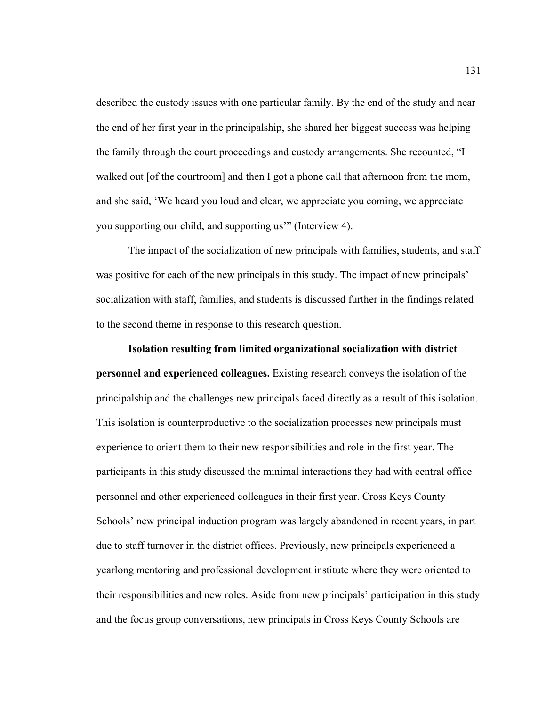described the custody issues with one particular family. By the end of the study and near the end of her first year in the principalship, she shared her biggest success was helping the family through the court proceedings and custody arrangements. She recounted, "I walked out [of the courtroom] and then I got a phone call that afternoon from the mom, and she said, 'We heard you loud and clear, we appreciate you coming, we appreciate you supporting our child, and supporting us'" (Interview 4).

 The impact of the socialization of new principals with families, students, and staff was positive for each of the new principals in this study. The impact of new principals' socialization with staff, families, and students is discussed further in the findings related to the second theme in response to this research question.

**Isolation resulting from limited organizational socialization with district personnel and experienced colleagues.** Existing research conveys the isolation of the principalship and the challenges new principals faced directly as a result of this isolation. This isolation is counterproductive to the socialization processes new principals must experience to orient them to their new responsibilities and role in the first year. The participants in this study discussed the minimal interactions they had with central office personnel and other experienced colleagues in their first year. Cross Keys County Schools' new principal induction program was largely abandoned in recent years, in part due to staff turnover in the district offices. Previously, new principals experienced a yearlong mentoring and professional development institute where they were oriented to their responsibilities and new roles. Aside from new principals' participation in this study and the focus group conversations, new principals in Cross Keys County Schools are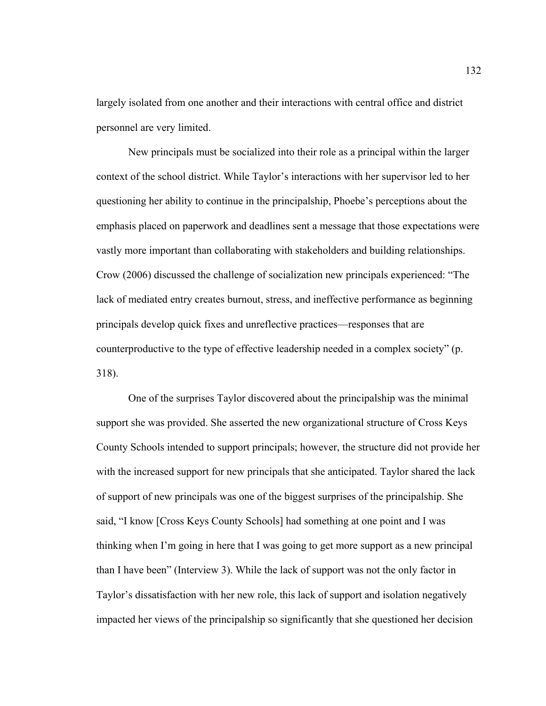largely isolated from one another and their interactions with central office and district personnel are very limited.

New principals must be socialized into their role as a principal within the larger context of the school district. While Taylor's interactions with her supervisor led to her questioning her ability to continue in the principalship, Phoebe's perceptions about the emphasis placed on paperwork and deadlines sent a message that those expectations were vastly more important than collaborating with stakeholders and building relationships. Crow (2006) discussed the challenge of socialization new principals experienced: "The lack of mediated entry creates burnout, stress, and ineffective performance as beginning principals develop quick fixes and unreflective practices—responses that are counterproductive to the type of effective leadership needed in a complex society" (p. 318).

One of the surprises Taylor discovered about the principalship was the minimal support she was provided. She asserted the new organizational structure of Cross Keys County Schools intended to support principals; however, the structure did not provide her with the increased support for new principals that she anticipated. Taylor shared the lack of support of new principals was one of the biggest surprises of the principalship. She said, "I know [Cross Keys County Schools] had something at one point and I was thinking when I'm going in here that I was going to get more support as a new principal than I have been" (Interview 3). While the lack of support was not the only factor in Taylor's dissatisfaction with her new role, this lack of support and isolation negatively impacted her views of the principalship so significantly that she questioned her decision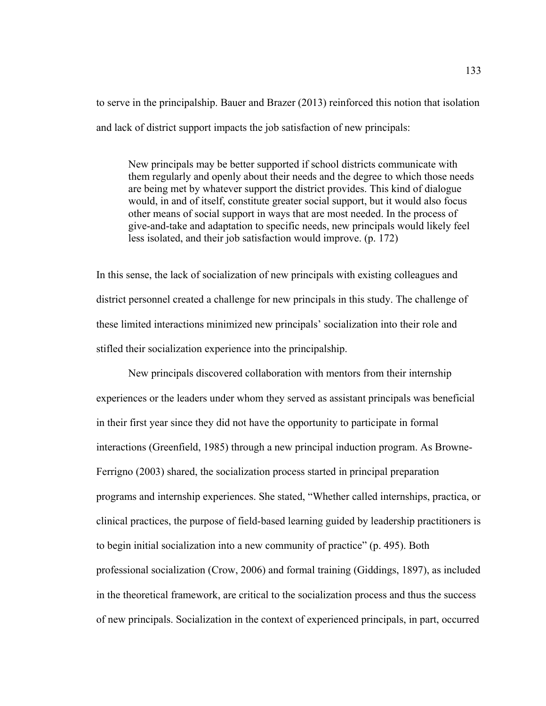to serve in the principalship. Bauer and Brazer (2013) reinforced this notion that isolation and lack of district support impacts the job satisfaction of new principals:

New principals may be better supported if school districts communicate with them regularly and openly about their needs and the degree to which those needs are being met by whatever support the district provides. This kind of dialogue would, in and of itself, constitute greater social support, but it would also focus other means of social support in ways that are most needed. In the process of give-and-take and adaptation to specific needs, new principals would likely feel less isolated, and their job satisfaction would improve. (p. 172)

In this sense, the lack of socialization of new principals with existing colleagues and district personnel created a challenge for new principals in this study. The challenge of these limited interactions minimized new principals' socialization into their role and stifled their socialization experience into the principalship.

 New principals discovered collaboration with mentors from their internship experiences or the leaders under whom they served as assistant principals was beneficial in their first year since they did not have the opportunity to participate in formal interactions (Greenfield, 1985) through a new principal induction program. As Browne-Ferrigno (2003) shared, the socialization process started in principal preparation programs and internship experiences. She stated, "Whether called internships, practica, or clinical practices, the purpose of field-based learning guided by leadership practitioners is to begin initial socialization into a new community of practice" (p. 495). Both professional socialization (Crow, 2006) and formal training (Giddings, 1897), as included in the theoretical framework, are critical to the socialization process and thus the success of new principals. Socialization in the context of experienced principals, in part, occurred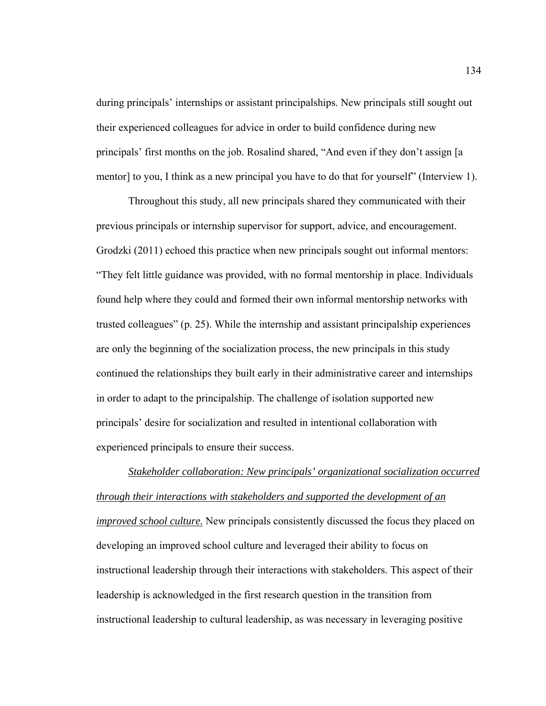during principals' internships or assistant principalships. New principals still sought out their experienced colleagues for advice in order to build confidence during new principals' first months on the job. Rosalind shared, "And even if they don't assign [a mentor] to you, I think as a new principal you have to do that for yourself" (Interview 1).

Throughout this study, all new principals shared they communicated with their previous principals or internship supervisor for support, advice, and encouragement. Grodzki (2011) echoed this practice when new principals sought out informal mentors: "They felt little guidance was provided, with no formal mentorship in place. Individuals found help where they could and formed their own informal mentorship networks with trusted colleagues" (p. 25). While the internship and assistant principalship experiences are only the beginning of the socialization process, the new principals in this study continued the relationships they built early in their administrative career and internships in order to adapt to the principalship. The challenge of isolation supported new principals' desire for socialization and resulted in intentional collaboration with experienced principals to ensure their success.

*Stakeholder collaboration: New principals' organizational socialization occurred through their interactions with stakeholders and supported the development of an improved school culture.* New principals consistently discussed the focus they placed on developing an improved school culture and leveraged their ability to focus on instructional leadership through their interactions with stakeholders. This aspect of their leadership is acknowledged in the first research question in the transition from instructional leadership to cultural leadership, as was necessary in leveraging positive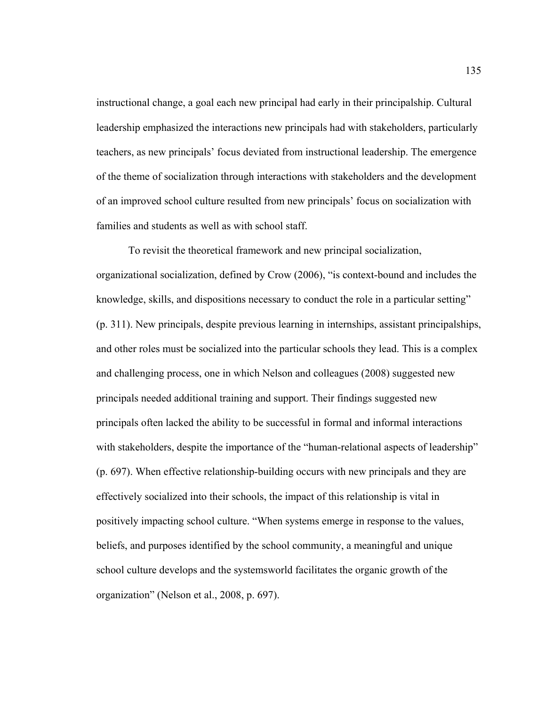instructional change, a goal each new principal had early in their principalship. Cultural leadership emphasized the interactions new principals had with stakeholders, particularly teachers, as new principals' focus deviated from instructional leadership. The emergence of the theme of socialization through interactions with stakeholders and the development of an improved school culture resulted from new principals' focus on socialization with families and students as well as with school staff.

To revisit the theoretical framework and new principal socialization, organizational socialization, defined by Crow (2006), "is context-bound and includes the knowledge, skills, and dispositions necessary to conduct the role in a particular setting" (p. 311). New principals, despite previous learning in internships, assistant principalships, and other roles must be socialized into the particular schools they lead. This is a complex and challenging process, one in which Nelson and colleagues (2008) suggested new principals needed additional training and support. Their findings suggested new principals often lacked the ability to be successful in formal and informal interactions with stakeholders, despite the importance of the "human-relational aspects of leadership" (p. 697). When effective relationship-building occurs with new principals and they are effectively socialized into their schools, the impact of this relationship is vital in positively impacting school culture. "When systems emerge in response to the values, beliefs, and purposes identified by the school community, a meaningful and unique school culture develops and the systemsworld facilitates the organic growth of the organization" (Nelson et al., 2008, p. 697).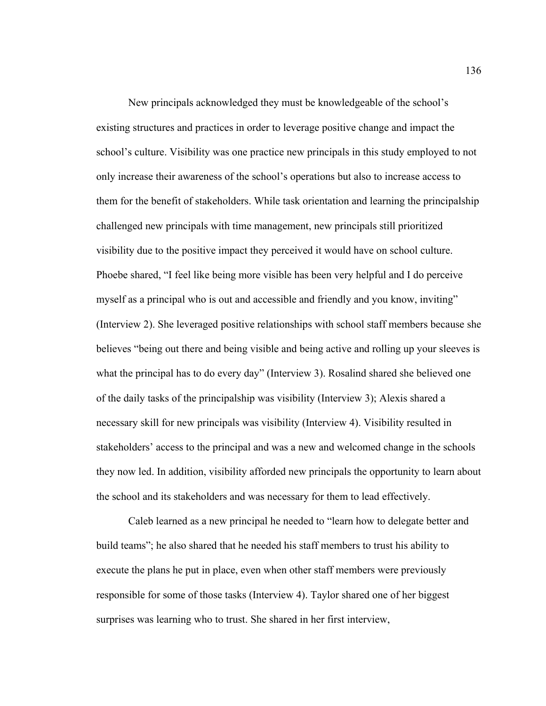New principals acknowledged they must be knowledgeable of the school's existing structures and practices in order to leverage positive change and impact the school's culture. Visibility was one practice new principals in this study employed to not only increase their awareness of the school's operations but also to increase access to them for the benefit of stakeholders. While task orientation and learning the principalship challenged new principals with time management, new principals still prioritized visibility due to the positive impact they perceived it would have on school culture. Phoebe shared, "I feel like being more visible has been very helpful and I do perceive myself as a principal who is out and accessible and friendly and you know, inviting" (Interview 2). She leveraged positive relationships with school staff members because she believes "being out there and being visible and being active and rolling up your sleeves is what the principal has to do every day" (Interview 3). Rosalind shared she believed one of the daily tasks of the principalship was visibility (Interview 3); Alexis shared a necessary skill for new principals was visibility (Interview 4). Visibility resulted in stakeholders' access to the principal and was a new and welcomed change in the schools they now led. In addition, visibility afforded new principals the opportunity to learn about the school and its stakeholders and was necessary for them to lead effectively.

Caleb learned as a new principal he needed to "learn how to delegate better and build teams"; he also shared that he needed his staff members to trust his ability to execute the plans he put in place, even when other staff members were previously responsible for some of those tasks (Interview 4). Taylor shared one of her biggest surprises was learning who to trust. She shared in her first interview,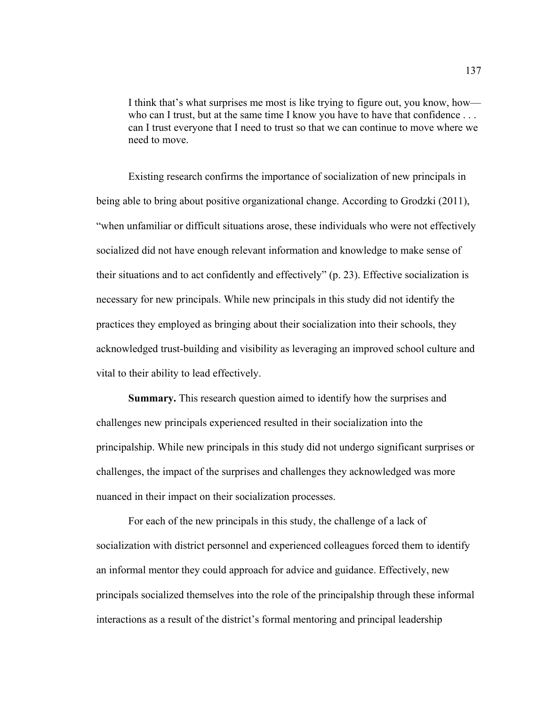I think that's what surprises me most is like trying to figure out, you know, how who can I trust, but at the same time I know you have to have that confidence . . . can I trust everyone that I need to trust so that we can continue to move where we need to move.

Existing research confirms the importance of socialization of new principals in being able to bring about positive organizational change. According to Grodzki (2011), "when unfamiliar or difficult situations arose, these individuals who were not effectively socialized did not have enough relevant information and knowledge to make sense of their situations and to act confidently and effectively" (p. 23). Effective socialization is necessary for new principals. While new principals in this study did not identify the practices they employed as bringing about their socialization into their schools, they acknowledged trust-building and visibility as leveraging an improved school culture and vital to their ability to lead effectively.

 **Summary.** This research question aimed to identify how the surprises and challenges new principals experienced resulted in their socialization into the principalship. While new principals in this study did not undergo significant surprises or challenges, the impact of the surprises and challenges they acknowledged was more nuanced in their impact on their socialization processes.

 For each of the new principals in this study, the challenge of a lack of socialization with district personnel and experienced colleagues forced them to identify an informal mentor they could approach for advice and guidance. Effectively, new principals socialized themselves into the role of the principalship through these informal interactions as a result of the district's formal mentoring and principal leadership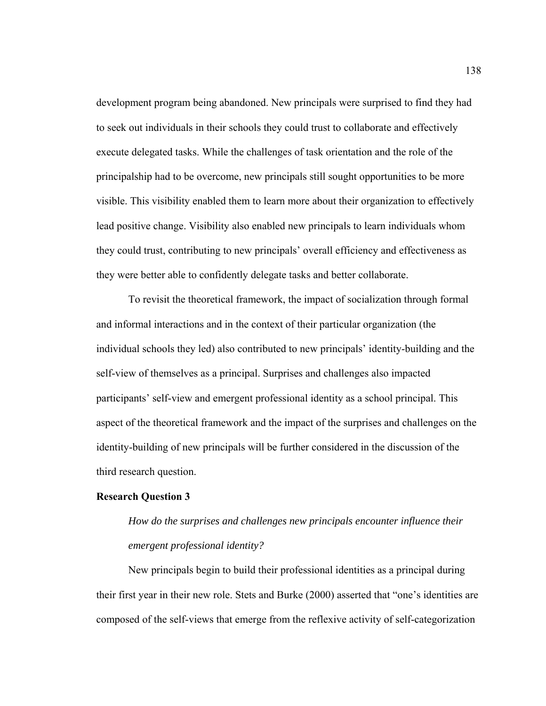development program being abandoned. New principals were surprised to find they had to seek out individuals in their schools they could trust to collaborate and effectively execute delegated tasks. While the challenges of task orientation and the role of the principalship had to be overcome, new principals still sought opportunities to be more visible. This visibility enabled them to learn more about their organization to effectively lead positive change. Visibility also enabled new principals to learn individuals whom they could trust, contributing to new principals' overall efficiency and effectiveness as they were better able to confidently delegate tasks and better collaborate.

 To revisit the theoretical framework, the impact of socialization through formal and informal interactions and in the context of their particular organization (the individual schools they led) also contributed to new principals' identity-building and the self-view of themselves as a principal. Surprises and challenges also impacted participants' self-view and emergent professional identity as a school principal. This aspect of the theoretical framework and the impact of the surprises and challenges on the identity-building of new principals will be further considered in the discussion of the third research question.

#### **Research Question 3**

*How do the surprises and challenges new principals encounter influence their emergent professional identity?* 

 New principals begin to build their professional identities as a principal during their first year in their new role. Stets and Burke (2000) asserted that "one's identities are composed of the self-views that emerge from the reflexive activity of self-categorization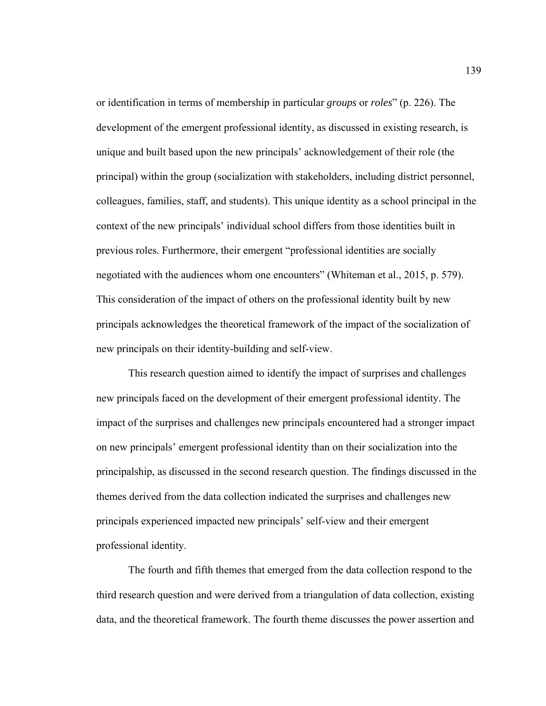or identification in terms of membership in particular *groups* or *roles*" (p. 226). The development of the emergent professional identity, as discussed in existing research, is unique and built based upon the new principals' acknowledgement of their role (the principal) within the group (socialization with stakeholders, including district personnel, colleagues, families, staff, and students). This unique identity as a school principal in the context of the new principals' individual school differs from those identities built in previous roles. Furthermore, their emergent "professional identities are socially negotiated with the audiences whom one encounters" (Whiteman et al., 2015, p. 579). This consideration of the impact of others on the professional identity built by new principals acknowledges the theoretical framework of the impact of the socialization of new principals on their identity-building and self-view.

This research question aimed to identify the impact of surprises and challenges new principals faced on the development of their emergent professional identity. The impact of the surprises and challenges new principals encountered had a stronger impact on new principals' emergent professional identity than on their socialization into the principalship, as discussed in the second research question. The findings discussed in the themes derived from the data collection indicated the surprises and challenges new principals experienced impacted new principals' self-view and their emergent professional identity.

The fourth and fifth themes that emerged from the data collection respond to the third research question and were derived from a triangulation of data collection, existing data, and the theoretical framework. The fourth theme discusses the power assertion and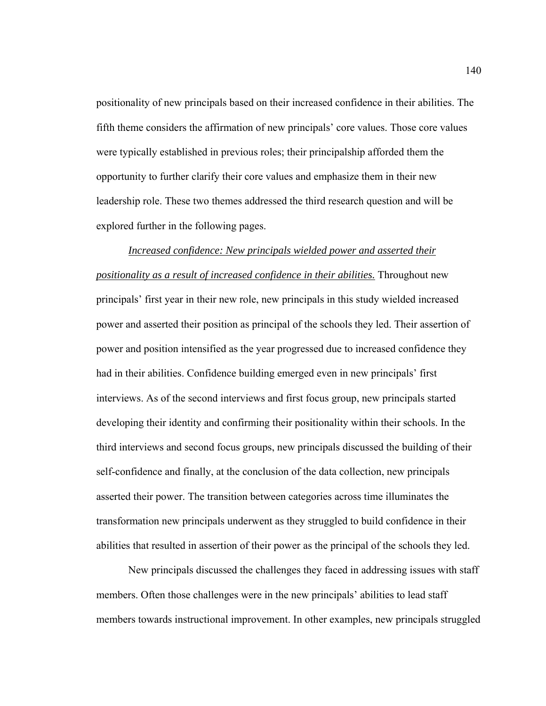positionality of new principals based on their increased confidence in their abilities. The fifth theme considers the affirmation of new principals' core values. Those core values were typically established in previous roles; their principalship afforded them the opportunity to further clarify their core values and emphasize them in their new leadership role. These two themes addressed the third research question and will be explored further in the following pages.

*Increased confidence: New principals wielded power and asserted their positionality as a result of increased confidence in their abilities.* Throughout new principals' first year in their new role, new principals in this study wielded increased power and asserted their position as principal of the schools they led. Their assertion of power and position intensified as the year progressed due to increased confidence they had in their abilities. Confidence building emerged even in new principals' first interviews. As of the second interviews and first focus group, new principals started developing their identity and confirming their positionality within their schools. In the third interviews and second focus groups, new principals discussed the building of their self-confidence and finally, at the conclusion of the data collection, new principals asserted their power. The transition between categories across time illuminates the transformation new principals underwent as they struggled to build confidence in their abilities that resulted in assertion of their power as the principal of the schools they led.

New principals discussed the challenges they faced in addressing issues with staff members. Often those challenges were in the new principals' abilities to lead staff members towards instructional improvement. In other examples, new principals struggled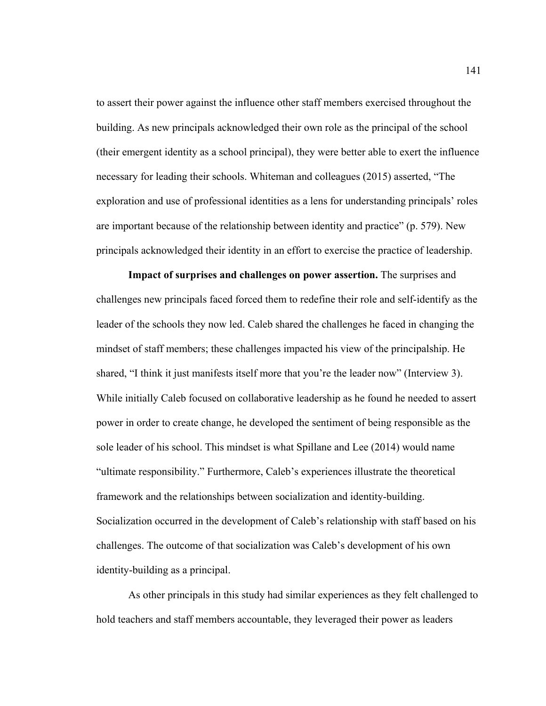to assert their power against the influence other staff members exercised throughout the building. As new principals acknowledged their own role as the principal of the school (their emergent identity as a school principal), they were better able to exert the influence necessary for leading their schools. Whiteman and colleagues (2015) asserted, "The exploration and use of professional identities as a lens for understanding principals' roles are important because of the relationship between identity and practice" (p. 579). New principals acknowledged their identity in an effort to exercise the practice of leadership.

**Impact of surprises and challenges on power assertion.** The surprises and challenges new principals faced forced them to redefine their role and self-identify as the leader of the schools they now led. Caleb shared the challenges he faced in changing the mindset of staff members; these challenges impacted his view of the principalship. He shared, "I think it just manifests itself more that you're the leader now" (Interview 3). While initially Caleb focused on collaborative leadership as he found he needed to assert power in order to create change, he developed the sentiment of being responsible as the sole leader of his school. This mindset is what Spillane and Lee (2014) would name "ultimate responsibility." Furthermore, Caleb's experiences illustrate the theoretical framework and the relationships between socialization and identity-building. Socialization occurred in the development of Caleb's relationship with staff based on his challenges. The outcome of that socialization was Caleb's development of his own identity-building as a principal.

As other principals in this study had similar experiences as they felt challenged to hold teachers and staff members accountable, they leveraged their power as leaders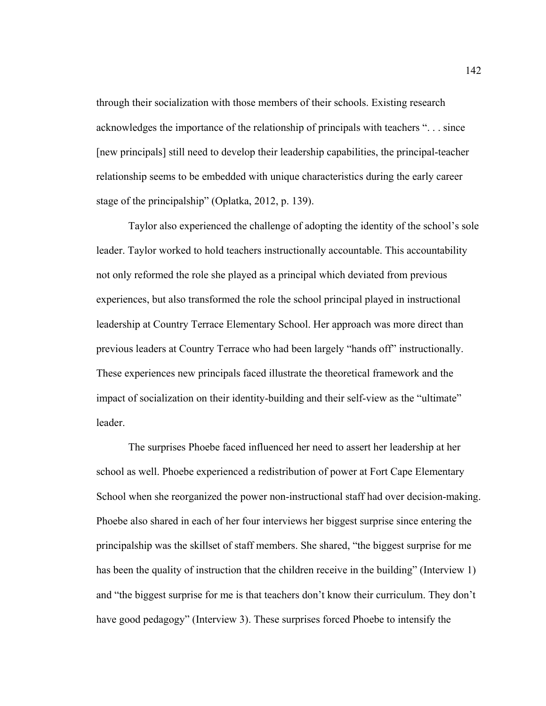through their socialization with those members of their schools. Existing research acknowledges the importance of the relationship of principals with teachers ". . . since [new principals] still need to develop their leadership capabilities, the principal-teacher relationship seems to be embedded with unique characteristics during the early career stage of the principalship" (Oplatka, 2012, p. 139).

Taylor also experienced the challenge of adopting the identity of the school's sole leader. Taylor worked to hold teachers instructionally accountable. This accountability not only reformed the role she played as a principal which deviated from previous experiences, but also transformed the role the school principal played in instructional leadership at Country Terrace Elementary School. Her approach was more direct than previous leaders at Country Terrace who had been largely "hands off" instructionally. These experiences new principals faced illustrate the theoretical framework and the impact of socialization on their identity-building and their self-view as the "ultimate" leader.

The surprises Phoebe faced influenced her need to assert her leadership at her school as well. Phoebe experienced a redistribution of power at Fort Cape Elementary School when she reorganized the power non-instructional staff had over decision-making. Phoebe also shared in each of her four interviews her biggest surprise since entering the principalship was the skillset of staff members. She shared, "the biggest surprise for me has been the quality of instruction that the children receive in the building" (Interview 1) and "the biggest surprise for me is that teachers don't know their curriculum. They don't have good pedagogy" (Interview 3). These surprises forced Phoebe to intensify the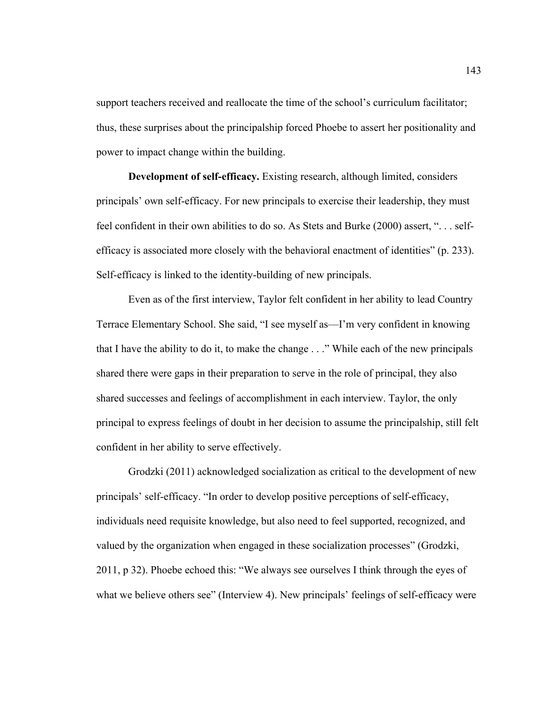support teachers received and reallocate the time of the school's curriculum facilitator; thus, these surprises about the principalship forced Phoebe to assert her positionality and power to impact change within the building.

**Development of self-efficacy.** Existing research, although limited, considers principals' own self-efficacy. For new principals to exercise their leadership, they must feel confident in their own abilities to do so. As Stets and Burke (2000) assert, ". . . selfefficacy is associated more closely with the behavioral enactment of identities" (p. 233). Self-efficacy is linked to the identity-building of new principals.

Even as of the first interview, Taylor felt confident in her ability to lead Country Terrace Elementary School. She said, "I see myself as—I'm very confident in knowing that I have the ability to do it, to make the change . . ." While each of the new principals shared there were gaps in their preparation to serve in the role of principal, they also shared successes and feelings of accomplishment in each interview. Taylor, the only principal to express feelings of doubt in her decision to assume the principalship, still felt confident in her ability to serve effectively.

Grodzki (2011) acknowledged socialization as critical to the development of new principals' self-efficacy. "In order to develop positive perceptions of self-efficacy, individuals need requisite knowledge, but also need to feel supported, recognized, and valued by the organization when engaged in these socialization processes" (Grodzki, 2011, p 32). Phoebe echoed this: "We always see ourselves I think through the eyes of what we believe others see" (Interview 4). New principals' feelings of self-efficacy were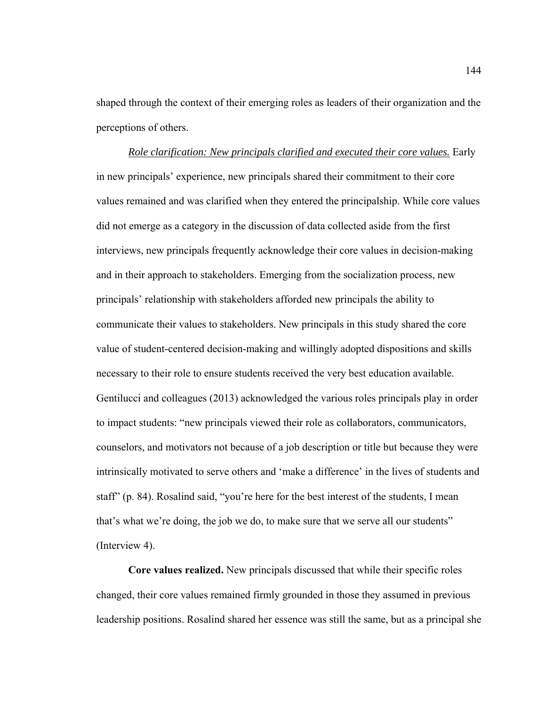shaped through the context of their emerging roles as leaders of their organization and the perceptions of others.

*Role clarification: New principals clarified and executed their core values.* Early in new principals' experience, new principals shared their commitment to their core values remained and was clarified when they entered the principalship. While core values did not emerge as a category in the discussion of data collected aside from the first interviews, new principals frequently acknowledge their core values in decision-making and in their approach to stakeholders. Emerging from the socialization process, new principals' relationship with stakeholders afforded new principals the ability to communicate their values to stakeholders. New principals in this study shared the core value of student-centered decision-making and willingly adopted dispositions and skills necessary to their role to ensure students received the very best education available. Gentilucci and colleagues (2013) acknowledged the various roles principals play in order to impact students: "new principals viewed their role as collaborators, communicators, counselors, and motivators not because of a job description or title but because they were intrinsically motivated to serve others and 'make a difference' in the lives of students and staff" (p. 84). Rosalind said, "you're here for the best interest of the students, I mean that's what we're doing, the job we do, to make sure that we serve all our students" (Interview 4).

**Core values realized.** New principals discussed that while their specific roles changed, their core values remained firmly grounded in those they assumed in previous leadership positions. Rosalind shared her essence was still the same, but as a principal she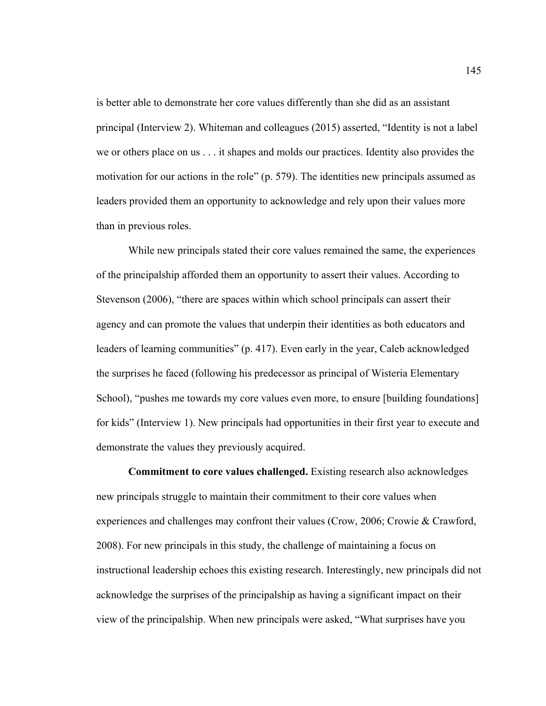is better able to demonstrate her core values differently than she did as an assistant principal (Interview 2). Whiteman and colleagues (2015) asserted, "Identity is not a label we or others place on us . . . it shapes and molds our practices. Identity also provides the motivation for our actions in the role" (p. 579). The identities new principals assumed as leaders provided them an opportunity to acknowledge and rely upon their values more than in previous roles.

While new principals stated their core values remained the same, the experiences of the principalship afforded them an opportunity to assert their values. According to Stevenson (2006), "there are spaces within which school principals can assert their agency and can promote the values that underpin their identities as both educators and leaders of learning communities" (p. 417). Even early in the year, Caleb acknowledged the surprises he faced (following his predecessor as principal of Wisteria Elementary School), "pushes me towards my core values even more, to ensure [building foundations] for kids" (Interview 1). New principals had opportunities in their first year to execute and demonstrate the values they previously acquired.

**Commitment to core values challenged.** Existing research also acknowledges new principals struggle to maintain their commitment to their core values when experiences and challenges may confront their values (Crow, 2006; Crowie & Crawford, 2008). For new principals in this study, the challenge of maintaining a focus on instructional leadership echoes this existing research. Interestingly, new principals did not acknowledge the surprises of the principalship as having a significant impact on their view of the principalship. When new principals were asked, "What surprises have you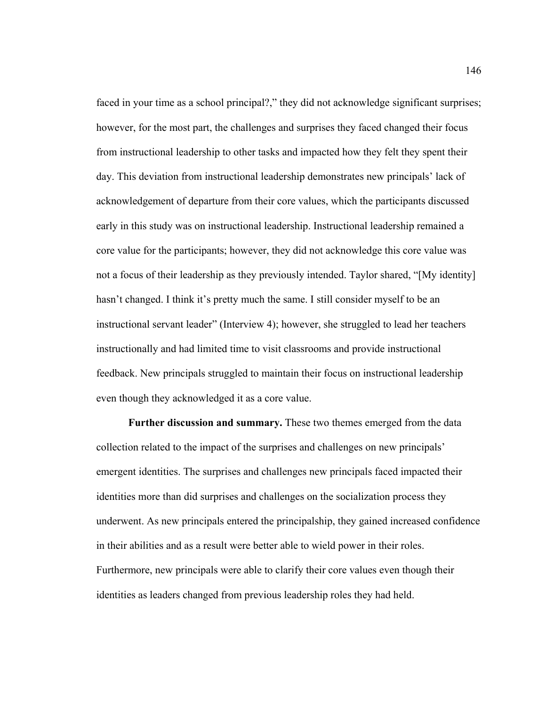faced in your time as a school principal?," they did not acknowledge significant surprises; however, for the most part, the challenges and surprises they faced changed their focus from instructional leadership to other tasks and impacted how they felt they spent their day. This deviation from instructional leadership demonstrates new principals' lack of acknowledgement of departure from their core values, which the participants discussed early in this study was on instructional leadership. Instructional leadership remained a core value for the participants; however, they did not acknowledge this core value was not a focus of their leadership as they previously intended. Taylor shared, "[My identity] hasn't changed. I think it's pretty much the same. I still consider myself to be an instructional servant leader" (Interview 4); however, she struggled to lead her teachers instructionally and had limited time to visit classrooms and provide instructional feedback. New principals struggled to maintain their focus on instructional leadership even though they acknowledged it as a core value.

 **Further discussion and summary.** These two themes emerged from the data collection related to the impact of the surprises and challenges on new principals' emergent identities. The surprises and challenges new principals faced impacted their identities more than did surprises and challenges on the socialization process they underwent. As new principals entered the principalship, they gained increased confidence in their abilities and as a result were better able to wield power in their roles. Furthermore, new principals were able to clarify their core values even though their identities as leaders changed from previous leadership roles they had held.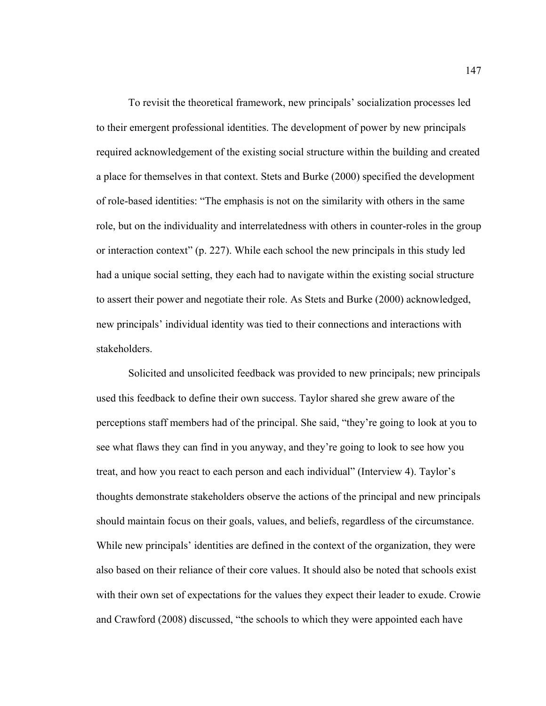To revisit the theoretical framework, new principals' socialization processes led to their emergent professional identities. The development of power by new principals required acknowledgement of the existing social structure within the building and created a place for themselves in that context. Stets and Burke (2000) specified the development of role-based identities: "The emphasis is not on the similarity with others in the same role, but on the individuality and interrelatedness with others in counter-roles in the group or interaction context" (p. 227). While each school the new principals in this study led had a unique social setting, they each had to navigate within the existing social structure to assert their power and negotiate their role. As Stets and Burke (2000) acknowledged, new principals' individual identity was tied to their connections and interactions with stakeholders.

Solicited and unsolicited feedback was provided to new principals; new principals used this feedback to define their own success. Taylor shared she grew aware of the perceptions staff members had of the principal. She said, "they're going to look at you to see what flaws they can find in you anyway, and they're going to look to see how you treat, and how you react to each person and each individual" (Interview 4). Taylor's thoughts demonstrate stakeholders observe the actions of the principal and new principals should maintain focus on their goals, values, and beliefs, regardless of the circumstance. While new principals' identities are defined in the context of the organization, they were also based on their reliance of their core values. It should also be noted that schools exist with their own set of expectations for the values they expect their leader to exude. Crowie and Crawford (2008) discussed, "the schools to which they were appointed each have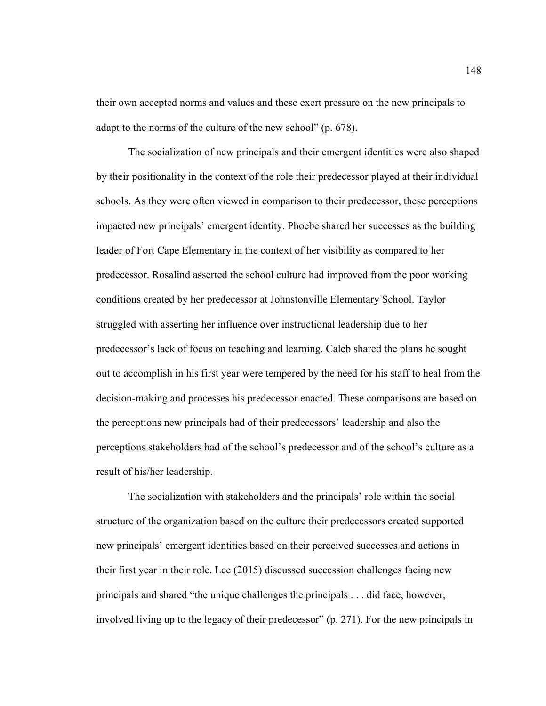their own accepted norms and values and these exert pressure on the new principals to adapt to the norms of the culture of the new school" (p. 678).

The socialization of new principals and their emergent identities were also shaped by their positionality in the context of the role their predecessor played at their individual schools. As they were often viewed in comparison to their predecessor, these perceptions impacted new principals' emergent identity. Phoebe shared her successes as the building leader of Fort Cape Elementary in the context of her visibility as compared to her predecessor. Rosalind asserted the school culture had improved from the poor working conditions created by her predecessor at Johnstonville Elementary School. Taylor struggled with asserting her influence over instructional leadership due to her predecessor's lack of focus on teaching and learning. Caleb shared the plans he sought out to accomplish in his first year were tempered by the need for his staff to heal from the decision-making and processes his predecessor enacted. These comparisons are based on the perceptions new principals had of their predecessors' leadership and also the perceptions stakeholders had of the school's predecessor and of the school's culture as a result of his/her leadership.

The socialization with stakeholders and the principals' role within the social structure of the organization based on the culture their predecessors created supported new principals' emergent identities based on their perceived successes and actions in their first year in their role. Lee (2015) discussed succession challenges facing new principals and shared "the unique challenges the principals . . . did face, however, involved living up to the legacy of their predecessor" (p. 271). For the new principals in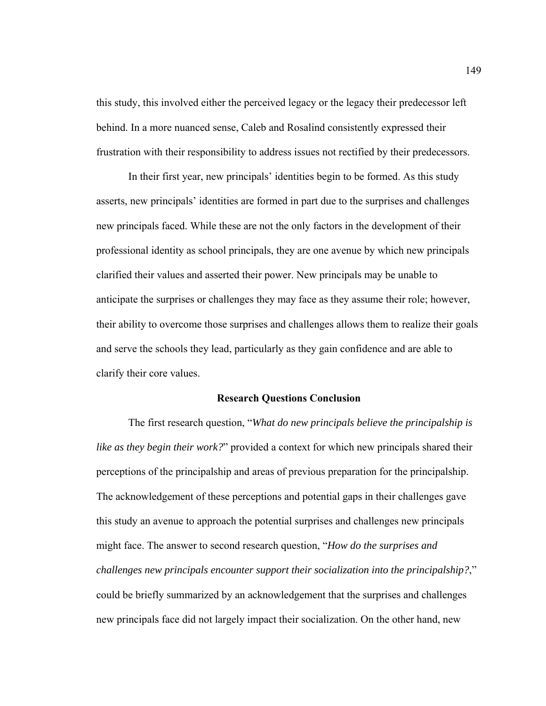this study, this involved either the perceived legacy or the legacy their predecessor left behind. In a more nuanced sense, Caleb and Rosalind consistently expressed their frustration with their responsibility to address issues not rectified by their predecessors.

 In their first year, new principals' identities begin to be formed. As this study asserts, new principals' identities are formed in part due to the surprises and challenges new principals faced. While these are not the only factors in the development of their professional identity as school principals, they are one avenue by which new principals clarified their values and asserted their power. New principals may be unable to anticipate the surprises or challenges they may face as they assume their role; however, their ability to overcome those surprises and challenges allows them to realize their goals and serve the schools they lead, particularly as they gain confidence and are able to clarify their core values.

#### **Research Questions Conclusion**

The first research question, "*What do new principals believe the principalship is like as they begin their work?*" provided a context for which new principals shared their perceptions of the principalship and areas of previous preparation for the principalship. The acknowledgement of these perceptions and potential gaps in their challenges gave this study an avenue to approach the potential surprises and challenges new principals might face. The answer to second research question, "*How do the surprises and challenges new principals encounter support their socialization into the principalship?*," could be briefly summarized by an acknowledgement that the surprises and challenges new principals face did not largely impact their socialization. On the other hand, new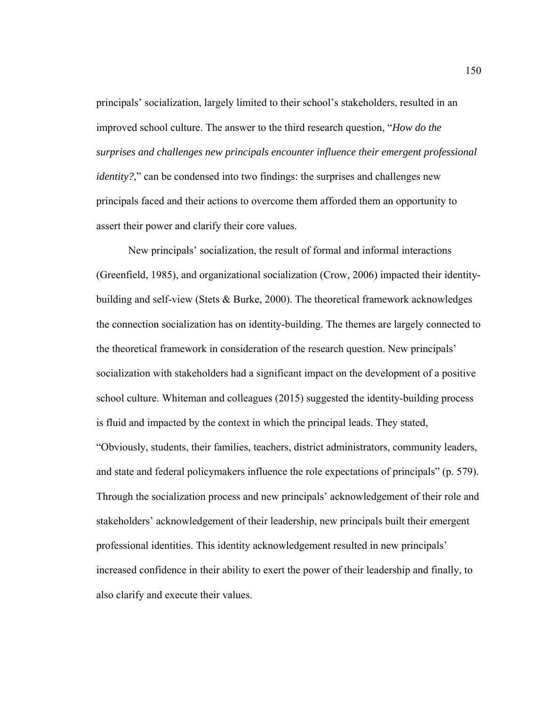principals' socialization, largely limited to their school's stakeholders, resulted in an improved school culture. The answer to the third research question, "*How do the surprises and challenges new principals encounter influence their emergent professional identity?*," can be condensed into two findings: the surprises and challenges new principals faced and their actions to overcome them afforded them an opportunity to assert their power and clarify their core values.

New principals' socialization, the result of formal and informal interactions (Greenfield, 1985), and organizational socialization (Crow, 2006) impacted their identitybuilding and self-view (Stets & Burke, 2000). The theoretical framework acknowledges the connection socialization has on identity-building. The themes are largely connected to the theoretical framework in consideration of the research question. New principals' socialization with stakeholders had a significant impact on the development of a positive school culture. Whiteman and colleagues (2015) suggested the identity-building process is fluid and impacted by the context in which the principal leads. They stated, "Obviously, students, their families, teachers, district administrators, community leaders, and state and federal policymakers influence the role expectations of principals" (p. 579). Through the socialization process and new principals' acknowledgement of their role and stakeholders' acknowledgement of their leadership, new principals built their emergent professional identities. This identity acknowledgement resulted in new principals' increased confidence in their ability to exert the power of their leadership and finally, to also clarify and execute their values.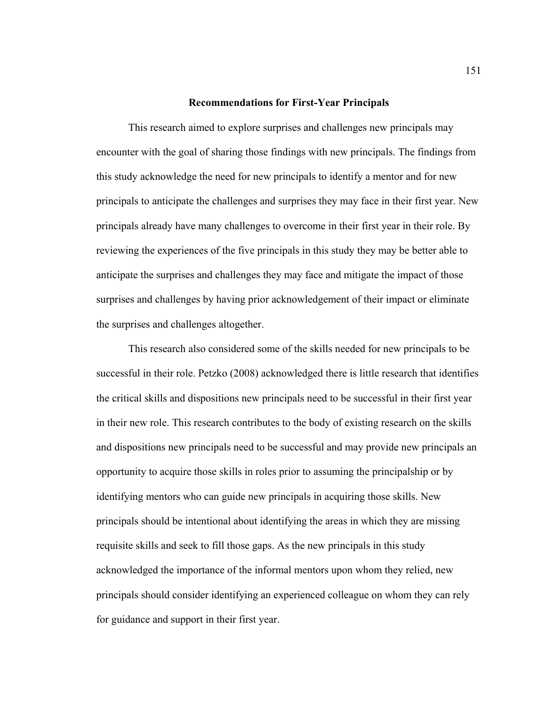#### **Recommendations for First-Year Principals**

 This research aimed to explore surprises and challenges new principals may encounter with the goal of sharing those findings with new principals. The findings from this study acknowledge the need for new principals to identify a mentor and for new principals to anticipate the challenges and surprises they may face in their first year. New principals already have many challenges to overcome in their first year in their role. By reviewing the experiences of the five principals in this study they may be better able to anticipate the surprises and challenges they may face and mitigate the impact of those surprises and challenges by having prior acknowledgement of their impact or eliminate the surprises and challenges altogether.

This research also considered some of the skills needed for new principals to be successful in their role. Petzko (2008) acknowledged there is little research that identifies the critical skills and dispositions new principals need to be successful in their first year in their new role. This research contributes to the body of existing research on the skills and dispositions new principals need to be successful and may provide new principals an opportunity to acquire those skills in roles prior to assuming the principalship or by identifying mentors who can guide new principals in acquiring those skills. New principals should be intentional about identifying the areas in which they are missing requisite skills and seek to fill those gaps. As the new principals in this study acknowledged the importance of the informal mentors upon whom they relied, new principals should consider identifying an experienced colleague on whom they can rely for guidance and support in their first year.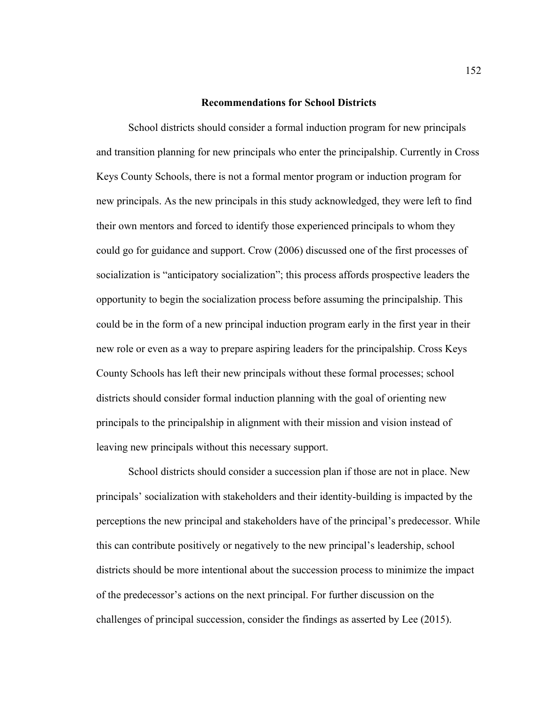## **Recommendations for School Districts**

 School districts should consider a formal induction program for new principals and transition planning for new principals who enter the principalship. Currently in Cross Keys County Schools, there is not a formal mentor program or induction program for new principals. As the new principals in this study acknowledged, they were left to find their own mentors and forced to identify those experienced principals to whom they could go for guidance and support. Crow (2006) discussed one of the first processes of socialization is "anticipatory socialization"; this process affords prospective leaders the opportunity to begin the socialization process before assuming the principalship. This could be in the form of a new principal induction program early in the first year in their new role or even as a way to prepare aspiring leaders for the principalship. Cross Keys County Schools has left their new principals without these formal processes; school districts should consider formal induction planning with the goal of orienting new principals to the principalship in alignment with their mission and vision instead of leaving new principals without this necessary support.

 School districts should consider a succession plan if those are not in place. New principals' socialization with stakeholders and their identity-building is impacted by the perceptions the new principal and stakeholders have of the principal's predecessor. While this can contribute positively or negatively to the new principal's leadership, school districts should be more intentional about the succession process to minimize the impact of the predecessor's actions on the next principal. For further discussion on the challenges of principal succession, consider the findings as asserted by Lee (2015).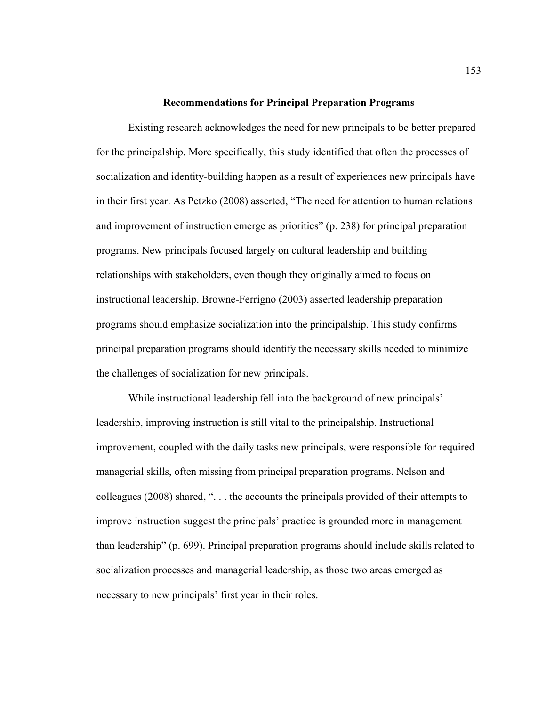#### **Recommendations for Principal Preparation Programs**

Existing research acknowledges the need for new principals to be better prepared for the principalship. More specifically, this study identified that often the processes of socialization and identity-building happen as a result of experiences new principals have in their first year. As Petzko (2008) asserted, "The need for attention to human relations and improvement of instruction emerge as priorities" (p. 238) for principal preparation programs. New principals focused largely on cultural leadership and building relationships with stakeholders, even though they originally aimed to focus on instructional leadership. Browne-Ferrigno (2003) asserted leadership preparation programs should emphasize socialization into the principalship. This study confirms principal preparation programs should identify the necessary skills needed to minimize the challenges of socialization for new principals.

While instructional leadership fell into the background of new principals' leadership, improving instruction is still vital to the principalship. Instructional improvement, coupled with the daily tasks new principals, were responsible for required managerial skills, often missing from principal preparation programs. Nelson and colleagues (2008) shared, ". . . the accounts the principals provided of their attempts to improve instruction suggest the principals' practice is grounded more in management than leadership" (p. 699). Principal preparation programs should include skills related to socialization processes and managerial leadership, as those two areas emerged as necessary to new principals' first year in their roles.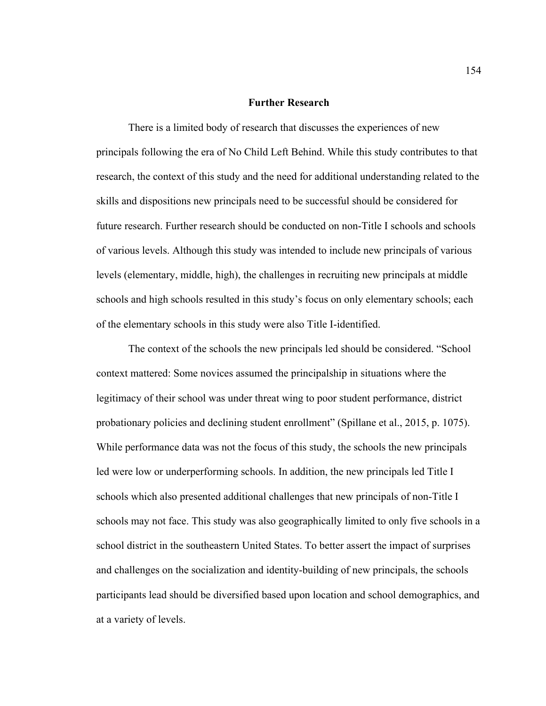## **Further Research**

 There is a limited body of research that discusses the experiences of new principals following the era of No Child Left Behind. While this study contributes to that research, the context of this study and the need for additional understanding related to the skills and dispositions new principals need to be successful should be considered for future research. Further research should be conducted on non-Title I schools and schools of various levels. Although this study was intended to include new principals of various levels (elementary, middle, high), the challenges in recruiting new principals at middle schools and high schools resulted in this study's focus on only elementary schools; each of the elementary schools in this study were also Title I-identified.

The context of the schools the new principals led should be considered. "School context mattered: Some novices assumed the principalship in situations where the legitimacy of their school was under threat wing to poor student performance, district probationary policies and declining student enrollment" (Spillane et al., 2015, p. 1075). While performance data was not the focus of this study, the schools the new principals led were low or underperforming schools. In addition, the new principals led Title I schools which also presented additional challenges that new principals of non-Title I schools may not face. This study was also geographically limited to only five schools in a school district in the southeastern United States. To better assert the impact of surprises and challenges on the socialization and identity-building of new principals, the schools participants lead should be diversified based upon location and school demographics, and at a variety of levels.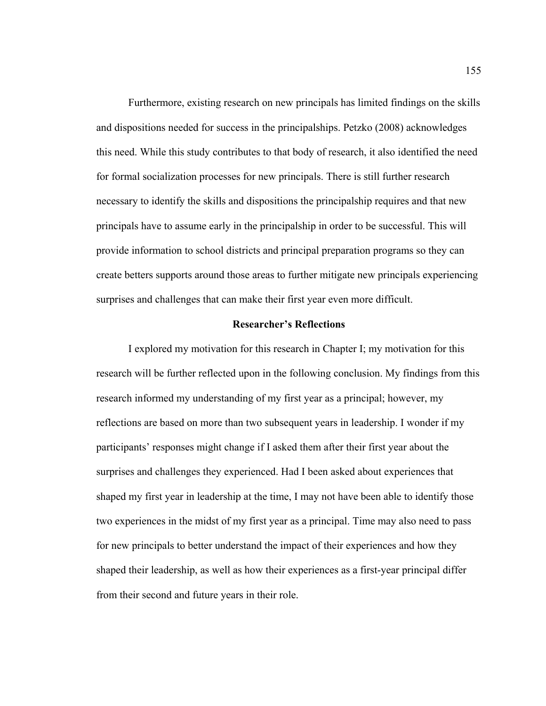Furthermore, existing research on new principals has limited findings on the skills and dispositions needed for success in the principalships. Petzko (2008) acknowledges this need. While this study contributes to that body of research, it also identified the need for formal socialization processes for new principals. There is still further research necessary to identify the skills and dispositions the principalship requires and that new principals have to assume early in the principalship in order to be successful. This will provide information to school districts and principal preparation programs so they can create betters supports around those areas to further mitigate new principals experiencing surprises and challenges that can make their first year even more difficult.

# **Researcher's Reflections**

 I explored my motivation for this research in Chapter I; my motivation for this research will be further reflected upon in the following conclusion. My findings from this research informed my understanding of my first year as a principal; however, my reflections are based on more than two subsequent years in leadership. I wonder if my participants' responses might change if I asked them after their first year about the surprises and challenges they experienced. Had I been asked about experiences that shaped my first year in leadership at the time, I may not have been able to identify those two experiences in the midst of my first year as a principal. Time may also need to pass for new principals to better understand the impact of their experiences and how they shaped their leadership, as well as how their experiences as a first-year principal differ from their second and future years in their role.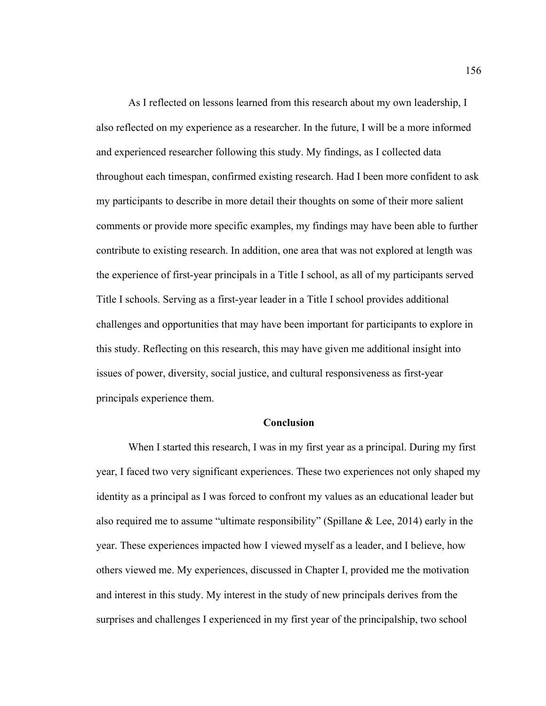As I reflected on lessons learned from this research about my own leadership, I also reflected on my experience as a researcher. In the future, I will be a more informed and experienced researcher following this study. My findings, as I collected data throughout each timespan, confirmed existing research. Had I been more confident to ask my participants to describe in more detail their thoughts on some of their more salient comments or provide more specific examples, my findings may have been able to further contribute to existing research. In addition, one area that was not explored at length was the experience of first-year principals in a Title I school, as all of my participants served Title I schools. Serving as a first-year leader in a Title I school provides additional challenges and opportunities that may have been important for participants to explore in this study. Reflecting on this research, this may have given me additional insight into issues of power, diversity, social justice, and cultural responsiveness as first-year principals experience them.

## **Conclusion**

 When I started this research, I was in my first year as a principal. During my first year, I faced two very significant experiences. These two experiences not only shaped my identity as a principal as I was forced to confront my values as an educational leader but also required me to assume "ultimate responsibility" (Spillane & Lee, 2014) early in the year. These experiences impacted how I viewed myself as a leader, and I believe, how others viewed me. My experiences, discussed in Chapter I, provided me the motivation and interest in this study. My interest in the study of new principals derives from the surprises and challenges I experienced in my first year of the principalship, two school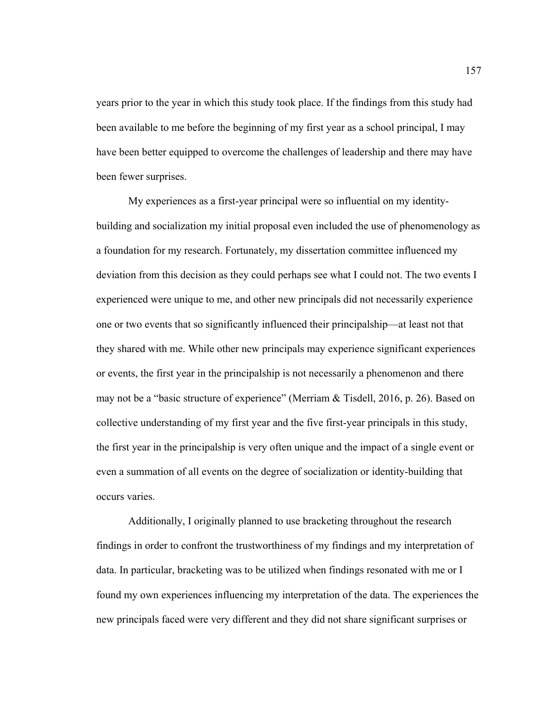years prior to the year in which this study took place. If the findings from this study had been available to me before the beginning of my first year as a school principal, I may have been better equipped to overcome the challenges of leadership and there may have been fewer surprises.

My experiences as a first-year principal were so influential on my identitybuilding and socialization my initial proposal even included the use of phenomenology as a foundation for my research. Fortunately, my dissertation committee influenced my deviation from this decision as they could perhaps see what I could not. The two events I experienced were unique to me, and other new principals did not necessarily experience one or two events that so significantly influenced their principalship—at least not that they shared with me. While other new principals may experience significant experiences or events, the first year in the principalship is not necessarily a phenomenon and there may not be a "basic structure of experience" (Merriam & Tisdell, 2016, p. 26). Based on collective understanding of my first year and the five first-year principals in this study, the first year in the principalship is very often unique and the impact of a single event or even a summation of all events on the degree of socialization or identity-building that occurs varies.

Additionally, I originally planned to use bracketing throughout the research findings in order to confront the trustworthiness of my findings and my interpretation of data. In particular, bracketing was to be utilized when findings resonated with me or I found my own experiences influencing my interpretation of the data. The experiences the new principals faced were very different and they did not share significant surprises or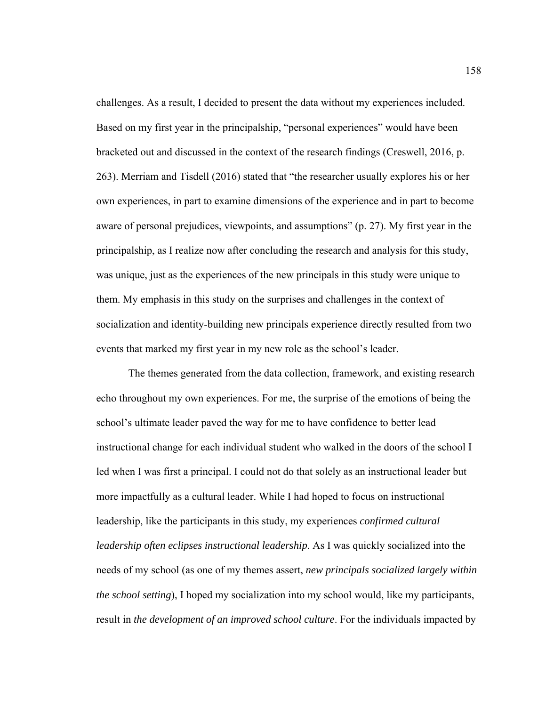challenges. As a result, I decided to present the data without my experiences included. Based on my first year in the principalship, "personal experiences" would have been bracketed out and discussed in the context of the research findings (Creswell, 2016, p. 263). Merriam and Tisdell (2016) stated that "the researcher usually explores his or her own experiences, in part to examine dimensions of the experience and in part to become aware of personal prejudices, viewpoints, and assumptions" (p. 27). My first year in the principalship, as I realize now after concluding the research and analysis for this study, was unique, just as the experiences of the new principals in this study were unique to them. My emphasis in this study on the surprises and challenges in the context of socialization and identity-building new principals experience directly resulted from two events that marked my first year in my new role as the school's leader.

The themes generated from the data collection, framework, and existing research echo throughout my own experiences. For me, the surprise of the emotions of being the school's ultimate leader paved the way for me to have confidence to better lead instructional change for each individual student who walked in the doors of the school I led when I was first a principal. I could not do that solely as an instructional leader but more impactfully as a cultural leader. While I had hoped to focus on instructional leadership, like the participants in this study, my experiences *confirmed cultural leadership often eclipses instructional leadership*. As I was quickly socialized into the needs of my school (as one of my themes assert, *new principals socialized largely within the school setting*), I hoped my socialization into my school would, like my participants, result in *the development of an improved school culture*. For the individuals impacted by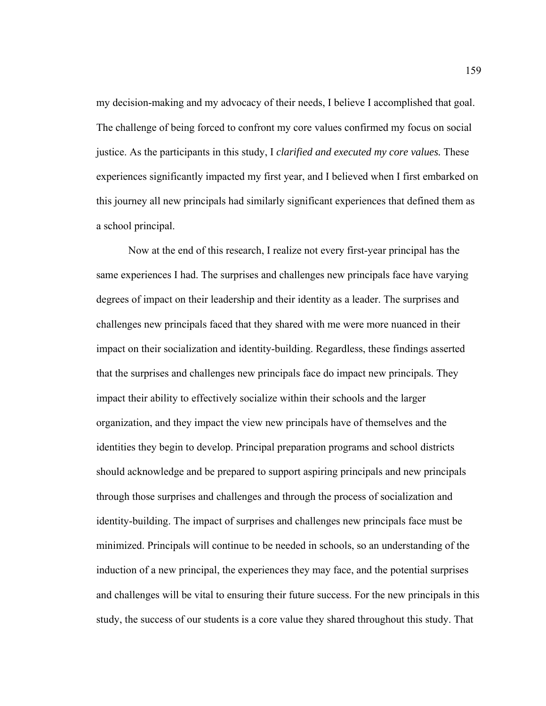my decision-making and my advocacy of their needs, I believe I accomplished that goal. The challenge of being forced to confront my core values confirmed my focus on social justice. As the participants in this study, I *clarified and executed my core values.* These experiences significantly impacted my first year, and I believed when I first embarked on this journey all new principals had similarly significant experiences that defined them as a school principal.

 Now at the end of this research, I realize not every first-year principal has the same experiences I had. The surprises and challenges new principals face have varying degrees of impact on their leadership and their identity as a leader. The surprises and challenges new principals faced that they shared with me were more nuanced in their impact on their socialization and identity-building. Regardless, these findings asserted that the surprises and challenges new principals face do impact new principals. They impact their ability to effectively socialize within their schools and the larger organization, and they impact the view new principals have of themselves and the identities they begin to develop. Principal preparation programs and school districts should acknowledge and be prepared to support aspiring principals and new principals through those surprises and challenges and through the process of socialization and identity-building. The impact of surprises and challenges new principals face must be minimized. Principals will continue to be needed in schools, so an understanding of the induction of a new principal, the experiences they may face, and the potential surprises and challenges will be vital to ensuring their future success. For the new principals in this study, the success of our students is a core value they shared throughout this study. That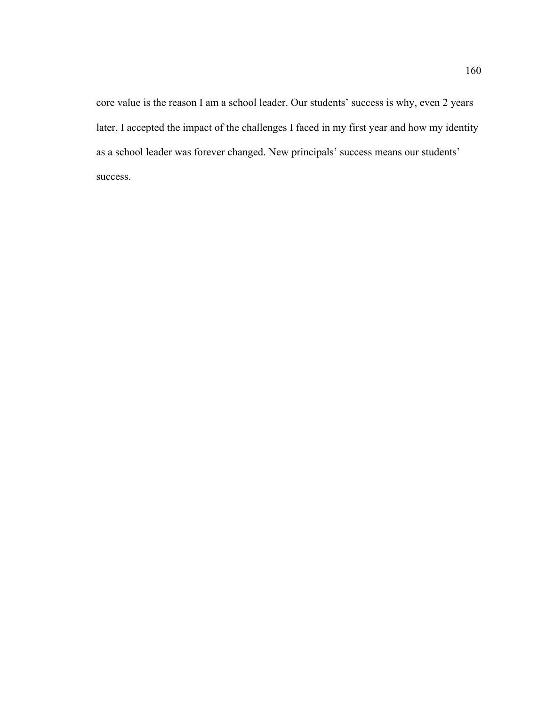core value is the reason I am a school leader. Our students' success is why, even 2 years later, I accepted the impact of the challenges I faced in my first year and how my identity as a school leader was forever changed. New principals' success means our students' success.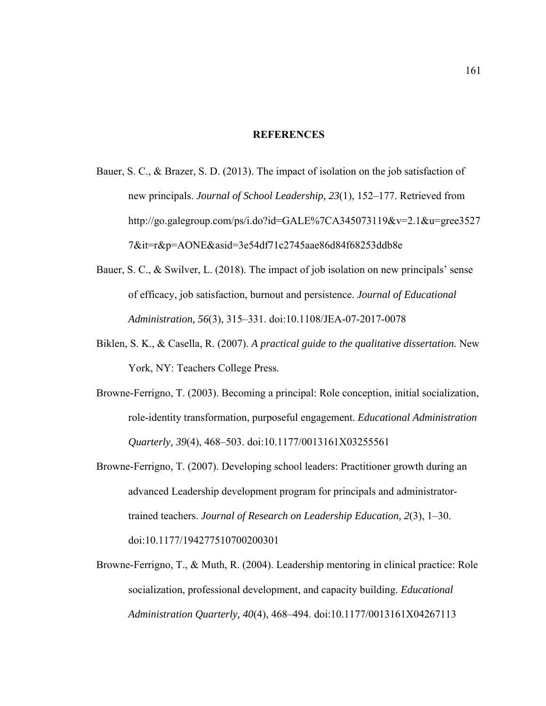### **REFERENCES**

- Bauer, S. C., & Brazer, S. D. (2013). The impact of isolation on the job satisfaction of new principals. *Journal of School Leadership, 23*(1), 152–177. Retrieved from http://go.galegroup.com/ps/i.do?id=GALE%7CA345073119&v=2.1&u=gree3527 7&it=r&p=AONE&asid=3e54df71c2745aae86d84f68253ddb8e
- Bauer, S. C., & Swilver, L. (2018). The impact of job isolation on new principals' sense of efficacy, job satisfaction, burnout and persistence. *Journal of Educational Administration, 56*(3), 315–331. doi:10.1108/JEA-07-2017-0078
- Biklen, S. K., & Casella, R. (2007). *A practical guide to the qualitative dissertation.* New York, NY: Teachers College Press.
- Browne-Ferrigno, T. (2003). Becoming a principal: Role conception, initial socialization, role-identity transformation, purposeful engagement. *Educational Administration Quarterly, 39*(4), 468–503. doi:10.1177/0013161X03255561
- Browne-Ferrigno, T. (2007). Developing school leaders: Practitioner growth during an advanced Leadership development program for principals and administratortrained teachers. *Journal of Research on Leadership Education, 2*(3), 1–30. doi:10.1177/194277510700200301
- Browne-Ferrigno, T., & Muth, R. (2004). Leadership mentoring in clinical practice: Role socialization, professional development, and capacity building. *Educational Administration Quarterly, 40*(4), 468–494. doi:10.1177/0013161X04267113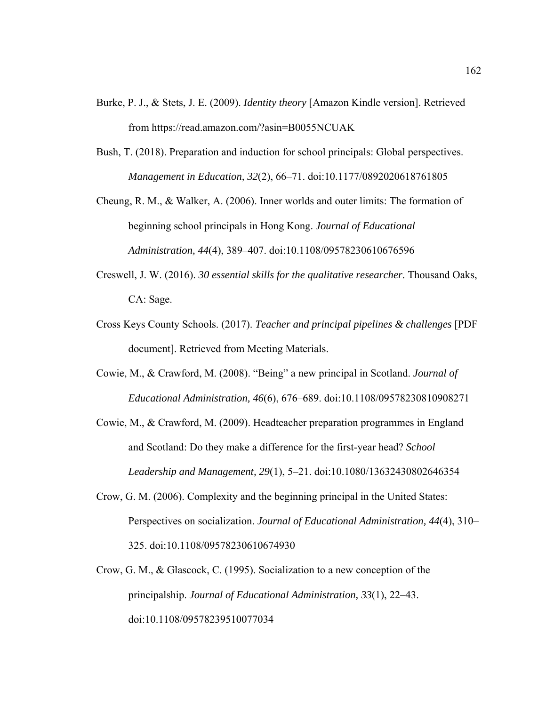- Burke, P. J., & Stets, J. E. (2009). *Identity theory* [Amazon Kindle version]. Retrieved from https://read.amazon.com/?asin=B0055NCUAK
- Bush, T. (2018). Preparation and induction for school principals: Global perspectives. *Management in Education, 32*(2), 66–71. doi:10.1177/0892020618761805
- Cheung, R. M., & Walker, A. (2006). Inner worlds and outer limits: The formation of beginning school principals in Hong Kong. *Journal of Educational Administration, 44*(4), 389–407. doi:10.1108/09578230610676596
- Creswell, J. W. (2016). *30 essential skills for the qualitative researcher*. Thousand Oaks, CA: Sage.
- Cross Keys County Schools. (2017). *Teacher and principal pipelines & challenges* [PDF document]. Retrieved from Meeting Materials.
- Cowie, M., & Crawford, M. (2008). "Being" a new principal in Scotland. *Journal of Educational Administration, 46*(6), 676–689. doi:10.1108/09578230810908271
- Cowie, M., & Crawford, M. (2009). Headteacher preparation programmes in England and Scotland: Do they make a difference for the first-year head? *School Leadership and Management, 29*(1), 5–21. doi:10.1080/13632430802646354
- Crow, G. M. (2006). Complexity and the beginning principal in the United States: Perspectives on socialization. *Journal of Educational Administration, 44*(4), 310– 325. doi:10.1108/09578230610674930
- Crow, G. M., & Glascock, C. (1995). Socialization to a new conception of the principalship. *Journal of Educational Administration, 33*(1), 22–43. doi:10.1108/09578239510077034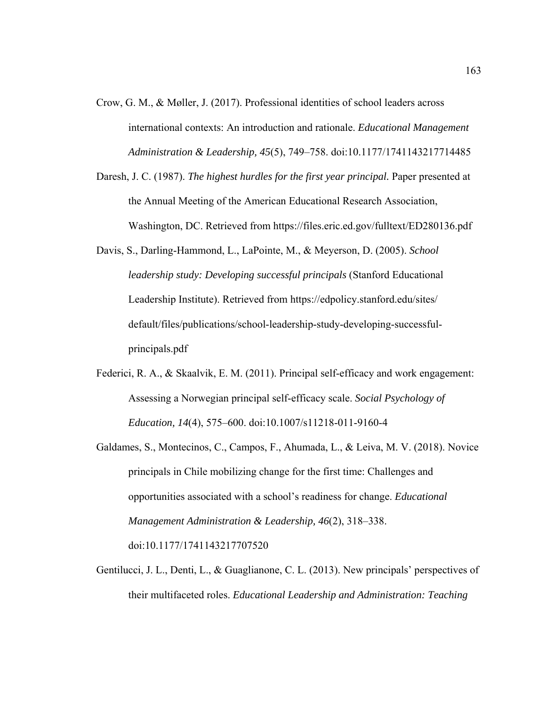- Crow, G. M., & Møller, J. (2017). Professional identities of school leaders across international contexts: An introduction and rationale. *Educational Management Administration & Leadership, 45*(5), 749–758. doi:10.1177/1741143217714485
- Daresh, J. C. (1987). *The highest hurdles for the first year principal.* Paper presented at the Annual Meeting of the American Educational Research Association, Washington, DC. Retrieved from https://files.eric.ed.gov/fulltext/ED280136.pdf
- Davis, S., Darling-Hammond, L., LaPointe, M., & Meyerson, D. (2005). *School leadership study: Developing successful principals* (Stanford Educational Leadership Institute). Retrieved from https://edpolicy.stanford.edu/sites/ default/files/publications/school-leadership-study-developing-successfulprincipals.pdf
- Federici, R. A., & Skaalvik, E. M. (2011). Principal self-efficacy and work engagement: Assessing a Norwegian principal self-efficacy scale. *Social Psychology of Education, 14*(4), 575–600. doi:10.1007/s11218-011-9160-4
- Galdames, S., Montecinos, C., Campos, F., Ahumada, L., & Leiva, M. V. (2018). Novice principals in Chile mobilizing change for the first time: Challenges and opportunities associated with a school's readiness for change. *Educational Management Administration & Leadership, 46*(2), 318–338. doi:10.1177/1741143217707520
- Gentilucci, J. L., Denti, L., & Guaglianone, C. L. (2013). New principals' perspectives of their multifaceted roles. *Educational Leadership and Administration: Teaching*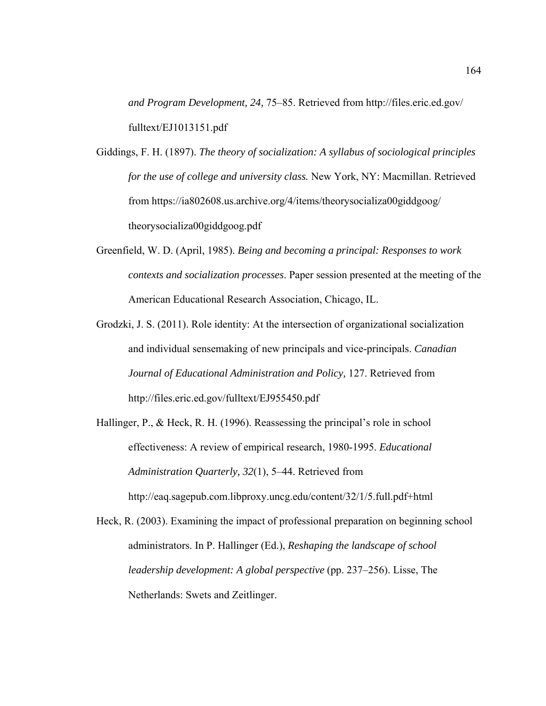*and Program Development, 24,* 75–85. Retrieved from http://files.eric.ed.gov/ fulltext/EJ1013151.pdf

Giddings, F. H. (1897). *The theory of socialization: A syllabus of sociological principles for the use of college and university class.* New York, NY: Macmillan. Retrieved from https://ia802608.us.archive.org/4/items/theorysocializa00giddgoog/ theorysocializa00giddgoog.pdf

- Greenfield, W. D. (April, 1985). *Being and becoming a principal: Responses to work contexts and socialization processes*. Paper session presented at the meeting of the American Educational Research Association, Chicago, IL.
- Grodzki, J. S. (2011). Role identity: At the intersection of organizational socialization and individual sensemaking of new principals and vice-principals. *Canadian Journal of Educational Administration and Policy,* 127. Retrieved from http://files.eric.ed.gov/fulltext/EJ955450.pdf
- Hallinger, P., & Heck, R. H. (1996). Reassessing the principal's role in school effectiveness: A review of empirical research, 1980-1995. *Educational Administration Quarterly, 32*(1), 5–44. Retrieved from http://eaq.sagepub.com.libproxy.uncg.edu/content/32/1/5.full.pdf+html
- Heck, R. (2003). Examining the impact of professional preparation on beginning school administrators. In P. Hallinger (Ed.), *Reshaping the landscape of school leadership development: A global perspective* (pp. 237–256). Lisse, The Netherlands: Swets and Zeitlinger.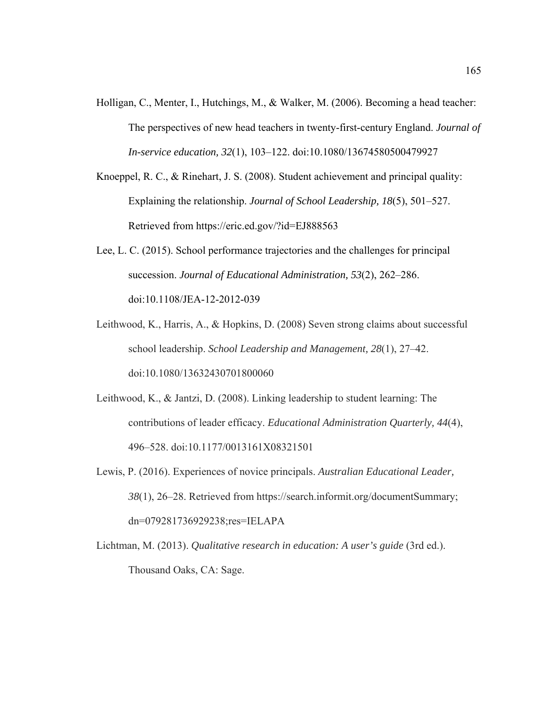- Holligan, C., Menter, I., Hutchings, M., & Walker, M. (2006). Becoming a head teacher: The perspectives of new head teachers in twenty-first-century England. *Journal of In-service education, 32*(1), 103–122. doi:10.1080/13674580500479927
- Knoeppel, R. C., & Rinehart, J. S. (2008). Student achievement and principal quality: Explaining the relationship. *Journal of School Leadership, 18*(5), 501–527. Retrieved from https://eric.ed.gov/?id=EJ888563
- Lee, L. C. (2015). School performance trajectories and the challenges for principal succession. *Journal of Educational Administration, 53*(2), 262–286. doi:10.1108/JEA-12-2012-039
- Leithwood, K., Harris, A., & Hopkins, D. (2008) Seven strong claims about successful school leadership. *School Leadership and Management, 28*(1), 27–42. doi:10.1080/13632430701800060
- Leithwood, K., & Jantzi, D. (2008). Linking leadership to student learning: The contributions of leader efficacy. *Educational Administration Quarterly, 44*(4), 496–528. doi:10.1177/0013161X08321501
- Lewis, P. (2016). Experiences of novice principals. *Australian Educational Leader, 38*(1), 26–28. Retrieved from https://search.informit.org/documentSummary; dn=079281736929238;res=IELAPA
- Lichtman, M. (2013). *Qualitative research in education: A user's guide* (3rd ed.). Thousand Oaks, CA: Sage.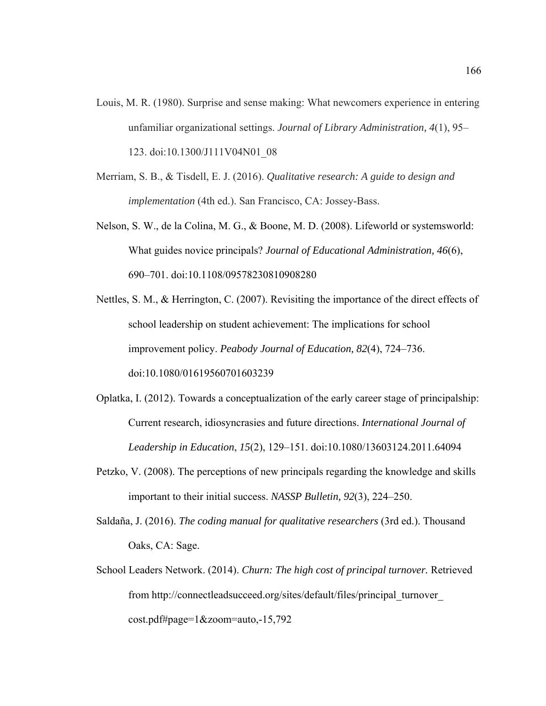- Louis, M. R. (1980). Surprise and sense making: What newcomers experience in entering unfamiliar organizational settings. *Journal of Library Administration, 4*(1), 95– 123. doi:10.1300/J111V04N01\_08
- Merriam, S. B., & Tisdell, E. J. (2016). *Qualitative research: A guide to design and implementation* (4th ed.). San Francisco, CA: Jossey-Bass.
- Nelson, S. W., de la Colina, M. G., & Boone, M. D. (2008). Lifeworld or systemsworld: What guides novice principals? *Journal of Educational Administration, 46*(6), 690–701. doi:10.1108/09578230810908280
- Nettles, S. M., & Herrington, C. (2007). Revisiting the importance of the direct effects of school leadership on student achievement: The implications for school improvement policy. *Peabody Journal of Education, 82*(4), 724–736. doi:10.1080/01619560701603239
- Oplatka, I. (2012). Towards a conceptualization of the early career stage of principalship: Current research, idiosyncrasies and future directions. *International Journal of Leadership in Education*, *15*(2), 129–151. doi:10.1080/13603124.2011.64094
- Petzko, V. (2008). The perceptions of new principals regarding the knowledge and skills important to their initial success. *NASSP Bulletin, 92*(3), 224–250.
- Saldaña, J. (2016). *The coding manual for qualitative researchers* (3rd ed.). Thousand Oaks, CA: Sage.
- School Leaders Network. (2014). *Churn: The high cost of principal turnover.* Retrieved from http://connectleadsucceed.org/sites/default/files/principal\_turnover\_ cost.pdf#page=1&zoom=auto,-15,792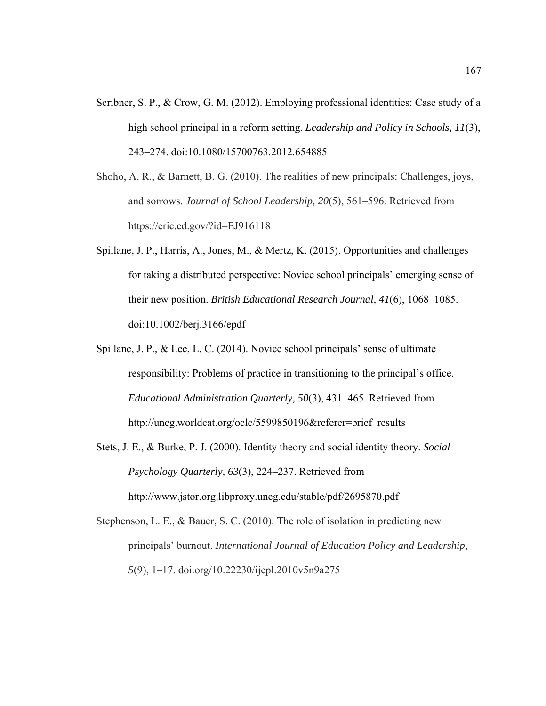- Scribner, S. P., & Crow, G. M. (2012). Employing professional identities: Case study of a high school principal in a reform setting. *Leadership and Policy in Schools, 11*(3), 243–274. doi:10.1080/15700763.2012.654885
- Shoho, A. R., & Barnett, B. G. (2010). The realities of new principals: Challenges, joys, and sorrows. *Journal of School Leadership, 20*(5), 561–596. Retrieved from https://eric.ed.gov/?id=EJ916118
- Spillane, J. P., Harris, A., Jones, M., & Mertz, K. (2015). Opportunities and challenges for taking a distributed perspective: Novice school principals' emerging sense of their new position. *British Educational Research Journal, 41*(6), 1068–1085. doi:10.1002/berj.3166/epdf
- Spillane, J. P., & Lee, L. C. (2014). Novice school principals' sense of ultimate responsibility: Problems of practice in transitioning to the principal's office. *Educational Administration Quarterly, 50*(3), 431–465. Retrieved from http://uncg.worldcat.org/oclc/5599850196&referer=brief\_results
- Stets, J. E., & Burke, P. J. (2000). Identity theory and social identity theory. *Social Psychology Quarterly, 63*(3), 224–237. Retrieved from http://www.jstor.org.libproxy.uncg.edu/stable/pdf/2695870.pdf
- Stephenson, L. E., & Bauer, S. C. (2010). The role of isolation in predicting new principals' burnout. *International Journal of Education Policy and Leadership*, *5*(9), 1–17. doi.org/10.22230/ijepl.2010v5n9a275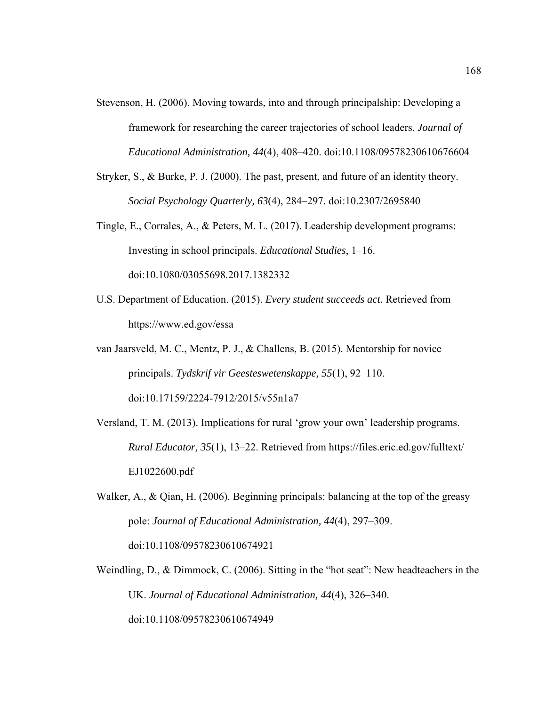- Stevenson, H. (2006). Moving towards, into and through principalship: Developing a framework for researching the career trajectories of school leaders. *Journal of Educational Administration, 44*(4), 408–420. doi:10.1108/09578230610676604
- Stryker, S., & Burke, P. J. (2000). The past, present, and future of an identity theory. *Social Psychology Quarterly, 63*(4), 284–297. doi:10.2307/2695840
- Tingle, E., Corrales, A., & Peters, M. L. (2017). Leadership development programs: Investing in school principals. *Educational Studies*, 1–16. doi:10.1080/03055698.2017.1382332
- U.S. Department of Education. (2015). *Every student succeeds act.* Retrieved from https://www.ed.gov/essa
- van Jaarsveld, M. C., Mentz, P. J., & Challens, B. (2015). Mentorship for novice principals. *Tydskrif vir Geesteswetenskappe, 55*(1), 92–110. doi:10.17159/2224-7912/2015/v55n1a7
- Versland, T. M. (2013). Implications for rural 'grow your own' leadership programs. *Rural Educator, 35*(1), 13–22. Retrieved from https://files.eric.ed.gov/fulltext/ EJ1022600.pdf
- Walker, A., & Qian, H. (2006). Beginning principals: balancing at the top of the greasy pole: *Journal of Educational Administration, 44*(4), 297–309. doi:10.1108/09578230610674921
- Weindling, D., & Dimmock, C. (2006). Sitting in the "hot seat": New headteachers in the UK. *Journal of Educational Administration, 44*(4), 326–340. doi:10.1108/09578230610674949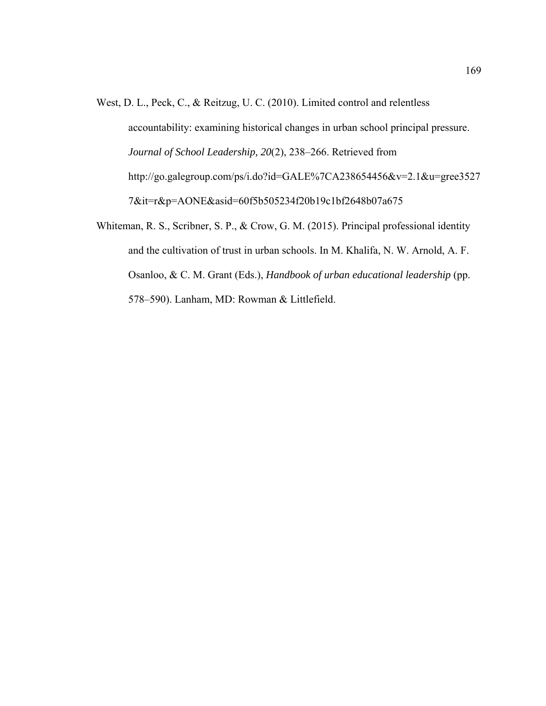- West, D. L., Peck, C., & Reitzug, U. C. (2010). Limited control and relentless accountability: examining historical changes in urban school principal pressure. *Journal of School Leadership, 20*(2), 238–266. Retrieved from http://go.galegroup.com/ps/i.do?id=GALE%7CA238654456&v=2.1&u=gree3527 7&it=r&p=AONE&asid=60f5b505234f20b19c1bf2648b07a675
- Whiteman, R. S., Scribner, S. P., & Crow, G. M. (2015). Principal professional identity and the cultivation of trust in urban schools. In M. Khalifa, N. W. Arnold, A. F. Osanloo, & C. M. Grant (Eds.), *Handbook of urban educational leadership* (pp. 578–590). Lanham, MD: Rowman & Littlefield.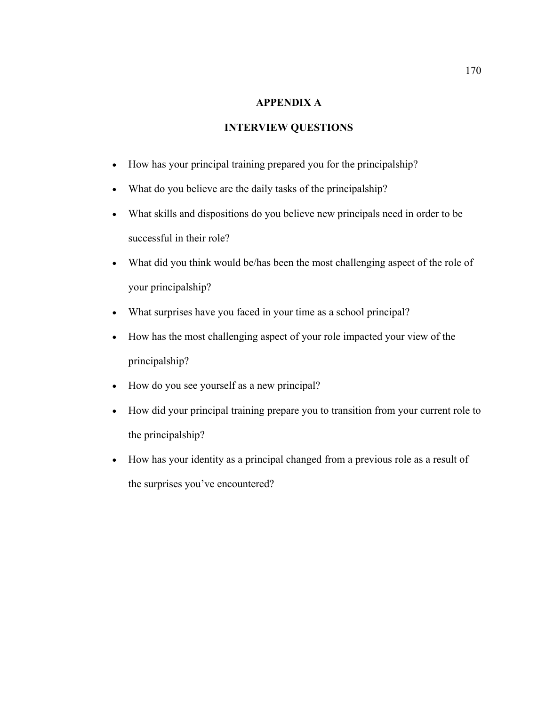## **APPENDIX A**

# **INTERVIEW QUESTIONS**

- How has your principal training prepared you for the principalship?
- What do you believe are the daily tasks of the principalship?
- What skills and dispositions do you believe new principals need in order to be successful in their role?
- What did you think would be/has been the most challenging aspect of the role of your principalship?
- What surprises have you faced in your time as a school principal?
- How has the most challenging aspect of your role impacted your view of the principalship?
- How do you see yourself as a new principal?
- How did your principal training prepare you to transition from your current role to the principalship?
- How has your identity as a principal changed from a previous role as a result of the surprises you've encountered?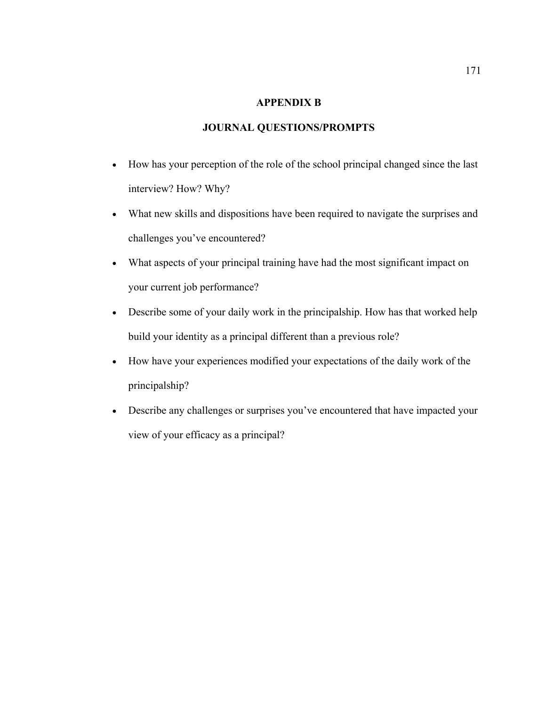### **APPENDIX B**

## **JOURNAL QUESTIONS/PROMPTS**

- How has your perception of the role of the school principal changed since the last interview? How? Why?
- What new skills and dispositions have been required to navigate the surprises and challenges you've encountered?
- What aspects of your principal training have had the most significant impact on your current job performance?
- Describe some of your daily work in the principalship. How has that worked help build your identity as a principal different than a previous role?
- How have your experiences modified your expectations of the daily work of the principalship?
- Describe any challenges or surprises you've encountered that have impacted your view of your efficacy as a principal?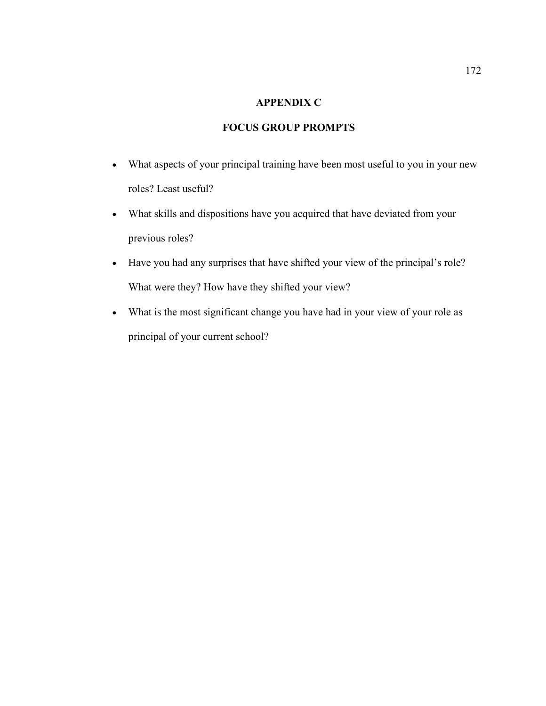### **APPENDIX C**

# **FOCUS GROUP PROMPTS**

- What aspects of your principal training have been most useful to you in your new roles? Least useful?
- What skills and dispositions have you acquired that have deviated from your previous roles?
- Have you had any surprises that have shifted your view of the principal's role? What were they? How have they shifted your view?
- What is the most significant change you have had in your view of your role as principal of your current school?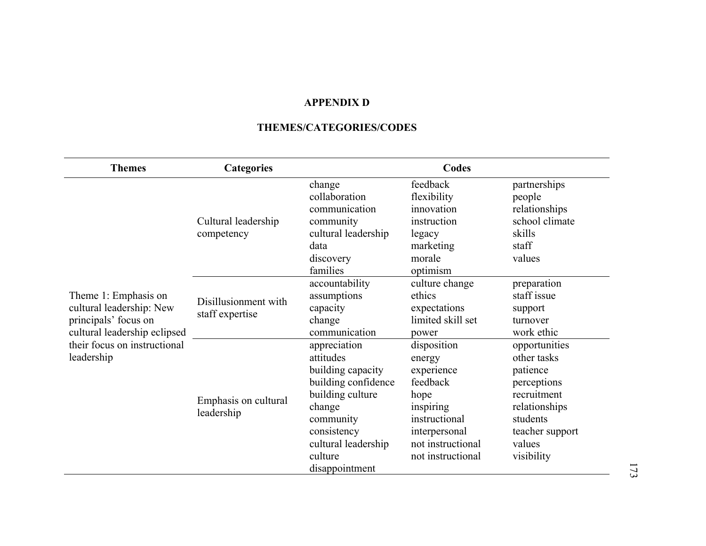#### **APPENDIX D**

#### **THEMES/CATEGORIES/CODES**

| <b>Themes</b>                | <b>Categories</b>                       |                     | Codes             |                                                 |               |
|------------------------------|-----------------------------------------|---------------------|-------------------|-------------------------------------------------|---------------|
|                              | Cultural leadership<br>competency       | change              | feedback          | partnerships                                    |               |
|                              |                                         | collaboration       | flexibility       | people                                          |               |
|                              |                                         | communication       | innovation        | relationships                                   |               |
|                              |                                         | community           | instruction       | school climate                                  |               |
|                              |                                         | cultural leadership | legacy            | skills                                          |               |
|                              |                                         | data                | marketing         | staff                                           |               |
|                              |                                         | discovery           | morale            | values<br>preparation<br>staff issue<br>support |               |
|                              | Disillusionment with<br>staff expertise | families            | optimism          |                                                 |               |
|                              |                                         | accountability      | culture change    |                                                 |               |
| Theme 1: Emphasis on         |                                         | assumptions         | ethics            |                                                 |               |
| cultural leadership: New     |                                         | capacity            | expectations      |                                                 |               |
| principals' focus on         |                                         | change              | limited skill set | turnover                                        |               |
| cultural leadership eclipsed |                                         | communication       | power             | work ethic                                      |               |
| their focus on instructional |                                         | appreciation        | disposition       | opportunities                                   |               |
| leadership                   |                                         | attitudes           | energy            | other tasks                                     |               |
|                              |                                         | building capacity   | experience        | patience                                        |               |
|                              |                                         | building confidence | feedback          | perceptions                                     |               |
|                              | Emphasis on cultural                    | building culture    | hope              | recruitment                                     |               |
|                              |                                         | leadership          | change            | inspiring                                       | relationships |
|                              |                                         | community           | instructional     | students                                        |               |
|                              |                                         | consistency         | interpersonal     | teacher support                                 |               |
|                              |                                         | cultural leadership | not instructional | values                                          |               |
|                              |                                         | culture             | not instructional | visibility                                      |               |
|                              |                                         | disappointment      |                   |                                                 |               |

173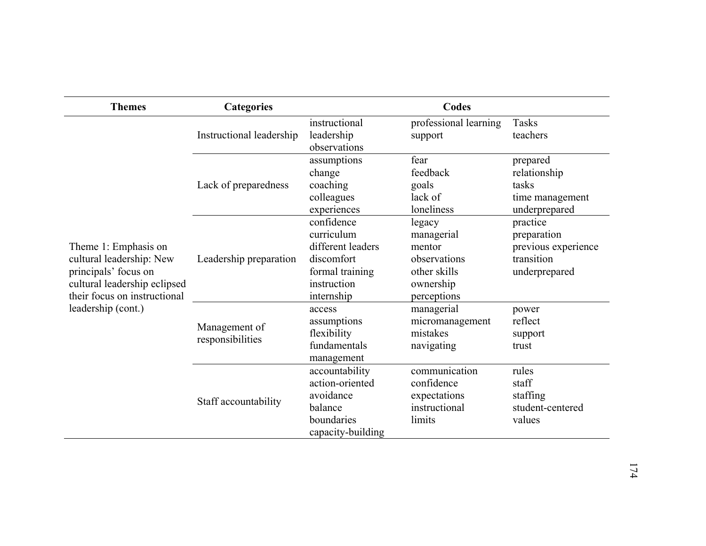| <b>Themes</b>                                                                                                                                                  | <b>Categories</b>                 |                                                                                                             | Codes                                                                                      |                                                                               |
|----------------------------------------------------------------------------------------------------------------------------------------------------------------|-----------------------------------|-------------------------------------------------------------------------------------------------------------|--------------------------------------------------------------------------------------------|-------------------------------------------------------------------------------|
| Theme 1: Emphasis on<br>cultural leadership: New<br>principals' focus on<br>cultural leadership eclipsed<br>their focus on instructional<br>leadership (cont.) | Instructional leadership          | instructional<br>leadership<br>observations                                                                 | professional learning<br>support                                                           | <b>Tasks</b><br>teachers                                                      |
|                                                                                                                                                                | Lack of preparedness              | assumptions<br>change<br>coaching<br>colleagues<br>experiences                                              | fear<br>feedback<br>goals<br>lack of<br>loneliness                                         | prepared<br>relationship<br>tasks<br>time management<br>underprepared         |
|                                                                                                                                                                | Leadership preparation            | confidence<br>curriculum<br>different leaders<br>discomfort<br>formal training<br>instruction<br>internship | legacy<br>managerial<br>mentor<br>observations<br>other skills<br>ownership<br>perceptions | practice<br>preparation<br>previous experience<br>transition<br>underprepared |
|                                                                                                                                                                | Management of<br>responsibilities | access<br>assumptions<br>flexibility<br>fundamentals<br>management                                          | managerial<br>micromanagement<br>mistakes<br>navigating                                    | power<br>reflect<br>support<br>trust                                          |
|                                                                                                                                                                | Staff accountability              | accountability<br>action-oriented<br>avoidance<br>balance<br>boundaries<br>capacity-building                | communication<br>confidence<br>expectations<br>instructional<br>limits                     | rules<br>staff<br>staffing<br>student-centered<br>values                      |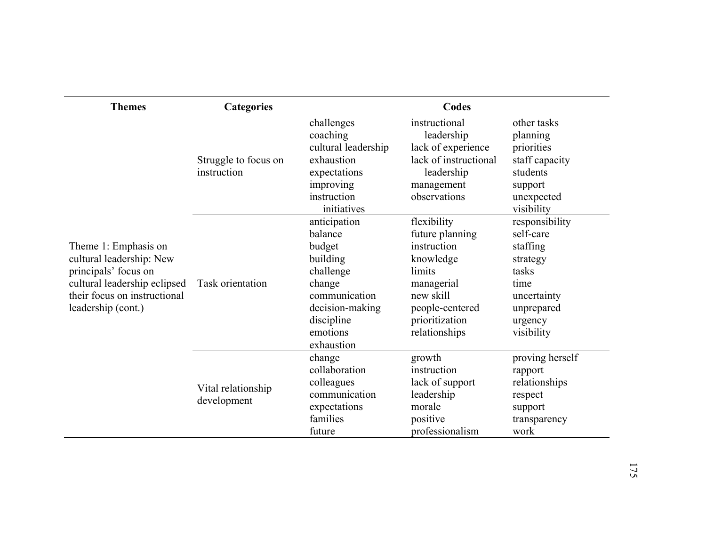| <b>Themes</b>                                                                                                                                                  | <b>Categories</b>                   |                                                                                                                                                  | Codes                                                                                                                                                 |                                                                                                                            |
|----------------------------------------------------------------------------------------------------------------------------------------------------------------|-------------------------------------|--------------------------------------------------------------------------------------------------------------------------------------------------|-------------------------------------------------------------------------------------------------------------------------------------------------------|----------------------------------------------------------------------------------------------------------------------------|
| Theme 1: Emphasis on<br>cultural leadership: New<br>principals' focus on<br>cultural leadership eclipsed<br>their focus on instructional<br>leadership (cont.) | Struggle to focus on<br>instruction | challenges<br>coaching<br>cultural leadership<br>exhaustion<br>expectations<br>improving<br>instruction<br>initiatives                           | instructional<br>leadership<br>lack of experience<br>lack of instructional<br>leadership<br>management<br>observations                                | other tasks<br>planning<br>priorities<br>staff capacity<br>students<br>support<br>unexpected<br>visibility                 |
|                                                                                                                                                                | Task orientation                    | anticipation<br>balance<br>budget<br>building<br>challenge<br>change<br>communication<br>decision-making<br>discipline<br>emotions<br>exhaustion | flexibility<br>future planning<br>instruction<br>knowledge<br>limits<br>managerial<br>new skill<br>people-centered<br>prioritization<br>relationships | responsibility<br>self-care<br>staffing<br>strategy<br>tasks<br>time<br>uncertainty<br>unprepared<br>urgency<br>visibility |
|                                                                                                                                                                | Vital relationship<br>development   | change<br>collaboration<br>colleagues<br>communication<br>expectations<br>families<br>future                                                     | growth<br>instruction<br>lack of support<br>leadership<br>morale<br>positive<br>professionalism                                                       | proving herself<br>rapport<br>relationships<br>respect<br>support<br>transparency<br>work                                  |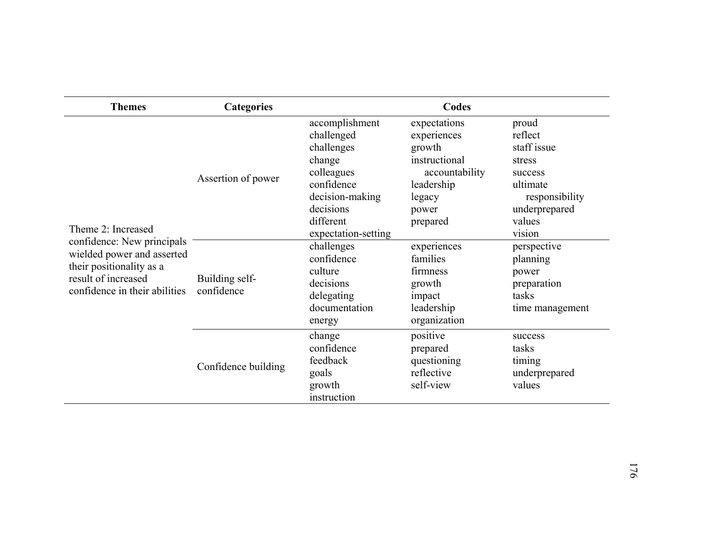| <b>Themes</b>                                                                                                                                                      | <b>Categories</b>            |                                                                                                                                                      | Codes                                                                                                                 |                                                                                                                         |
|--------------------------------------------------------------------------------------------------------------------------------------------------------------------|------------------------------|------------------------------------------------------------------------------------------------------------------------------------------------------|-----------------------------------------------------------------------------------------------------------------------|-------------------------------------------------------------------------------------------------------------------------|
| Theme 2: Increased<br>confidence: New principals<br>wielded power and asserted<br>their positionality as a<br>result of increased<br>confidence in their abilities | Assertion of power           | accomplishment<br>challenged<br>challenges<br>change<br>colleagues<br>confidence<br>decision-making<br>decisions<br>different<br>expectation-setting | expectations<br>experiences<br>growth<br>instructional<br>accountability<br>leadership<br>legacy<br>power<br>prepared | proud<br>reflect<br>staff issue<br>stress<br>success<br>ultimate<br>responsibility<br>underprepared<br>values<br>vision |
|                                                                                                                                                                    | Building self-<br>confidence | challenges<br>confidence<br>culture<br>decisions<br>delegating<br>documentation<br>energy                                                            | experiences<br>families<br>firmness<br>growth<br>impact<br>leadership<br>organization                                 | perspective<br>planning<br>power<br>preparation<br>tasks<br>time management                                             |
|                                                                                                                                                                    | Confidence building          | change<br>confidence<br>feedback<br>goals<br>growth<br>instruction                                                                                   | positive<br>prepared<br>questioning<br>reflective<br>self-view                                                        | success<br>tasks<br>timing<br>underprepared<br>values                                                                   |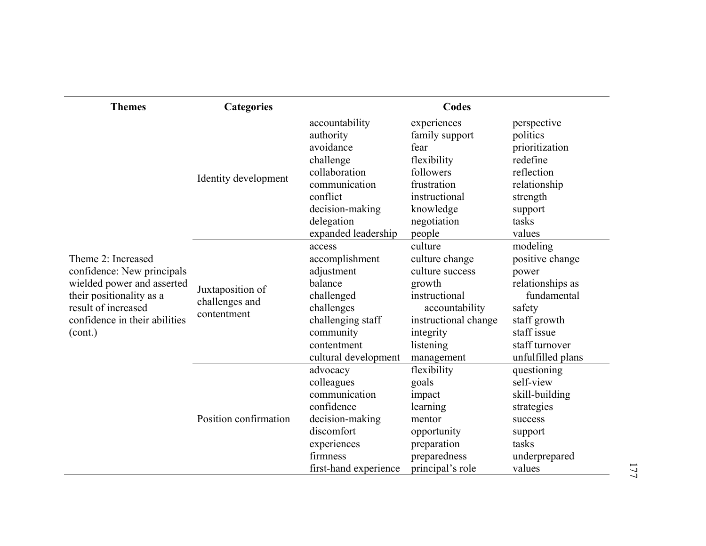| <b>Themes</b>                                                                                                                                                                 | <b>Categories</b>                                 |                                                                                                                                                                               | <b>Codes</b>                                                                                                                                                        |                                                                                                                                                                   |
|-------------------------------------------------------------------------------------------------------------------------------------------------------------------------------|---------------------------------------------------|-------------------------------------------------------------------------------------------------------------------------------------------------------------------------------|---------------------------------------------------------------------------------------------------------------------------------------------------------------------|-------------------------------------------------------------------------------------------------------------------------------------------------------------------|
| Theme 2: Increased<br>confidence: New principals<br>wielded power and asserted<br>their positionality as a<br>result of increased<br>confidence in their abilities<br>(cont.) | Identity development                              | accountability<br>authority<br>avoidance<br>challenge<br>collaboration<br>communication<br>conflict<br>decision-making<br>delegation                                          | experiences<br>family support<br>fear<br>flexibility<br>followers<br>frustration<br>instructional<br>knowledge<br>negotiation                                       | perspective<br>politics<br>prioritization<br>redefine<br>reflection<br>relationship<br>strength<br>support<br>tasks                                               |
|                                                                                                                                                                               | Juxtaposition of<br>challenges and<br>contentment | expanded leadership<br>access<br>accomplishment<br>adjustment<br>balance<br>challenged<br>challenges<br>challenging staff<br>community<br>contentment<br>cultural development | people<br>culture<br>culture change<br>culture success<br>growth<br>instructional<br>accountability<br>instructional change<br>integrity<br>listening<br>management | values<br>modeling<br>positive change<br>power<br>relationships as<br>fundamental<br>safety<br>staff growth<br>staff issue<br>staff turnover<br>unfulfilled plans |
|                                                                                                                                                                               | Position confirmation                             | advocacy<br>colleagues<br>communication<br>confidence<br>decision-making<br>discomfort<br>experiences<br>firmness<br>first-hand experience                                    | flexibility<br>goals<br>impact<br>learning<br>mentor<br>opportunity<br>preparation<br>preparedness<br>principal's role                                              | questioning<br>self-view<br>skill-building<br>strategies<br>success<br>support<br>tasks<br>underprepared<br>values                                                |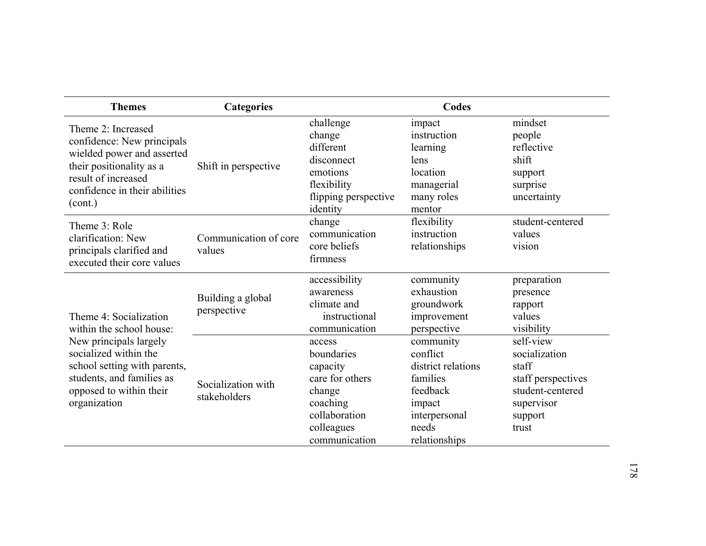| <b>Themes</b>                                                                                                                                                                                                 | <b>Categories</b>                  |                                                                                                                           | Codes                                                                                                                    |                                                                                                                 |
|---------------------------------------------------------------------------------------------------------------------------------------------------------------------------------------------------------------|------------------------------------|---------------------------------------------------------------------------------------------------------------------------|--------------------------------------------------------------------------------------------------------------------------|-----------------------------------------------------------------------------------------------------------------|
| Theme 2: Increased<br>confidence: New principals<br>wielded power and asserted<br>their positionality as a<br>result of increased<br>confidence in their abilities<br>(cont.)                                 | Shift in perspective               | challenge<br>change<br>different<br>disconnect<br>emotions<br>flexibility<br>flipping perspective<br>identity             | impact<br>instruction<br>learning<br>lens<br>location<br>managerial<br>many roles<br>mentor                              | mindset<br>people<br>reflective<br>shift<br>support<br>surprise<br>uncertainty                                  |
| Theme 3: Role<br>clarification: New<br>principals clarified and<br>executed their core values                                                                                                                 | Communication of core<br>values    | change<br>communication<br>core beliefs<br>firmness                                                                       | flexibility<br>instruction<br>relationships                                                                              | student-centered<br>values<br>vision                                                                            |
| Theme 4: Socialization<br>within the school house:<br>New principals largely<br>socialized within the<br>school setting with parents,<br>students, and families as<br>opposed to within their<br>organization | Building a global<br>perspective   | accessibility<br>awareness<br>climate and<br>instructional<br>communication                                               | community<br>exhaustion<br>groundwork<br>improvement<br>perspective                                                      | preparation<br>presence<br>rapport<br>values<br>visibility                                                      |
|                                                                                                                                                                                                               | Socialization with<br>stakeholders | access<br>boundaries<br>capacity<br>care for others<br>change<br>coaching<br>collaboration<br>colleagues<br>communication | community<br>conflict<br>district relations<br>families<br>feedback<br>impact<br>interpersonal<br>needs<br>relationships | self-view<br>socialization<br>staff<br>staff perspectives<br>student-centered<br>supervisor<br>support<br>trust |